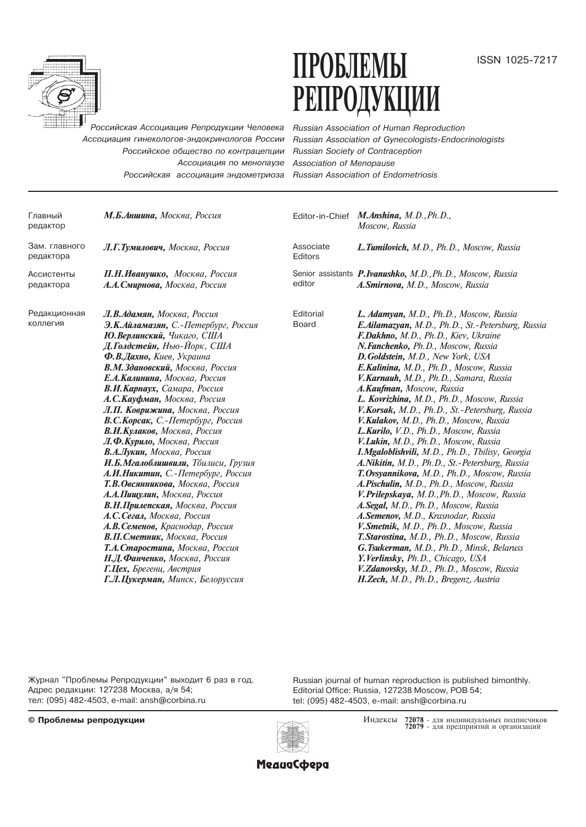

# $\Pi$ PO $\overline{\text{D}}$ J $\text{EMM}$ issn 1025-7217 РЕПРОДУКЦИИ

Российская Ассоциация Репродукции Человека Ассоциация гинекологов-эндокринологов России Российское общество по контрацепции Ассоциация по менопаузе Российская ассоциация эндометриоза

Russian Association of Human Reproduction Russian Association of Gynecologists-Endocrinologists Russian Society of Contraception Association of Menopause Russian Association of Endometriosis

| Главный<br>редактор        | М.Б.Аншина, Москва, Россия                                                                                                                                                                                                                                                                                                                                                                                                                                                                                                                                                                                                                                                                                                                                                                                                                                               |                           | Editor-in-Chief M.Anshina, M.D., Ph.D.,<br>Moscow, Russia                                                                                                                                                                                                                                                                                                                                                                                                                                                                                                                                                                                                                                                                                                                                                                                                                                                                                                                                                                                                                                                                                               |
|----------------------------|--------------------------------------------------------------------------------------------------------------------------------------------------------------------------------------------------------------------------------------------------------------------------------------------------------------------------------------------------------------------------------------------------------------------------------------------------------------------------------------------------------------------------------------------------------------------------------------------------------------------------------------------------------------------------------------------------------------------------------------------------------------------------------------------------------------------------------------------------------------------------|---------------------------|---------------------------------------------------------------------------------------------------------------------------------------------------------------------------------------------------------------------------------------------------------------------------------------------------------------------------------------------------------------------------------------------------------------------------------------------------------------------------------------------------------------------------------------------------------------------------------------------------------------------------------------------------------------------------------------------------------------------------------------------------------------------------------------------------------------------------------------------------------------------------------------------------------------------------------------------------------------------------------------------------------------------------------------------------------------------------------------------------------------------------------------------------------|
| Зам. главного<br>редактора | Л.Г.Тумилович, Москва, Россия                                                                                                                                                                                                                                                                                                                                                                                                                                                                                                                                                                                                                                                                                                                                                                                                                                            | Associate<br>Editors      | L.Tumilovich, M.D., Ph.D., Moscow, Russia                                                                                                                                                                                                                                                                                                                                                                                                                                                                                                                                                                                                                                                                                                                                                                                                                                                                                                                                                                                                                                                                                                               |
| Ассистенты<br>редактора    | П.Н.Иванушко, Москва, Россия<br>А.А. Смирнова, Москва, Россия                                                                                                                                                                                                                                                                                                                                                                                                                                                                                                                                                                                                                                                                                                                                                                                                            | editor                    | Senior assistants P.Ivanushko, M.D., Ph.D., Moscow, Russia<br>A.Smirnova, M.D., Moscow, Russia                                                                                                                                                                                                                                                                                                                                                                                                                                                                                                                                                                                                                                                                                                                                                                                                                                                                                                                                                                                                                                                          |
| Редакционная<br>коллегия   | Л.В.Адамян, Москва, Россия<br>Э.К.Айламазян, С.-Петербург, Россия<br>Ю.Верлинский, Чикаго, США<br>Д.Голдстейн, Нью-Йорк, США<br>Ф.В.Дахно, Киев, Украина<br>В.М.Здановский, Москва, Россия<br>Е.А. Калинина, Москва, Россия<br>В.И.Карнаух, Самара, Россия<br>А.С.Кауфман, Москва, Россия<br>Л.П. Коврижина, Москва, Россия<br>В.С.Корсак, С.-Петербург, Россия<br>В.И.Кулаков, Москва, Россия<br>Л.Ф.Курило, Москва, Россия<br>В.А.Лукин, Москва, Россия<br>И.Б.Мгалоблишвили, Тбилиси, Грузия<br>А.И.Никитин, С.-Петербург, Россия<br>Т.В.Овсянникова, Москва, Россия<br>А.А.Пищулин, Москва, Россия<br>В.Н.Прилепская, Москва, Россия<br>А.С.Сегал, Москва, Россия<br>А.В.Семенов, Краснодар, Россия<br>В.П. Сметник, Москва, Россия<br>Т.А. Старостина, Москва, Россия<br>Н.Д.Фанченко, Москва, Россия<br>Г.Цех, Брегенц, Австрия<br>Г.Л.Цукерман, Минск, Белоруссия | Editorial<br><b>Board</b> | L. Adamyan, M.D., Ph.D., Moscow, Russia<br>E.Ailamazyan, M.D., Ph.D., St.-Petersburg, Russia<br>F.Dakhno, M.D., Ph.D., Kiev, Ukraine<br>N.Fanchenko, Ph.D., Moscow, Russia<br>D.Goldstein, M.D., New York, USA<br>E.Kalinina, M.D., Ph.D., Moscow, Russia<br>V.Karnauh, M.D., Ph.D., Samara, Russia<br>A.Kaufman, Moscow, Russia<br>L. Kovrizhina, M.D., Ph.D., Moscow, Russia<br>V.Korsak, M.D., Ph.D., St.-Petersburg, Russia<br>V.Kulakov, M.D., Ph.D., Moscow, Russia<br>L.Kurilo, V.D., Ph.D., Moscow, Russia<br>V.Lukin, M.D., Ph.D., Moscow, Russia<br>I.Mgaloblishvili, M.D., Ph.D., Tbilisy, Georgia<br>A.Nikitin, M.D., Ph.D., St.-Petersburg, Russia<br>T. Ovsyannikova, M.D., Ph.D., Moscow, Russia<br>A.Pischulin, M.D., Ph.D., Moscow, Russia<br>V.Prilepskaya, M.D., Ph.D., Moscow, Russia<br>A.Segal, M.D., Ph.D., Moscow, Russia<br>A.Semenov, M.D., Krasnodar, Russia<br>V. Smetnik, M.D., Ph.D., Moscow, Russia<br>T. Starostina, M.D., Ph.D., Moscow, Russia<br>G.Tsukerman, M.D., Ph.D., Minsk, Belaruss<br>Y. Verlinsky, Ph.D., Chicago, USA<br>V.Zdanovsky, M.D., Ph.D., Moscow, Russia<br>H.Zech, M.D., Ph.D., Bregenz, Austria |

Журнал "Проблемы Репродукции" выходит 6 раз в год. Адрес редакции: 127238 Москва, а/я 54; òåë: (095) 482-4503, e-mail: ansh@corbina.ru

Russian journal of human reproduction is published bimonthly. Editorial Office: Russia, 127238 Moscow, POB 54; tel: (095) 482-4503, e-mail: ansh@corbina.ru





Индексы 72078 - для индивидуальных подписчиков<br>72079 - для предприятий и организаций

**МедиаСфера**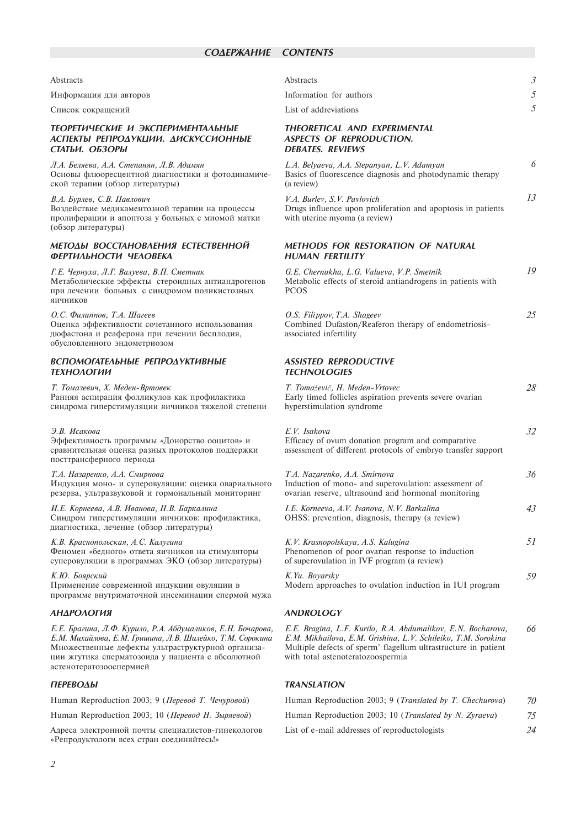### Abstracts

Информация для авторов

Список сокращений

#### ТЕОРЕТИЧЕСКИЕ И ЭКСПЕРИМЕНТАЛЬНЫЕ АСПЕКТЫ РЕПРОДУКЦИИ. ДИСКУССИОННЫЕ СТАТЬИ. ОБЗОРЫ

Л.А. Беляева, А.А. Степанян, Л.В. Адамян Основы флюоресцентной диагностики и фотодинамической терапии (обзор литературы)

В.А. Бурлев, С.В. Павлович Воздействие медикаментозной терапии на процессы пролиферации и апоптоза у больных с миомой матки (обзор литературы)

#### МЕТОДЫ ВОССТАНОВЛЕНИЯ ЕСТЕСТВЕННОЙ **ФЕРТИЛЬНОСТИ ЧЕЛОВЕКА**

Г.Е. Чернуха, Л.Г. Валуева, В.П. Сметник Метаболические эффекты стероидных антиандрогенов при лечении больных с синдромом поликистозных яичников

# О.С. Филиппов, Т.А. Шагеев Оценка эффективности сочетанного использования

дюфастона и реаферона при лечении бесплодия. обусловленного эндометриозом

# **ВСПОМОГАТЕЛЬНЫЕ РЕПРОЛУКТИВНЫЕ** ΤΕΧΗΟΛΟΓΜΜ

Т. Томазевич, Х. Меден-Вртовек Ранняя аспирация фолликулов как профилактика синдрома гиперстимуляции яичников тяжелой степени

#### $AR$  *Heavnen*

Эффективность программы «Донорство ооцитов» и сравнительная оценка разных протоколов поддержки посттрансферного периода

Т.А. Назаренко, А.А. Смирнова

Индукция моно- и суперовуляции: оценка овариального резерва, ультразвуковой и гормональный мониторинг

И.Е. Корнеева, А.В. Иванова, Н.В. Баркалина Синдром гиперстимуляции яичников: профилактика, диагностика, лечение (обзор литературы)

### К.В. Краснопольская, А.С. Калугина

Феномен «бедного» ответа яичников на стимуляторы суперовуляции в программах ЭКО (обзор литературы)

К.Ю. Боярский Применение современной индукции овуляции в программе внутриматочной инсеминации спермой мужа

#### АНДРОЛОГИЯ

Е.Е. Брагина, Л.Ф. Курило, Р.А. Абдумаликов, Е.Н. Бочарова, Е.М. Михайлова, Е.М. Гришина, Л.В. Шилейко, Т.М. Сорокина Множественные дефекты ультраструктурной организации жгутика сперматозоида у пациента с абсолютной астенотератозооспермией

### **ПЕРЕВОЛЫ**

Human Reproduction 2003; 9 (Перевод Т. Чечуровой)

Human Reproduction 2003; 10 (Перевод Н. Зыряевой)

Адреса электронной почты специалистов-гинекологов «Репродуктологи всех стран соединяйтесь!»

| Abstracts                    |  |
|------------------------------|--|
| Information for authors      |  |
| List of addreviations        |  |
| THEORETICAL AND EXPERIMENTAL |  |

#### THEORETICAL AND EXPERIMENTAL **ASPECTS OF REPRODUCTION. DEBATES. REVIEWS**

| L.A. Belyaeva, A.A. Stepanyan, L.V. Adamyan<br>Basics of fluorescence diagnosis and photodynamic therapy<br>(a review)       |    |
|------------------------------------------------------------------------------------------------------------------------------|----|
| V.A. Burley, S.V. Paylovich<br>Drugs influence upon proliferation and apoptosis in patients<br>with uterine myoma (a review) | 13 |

### **METHODS FOR RESTORATION OF NATURAL HUMAN FERTILITY**

G.E. Chernukha, L.G. Valueva, V.P. Smetnik 19 Metabolic effects of steroid antiandrogens in patients with **PCOS** 

25 O.S. Filippov, T.A. Shageev Combined Dufaston/Reaferon therapy of endometriosisassociated infertility

# **ASSISTED REPRODUCTIVE TECHNOLOGIES**

| T. Tomaževič, H. Meden-Vrtovec<br>Early timed follicles aspiration prevents severe ovarian<br>hyperstimulation syndrome                      | 28 |
|----------------------------------------------------------------------------------------------------------------------------------------------|----|
| E.V. Isakova<br>Efficacy of ovum donation program and comparative<br>assessment of different protocols of embryo transfer support            | 32 |
| T.A. Nazarenko, A.A. Smirnova<br>Induction of mono- and superovulation: assessment of<br>ovarian reserve, ultrasound and hormonal monitoring | 36 |
| I.E. Korneeva, A.V. Ivanova, N.V. Barkalina<br>OHSS: prevention, diagnosis, therapy (a review)                                               | 43 |
| K.V. Krasnopolskaya, A.S. Kalugina<br>Phenomenon of poor ovarian response to induction<br>of superovulation in IVF program (a review)        | 51 |

K.Yu. Boyarsky Modern approaches to ovulation induction in IUI program 59

# **ANDROLOGY**

E.E. Bragina, L.F. Kurilo, R.A. Abdumalikov, E.N. Bocharova, 66 E.M. Mikhailova, E.M. Grishina, L.V. Schileiko, T.M. Sorokina Multiple defects of sperm' flagellum ultrastructure in patient with total astenoteratozoospermia

# **TRANSI ATION**

| Human Reproduction 2003; 9 ( <i>Translated by T. Chechurova</i> ) | 70 |
|-------------------------------------------------------------------|----|
| Human Reproduction 2003: 10 ( <i>Translated by N. Zyraeva</i> )   | 75 |
| List of e-mail addresses of reproductologists                     | 24 |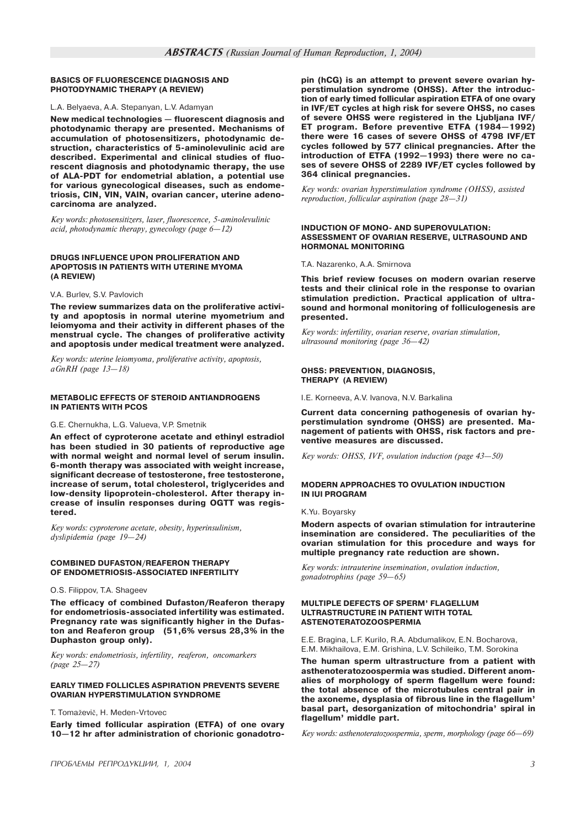#### **BASICS OF FLUORESCENCE DIAGNOSIS AND PHOTODYNAMIC THERAPY (A REVIEW)**

#### L.A. Belyaeva, A.A. Stepanyan, L.V. Adamyan

New medical technologies - fluorescent diagnosis and photodynamic therapy are presented. Mechanisms of accumulation of photosensitizers, photodynamic destruction, characteristics of 5-aminolevulinic acid are described. Experimental and clinical studies of fluorescent diagnosis and photodynamic therapy, the use of ALA-PDT for endometrial ablation, a potential use for various gynecological diseases, such as endometriosis, CIN, VIN, VAIN, ovarian cancer, uterine adenocarcinoma are analyzed.

Key words: photosensitizers, laser, fluorescence, 5-aminolevulinic acid, photodynamic therapy, gynecology (page  $6-12$ )

#### **DRUGS INFLUENCE UPON PROLIFERATION AND APOPTOSIS IN PATIENTS WITH UTERINE MYOMA (A REVIEW)**

#### V.A. Burlev, S.V. Pavlovich

The review summarizes data on the proliferative activity and apoptosis in normal uterine myometrium and leiomyoma and their activity in different phases of the menstrual cycle. The changes of proliferative activity and apoptosis under medical treatment were analyzed.

Key words: uterine leiomyoma, proliferative activity, apoptosis,  $a\ddot{G}nRH$  (page  $13-18$ )

#### **METABOLIC EFFECTS OF STEROID ANTIANDROGENS IN PATIENTS WITH PCOS**

G.E. Chernukha, L.G. Valueva, V.P. Smetnik

An effect of cyproterone acetate and ethinyl estradiol has been studied in 30 patients of reproductive age with normal weight and normal level of serum insulin. 6-month therapy was associated with weight increase, significant decrease of testosterone, free testosterone, increase of serum, total cholesterol, triglycerides and low-density lipoprotein-cholesterol. After therapy increase of insulin responses during OGTT was registered.

Key words: cyproterone acetate, obesity, hyperinsulinism, dyslipidemia (page 19-24)

#### **COMBINED DUFASTON/REAFERON THERAPY OF ENDOMETRIOSIS-ASSOCIATED INFERTILITY**

O.S. Filippov, T.A. Shageev

The efficacy of combined Dufaston/Reaferon therapy for endometriosis-associated infertility was estimated. Pregnancy rate was significantly higher in the Dufaston and Reaferon group (51,6% versus 28,3% in the Duphaston group only).

Key words: endometriosis, infertility, reaferon, oncomarkers  $(page 25 - 27)$ 

### **EARLY TIMED FOLLICLES ASPIRATION PREVENTS SEVERE OVARIAN HYPERSTIMULATION SYNDROME**

T. Tomaževič, H. Meden-Vrtovec

Early timed follicular aspiration (ETFA) of one ovary 10-12 hr after administration of chorionic gonadotropin (hCG) is an attempt to prevent severe ovarian hyperstimulation syndrome (OHSS). After the introduction of early timed follicular aspiration ETFA of one ovary in IVF/ET cycles at high risk for severe OHSS, no cases of severe OHSS were registered in the Ljubljana IVF/ ET program. Before preventive ETFA (1984-1992) there were 16 cases of severe OHSS of 4798 IVF/ET cycles followed by 577 clinical pregnancies. After the introduction of ETFA (1992-1993) there were no cases of severe OHSS of 2289 IVF/ET cycles followed by 364 clinical pregnancies.

Key words: ovarian hyperstimulation syndrome (OHSS), assisted reproduction, follicular aspiration (page  $28-31$ )

#### **INDUCTION OF MONO- AND SUPEROVUL ATION: ASSESSMENT OF OVARIAN RESERVE, ULTRASOUND AND HORMONAL MONITORING**

T.A. Nazarenko, A.A. Smirnova

This brief review focuses on modern ovarian reserve tests and their clinical role in the response to ovarian stimulation prediction. Practical application of ultrasound and hormonal monitoring of folliculogenesis are presented.

Key words: infertility, ovarian reserve, ovarian stimulation, ultrasound monitoring (page  $36-42$ )

#### **OHSS: PREVENTION, DIAGNOSIS, THERAPY (A REVIEW)**

I.E. Korneeva, A.V. Ivanova, N.V. Barkalina

Current data concerning pathogenesis of ovarian hyperstimulation syndrome (OHSS) are presented. Management of patients with OHSS, risk factors and preventive measures are discussed.

Key words: OHSS, IVF, ovulation induction (page  $43-50$ )

#### **MODERN APPROACHES TO OVULATION INDUCTION IN IUI PROGRAM**

K.Yu. Boyarsky

Modern aspects of ovarian stimulation for intrauterine insemination are considered. The peculiarities of the ovarian stimulation for this procedure and ways for multiple pregnancy rate reduction are shown.

Key words: intrauterine insemination, ovulation induction, gonadotrophins (page 59-65)

#### **MULTIPLE DEFECTS OF SPERM' FLAGELLUM ULTRASTRUCTURE IN PATIENT WITH TOTAL ASTENOTERATOZOOSPERMIA**

E.E. Bragina, L.F. Kurilo, R.A. Abdumalikov, E.N. Bocharova, E.M. Mikhailova, E.M. Grishina, L.V. Schileiko, T.M. Sorokina

The human sperm ultrastructure from a patient with asthenoteratozoospermia was studied. Different anomalies of morphology of sperm flagellum were found: the total absence of the microtubules central pair in the axoneme, dysplasia of fibrous line in the flagellum basal part, desorganization of mitochondria' spiral in flagellum' middle part.

Key words: asthenoteratozoospermia, sperm, morphology (page  $66-69$ )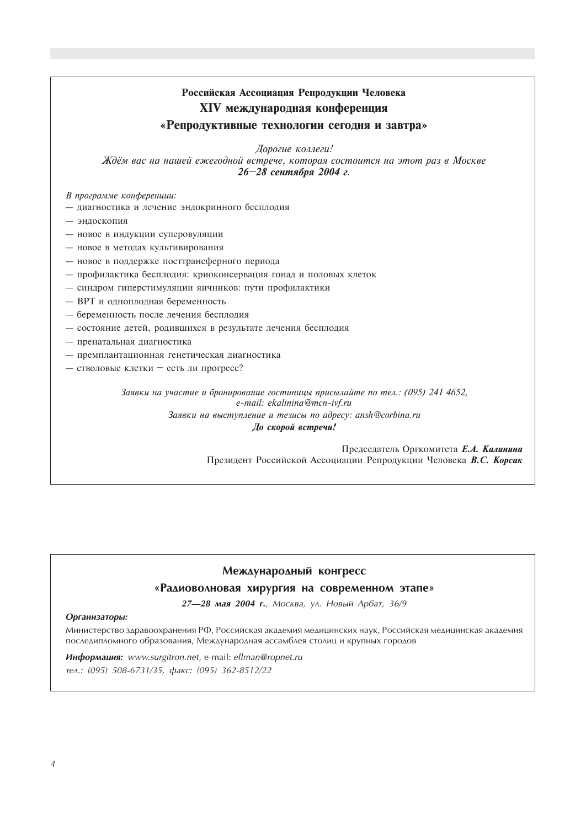# Российская Ассоциация Репродукции Человека XIV международная конференция «Репродуктивные технологии сегодня и завтра»

Дорогие коллеги!

Ждём вас на нашей ежегодной встрече, которая состоится на этот раз в Москве 26-28 сентября 2004 г.

В программе конференции:

- диагностика и лечение эндокринного бесплодия
- эндоскопия
- новое в индукции суперовуляции
- новое в методах культивирования
- новое в поддержке посттрансферного периода
- профилактика бесплодия: криоконсервация гонад и половых клеток
- синдром гиперстимуляции яичников: пути профилактики
- ВРТ и одноплодная беременность
- беременность после лечения бесплодия
- состояние детей, родившихся в результате лечения бесплодия
- пренатальная диагностика
- премплантационная генетическая диагностика
- стволовые клетки есть ли прогресс?

Заявки на участие и бронирование гостиницы присылайте по тел.: (095) 241 4652, e-mail: ekalinina@mcn-ivf.ru

> Заявки на выступление и тезисы по адресу: ansh@corbina.ru До скорой встречи!

> > Председатель Оргкомитета Е.А. Калинина Президент Российской Ассоциации Репродукции Человека В.С. Корсак

# Международный конгресс

# «Радиоволновая хирургия на современном этапе»

27-28 мая 2004 г., Москва, ул. Новый Арбат, 36/9

# Организаторы:

Министерство здравоохранения РФ, Российская академия медицинских наук, Российская медицинская академия последипломного образования, Международная ассамблея столиц и крупных городов

Информация: www.surgitron.net, e-mail: ellman@ropnet.ru тел.: (095) 508-6731/35, факс: (095) 362-8512/22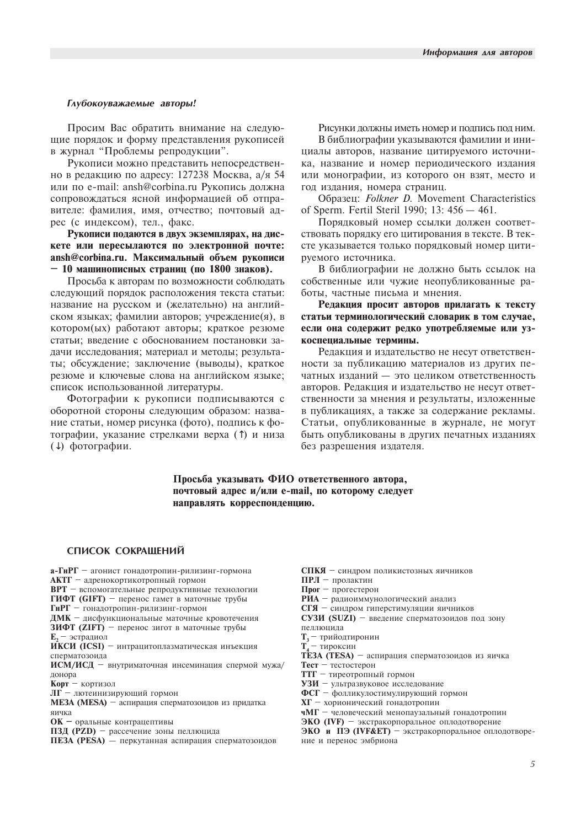#### Глубокоуважаемые авторы!

Просим Вас обратить внимание на следующие порядок и форму представления рукописей в журнал "Проблемы репродукции".

Рукописи можно представить непосредственно в редакцию по адресу: 127238 Москва, а/я 54 или по e-mail: ansh@corbina.ru Рукопись должна сопровождаться ясной информацией об отправителе: фамилия, имя, отчество; почтовый адрес (с индексом), тел., факс.

Рукописи подаются в двух экземплярах, на дискете или пересылаются по электронной почте: ansh@corbina.ru. Максимальный объем рукописи  $-10$  машинописных страниц (по 1800 знаков).

Просьба к авторам по возможности соблюдать следующий порядок расположения текста статьи: название на русском и (желательно) на английском языках; фамилии авторов; учреждение(я), в котором(ых) работают авторы; краткое резюме статьи; введение с обоснованием постановки задачи исследования; материал и методы; результаты: обсуждение: заключение (выводы), краткое резюме и ключевые слова на английском языке: список использованной литературы.

Фотографии к рукописи подписываются с оборотной стороны следующим образом: название статьи, номер рисунка (фото), подпись к фотографии, указание стрелками верха (1) и низа (↓) фотографии.

Рисунки должны иметь номер и подпись под ним. В библиографии указываются фамилии и инициалы авторов, название цитируемого источника, название и номер периодического издания или монографии, из которого он взят, место и год издания, номера страниц.

Образец: *Folkner D.* Movement Characteristics of Sperm. Fertil Steril 1990; 13: 456 - 461.

Порядковый номер ссылки должен соответствовать порядку его цитирования в тексте. В тексте указывается только порядковый номер цитируемого источника.

В библиографии не должно быть ссылок на собственные или чужие неопубликованные работы, частные письма и мнения.

Редакция просит авторов прилагать к тексту статьи терминологический словарик в том случае, если она содержит редко употребляемые или узкоспециальные термины.

Редакция и издательство не несут ответственности за публикацию материалов из других печатных изданий - это целиком ответственность авторов. Редакция и издательство не несут ответственности за мнения и результаты, изложенные в публикациях, а также за содержание рекламы. Статьи, опубликованные в журнале, не могут быть опубликованы в других печатных изданиях без разрешения издателя.

Просьба указывать ФИО ответственного автора. почтовый адрес и/или e-mail, по которому следует направлять корреспонденцию.

#### СПИСОК СОКРАЩЕНИЙ

а-ГиРГ - агонист гонадотропин-рилизинг-гормона **АКТГ** - адренокортикотропный гормон ВРТ - вспомогательные репродуктивные технологии ГИФТ (GIFT) - перенос гамет в маточные трубы ГиРГ - гонадотропин-рилизинг-гормон ДМК - дисфункциональные маточные кровотечения ЗИФТ (ZIFT) - перенос зигот в маточные трубы Е, - эстрадиол **ИКСИ** (ICSI) - интрацитоплазматическая инъекция сперматозоила

ИСМ/ИСД - внутриматочная инсеминация спермой мужа/ лонора

Корт - кортизол

 $\overline{\text{JIF}}$  – лютеинизирующий гормон

**ME3A** (MESA) - аспирация сперматозоидов из придатка яичка

ОК - оральные контрацептивы

ПЗД (PZD) - рассечение зоны пеллюцида

ПЕЗА (PESA) - перкутанная аспирация сперматозоидов

СПКЯ - синдром поликистозных яичников

 $\Pi$ РЛ - пролактин

Прог  $-$  прогестерон

РИА - радиоиммунологический анализ

СГЯ - синдром гиперстимуляции яичников

СУЗИ (SUZI) - введение сперматозоидов под зону пеллюцида

 $T_3$  — трийодтиронин<br> $T_4$  — тироксин

ТЕЗА (TESA) - аспирация сперматозоидов из яичка

 $T$ **ect**  $T$   $T$ **ector**  $T$ **ector** 

**TTF** - тиреотропный гормон

**УЗИ** - ультразвуковое исследование

ФСГ - фолликулостимулирующий гормон

XГ - хорионический гонадотропин

чМГ - человеческий менопаузальный гонадотропин

ЭКО (IVF) - экстракорпоральное оплодотворение

ЭКО и ПЭ (IVF&ET) - экстракорпоральное оплодотворение и перенос эмбриона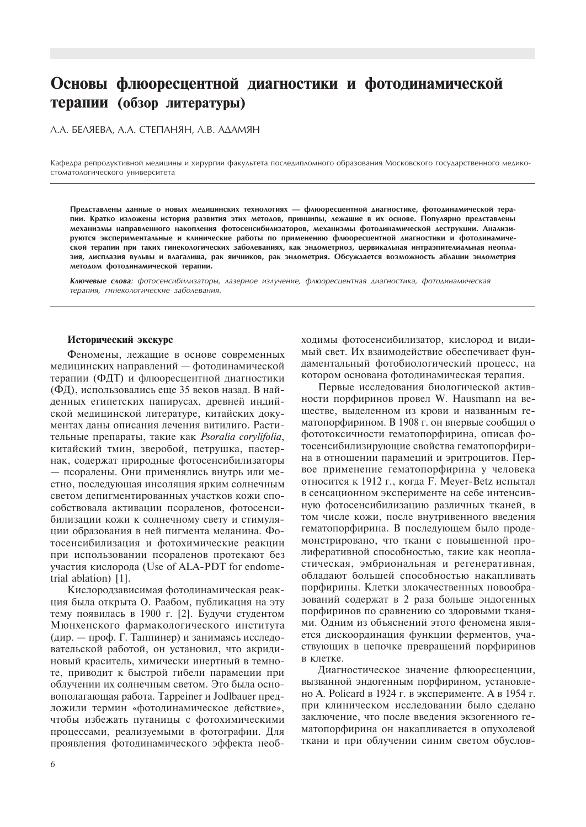# Основы флюоресцентной диагностики и фотодинамической терапии (обзор литературы)

A.A. **БЕЛЯЕВА, A.A. СТЕПАНЯН, A.B. АДАМЯН** 

Кафедра репродуктивной медицины и хирургии факультета последипломного образования Московского государственного медикостоматологического университета

Представлены данные о новых медицинских технологиях — флюоресцентной диагностике, фотодинамической терапии. Кратко изложены история развития этих методов, принципы, лежашие в их основе. Популярно представлены механизмы направленного накопления фотосенсибилизаторов, механизмы фотодинамической деструкции. Анализируются экспериментальные и клинические работы по применению флюоресцентной диагностики и фотодинамической терапии при таких гинекологических заболеваниях, как эндометриоз, цервикальная интраэпителиальная неоплазия, дисплазия вульвы и влагалиша, рак яичников, рак эндометрия. Обсуждается возможность аблации эндометрия методом фотодинамической терапии.

Ключевые слова: фотосенсибилизаторы, лазерное излучение, флюоресцентная диагностика, фотодинамическая терапия, гинекологические заболевания.

#### Исторический экскурс

Феномены, лежащие в основе современных медицинских направлений — фотодинамической терапии (ФДТ) и флюоресцентной диагностики (ФД), использовались еще 35 веков назад. В найденных египетских папирусах, древней индийской медицинской литературе, китайских документах даны описания лечения витилиго. Растительные препараты, такие как Psoralia corylifolia, китайский тмин, зверобой, петрушка, пастернак, содержат природные фотосенсибилизаторы – псоралены. Они применялись внутрь или местно, последующая инсоляция ярким солнечным светом депигментированных участков кожи способствовала активации псораленов, фотосенсибилизации кожи к солнечному свету и стимуляции образования в ней пигмента меланина. Фотосенсибилизация и фотохимические реакции при использовании псораленов протекают без участия кислорода (Use of ALA-PDT for endometrial ablation) [1].

Кислородзависимая фотодинамическая реакция была открыта О. Раабом, публикация на эту тему появилась в 1900 г. [2]. Будучи студентом Мюнхенского фармакологического института (дир. — проф. Г. Таппинер) и занимаясь исследовательской работой, он установил, что акридиновый краситель, химически инертный в темноте, приводит к быстрой гибели парамеции при облучении их солнечным светом. Это была основополагающая работа. Tappeiner и Jodlbauer предложили термин «фотодинамическое действие», чтобы избежать путаницы с фотохимическими процессами, реализуемыми в фотографии. Для проявления фотодинамического эффекта необходимы фотосенсибилизатор, кислород и видимый свет. Их взаимодействие обеспечивает фундаментальный фотобиологический процесс, на котором основана фотолинамическая терапия.

Первые исследования биологической активности порфиринов провел W. Hausmann на вешестве, вылеленном из крови и названным гематопорфирином. В 1908 г. он впервые сообщил о фототоксичности гематопорфирина, описав фотосенсибилизирующие свойства гематопорфирина в отношении парамеций и эритроцитов. Первое применение гематопорфирина у человека относится к 1912 г., когда F. Meyer-Betz испытал в сенсационном эксперименте на себе интенсивную фотосенсибилизацию различных тканей, в том числе кожи, после внутривенного введения гематопорфирина. В последующем было продемонстрировано, что ткани с повышенной пролиферативной способностью, такие как неопластическая, эмбриональная и регенеративная, обладают большей способностью накапливать порфирины. Клетки злокачественных новообразований содержат в 2 раза больше эндогенных порфиринов по сравнению со здоровыми тканями. Одним из объяснений этого феномена является дискоординация функции ферментов, участвующих в цепочке превращений порфиринов в клетке.

Диагностическое значение флюоресценции, вызванной эндогенным порфирином, установлено А. Policard в 1924 г. в эксперименте. А в 1954 г. при клиническом исследовании было сделано заключение, что после введения экзогенного гематопорфирина он накапливается в опухолевой ткани и при облучении синим светом обуслов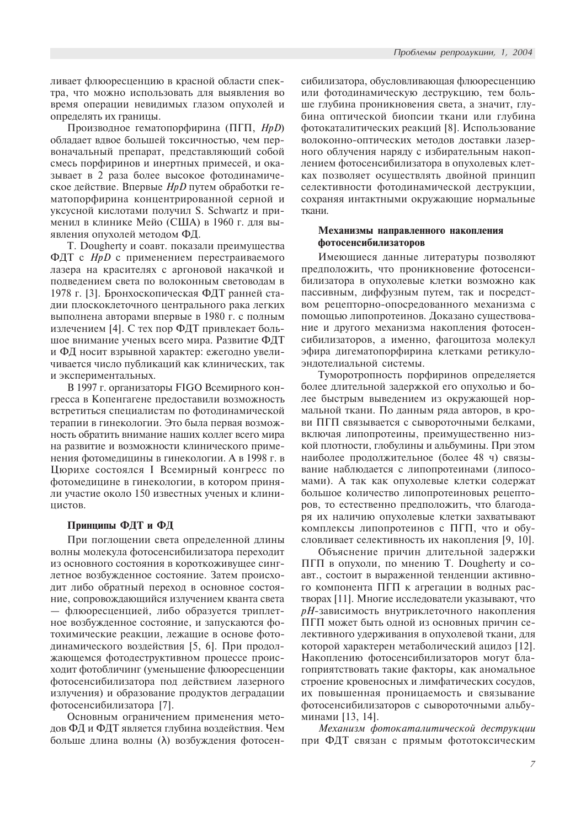ливает флюоресценцию в красной области спектра, что можно использовать для выявления во время операции невидимых глазом опухолей и определять их границы.

Производное гематопорфирина (ПГП, *HpD*) обладает вдвое большей токсичностью, чем первоначальный препарат, представляющий собой смесь порфиринов и инертных примесей, и оказывает в 2 раза более высокое фотодинамическое действие. Впервые *HpD* путем обработки гематопорфирина концентрированной серной и уксусной кислотами получил S. Schwartz и применил в клинике Мейо (США) в 1960 г. для выявления опухолей методом ФД.

T. Dougherty и соавт. показали преимущества ФДТ с *HpD* с применением перестраиваемого лазера на красителях с аргоновой накачкой и подведением света по волоконным световодам в 1978 г. [3]. Бронхоскопическая ФДТ ранней стадии плоскоклеточного центрального рака легких выполнена авторами впервые в 1980 г. с полным излечением [4]. С тех пор ФДТ привлекает большое внимание ученых всего мира. Развитие ФДТ и ФД носит взрывной характер: ежегодно увеличивается число публикаций как клинических, так и экспериментальных.

В 1997 г. организаторы FIGO Всемирного конгресса в Копенгагене предоставили возможность встретиться специалистам по фотодинамической терапии в гинекологии. Это была первая возможность обратить внимание наших коллег всего мира на развитие и возможности клинического применения фотомедицины в гинекологии. А в 1998 г. в Цюрихе состоялся I Всемирный конгресс по фотомедицине в гинекологии, в котором приняли участие около 150 известных ученых и клинипистов.

# Принципы ФДТ и ФД

При поглощении света определенной длины волны молекула фотосенсибилизатора переходит из основного состояния в короткоживущее синглетное возбужденное состояние. Затем происходит либо обратный переход в основное состояние, сопровождающийся излучением кванта света — флюоресценцией, либо образуется триплетное возбужденное состояние, и запускаются фотохимические реакции, лежащие в основе фотодинамического воздействия [5, 6]. При продолжающемся фотодеструктивном процессе происходит фотобличинг (уменьшение флюоресценции фотосенсибилизатора под действием лазерного излучения) и образование продуктов деградации фотосенсибилизатора [7].

Основным ограничением применения методов ФД и ФДТ является глубина воздействия. Чем больше длина волны ( $\lambda$ ) возбуждения фотосенсибилизатора, обусловливающая флюоресценцию или фотодинамическую деструкцию, тем больше глубина проникновения света, а значит, глубина оптической биопсии ткани или глубина фотокаталитических реакций [8]. Использование волоконно-оптических методов доставки лазерного облучения наряду с избирательным накоплением фотосенсибилизатора в опухолевых клетках позволяет осуществлять двойной принцип селективности фотодинамической деструкции, сохраняя интактными окружающие нормальные ткани.

# Механизмы направленного накопления фотосенсибилизаторов

Имеющиеся данные литературы позволяют предположить, что проникновение фотосенсибилизатора в опухолевые клетки возможно как пассивным, диффузным путем, так и посредством рецепторно-опосредованного механизма с помощью липопротеинов. Доказано существование и другого механизма накопления фотосенсибилизаторов, а именно, фагоцитоза молекул эфира дигематопорфирина клетками ретикулоэндотелиальной системы.

Туморотропность порфиринов определяется более длительной задержкой его опухолью и более быстрым выведением из окружающей нормальной ткани. По данным ряда авторов, в крови ПГП связывается с сывороточными белками, включая липопротеины, преимущественно низкой плотности, глобулины и альбумины. При этом наиболее продолжительное (более 48 ч) связывание наблюдается с липопротеинами (липосомами). А так как опухолевые клетки содержат большое количество липопротеиновых рецепторов, то естественно предположить, что благодаря их наличию опухолевые клетки захватывают комплексы липопротеинов с ПГП, что и обусловливает селективность их накопления [9, 10].

Объяснение причин длительной задержки ПГП в опухоли, по мнению T. Dougherty и соавт., состоит в выраженной тенденции активного компонента ПГП к агрегации в водных растворах [11]. Многие исследователи указывают, что рН-зависимость внутриклеточного накопления ПГП может быть одной из основных причин селективного удерживания в опухолевой ткани, для которой характерен метаболический ацидоз [12]. Накоплению фотосенсибилизаторов могут благоприятствовать такие факторы, как аномальное строение кровеносных и лимфатических сосудов, их повышенная проницаемость и связывание фотосенсибилизаторов с сывороточными альбуминами [13, 14].

Механизм фотокаталитической деструкции при ФДТ связан с прямым фототоксическим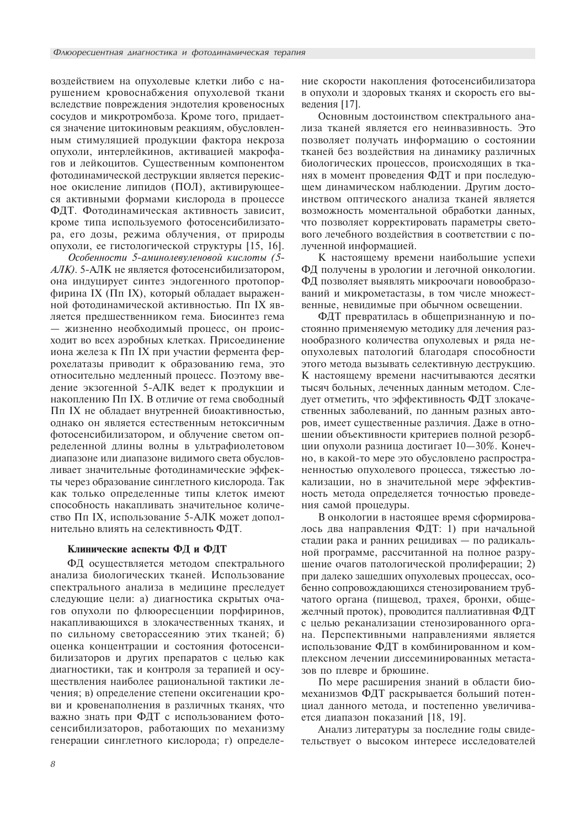воздействием на опухолевые клетки либо с нарушением кровоснабжения опухолевой ткани вследствие повреждения эндотелия кровеносных сосудов и микротромбоза. Кроме того, придается значение цитокиновым реакциям, обусловленным стимуляцией продукции фактора некроза опухоли, интерлейкинов, активацией макрофагов и лейкоцитов. Существенным компонентом фотодинамической деструкции является перекисное окисление липидов (ПОЛ), активирующееся активными формами кислорода в процессе ФДТ. Фотодинамическая активность зависит, кроме типа используемого фотосенсибилизатора, его дозы, режима облучения, от природы опухоли, ее гистологической структуры [15, 16].

Особенности 5-аминолевуленовой кислоты (5-АЛК). 5-АЛК не является фотосенсибилизатором, она индуцирует синтез эндогенного протопорфирина IX (Пп IX), который обладает выраженной фотодинамической активностью. Пп IX является предшественником гема. Биосинтез гема - жизненно необходимый процесс, он происходит во всех аэробных клетках. Присоединение иона железа к Пп IX при участии фермента феррохелатазы приводит к образованию гема, это относительно медленный процесс. Поэтому введение экзогенной 5-АЛК ведет к продукции и накоплению Пп IX. В отличие от гема свободный Пп IX не обладает внутренней биоактивностью, однако он является естественным нетоксичным фотосенсибилизатором, и облучение светом определенной длины волны в ультрафиолетовом диапазоне или диапазоне видимого света обусловливает значительные фотодинамические эффекты через образование синглетного кислорода. Так как только определенные типы клеток имеют способность накапливать значительное количество Пп IX, использование 5-АЛК может дополнительно влиять на селективность ФДТ.

### Клинические аспекты ФД и ФДТ

ФД осуществляется методом спектрального анализа биологических тканей. Использование спектрального анализа в медицине преследует следующие цели: а) диагностика скрытых очагов опухоли по флюоресценции порфиринов, накапливающихся в злокачественных тканях, и по сильному светорассеянию этих тканей; б) оценка концентрации и состояния фотосенсибилизаторов и других препаратов с целью как диагностики, так и контроля за терапией и осуществления наиболее рациональной тактики лечения; в) определение степени оксигенации крови и кровенаполнения в различных тканях, что важно знать при ФДТ с использованием фотосенсибилизаторов, работающих по механизму генерации синглетного кислорода; г) определение скорости накопления фотосенсибилизатора в опухоли и здоровых тканях и скорость его выведения [17].

Основным достоинством спектрального анализа тканей является его неинвазивность. Это позволяет получать информацию о состоянии тканей без воздействия на динамику различных биологических процессов, происходящих в тканях в момент проведения ФДТ и при последующем динамическом наблюдении. Другим достоинством оптического анализа тканей является возможность моментальной обработки данных, что позволяет корректировать параметры светового лечебного воздействия в соответствии с полученной информацией.

К настоящему времени наибольшие успехи ФД получены в урологии и легочной онкологии. ФД позволяет выявлять микроочаги новообразований и микрометастазы, в том числе множественные, невидимые при обычном освещении.

ФДТ превратилась в общепризнанную и постоянно применяемую методику для лечения разнообразного количества опухолевых и ряда неопухолевых патологий благодаря способности этого метода вызывать селективную деструкцию. К настоящему времени насчитываются десятки тысяч больных, леченных данным методом. Следует отметить, что эффективность ФДТ злокачественных заболеваний, по данным разных авторов, имеет существенные различия. Даже в отношении объективности критериев полной резорбции опухоли разница достигает 10-30%. Конечно, в какой-то мере это обусловлено распространенностью опухолевого процесса, тяжестью локализации, но в значительной мере эффективность метода определяется точностью проведения самой процедуры.

В онкологии в настоящее время сформировалось два направления ФДТ: 1) при начальной стадии рака и ранних рецидивах - по радикальной программе, рассчитанной на полное разрушение очагов патологической пролиферации; 2) при далеко зашедших опухолевых процессах, особенно сопровождающихся стенозированием трубчатого органа (пищевод, трахея, бронхи, общежелчный проток), проводится паллиативная ФДТ с целью реканализации стенозированного органа. Перспективными направлениями является использование ФДТ в комбинированном и комплексном лечении диссеминированных метастазов по плевре и брюшине.

По мере расширения знаний в области биомеханизмов ФДТ раскрывается больший потенциал данного метода, и постепенно увеличивается диапазон показаний [18, 19].

Анализ литературы за последние годы свидетельствует о высоком интересе исследователей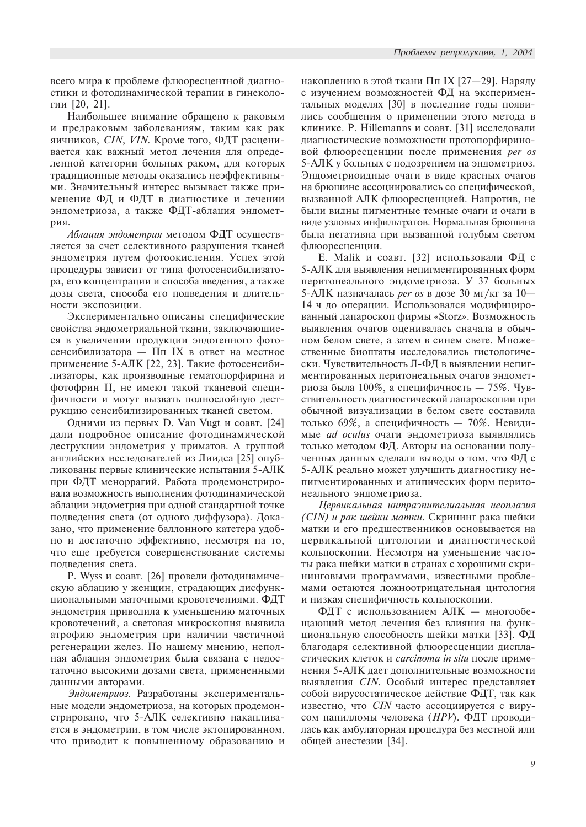всего мира к проблеме флюоресцентной диагностики и фотодинамической терапии в гинекологии  $[20, 21]$ .

Наибольшее внимание обращено к раковым и предраковым заболеваниям, таким как рак яичников, CIN, VIN. Кроме того, ФДТ расценивается как важный метод лечения для определенной категории больных раком, для которых традиционные методы оказались неэффективными. Значительный интерес вызывает также применение ФД и ФДТ в диагностике и лечении эндометриоза, а также ФДТ-аблация эндометnия

 $A\delta$ лация эндометрия методом ФДТ осуществляется за счет селективного разрушения тканей эндометрия путем фотоокисления. Успех этой процедуры зависит от типа фотосенсибилизатора, его концентрации и способа введения, а также дозы света, способа его подведения и длительности экспозиции.

Экспериментально описаны специфические свойства эндометриальной ткани, заключающиеся в увеличении продукции эндогенного фотосенсибилизатора —  $\Pi$ п IX в ответ на местное применение 5-АЛК [22, 23]. Такие фотосенсибилизаторы, как производные гематопорфирина и фотофрин II, не имеют такой тканевой специфичности и могут вызвать полнослойную деструкцию сенсибилизированных тканей светом.

Одними из первых D. Van Vugt и соавт. [24] дали подробное описание фотодинамической деструкции эндометрия у приматов. А группой английских исследователей из Лиидса [25] опубликованы первые клинические испытания 5-АЛК при ФДТ меноррагий. Работа продемонстрировала возможность выполнения фотодинамической аблации эндометрия при одной стандартной точке подведения света (от одного диффузора). Доказано, что применение баллонного катетера удобно и достаточно эффективно, несмотря на то, что еще требуется совершенствование системы подведения света.

P. Wyss и соавт. [26] провели фотодинамическую аблацию у женщин, страдающих дисфункциональными маточными кровотечениями. ФДТ эндометрия приводила к уменьшению маточных кровотечений, а световая микроскопия выявила атрофию эндометрия при наличии частичной регенерации желез. По нашему мнению, неполная аблация эндометрия была связана с недостаточно высокими дозами света, примененными данными авторами.

Эндометриоз. Разработаны экспериментальные модели эндометриоза, на которых продемонстрировано, что 5-АЛК селективно накапливается в эндометрии, в том числе эктопированном, что приводит к повышенному образованию и

накоплению в этой ткани Пп IX [27-29]. Наряду с изучением возможностей ФД на экспериментальных моделях [30] в последние годы появились сообщения о применении этого метода в клинике. P. Hillemanns и соавт. [31] исследовали диагностические возможности протопорфириновой флюоресценции после применения per os 5-АЛК у больных с подозрением на эндометриоз. Эндометриоидные очаги в виде красных очагов на брюшине ассоциировались со специфической, вызванной АЛК флюоресценцией. Напротив, не были видны пигментные темные очаги и очаги в виде узловых инфильтратов. Нормальная брюшина была негативна при вызванной голубым светом флюоресценции.

Е. Malik и соавт. [32] использовали ФД с 5-АЛК для выявления непигментированных форм перитонеального эндометриоза. У 37 больных 5-АЛК назначалась *per os* в дозе 30 мг/кг за 10-14 ч до операции. Использовался модифицированный лапароскоп фирмы «Storz». Возможность выявления очагов оценивалась сначала в обычном белом свете, а затем в синем свете. Множественные биоптаты исследовались гистологически. Чувствительность Л-ФД в выявлении непигментированных перитонеальных очагов эндометриоза была 100%, а специфичность — 75%. Чувствительность диагностической лапароскопии при обычной визуализации в белом свете составила только 69%, а специфичность - 70%. Невидимые *ad oculus* очаги эндометриоза выявлялись только методом ФД. Авторы на основании полученных данных сделали выводы о том, что  $\Phi$ Д с 5-АЛК реально может улучшить диагностику непигментированных и атипических форм перитонеального эндометриоза.

Цервикальная интраэпителиальная неоплазия  $(CIN)$  и рак шейки матки. Скрининг рака шейки матки и его предшественников основывается на цервикальной цитологии и диагностической кольпоскопии. Несмотря на уменьшение частоты рака шейки матки в странах с хорошими скрининговыми программами, известными проблемами остаются ложноотрицательная цитология и низкая специфичность кольпоскопии.

ФДТ с использованием АЛК - многообещающий метод лечения без влияния на функциональную способность шейки матки [33]. ФД благодаря селективной флюоресценции диспластических клеток и *carcinoma in situ* после применения 5-АЛК дает дополнительные возможности выявления СIN. Особый интерес представляет собой вирусостатическое действие ФДТ, так как известно, что *CIN* часто ассоциируется с вирусом папилломы человека (HPV). ФДТ проводилась как амбулаторная процедура без местной или общей анестезии [34].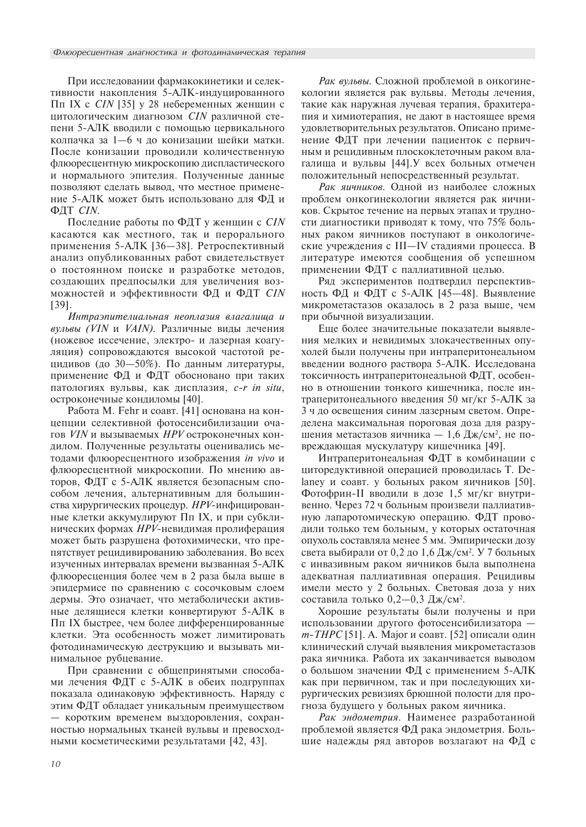При исследовании фармакокинетики и селективности накопления 5-АЛК-индуцированного Пп IX с *CIN* [35] у 28 небеременных женщин с цитологическим диагнозом CIN различной степени 5-АЛК вводили с помощью цервикального колпачка за 1—6 ч до конизации шейки матки. После конизации проводили количественную флюоресцентную микроскопию диспластического и нормального эпителия. Полученные данные позволяют сделать вывод, что местное применение 5-АЛК может быть использовано для ФД и ФДТ СІМ.

Последние работы по ФДТ у женщин с СІМ касаются как местного, так и перорального применения 5-АЛК [36-38]. Ретроспективный анализ опубликованных работ свидетельствует о постоянном поиске и разработке методов, создающих предпосылки для увеличения возможностей и эффективности ФД и ФДТ СІН  $[39]$ .

Интраэпителиальная неоплазия влагалища и вульвы (VIN и VAIN). Различные виды лечения (ножевое иссечение, электро- и лазерная коагуляция) сопровождаются высокой частотой рецидивов (до 30-50%). По данным литературы, применение ФД и ФДТ обосновано при таких патологиях вульвы, как дисплазия, c-r in situ, остроконечные кондиломы [40].

Работа М. Fehr и соавт. [41] основана на концепции селективной фотосенсибилизации очагов VIN и вызываемых HPV остроконечных кондилом. Полученные результаты оценивались методами флюоресцентного изображения in vivo и флюоресцентной микроскопии. По мнению авторов, ФДТ с 5-АЛК является безопасным способом лечения, альтернативным для большинства хирургических процедур. НРУ-инфицированные клетки аккумулируют Пп IX, и при субклинических формах HPV-невидимая пролиферация может быть разрушена фотохимически, что препятствует рецидивированию заболевания. Во всех изученных интервалах времени вызванная 5-АЛК флюоресценция более чем в 2 раза была выше в эпидермисе по сравнению с сосочковым слоем дермы. Это означает, что метаболически активные делящиеся клетки конвертируют 5-АЛК в Пп IX быстрее, чем более дифференцированные клетки. Эта особенность может лимитировать фотодинамическую деструкцию и вызывать минимальное рубцевание.

При сравнении с общепринятыми способами лечения ФДТ с 5-АЛК в обеих подгруппах показала одинаковую эффективность. Наряду с этим ФДТ обладает уникальным преимуществом - коротким временем выздоровления, сохранностью нормальных тканей вульвы и превосходными косметическими результатами [42, 43].

Рак вульвы. Сложной проблемой в онкогинекологии является рак вульвы. Методы лечения, такие как наружная лучевая терапия, брахитерапия и химиотерапия, не дают в настоящее время удовлетворительных результатов. Описано применение ФДТ при лечении пациенток с первичным и рецидивным плоскоклеточным раком влагалища и вульвы [44]. У всех больных отмечен положительный непосредственный результат.

Рак яичников. Одной из наиболее сложных проблем онкогинекологии является рак яичников. Скрытое течение на первых этапах и трудности диагностики приводят к тому, что 75% больных раком яичников поступают в онкологические учреждения с III-IV стадиями процесса. В литературе имеются сообщения об успешном применении ФДТ с паллиативной целью.

Ряд экспериментов подтвердил перспективность ФД и ФДТ с 5-АЛК [45-48]. Выявление микрометастазов оказалось в 2 раза выше, чем при обычной визуализации.

Еще более значительные показатели выявления мелких и невидимых злокачественных опухолей были получены при интраперитонеальном введении водного раствора 5-АЛК. Исследована токсичность интраперитонеальной ФДТ, особенно в отношении тонкого кишечника, после интраперитонеального введения 50 мг/кг 5-АЛК за 3 ч до освещения синим лазерным светом. Определена максимальная пороговая доза для разрушения метастазов яичника - 1,6 Дж/см<sup>2</sup>, не повреждающая мускулатуру кишечника [49].

Интраперитонеальная ФДТ в комбинации с циторедуктивной операцией проводилась Т. Delaney и соавт. у больных раком яичников [50]. Фотофрин-II вводили в дозе 1,5 мг/кг внутривенно. Через 72 ч больным произвели паллиативную лапаротомическую операцию. ФДТ проводили только тем больным, у которых остаточная опухоль составляла менее 5 мм. Эмпирически дозу света выбирали от 0,2 до 1,6 Дж/см<sup>2</sup>. У 7 больных с инвазивным раком яичников была выполнена адекватная паллиативная операция. Рецидивы имели место у 2 больных. Световая доза у них составила только 0,2-0,3 Дж/см<sup>2</sup>.

Хорошие результаты были получены и при использовании другого фотосенсибилизатора  $m$ -*THPC* [51]. A. Major и соавт. [52] описали один клинический случай выявления микрометастазов рака яичника. Работа их заканчивается выводом о большом значении ФД с применением 5-АЛК как при первичном, так и при последующих хирургических ревизиях брюшной полости для прогноза будущего у больных раком яичника.

Рак эндометрия. Наименее разработанной проблемой является ФД рака эндометрия. Большие надежды ряд авторов возлагают на ФД с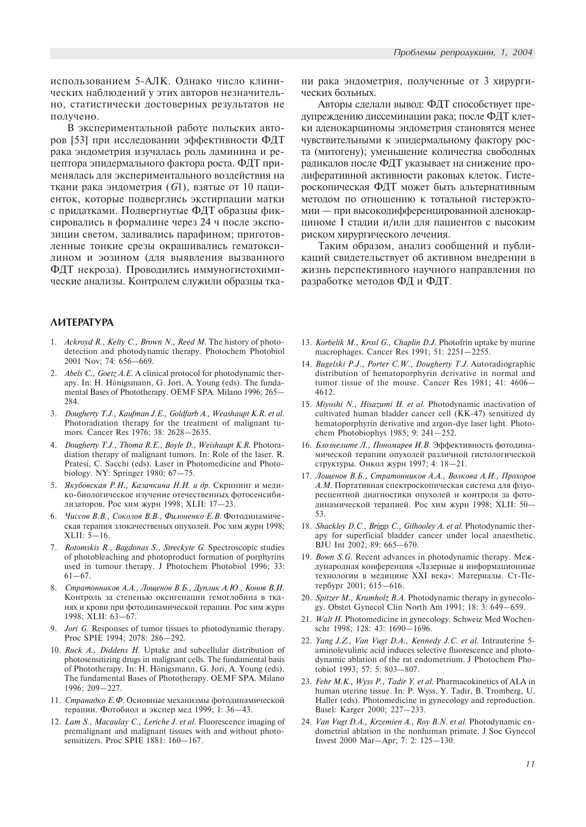использованием 5-АЛК. Однако число клинических наблюдений у этих авторов незначительно, статистически достоверных результатов не получено.

В экспериментальной работе польских авторов [53] при исследовании эффективности ФДТ рака эндометрия изучалась роль ламинина и рецептора эпидермального фактора роста. ФДТ применялась для экспериментального воздействия на ткани рака эндометрия (G1), взятые от 10 пациенток, которые подверглись экстирпации матки с придатками. Подвергнутые ФДТ образцы фиксировались в формалине через 24 ч после экспозиции светом, заливались парафином; приготовленные тонкие срезы окрашивались гематоксилином и эозином (для выявления вызванного ФДТ некроза). Проводились иммуногистохимические анализы. Контролем служили образцы тка-

# *AMTEPATYPA*

- 1. Ackroyd R., Kelty C., Brown N., Reed M. The history of photodetection and photodynamic therapy. Photochem Photobiol 2001 Nov; 74: 656-669.
- 2. Abels C., Goetz A.E. A clinical protocol for photodynamic therapy. In: H. Hönigsmann, G. Jori, A. Young (eds). The fundamental Bases of Phototherapy. OEMF SPA. Milano 1996; 265 284.
- 3. Dougherty T.J., Kaufman J.E., Goldfarb A., Weashaupt K.R. et al. Photoradiation therapy for the treatment of malignant tumors. Cancer Res 1976; 38: 2628-2635.
- 4. Dougherty T.J., Thoma R.E., Boyle D., Weishaupt K.R. Photoradiation therapy of malignant tumors. In: Role of the laser. R. Pratesi, C. Sacchi (eds). Laser in Photomedicine and Photobiology. NY: Springer 1980;  $67-75$ .
- 5. Якубовская Р.И., Казачкина Н.И. и др. Скрининг и медико-биологическое изучение отечественных фотосенсибилизаторов. Рос хим журн 1998; XLII: 17-23.
- 6. Чиссов В.В., Соколов В.В., Филоненко Е.В. Фотодинамическая терапия злокачественых опухолей. Рос хим журн 1998;  $XLII: 5–16.$
- 7. Rotomskis R., Bagdonas S., Streckyte G. Spectroscopic studies of photobleaching and photoproduct formation of porphyrins used in tumour therapy. J Photochem Photobiol 1996; 33:  $61 - 67$ .
- 8. Стратонников А.А., Лощенов В.Б., Дуплик А.Ю., Конов В.И. Контроль за степенью оксигенации гемоглобина в тканях и крови при фотодинамической терапии. Рос хим журн 1998; XLII: 63-67.
- Jori G. Responses of tumor tissues to photodynamic therapy. Proc SPIE 1994; 2078: 286-292.
- 10. Ruck A., Diddens H. Uptake and subcellular distribution of photosensitizing drugs in malignant cells. The fundamental basis of Phototherapy. In: H. Hönigsmann, G. Jori, A. Young (eds). The fundamental Bases of Phototherapy. OEMF SPA. Milano 1996; 209-227.
- 11. Странадко Е.Ф. Основные механизмы фотодинамической терапии. Фотобиол и экспер мед 1999; 1: 36-43.
- 12. Lam S., Macaulay C., Leriche J. et al. Fluorescence imaging of premalignant and malignant tissues with and without photosensitizers. Proc SPIE 1881: 160-167.

ни рака эндометрия, полученные от 3 хирургических больных.

Авторы сделали вывод: ФДТ способствует предупреждению диссеминации рака; после ФДТ клетки аденокарциномы эндометрия становятся менее чувствительными к эпидермальному фактору роста (митогену); уменьшение количества свободных радикалов после ФДТ указывает на снижение пролиферативной активности раковых клеток. Гистероскопическая ФДТ может быть альтернативным методом по отношению к тотальной гистерэктомии — при высокодифференцированной аденокарциноме I стадии и/или для пациентов с высоким риском хирургического лечения.

Таким образом, анализ сообщений и публикаций свидетельствует об активном внедрении в жизнь перспективного научного направления по разработке методов ФД и ФДТ.

- 13. Korbelik M., Krosl G., Chaplin D.J. Photofrin uptake by murine macrophages. Cancer Res 1991; 51: 2251-2255.
- 14. Bugelski P.J., Porter C.W., Dougherty T.J. Autoradiographic distribution of hematoporphyrin derivative in normal and tumor tissue of the mouse. Cancer Res 1981; 41: 4606 4612.
- 15. Miyoshi N., Hisazumi H. et al. Photodynamic inactivation of cultivated human bladder cancer cell (KK-47) sensitized dy hematoporphyrin derivative and argon-dye laser light. Photochem Photobiophys 1985; 9: 241-252.
- 16. Блознелите Л., Пономарев И.В. Эффективность фотодинамической терапии опухолей различной гистологической структуры. Онкол журн 1997; 4: 18-21.
- 17. Лощенов В.Б., Стратонников А.А., Волкова А.И., Прохоров А.М. Портативная спектроскопическая система для флуоресцентной диагностики опухолей и контроля за фотодинамической терапией. Рос хим журн 1998; XLII: 50-53.
- 18. Shackley D.C., Briggs C., Gilhooley A. et al. Photodynamic therapy for superficial bladder cancer under local anaesthetic. BJU Int 2002; 89: 665-670.
- 19. Bown  $S.G.$  Recent advances in photodynamic therapy. Mexдународная конференция «Лазерные и информационные технологии в медицине XXI века»: Материалы. Ст-Петербург 2001; 615-616.
- 20. Spitzer M., Krumholz B.A. Photodynamic therapy in gynecology. Obstet Gynecol Clin North Am 1991; 18: 3: 649-659.
- 21. Walt H. Photomedicine in gynecology. Schweiz Med Wochenschr 1998; 128: 43: 1690-1696.
- 22. Yang J.Z., Van Vugt D.A., Kennedy J.C. et al. Intrauterine 5 aminolevulinic acid induces selective fluorescence and photodynamic ablation of the rat endometrium. J Photochem Photobiol 1993; 57: 5: 803-807.
- 23. Fehr M.K., Wyss P., Tadir Y. et al. Pharmacokinetics of ALA in human uterine tissue. In: P. Wyss, Y. Tadir, B. Tromberg, U. Haller (eds). Photomedicine in gynecology and reproduction. Basel: Karger 2000; 227-233.
- 24. Van Vugt D.A., Krzemien A., Roy B.N. et al. Photodynamic endometrial ablation in the nonhuman primate. J Soc Gynecol Invest 2000 Mar-Apr; 7: 2: 125-130.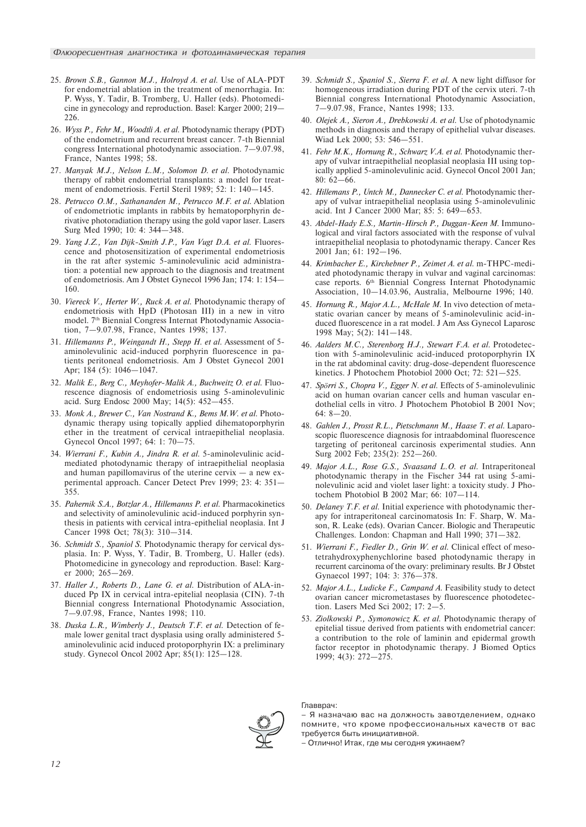- 25. Brown S.B., Gannon M.J., Holroyd A. et al. Use of ALA-PDT for endometrial ablation in the treatment of menorrhagia. In: P. Wyss, Y. Tadir, B. Tromberg, U. Haller (eds). Photomedicine in gynecology and reproduction. Basel: Karger 2000; 219 226.
- 26. *Wyss P., Fehr M., Woodtli A. et al.* Photodynamic therapy (PDT) of the endometrium and recurrent breast cancer. 7-th Biennial congress International photodynamic association.  $7-9.07.98$ , France, Nantes 1998; 58.
- 27. Manyak M.J., Nelson L.M., Solomon D. et al. Photodynamic therapy of rabbit endometrial transplants: a model for treatment of endometriosis. Fertil Steril 1989; 52: 1: 140-145.
- 28. Petrucco O.M., Sathananden M., Petrucco M.F. et al. Ablation of endometriotic implants in rabbits by hematoporphyrin derivative photoradiation therapy using the gold vapor laser. Lasers Surg Med 1990; 10: 4: 344-348.
- 29. Yang J.Z., Van Dijk-Smith J.P., Van Vugt D.A. et al. Fluorescence and photosensitization of experimental endometriosis in the rat after systemic 5-aminolevulinic acid administration: a potential new approach to the diagnosis and treatment of endometriosis. Am J Obstet Gynecol 1996 Jan; 174: 1: 154 160.
- 30. Viereck V., Herter W., Ruck A. et al. Photodynamic therapy of endometriosis with HpD (Photosan III) in a new in vitro model. 7th Biennial Congress Internat Photodynamic Association, 7-9.07.98, France, Nantes 1998; 137.
- 31. Hillemanns P., Weingandt H., Stepp H. et al. Assessment of 5aminolevulinic acid-induced porphyrin fluorescence in patients peritoneal endometriosis. Am J Obstet Gynecol 2001 Apr; 184 (5): 1046-1047.
- 32. Malik E., Berg C., Meyhofer-Malik A., Buchweitz O. et al. Fluorescence diagnosis of endometriosis using 5-aminolevulinic acid. Surg Endosc 2000 May; 14(5): 452-455.
- 33. Monk A., Brewer C., Van Nostrand K., Bems M.W. et al. Photodynamic therapy using topically applied dihematoporphyrin ether in the treatment of cervical intraepithelial neoplasia. Gynecol Oncol 1997; 64: 1: 70–75.
- 34. Wierrani F., Kubin A., Jindra R. et al. 5-aminolevulinic acidmediated photodynamic therapy of intraepithelial neoplasia and human papillomavirus of the uterine cervix  $-$  a new experimental approach. Cancer Detect Prev 1999; 23: 4: 351 355.
- 35. Pahernik S.A., Botzlar A., Hillemanns P. et al. Pharmacokinetics and selectivity of aminolevulinic acid-induced porphyrin synthesis in patients with cervical intra-epithelial neoplasia. Int J Cancer 1998 Oct; 78(3): 310-314.
- 36. Schmidt S., Spaniol S. Photodynamic therapy for cervical dysplasia. In: P. Wyss, Y. Tadir, B. Tromberg, U. Haller (eds). Photomedicine in gynecology and reproduction. Basel: Karger 2000; 265-269.
- 37. Haller J., Roberts D., Lane G. et al. Distribution of ALA-induced Pp IX in cervical intra-epitelial neoplasia (CIN). 7-th Biennial congress International Photodynamic Association, 7-9.07.98, France, Nantes 1998; 110.
- 38. Duska L.R., Wimberly J., Deutsch T.F. et al. Detection of female lower genital tract dysplasia using orally administered 5 aminolevulinic acid induced protoporphyrin IX: a preliminary study. Gynecol Oncol 2002 Apr; 85(1): 125-128.
- 39. Schmidt S., Spaniol S., Sierra F. et al. A new light diffusor for homogeneous irradiation during PDT of the cervix uteri. 7-th Biennial congress International Photodynamic Association, 7-9.07.98, France, Nantes 1998; 133.
- 40. Olejek A., Sieron A., Drebkowski A. et al. Use of photodynamic methods in diagnosis and therapy of epithelial vulvar diseases. Wiad Lek 2000; 53: 546-551.
- 41. Fehr M.K., Hornung R., Schwarz V.A. et al. Photodynamic therapy of vulvar intraepithelial neoplasial neoplasia III using topically applied 5-aminolevulinic acid. Gynecol Oncol 2001 Jan;  $80 \cdot 62 - 66$
- 42. Hillemans P., Untch M., Dannecker C. et al. Photodynamic therapy of vulvar intraepithelial neoplasia using 5-aminolevulinic acid. Int J Cancer 2000 Mar; 85: 5: 649-653.
- 43. Abdel-Hady E.S., Martin-Hirsch P., Duggan-Keen M. Immunological and viral factors associated with the response of vulval intraepithelial neoplasia to photodynamic therapy. Cancer Res 2001 Jan; 61: 192-196.
- 44. Krimbacher E., Kirchebner P., Zeimet A. et al. m-THPC-mediated photodynamic therapy in vulvar and vaginal carcinomas: case reports. 6th Biennial Congress Internat Photodynamic Association, 10-14.03.96, Australia, Melbourne 1996; 140.
- 45. Hornung R., Major A.L., McHale M. In vivo detection of metastatic ovarian cancer by means of 5-aminolevulinic acid-induced fluorescence in a rat model. J Am Ass Gynecol Laparosc 1998 May;  $5(2)$ :  $141 - 148$ .
- 46. Aalders M.C., Sterenborg H.J., Stewart F.A. et al. Protodetection with 5-aminolevulinic acid-induced protoporphyrin IX in the rat abdominal cavity: drug-dose-dependent fluorescence kinetics. J Photochem Photobiol 2000 Oct; 72:  $521 - 525$ .
- 47. Spörri S., Chopra V., Egger N. et al. Effects of 5-aminolevulinic acid on human ovarian cancer cells and human vascular endothelial cells in vitro. J Photochem Photobiol B 2001 Nov;  $64: 8 - 20.$
- 48. Gahlen J., Prosst R.L., Pietschmann M., Haase T. et al. Laparoscopic fluorescence diagnosis for intraabdominal fluorescence targeting of peritoneal carcinosis experimental studies. Ann Surg 2002 Feb; 235(2): 252-260.
- 49. Major A.L., Rose G.S., Svaasand L.O. et al. Intraperitoneal photodynamic therapy in the Fischer 344 rat using 5-aminolevulinic acid and violet laser light: a toxicity study. J Photochem Photobiol B 2002 Mar; 66:  $107 - 114$ .
- 50. Delaney T.F. et al. Initial experience with photodynamic therapy for intraperitoneal carcinomatosis In: F. Sharp, W. Mason, R. Leake (eds). Ovarian Cancer. Biologic and Therapeutic Challenges. London: Chapman and Hall 1990; 371-382.
- 51. Wierrani F., Fiedler D., Grin W. et al. Clinical effect of mesotetrahydroxyphenychlorine based photodynamic therapy in recurrent carcinoma of the ovary: preliminary results. Br J Obstet Gynaecol 1997; 104: 3: 376-378.
- 52. Major A.L., Ludicke F., Campand A. Feasibility study to detect ovarian cancer micrometastases by fluorescence photodetection. Lasers Med Sci 2002; 17: 2-5.
- 53. Ziolkowski P., Symonowicz K. et al. Photodynamic therapy of epitelial tissue derived from patients with endometrial cancer: a contribution to the role of laminin and epidermal growth factor receptor in photodynamic therapy. J Biomed Optics 1999; 4(3): 272-275.



#### Главврач:

– Я назначаю вас на должность завотделением, однако помните, что кроме профессиональных качеств от вас требуется быть инициативной.

– Отлично! Итак, где мы сегодня ужинаем?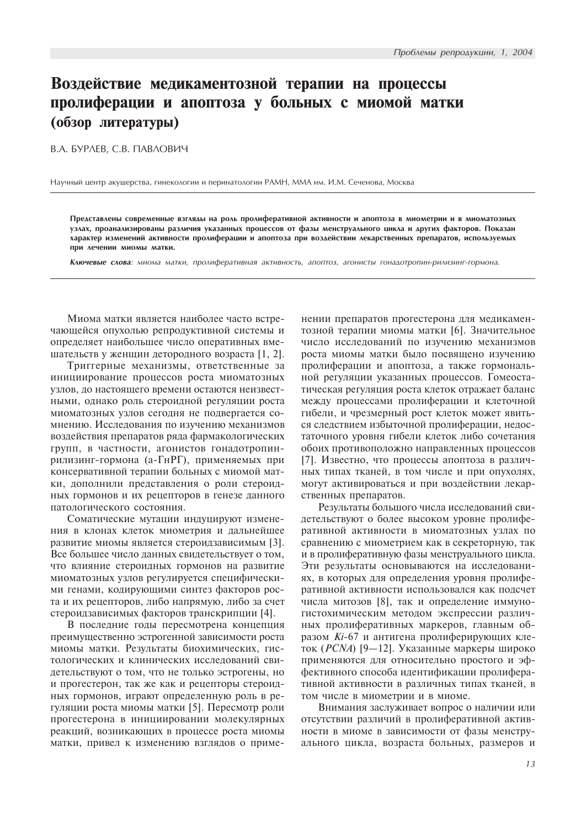# Воздействие медикаментозной терапии на процессы пролиферации и апоптоза у больных с миомой матки (обзор литературы)

В.А. БУРЛЕВ, С.В. ПАВЛОВИЧ

Научный центр акушерства, гинекологии и перинатологии РАМН, ММА им. И.М. Сеченова, Москва

Представлены современные взгляды на роль пролиферативной активности и апоптоза в миометрии и в миоматозных узлах, проанализированы различия указанных процессов от фазы менструального цикла и других факторов. Показан характер изменений активности пролиферации и апоптоза при воздействии лекарственных препаратов, используемых при лечении миомы матки.

Ключевые слова: миома матки, пролиферативная активность, апоптоз, агонисты гонадотропин-рилизинг-гормона.

Миома матки является наиболее часто встречающейся опухолью репродуктивной системы и определяет наибольшее число оперативных вмешательств у женщин детородного возраста [1, 2].

Триггерные механизмы, ответственные за инициирование процессов роста миоматозных узлов, до настоящего времени остаются неизвестными, однако роль стероидной регуляции роста миоматозных узлов сегодня не подвергается сомнению. Исследования по изучению механизмов воздействия препаратов ряда фармакологических групп, в частности, агонистов гонадотропинрилизинг-гормона (а-ГнРГ), применяемых при консервативной терапии больных с миомой матки, дополнили представления о роли стероидных гормонов и их рецепторов в генезе данного патологического состояния.

Соматические мутации индуцируют изменения в клонах клеток миометрия и дальнейшее развитие миомы является стероидзависимым [3]. Все большее число данных свидетельствует о том. что влияние стероидных гормонов на развитие миоматозных узлов регулируется специфическими генами, колирующими синтез факторов роста и их рецепторов, либо напрямую, либо за счет стероидзависимых факторов транскрипции [4].

В последние годы пересмотрена концепция преимущественно эстрогенной зависимости роста миомы матки. Результаты биохимических, гистологических и клинических исследований свидетельствуют о том, что не только эстрогены, но и прогестерон, так же как и рецепторы стероидных гормонов, играют определенную роль в регуляции роста миомы матки [5]. Пересмотр роли прогестерона в инициировании молекулярных реакций, возникающих в процессе роста миомы матки, привел к изменению взглядов о применении препаратов прогестерона для медикаментозной терапии миомы матки [6]. Значительное число исследований по изучению механизмов роста миомы матки было посвящено изучению пролиферации и апоптоза, а также гормональной регуляции указанных процессов. Гомеостатическая регуляция роста клеток отражает баланс между процессами пролиферации и клеточной гибели, и чрезмерный рост клеток может явиться следствием избыточной пролиферации, недостаточного уровня гибели клеток либо сочетания обоих противоположно направленных процессов [7]. Известно, что процессы апоптоза в различных типах тканей, в том числе и при опухолях, могут активироваться и при воздействии лекарственных препаратов.

Результаты большого числа исследований свидетельствуют о более высоком уровне пролиферативной активности в миоматозных узлах по сравнению с миометрием как в секреторную, так и в пролиферативную фазы менструального цикла. Эти результаты основываются на исследованиях, в которых для определения уровня пролиферативной активности использовался как подсчет числа митозов [8], так и определение иммуногистохимическим методом экспрессии различных пролиферативных маркеров, главным образом *Ki*-67 и антигена пролиферирующих клеток (*PCNA*) [9-12]. Указанные маркеры широко применяются для относительно простого и эффективного способа илентификации пролиферативной активности в различных типах тканей, в том числе в миометрии и в миоме.

Внимания заслуживает вопрос о наличии или отсутствии различий в пролиферативной активности в миоме в зависимости от фазы менструального цикла, возраста больных, размеров и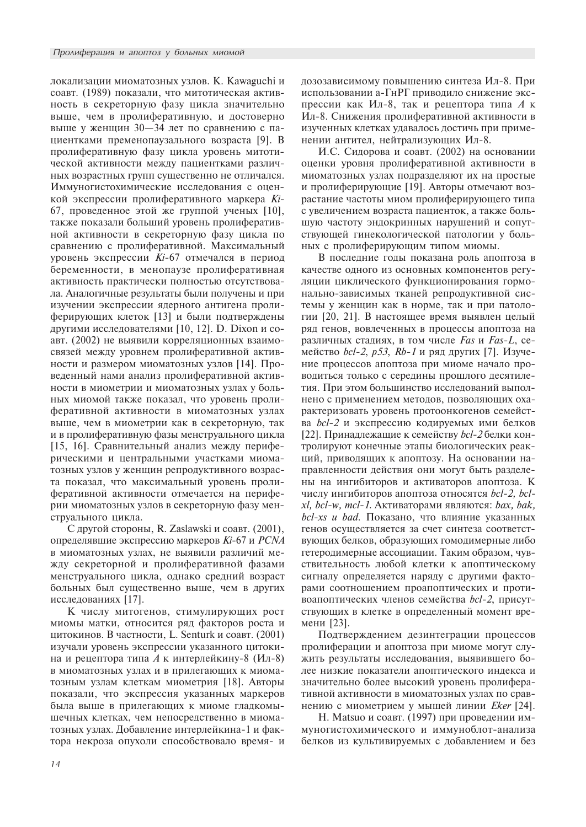локализации миоматозных узлов. K. Kawaguchi и соавт. (1989) показали, что митотическая активность в секреторную фазу цикла значительно выше, чем в пролиферативную, и достоверно выше у женщин 30-34 лет по сравнению с пациентками пременопаузального возраста [9]. В пролиферативную фазу цикла уровень митотической активности между пациентками различных возрастных групп существенно не отличался. Иммуногистохимические исследования с оценкой экспрессии пролиферативного маркера Ki-67, проведенное этой же группой ученых  $[10]$ , также показали больший уровень пролиферативной активности в секреторную фазу цикла по сравнению с пролиферативной. Максимальный уровень экспрессии *Ki*-67 отмечался в период беременности, в менопаузе пролиферативная активность практически полностью отсутствовала. Аналогичные результаты были получены и при изучении экспрессии ядерного антигена пролиферирующих клеток [13] и были подтверждены другими исследователями [10, 12]. D. Dixon и соавт. (2002) не выявили корреляционных взаимосвязей между уровнем пролиферативной активности и размером миоматозных узлов [14]. Проведенный нами анализ пролиферативной активности в миометрии и миоматозных узлах у больных миомой также показал, что уровень пролиферативной активности в миоматозных узлах выше, чем в миометрии как в секреторную, так и в пролиферативную фазы менструального цикла  $[15, 16]$ . Сравнительный анализ между периферическими и центральными участками миоматозных узлов у женщин репродуктивного возраста показал, что максимальный уровень пролиферативной активности отмечается на периферии миоматозных узлов в секреторную фазу менструального цикла.

С другой стороны, R. Zaslawski и соавт. (2001), определявшие экспрессию маркеров *Кі*-67 и РСNА в миоматозных узлах, не выявили различий между секреторной и пролиферативной фазами менструального цикла, однако средний возраст больных был существенно выше, чем в других исследованиях [17].

К числу митогенов, стимулирующих рост миомы матки, относится ряд факторов роста и цитокинов. В частности, L. Senturk и соавт. (2001) изучали уровень экспрессии указанного цитокина и рецептора типа  $A$  к интерлейкину-8 (Ил-8) в миоматозных узлах и в прилегающих к миоматозным узлам клеткам миометрия [18]. Авторы показали, что экспрессия указанных маркеров была выше в прилегающих к миоме гладкомышечных клетках, чем непосредственно в миоматозных узлах. Добавление интерлейкина-1 и фактора некроза опухоли способствовало время- и дозозависимому повышению синтеза Ил-8. При использовании а-ГнРГ приводило снижение экспрессии как Ил-8, так и рецептора типа  $A$  к Ил-8. Снижения пролиферативной активности в изученных клетках удавалось достичь при применении антител, нейтрализующих Ил-8.

И.С. Сидорова и соавт. (2002) на основании оценки уровня пролиферативной активности в миоматозных узлах подразделяют их на простые и пролиферирующие [19]. Авторы отмечают возрастание частоты миом пролиферирующего типа с увеличением возраста пациенток, а также большую частоту эндокринных нарушений и сопутствующей гинекологической патологии у больных с пролиферирующим типом миомы.

В последние годы показана роль апоптоза в качестве одного из основных компонентов регуляции циклического функционирования гормонально-зависимых тканей репродуктивной системы у женщин как в норме, так и при патологии [20, 21]. В настоящее время выявлен целый ряд генов, вовлеченных в процессы апоптоза на различных стадиях, в том числе Fas и Fas-L, семейство bcl-2, p53, Rb-1 и ряд других [7]. Изучение процессов апоптоза при миоме начало проводиться только с середины прошлого десятилетия. При этом большинство исследований выполнено с применением методов, позволяющих охарактеризовать уровень протоонкогенов семейства bcl-2 и экспрессию кодируемых ими белков [22]. Принадлежащие к семейству bcl-2 белки контролируют конечные этапы биологических реакций, приводящих к апоптозу. На основании направленности действия они могут быть разделены на ингибиторов и активаторов апоптоза. К числу ингибиторов апоптоза относятся bcl-2, bcl*xl*, bcl-w, mcl-1. Активаторами являются: bax, bak,  $bc$ l-xs  $u$  bad. Показано, что влияние указанных генов осуществляется за счет синтеза соответствующих белков, образующих гомодимерные либо гетеродимерные ассоциации. Таким образом, чувствительность любой клетки к апоптическому сигналу определяется наряду с другими факторами соотношением проапоптических и противоапоптических членов семейства bcl-2, присутствующих в клетке в определенный момент времени [23].

Подтверждением дезинтеграции процессов пролиферации и апоптоза при миоме могут служить результаты исследования, выявившего более низкие показатели апоптического индекса и значительно более высокий уровень пролиферативной активности в миоматозных узлах по сравнению с миометрием у мышей линии *Eker* [24].

H. Matsuo и соавт. (1997) при проведении иммуногистохимического и иммуноблот-анализа белков из культивируемых с добавлением и без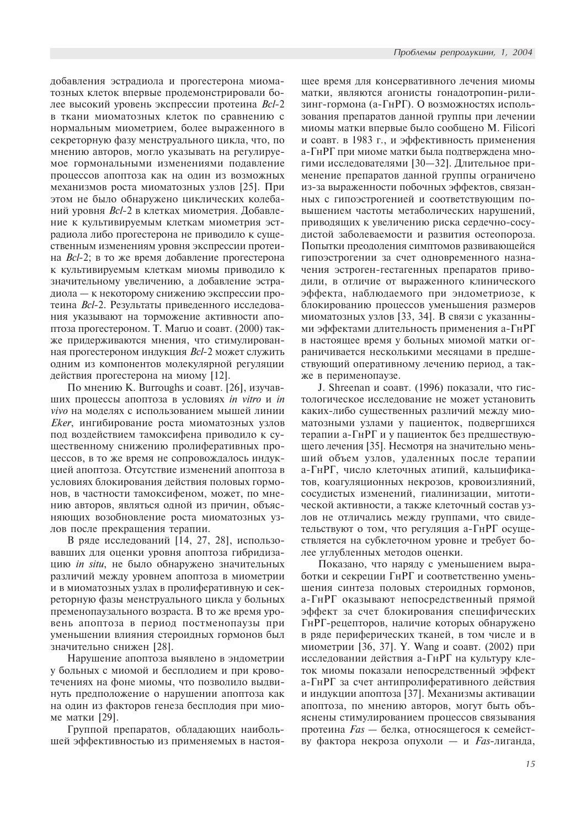добавления эстрадиола и прогестерона миоматозных клеток впервые продемонстрировали более высокий уровень экспрессии протеина Bcl-2 в ткани миоматозных клеток по сравнению с нормальным миометрием, более выраженного в секреторную фазу менструального цикла, что, по мнению авторов, могло указывать на регулируемое гормональными изменениями подавление процессов апоптоза как на один из возможных механизмов роста миоматозных узлов [25]. При этом не было обнаружено циклических колебаний уровня Bcl-2 в клетках миометрия. Добавление к культивируемым клеткам миометрия эстрадиола либо прогестерона не приводило к существенным изменениям уровня экспрессии протеина  $Bcl-2$ ; в то же время добавление прогестерона к культивируемым клеткам миомы приводило к значительному увеличению, а добавление эстрадиола — к некоторому снижению экспрессии протеина Bcl-2. Результаты приведенного исследования указывают на торможение активности апоптоза прогестероном. Т. Maruo и соавт. (2000) также придерживаются мнения, что стимулированная прогестероном индукция  $Bcl-2$  может служить одним из компонентов молекулярной регуляции действия прогестерона на миому [12].

По мнению К. Burroughs и соавт. [26], изучавших процессы апоптоза в условиях in vitro и in vivo на моделях с использованием мышей линии Eker, ингибирование роста миоматозных узлов под воздействием тамоксифена приводило к существенному снижению пролиферативных процессов, в то же время не сопровождалось индукцией апоптоза. Отсутствие изменений апоптоза в условиях блокирования действия половых гормонов, в частности тамоксифеном, может, по мнению авторов, являться одной из причин, объясняющих возобновление роста миоматозных узлов после прекращения терапии.

В ряде исследований [14, 27, 28], использовавших для оценки уровня апоптоза гибридизацию *in situ*, не было обнаружено значительных различий между уровнем апоптоза в миометрии и в миоматозных узлах в пролиферативную и секреторную фазы менструального цикла у больных пременопаузального возраста. В то же время уровень апоптоза в период постменопаузы при уменьшении влияния стероидных гормонов был значительно снижен [28].

Нарушение апоптоза выявлено в эндометрии у больных с миомой и бесплодием и при кровотечениях на фоне миомы, что позволило выдвинуть предположение о нарушении апоптоза как на один из факторов генеза бесплодия при миоме матки [29].

Группой препаратов, обладающих наибольшей эффективностью из применяемых в настоящее время для консервативного лечения миомы матки, являются агонисты гонадотропин-рилизинг-гормона (а-ГнРГ). О возможностях использования препаратов данной группы при лечении миомы матки впервые было сообщено M. Filicori и соавт. в 1983 г., и эффективность применения а-ГнРГ при миоме матки была подтверждена многими исследователями [30-32]. Длительное применение препаратов данной группы ограничено из-за выраженности побочных эффектов, связанных с гипоэстрогенией и соответствующим повышением частоты метаболических нарушений, приводящих к увеличению риска сердечно-сосудистой заболеваемости и развития остеопороза. Попытки преодоления симптомов развивающейся гипоэстрогении за счет одновременного назначения эстроген-гестагенных препаратов приводили, в отличие от выраженного клинического эффекта, наблюдаемого при эндометриозе, к блокированию процессов уменьшения размеров миоматозных узлов [33, 34]. В связи с указанными эффектами длительность применения а-ГнРГ в настоящее время у больных миомой матки ограничивается несколькими месяцами в предшествующий оперативному лечению период, а также в перименопаузе.

J. Shreenan и соавт. (1996) показали, что гистологическое исследование не может установить каких-либо существенных различий между миоматозными узлами у пациенток, подвергшихся терапии а-ГнРГ и у пациенток без предшествующего лечения [35]. Несмотря на значительно меньший объем узлов, удаленных после терапии а-ГнРГ, число клеточных атипий, кальцификатов, коагуляционных некрозов, кровоизлияний, сосудистых изменений, гиалинизации, митотической активности, а также клеточный состав узлов не отличались между группами, что свидетельствуют о том, что регуляция а-ГнРГ осуществляется на субклеточном уровне и требует более углубленных методов оценки.

Показано, что наряду с уменьшением выработки и секреции ГнРГ и соответственно уменьшения синтеза половых стероидных гормонов, а-ГнРГ оказывают непосредственный прямой эффект за счет блокирования специфических ГнРГ-рецепторов, наличие которых обнаружено в ряде периферических тканей, в том числе и в миометрии  $[36, 37]$ . Y. Wang и соавт. (2002) при исследовании действия а-ГнРГ на культуру клеток миомы показали непосредственный эффект а-ГнРГ за счет антипролиферативного действия и индукции апоптоза [37]. Механизмы активации апоптоза, по мнению авторов, могут быть объяснены стимулированием процессов связывания протеина  $Fas - 6$ елка, относящегося к семейству фактора некроза опухоли — и  $F$ аs-лиганда,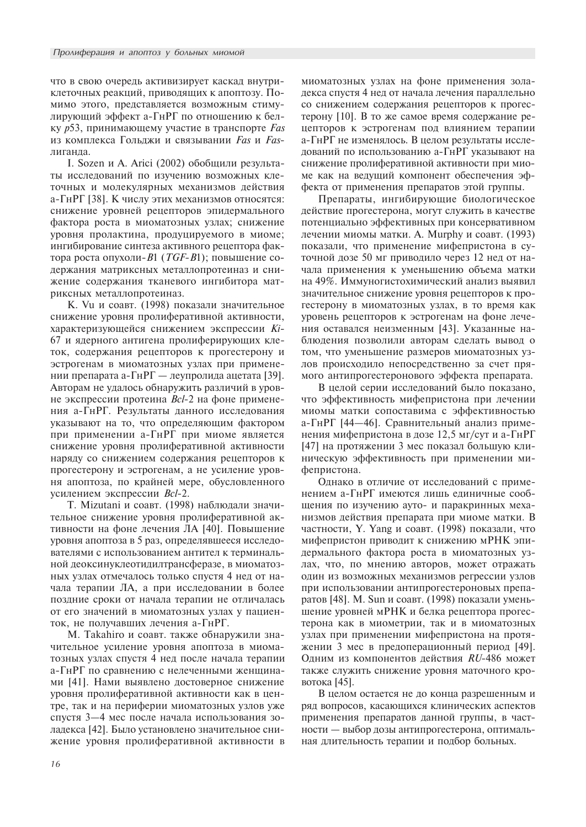что в свою очередь активизирует каскад внутриклеточных реакций, приводящих к апоптозу. Помимо этого, представляется возможным стимулирующий эффект а-ГнРГ по отношению к белку р53, принимающему участие в транспорте Fas из комплекса Гольджи и связывании Fas и Fasпиганла

I. Sozen и А. Arici (2002) обобщили результаты исследований по изучению возможных клеточных и молекулярных механизмов действия а-ГнРГ [38]. К числу этих механизмов относятся: снижение уровней рецепторов эпидермального фактора роста в миоматозных узлах; снижение уровня пролактина, продуцируемого в миоме; ингибирование синтеза активного рецептора фактора роста опухоли- $B1$  (*TGF-B*1); повышение содержания матриксных металлопротеиназ и снижение содержания тканевого ингибитора матриксных металлопротеиназ.

К. Vu и соавт. (1998) показали значительное снижение уровня пролиферативной активности, характеризующейся снижением экспрессии Кі-67 и ядерного антигена пролиферирующих клеток, содержания рецепторов к прогестерону и эстрогенам в миоматозных узлах при применении препарата а-ГнРГ — леупролида ацетата [39]. Авторам не удалось обнаружить различий в уровне экспрессии протеина *Bcl*-2 на фоне применения а-ГнРГ. Результаты данного исследования указывают на то, что определяющим фактором при применении а-ГнРГ при миоме является снижение уровня пролиферативной активности наряду со снижением содержания рецепторов к прогестерону и эстрогенам, а не усиление уровня апоптоза, по крайней мере, обусловленного усилением экспрессии Bcl-2.

Т. Mizutani и соавт. (1998) наблюдали значительное снижение уровня пролиферативной активности на фоне лечения ЛА [40]. Повышение уровня апоптоза в 5 раз, определявшееся исследователями с использованием антител к терминальной деоксинуклеотидилтрансферазе, в миоматозных узлах отмечалось только спустя 4 нед от начала терапии ЛА, а при исследовании в более поздние сроки от начала терапии не отличалась от его значений в миоматозных узлах у пациенток, не получавших лечения а-ГнРГ.

M. Takahiro и соавт. также обнаружили значительное усиление уровня апоптоза в миоматозных узлах спустя 4 нед после начала терапии а-ГнРГ по сравнению с нелеченными женщинами [41]. Нами выявлено достоверное снижение уровня пролиферативной активности как в центре, так и на периферии миоматозных узлов уже спустя 3-4 мес после начала использования золадекса [42]. Было установлено значительное снижение уровня пролиферативной активности в миоматозных узлах на фоне применения золадекса спустя 4 нед от начала лечения параллельно со снижением содержания рецепторов к прогестерону [10]. В то же самое время содержание рецепторов к эстрогенам под влиянием терапии а-ГнРГ не изменялось. В целом результаты исследований по использованию а-ГнРГ указывают на снижение пролиферативной активности при миоме как на ведущий компонент обеспечения эффекта от применения препаратов этой группы.

Препараты, ингибирующие биологическое действие прогестерона, могут служить в качестве потенциально эффективных при консервативном лечении миомы матки. A. Murphy и соавт. (1993). показали, что применение мифепристона в суточной дозе 50 мг приводило через 12 нед от начала применения к уменьшению объема матки на 49%. Иммуногистохимический анализ выявил значительное снижение уровня рецепторов к прогестерону в миоматозных узлах, в то время как уровень рецепторов к эстрогенам на фоне лечения оставался неизменным [43]. Указанные наблюдения позволили авторам сделать вывод о том, что уменьшение размеров миоматозных узлов происходило непосредственно за счет прямого антипрогестеронового эффекта препарата.

В целой серии исследований было показано, что эффективность мифепристона при лечении миомы матки сопоставима с эффективностью а-ГнРГ [44-46]. Сравнительный анализ применения мифепристона в дозе 12,5 мг/сут и а-ГнРГ [47] на протяжении 3 мес показал большую клиническую эффективность при применении мифепристона.

Однако в отличие от исследований с применением а-ГнРГ имеются лишь единичные сообщения по изучению ауто- и паракринных механизмов действия препарата при миоме матки. В частности, Y. Yang и соавт. (1998) показали, что мифепристон приводит к снижению мРНК эпидермального фактора роста в миоматозных узлах, что, по мнению авторов, может отражать один из возможных механизмов регрессии узлов при использовании антипрогестероновых препаратов [48]. М. Sun и соавт. (1998) показали уменьшение уровней мРНК и белка рецептора прогестерона как в миометрии, так и в миоматозных узлах при применении мифепристона на протяжении 3 мес в предоперационный период [49]. Одним из компонентов действия RU-486 может также служить снижение уровня маточного кровотока [45].

В целом остается не до конца разрешенным и ряд вопросов, касающихся клинических аспектов применения препаратов данной группы, в частности - выбор дозы антипрогестерона, оптимальная длительность терапии и подбор больных.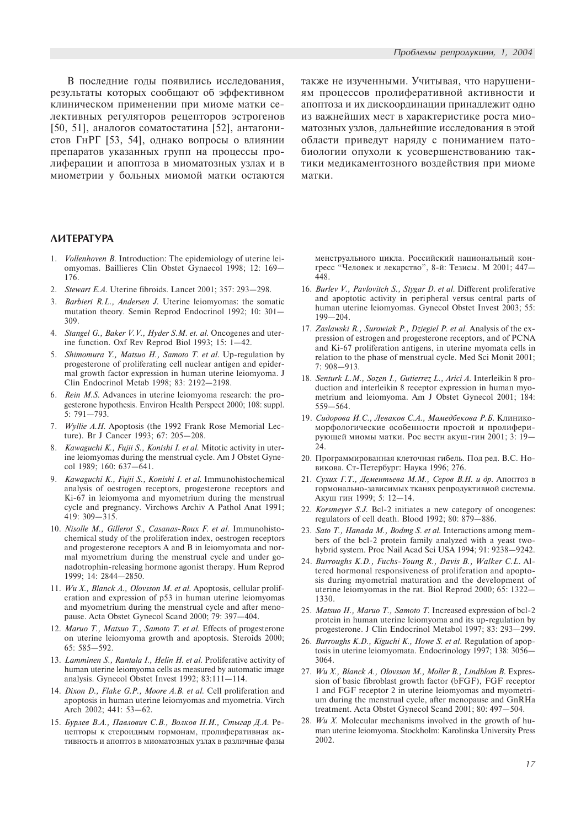В последние годы появились исследования, результаты которых сообщают об эффективном клиническом применении при миоме матки селективных регуляторов рецепторов эстрогенов  $[50, 51]$ , аналогов соматостатина  $[52]$ , антагонистов ГнРГ [53, 54], однако вопросы о влиянии препаратов указанных групп на процессы пролиферации и апоптоза в миоматозных узлах и в миометрии у больных миомой матки остаются также не изученными. Учитывая, что нарушениям процессов пролиферативной активности и апоптоза и их дискоординации принадлежит одно из важнейших мест в характеристике роста миоматозных узлов, дальнейшие исследования в этой области приведут наряду с пониманием патобиологии опухоли к усовершенствованию тактики медикаментозного воздействия при миоме матки.

### *AMTEPATYPA*

- Vollenhoven B. Introduction: The epidemiology of uterine leiomyomas. Baillieres Clin Obstet Gynaecol 1998; 12: 169 176.
- 2. Stewart E.A. Uterine fibroids. Lancet 2001: 357: 293-298.
- Barbieri R.L., Andersen J. Uterine leiomyomas: the somatic mutation theory. Semin Reprod Endocrinol 1992; 10: 301 309.
- 4. Stangel G., Baker V.V., Hyder S.M. et. al. Oncogenes and uterine function. Oxf Rev Reprod Biol 1993:  $15: 1-42$ .
- 5. Shimomura Y., Matsuo H., Samoto T. et al. Up-regulation by progesterone of proliferating cell nuclear antigen and epidermal growth factor expression in human uterine leiomyoma. J Clin Endocrinol Metab 1998; 83: 2192-2198.
- 6. Rein M.S. Advances in uterine leiomyoma research: the progesterone hypothesis. Environ Health Perspect 2000; 108: suppl. 5:  $791 - 793$ .
- 7. Wyllie A.H. Apoptosis (the 1992 Frank Rose Memorial Lecture). Br J Cancer 1993; 67: 205-208.
- 8. Kawaguchi K., Fujii S., Konishi I. et al. Mitotic activity in uterine leiomyomas during the menstrual cycle. Am J Obstet Gynecol 1989; 160: 637-641.
- 9. Kawaguchi K., Fujii S., Konishi I. et al. Immunohistochemical analysis of oestrogen receptors, progesterone receptors and Ki-67 in leiomyoma and myometrium during the menstrual cycle and pregnancy. Virchows Archiv A Pathol Anat 1991; 419: 309-315.
- 10. Nisolle M., Gillerot S., Casanas-Roux F. et al. Immunohistochemical study of the proliferation index, oestrogen receptors and progesterone receptors A and B in leiomyomata and normal myometrium during the menstrual cycle and under gonadotrophin-releasing hormone agonist therapy. Hum Reprod 1999; 14: 2844-2850.
- 11. Wu X., Blanck A., Olovsson M. et al. Apoptosis, cellular proliferation and expression of p53 in human uterine leiomyomas and myometrium during the menstrual cycle and after menopause. Acta Obstet Gynecol Scand 2000; 79: 397-404.
- 12. Maruo T., Matsuo T., Samoto T. et al. Effects of progesterone on uterine leiomyoma growth and apoptosis. Steroids 2000;  $65: 585 - 592$
- 13. Lamminen S., Rantala I., Helin H. et al. Proliferative activity of human uterine leiomyoma cells as measured by automatic image analysis. Gynecol Obstet Invest 1992;  $83:111-114$ .
- 14. Dixon D., Flake G.P., Moore A.B. et al. Cell proliferation and apoptosis in human uterine leiomyomas and myometria. Virch Arch 2002; 441: 53-62.
- 15. Бурлев В.А., Павлович С.В., Волков Н.И., Стыгар Д.А. Рецепторы к стероидным гормонам, пролиферативная активность и апоптоз в миоматозных узлах в различные фазы

менструального цикла. Российский национальный конгресс "Человек и лекарство", 8-й: Тезисы. М 2001; 447-448.

- 16. Burlev V., Pavlovitch S., Stygar D. et al. Different proliferative and apoptotic activity in peripheral versus central parts of human uterine leiomyomas. Gynecol Obstet Invest 2003; 55:  $199 - 204.$
- 17. Zaslawski R., Surowiak P., Dziegiel P. et al. Analysis of the expression of estrogen and progesterone receptors, and of PCNA and Ki-67 proliferation antigens, in uterine myomata cells in relation to the phase of menstrual cycle. Med Sci Monit 2001;  $7:908 - 913.$
- 18. Senturk L.M., Sozen I., Gutierrez L., Arici A. Interleikin 8 production and interleikin 8 receptor expression in human myometrium and leiomyoma. Am J Obstet Gynecol 2001; 184:  $559 - 564$ .
- 19. Сидорова И.С., Леваков С.А., Мамедбекова Р.Б. Клиникоморфологические особенности простой и пролиферирующей миомы матки. Рос вестн акуш-гин 2001; 3: 19-24.
- 20. Программированная клеточная гибель. Под ред. В.С. Новикова. Ст-Петербург: Наука 1996; 276.
- 21. Сухих Г.Т., Дементьева М.М., Серов В.Н. и др. Апоптоз в гормонально-зависимых тканях репродуктивной системы. Акуш гин 1999; 5: 12-14.
- 22. Korsmeyer S.J. Bcl-2 initiates a new category of oncogenes: regulators of cell death. Blood 1992; 80: 879-886.
- 23. Sato T., Hanada M., Bodmg S. et al. Interactions among members of the bcl-2 protein family analyzed with a yeast twohybrid system. Proc Nail Acad Sci USA 1994; 91: 9238–9242.
- 24. Burroughs K.D., Fuchs-Young R., Davis B., Walker C.L. Altered hormonal responsiveness of proliferation and apoptosis during myometrial maturation and the development of uterine leiomyomas in the rat. Biol Reprod 2000; 65: 1322 1330.
- 25. Matsuo H., Maruo T., Samoto T. Increased expression of bcl-2 protein in human uterine leiomyoma and its up-regulation by progesterone. J Clin Endocrinol Metabol 1997; 83: 293-299.
- 26. Burroughs K.D., Kiguchi K., Howe S. et al. Regulation of apoptosis in uterine leiomyomata. Endocrinology 1997; 138: 3056 3064.
- 27. Wu X., Blanck A., Olovsson M., Moller B., Lindblom B. Expression of basic fibroblast growth factor (bFGF), FGF receptor 1 and FGF receptor 2 in uterine leiomyomas and myometrium during the menstrual cycle, after menopause and GnRHa treatment. Acta Obstet Gynecol Scand 2001; 80: 497-504.
- 28. Wu X. Molecular mechanisms involved in the growth of human uterine leiomyoma. Stockholm: Karolinska University Press 2002.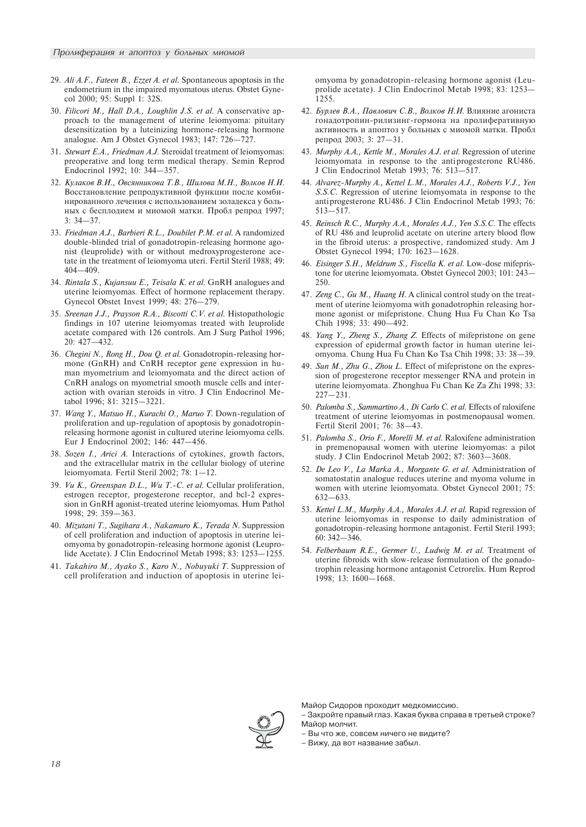- 29. Ali A.F., Fateen B., Ezzet A. et al. Spontaneous apoptosis in the endometrium in the impaired myomatous uterus. Obstet Gynecol 2000; 95: Suppl 1: 32S.
- 30. Filicori M., Hall D.A., Loughlin J.S. et al. A conservative approach to the management of uterine leiomyoma: pituitary desensitization by a luteinizing hormone-releasing hormone analogue. Am J Obstet Gynecol 1983; 147: 726-727.
- 31. Stewart E.A., Friedman A.J. Steroidal treatment of leiomyomas: preoperative and long term medical therapy. Semin Reprod Endocrinol 1992; 10: 344-357.
- 32. Кулаков В.И., Овсянникова Т.В., Шилова М.Н., Волков Н.И. Восстановление репродуктивной функции после комбинированного лечения с использованием золалекса у больных с бесплодием и миомой матки. Пробл репрод 1997;  $3: 34 - 37$ .
- 33. Friedman A.J., Barbieri R.L., Doubilet P.M. et al. A randomized double-blinded trial of gonadotropin-releasing hormone agonist (leuprolide) with or without medroxyprogesterone acetate in the treatment of leiomyoma uteri. Fertil Steril 1988; 49: 404-409.
- 34. Rintala S., Kujansuu E., Teisala K. et al. GnRH analogues and uterine leiomyomas. Effect of hormone replacement therapy. Gynecol Obstet Invest 1999; 48: 276-279.
- 35. Sreenan J.J., Prayson R.A., Biscotti C.V. et al. Histopathologic findings in 107 uterine leiomyomas treated with leuprolide acetate compared with 126 controls. Am J Surg Pathol 1996; 20: 427-432.
- 36. Chegini N., Rong H., Dou Q. et al. Gonadotropin-releasing hormone (GnRH) and CnRH receptor gene expression in human myometrium and leiomyomata and the direct action of CnRH analogs on myometrial smooth muscle cells and interaction with ovarian steroids in vitro. J Clin Endocrinol Metabol 1996; 81: 3215-3221.
- 37. Wang Y., Matsuo H., Kurachi O., Maruo T. Down-regulation of proliferation and up-regulation of apoptosis by gonadotropinreleasing hormone agonist in cultured uterine leiomyoma cells. Eur J Endocrinol 2002; 146: 447-456.
- 38. Sozen I., Arici A. Interactions of cytokines, growth factors, and the extracellular matrix in the cellular biology of uterine leiomyomata. Fertil Steril 2002; 78:  $1-12$ .
- 39. Vu K., Greenspan D.L., Wu T.-C. et al. Cellular proliferation, estrogen receptor, progesterone receptor, and bcl-2 expression in GnRH agonist-treated uterine leiomyomas. Hum Pathol 1998; 29: 359-363.
- 40. Mizutani T., Sugihara A., Nakamuro K., Terada N. Suppression of cell proliferation and induction of apoptosis in uterine leiomyoma by gonadotropin-releasing hormone agonist (Leuprolide Acetate). J Clin Endocrinol Metab 1998; 83: 1253-1255.
- 41. Takahiro M., Ayako S., Karo N., Nobuyuki T. Suppression of cell proliferation and induction of apoptosis in uterine lei-

omyoma by gonadotropin-releasing hormone agonist (Leuprolide acetate). J Clin Endocrinol Metab 1998; 83: 1253 1255.

- 42. Бурлев В.А., Павлович С.В., Волков Н.И. Влияние агониста гонадотропин-рилизинг-гормона на пролиферативную активность и апоптоз у больных с миомой матки. Пробл репрод 2003; 3: 27-31.
- 43. Murphy A.A., Kettle M., Morales A.J. et al. Regression of uterine leiomyomata in response to the antiprogesterone RU486. J Clin Endocrinol Metab 1993; 76: 513-517.
- 44. Alvarez-Murphy A., Kettel L.M., Morales A.J., Roberts V.J., Yen S.S.C. Regression of uterine leiomyomata in response to the antiprogesterone RU486. J Clin Endocrinol Metab 1993; 76:  $513 - 517$ .
- 45. Reinsch R.C., Murphy A.A., Morales A.J., Yen S.S.C. The effects of RU 486 and leuprolid acetate on uterine artery blood flow in the fibroid uterus: a prospective, randomized study. Am J Obstet Gynecol 1994; 170: 1623-1628.
- 46. Eisinger S.H., Meldrum S., Fiscella K. et al. Low-dose mifepristone for uterine leiomyomata. Obstet Gynecol 2003; 101: 243 250.
- 47. Zeng C., Gu M., Huang H. A clinical control study on the treatment of uterine leiomyoma with gonadotrophin releasing hormone agonist or mifepristone. Chung Hua Fu Chan Ko Tsa Chih 1998; 33: 490-492.
- 48. Yang Y., Zheng S., Zhang Z. Effects of mifepristone on gene expression of epidermal growth factor in human uterine leiomyoma. Chung Hua Fu Chan Ko Tsa Chih 1998; 33: 38-39.
- 49. Sun M., Zhu G., Zhou L. Effect of mifepristone on the expression of progesterone receptor messenger RNA and protein in uterine leiomyomata. Zhonghua Fu Chan Ke Za Zhi 1998; 33:  $227 - 231$
- 50. Palomba S., Sammartino A., Di Carlo C. et al. Effects of raloxifene treatment of uterine leiomyomas in postmenopausal women. Fertil Steril 2001; 76: 38-43.
- 51. Palomba S., Orio F., Morelli M. et al. Raloxifene administration in premenopausal women with uterine leiomyomas: a pilot study. J Clin Endocrinol Metab 2002; 87: 3603-3608.
- 52. De Leo V., La Marka A., Morgante G. et al. Administration of somatostatin analogue reduces uterine and myoma volume in women with uterine leiomyomata. Obstet Gynecol 2001; 75:  $632 - 633$ .
- 53. Kettel L.M., Murphy A.A., Morales A.J. et al. Rapid regression of uterine leiomyomas in response to daily administration of gonadotropin-releasing hormone antagonist. Fertil Steril 1993; 60:  $342 - 346$ .
- 54. Felberbaum R.E., Germer U., Ludwig M. et al. Treatment of uterine fibroids with slow-release formulation of the gonadotrophin releasing hormone antagonist Cetrorelix. Hum Reprod  $1998: 13: 1600 - 1668$



Майор Сидоров проходит медкомиссию.

– Закройте правый глаз. Какая буква справа в третьей строке? Майор молчит.

– Вы что же, совсем ничего не видите?

– Вижу, да вот название забыл.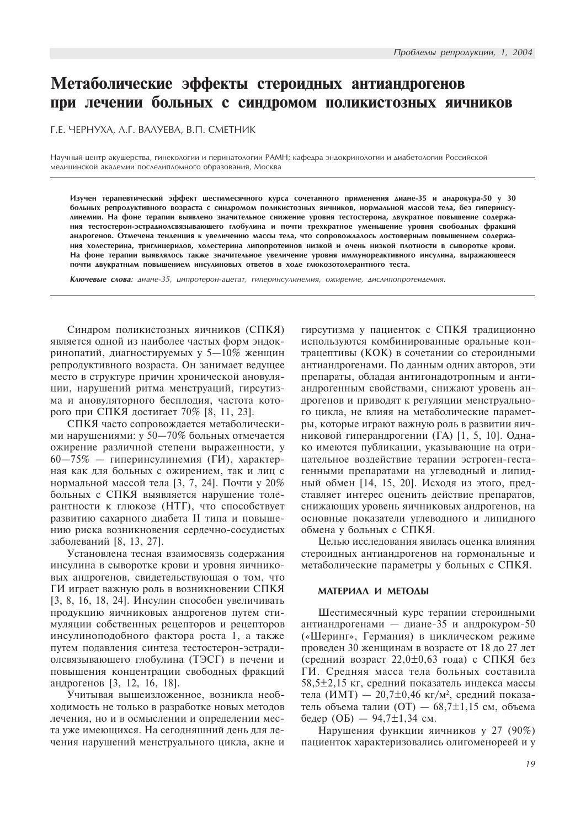# Метаболические эффекты стероидных антиандрогенов при лечении больных с синдромом поликистозных яичников

T.E. YEPHYXA, A.T. BAAYEBA, B.T. CMETHIK

Научный центр акушерства, гинекологии и перинатологии РАМН; кафедра эндокринологии и диабетологии Российской медицинской академии последипломного образования, Москва

Изучен терапевтический эффект шестимесячного курса сочетанного применения диане-35 и андрокура-50 у 30 больных репродуктивного возраста с синдромом поликистозных яичников, нормальной массой тела, без гиперинсулинемии. На фоне терапии выявлено значительное снижение уровня тестостерона, двукратное повышение содержания тестостерон-эстрадиолсвязывающего глобулина и почти трехкратное уменьшение уровня свободных фракций андрогенов. Отмечена тенденция к увеличению массы тела, что сопровождалось достоверным повышением содержания холестерина, триглицеридов, холестерина липопротеинов низкой и очень низкой плотности в сыворотке крови. На фоне терапии выявлялось также значительное увеличение уровня иммунореактивного инсулина, выражающееся почти двукратным повышением инсулиновых ответов в ходе глюкозотолерантного теста.

Ключевые слова: диане-35, ципротерон-ацетат, гиперинсулинемия, ожирение, дислипопротеидемия.

Синдром поликистозных яичников (СПКЯ) является одной из наиболее частых форм эндокринопатий, диагностируемых у 5 $-10\%$  женщин репродуктивного возраста. Он занимает ведущее место в структуре причин хронической ановуляции, нарушений ритма менструаций, гирсутизма и ановуляторного бесплодия, частота которого при СПКЯ достигает 70% [8, 11, 23].

СПКЯ часто сопровождается метаболическими нарушениями: у 50-70% больных отмечается ожирение различной степени выраженности, у  $60-75\%$  — гиперинсулинемия (ГИ), характерная как для больных с ожирением, так и лиц с нормальной массой тела [3, 7, 24]. Почти у 20% больных с СПКЯ выявляется нарушение толерантности к глюкозе (НТГ), что способствует развитию сахарного диабета II типа и повышению риска возникновения сердечно-сосудистых заболеваний [8, 13, 27].

Установлена тесная взаимосвязь содержания инсулина в сыворотке крови и уровня яичниковых андрогенов, свидетельствующая о том, что ГИ играет важную роль в возникновении СПКЯ  $[3, 8, 16, 18, 24]$ . Инсулин способен увеличивать продукцию яичниковых андрогенов путем стимуляции собственных рецепторов и рецепторов инсулиноподобного фактора роста 1, а также путем подавления синтеза тестостерон-эстрадиолсвязывающего глобулина (ТЭСГ) в печени и повышения концентрации свободных фракций андрогенов [3, 12, 16, 18].

Учитывая вышеизложенное, возникла необходимость не только в разработке новых методов лечения, но и в осмыслении и определении места уже имеющихся. На сегодняшний день для лечения нарушений менструального цикла, акне и гирсутизма у пациенток с СПКЯ традиционно используются комбинированные оральные контрацептивы (КОК) в сочетании со стероидными антиандрогенами. По данным одних авторов, эти препараты, обладая антигонадотропным и антиандрогенным свойствами, снижают уровень андрогенов и приводят к регуляции менструального цикла, не влияя на метаболические параметры, которые играют важную роль в развитии яичниковой гиперандрогении (ГА) [1, 5, 10]. Однако имеются публикации, указывающие на отрицательное воздействие терапии эстроген-гестагенными препаратами на углеводный и липидный обмен [14, 15, 20]. Исходя из этого, представляет интерес оценить действие препаратов, снижающих уровень яичниковых андрогенов, на основные показатели углеводного и липидного обмена у больных с СПКЯ.

Целью исследования явилась оценка влияния стероидных антиандрогенов на гормональные и метаболические параметры у больных с СПКЯ.

### MATEPHAA H METOAH

Шестимесячный курс терапии стероидными антиандрогенами — диане-35 и андрокуром-50 («Шеринг», Германия) в циклическом режиме проведен 30 женщинам в возрасте от 18 до 27 лет (средний возраст  $22,0\pm0,63$  года) с СПКЯ без ГИ. Средняя масса тела больных составила  $58.5\pm2.15$  кг. средний показатель индекса массы тела (ИМТ) — 20,7 $\pm$ 0,46 кг/м<sup>2</sup>, средний показатель объема талии (ОТ)  $-68,7\pm1,15$  см, объема бедер (ОБ) — 94,7 $\pm$ 1,34 см.

Нарушения функции яичников у 27 (90%) пациенток характеризовались олигоменореей и у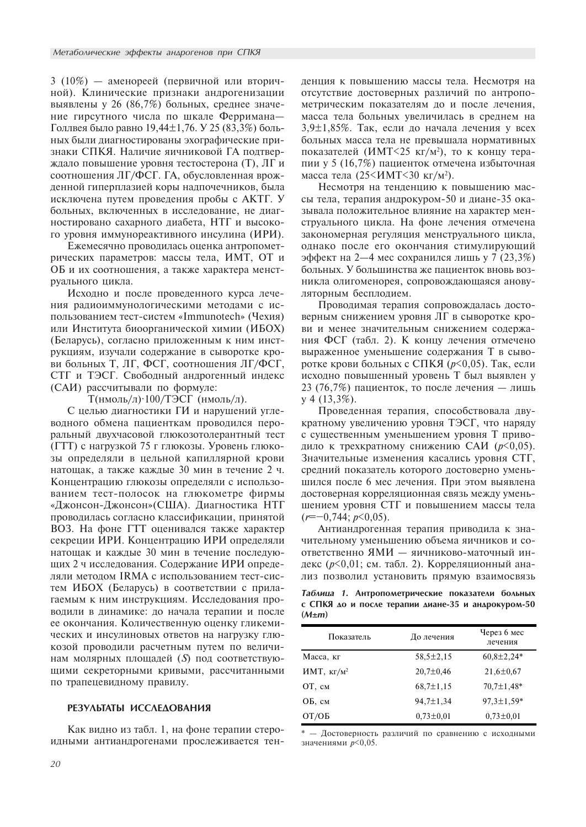3 (10%) — аменореей (первичной или вторичной). Клинические признаки андрогенизации выявлены у 26 (86,7%) больных, среднее значение гирсутного числа по шкале Ферримана-Голлвея было равно 19,44 $\pm$ 1,76. У 25 (83,3%) больных были диагностированы эхографические признаки СПКЯ. Наличие яичниковой ГА подтверждало повышение уровня тестостерона (Т), ЛГ и соотношения ЛГ/ФСГ. ГА, обусловленная врожденной гиперплазией коры надпочечников, была исключена путем проведения пробы с АКТГ. У больных, включенных в исследование, не диагностировано сахарного диабета, НТГ и высокого уровня иммунореактивного инсулина (ИРИ).

Ежемесячно проводилась оценка антропометрических параметров: массы тела, ИМТ, ОТ и ОБ и их соотношения, а также характера менструального цикла.

Исходно и после проведенного курса лечения радиоиммунологическими методами с использованием тест-систем «Immunotech» (Чехия) или Института биоорганической химии (ИБОХ) (Беларусь), согласно приложенным к ним инструкциям, изучали содержание в сыворотке крови больных Т, ЛГ, ФСГ, соотношения ЛГ/ФСГ, СТГ и ТЭСГ. Свободный андрогенный индекс (САИ) рассчитывали по формуле:

 $T(HMOJJb/J)$ <sup>·100</sup>/ТЭСГ (нмоль/л).

С целью диагностики ГИ и нарушений углеводного обмена пациенткам проводился пероральный двухчасовой глюкозотолерантный тест (ГТТ) с нагрузкой 75 г глюкозы. Уровень глюкозы определяли в цельной капиллярной крови натощак, а также каждые 30 мин в течение 2 ч. Концентрацию глюкозы определяли с использованием тест-полосок на глюкометре фирмы «Джонсон-Джонсон»(США). Диагностика НТГ проводилась согласно классификации, принятой ВОЗ. На фоне ГТТ оценивался также характер секреции ИРИ. Концентрацию ИРИ определяли натощак и каждые 30 мин в течение последующих 2 ч исследования. Содержание ИРИ определяли метолом IRMA с использованием тест-систем ИБОХ (Беларусь) в соответствии с прилагаемым к ним инструкциям. Исследования проводили в динамике: до начала терапии и после ее окончания. Количественную оценку гликемических и инсулиновых ответов на нагрузку глюкозой проводили расчетным путем по величинам молярных площадей (S) под соответствующими секреторными кривыми, рассчитанными по трапецевидному правилу.

# PE3YAЬТАТЫ ИССЛЕДОВАНИЯ

Как видно из табл. 1, на фоне терапии стероидными антиандрогенами прослеживается тенденция к повышению массы тела. Несмотря на отсутствие достоверных различий по антропометрическим показателям до и после лечения, масса тела больных увеличилась в среднем на  $3,9\pm1,85\%$ . Так, если до начала лечения у всех больных масса тела не превышала нормативных показателей (ИМТ<25 кг/м<sup>2</sup>), то к концу терапии у 5 (16,7%) пациенток отмечена избыточная масса тела (25<ИМТ<30 кг/м<sup>2</sup>).

Несмотря на тенденцию к повышению массы тела, терапия андрокуром-50 и диане-35 оказывала положительное влияние на характер менструального цикла. На фоне лечения отмечена закономерная регуляция менструального цикла, однако после его окончания стимулирующий  $\phi$ ффект на 2—4 мес сохранился лишь у 7 (23,3%) больных. У большинства же пациенток вновь возникла олигоменорея, сопровождающаяся ановуляторным бесплодием.

Проводимая терапия сопровождалась достоверным снижением уровня ЛГ в сыворотке крови и менее значительным снижением содержания ФСГ (табл. 2). К концу лечения отмечено выраженное уменьшение содержания Т в сыворотке крови больных с СПКЯ ( $p$ <0,05). Так, если исходно повышенный уровень Т был выявлен у 23 (76,7%) пациенток, то после лечения — лишь  $y$  4 (13,3%).

Проведенная терапия, способствовала двукратному увеличению уровня ТЭСГ, что наряду с существенным уменьшением уровня Т приводило к трехкратному снижению САИ ( $p$ <0,05). Значительные изменения касались уровня СТГ, средний показатель которого достоверно уменьшился после 6 мес лечения. При этом выявлена достоверная корреляционная связь между уменьшением уровня СТГ и повышением массы тела  $(r=-0,744; p<0,05)$ .

Антиандрогенная терапия приводила к значительному уменьшению объема яичников и соответственно ЯМИ - яичниково-маточный индекс ( $p<0,01$ ; см. табл. 2). Корреляционный анализ позволил установить прямую взаимосвязь

Таблица 1. Антропометрические показатели больных с СПКЯ до и после терапии диане-35 и андрокуром-50  $(M \pm m)$ 

| Показатель    | До лечения      | Через 6 мес<br>лечения |
|---------------|-----------------|------------------------|
| Масса, кг     | $58,5 \pm 2,15$ | $60,8{\pm}2,24*$       |
| ИМТ, $KT/M^2$ | $20,7 \pm 0,46$ | $21,6 \pm 0.67$        |
| OT, см        | $68,7\pm1,15$   | $70,7 \pm 1,48$ *      |
| ОБ, см        | $94,7 \pm 1,34$ | $97.3 \pm 1.59*$       |
| OT/OB         | $0,73\pm0.01$   | $0,73\pm0.01$          |

 $* -$  Достоверность различий по сравнению с исходными значениями  $p<0,05$ .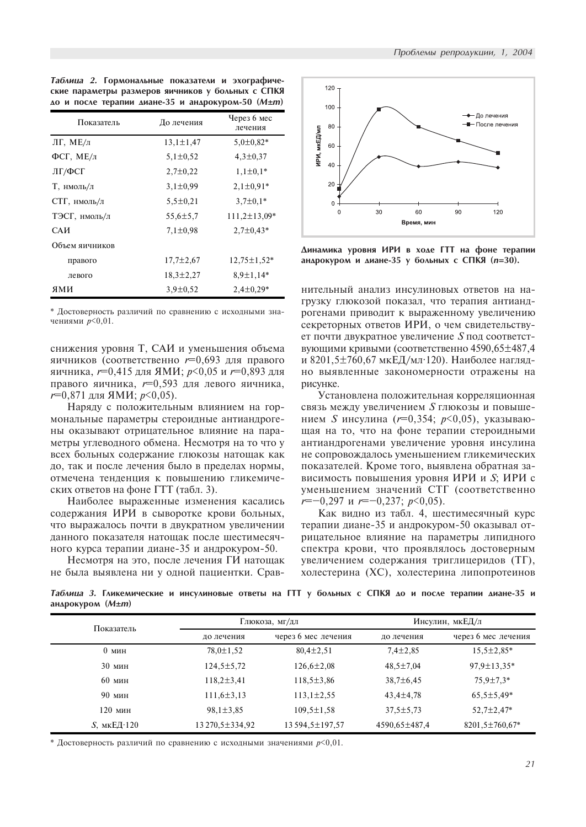Таблица 2. Гормональные показатели и эхографические параметры размеров яичников у больных с СПКЯ  $\Delta$ о и после терапии диане-35 и андрокуром-50 (М±m)

| Показатель     | До лечения      | Через 6 мес<br>лечения |  |
|----------------|-----------------|------------------------|--|
| ЛГ, МЕ/л       | $13,1 \pm 1,47$ | $5,0\pm0,82*$          |  |
| ФСГ, МЕ/л      | $5,1 \pm 0,52$  | $4,3 \pm 0,37$         |  |
| ЛГ/ФСГ         | $2,7\pm0,22$    | $1,1\pm0,1*$           |  |
| Т, нмоль/л     | $3,1 \pm 0.99$  | $2,1\pm0.91*$          |  |
| СТГ, нмоль/л   | $5,5 \pm 0,21$  | $3,7\pm0,1*$           |  |
| ТЭСГ, нмоль/л  | $55,6 \pm 5,7$  | $111,2 \pm 13,09*$     |  |
| САИ            | $7,1 \pm 0.98$  | $2,7\pm0.43*$          |  |
| Объем яичников |                 |                        |  |
| правого        | $17,7 \pm 2,67$ | $12,75 \pm 1,52^*$     |  |
| левого         | $18,3 \pm 2,27$ | $8.9 \pm 1.14*$        |  |
| ями            | $3,9 \pm 0,52$  | $2,4\pm0,29*$          |  |

\* Достоверность различий по сравнению с исходными значениями  $p<0,01$ .

снижения уровня Т, САИ и уменьшения объема яичников (соответственно  $r=0.693$  для правого яичника,  $r=0,415$  для ЯМИ;  $p<0,05$  и  $r=0,893$  для правого яичника,  $r=0,593$  для левого яичника,  $r=0,871$  для ЯМИ;  $p<0,05$ ).

Наряду с положительным влиянием на гормональные параметры стероидные антиандрогены оказывают отрицательное влияние на параметры углеводного обмена. Несмотря на то что у всех больных содержание глюкозы натощак как до, так и после лечения было в пределах нормы, отмечена тенденция к повышению гликемических ответов на фоне ГТТ (табл. 3).

Наиболее выраженные изменения касались содержания ИРИ в сыворотке крови больных, что выражалось почти в двукратном увеличении данного показателя натощак после шестимесячного курса терапии диане-35 и андрокуром-50.

Несмотря на это, после лечения ГИ натощак не была выявлена ни у одной пациентки. Срав-



Динамика уровня ИРИ в ходе ГТТ на фоне терапии андрокуром и диане-35 у больных с СПКЯ (n=30).

нительный анализ инсулиновых ответов на нагрузку глюкозой показал, что терапия антиандрогенами приводит к выраженному увеличению секреторных ответов ИРИ, о чем свидетельствует почти двукратное увеличение  $S$  под соответствующими кривыми (соответственно 4590,65±487,4 и 8201,5 $\pm$ 760,67 мкЕД/мл·120). Наиболее наглядно выявленные закономерности отражены на рисунке.

Установлена положительная корреляционная связь между увеличением  $S$  глюкозы и повышением  $S$  инсулина ( $r=0,354$ ;  $p<0,05$ ), указывающая на то, что на фоне терапии стероидными антиандрогенами увеличение уровня инсулина не сопровождалось уменьшением гликемических показателей. Кроме того, выявлена обратная зависимость повышения уровня ИРИ и S; ИРИ с үменьшением значений СТГ (соответственно  $r=-0,297$   $\mu$   $r=-0,237$ ;  $p<0,05$ ).

Как видно из табл. 4, шестимесячный курс терапии диане-35 и андрокуром-50 оказывал отрицательное влияние на параметры липидного спектра крови, что проявлялось достоверным увеличением содержания триглицеридов (TГ), холестерина (XC), холестерина липопротеинов

Таблица 3. Гликемические и инсулиновые ответы на ГТТ у больных с СПКЯ до и после терапии диане-35 и андрокуром (M±m)

| Показатель                       | Глюкоза, мг/дл   |                     |                 | Инсулин, мкЕД/л      |  |
|----------------------------------|------------------|---------------------|-----------------|----------------------|--|
|                                  | ло лечения       | через 6 мес лечения | ло лечения      | через 6 мес лечения  |  |
| 0 <sub>MH</sub>                  | $78,0 \pm 1,52$  | $80,4\pm2,51$       | $7,4\pm 2,85$   | $15,5 \pm 2,85^*$    |  |
| $30$ MH                          | $124,5 \pm 5,72$ | $126,6 \pm 2,08$    | $48,5 \pm 7,04$ | 97,9±13,35*          |  |
| $60$ мин                         | $118,2 \pm 3,41$ | $118,5 \pm 3,86$    | $38,7 \pm 6,45$ | $75,9 \pm 7,3*$      |  |
| 90 мин                           | $111,6 \pm 3,13$ | $113,1\pm 2,55$     | $43,4 \pm 4,78$ | $65,5 \pm 5,49*$     |  |
| 120 мин                          | $98,1 \pm 3,85$  | $109,5 \pm 1,58$    | $37,5 \pm 5,73$ | $52,7 \pm 2,47*$     |  |
| $S$ , мк $E[\text{I} \cdot 120]$ | 13270,5±334,92   | 13594,5±197,57      | 4590,65±487,4   | $8201,5 \pm 760,67*$ |  |

\* Достоверность различий по сравнению с исходными значениями  $p<0,01$ .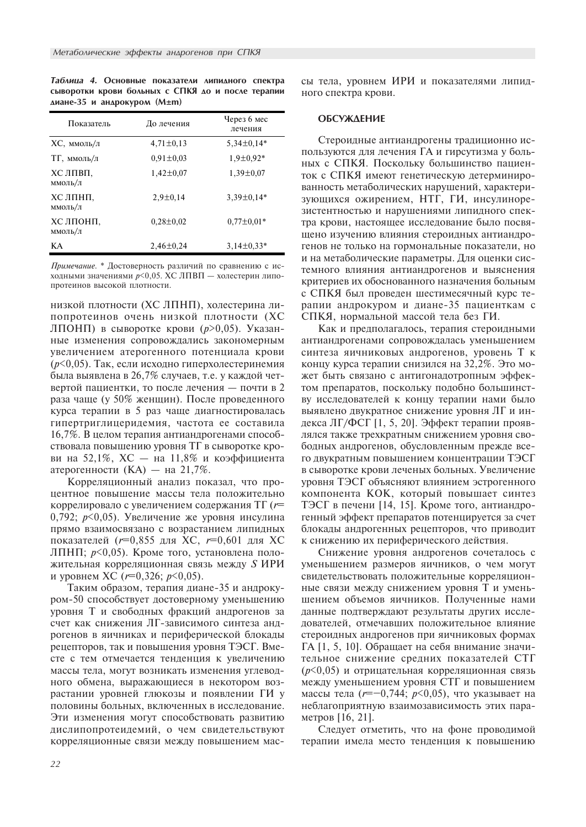Таблица 4. Основные показатели липидного спектра сыворотки крови больных с СПКЯ до и после терапии  $\Delta$ иане-35 и андрокуром (M±m)

| Показатель           | До лечения      | Через 6 мес<br>лечения |
|----------------------|-----------------|------------------------|
| ХС, ммоль/л          | $4,71\pm0,13$   | $5,34\pm0,14*$         |
| ТГ, ммоль/л          | $0.91 \pm 0.03$ | $1,9\pm0,92*$          |
| ХС ЛПВП,<br>ммоль/л  | $1,42\pm0,07$   | $1,39 \pm 0,07$        |
| ХС ЛПНП,<br>ммоль/л  | $2,9 \pm 0,14$  | $3,39\pm0,14*$         |
| ХС ЛПОНП.<br>ммоль/л | $0,28\pm0,02$   | $0.77 \pm 0.01*$       |
| KА                   | $2,46\pm0,24$   | $3,14\pm0.33*$         |

Примечание. \* Достоверность различий по сравнению с исходными значениями  $p$ <0,05. ХС ЛПВП - холестерин липопротеинов высокой плотности.

низкой плотности (ХС ЛПНП), холестерина липопротеинов очень низкой плотности (XC ЛПОНП) в сыворотке крови ( $p>0,05$ ). Указанные изменения сопровождались закономерным увеличением атерогенного потенциала крови  $(p<0,05)$ . Так, если исходно гиперхолестеринемия была выявлена в 26,7% случаев, т.е. у каждой четвертой пациентки, то после лечения — почти в 2 раза чаще (у 50% женщин). После проведенного курса терапии в 5 раз чаще диагностировалась гипертриглицеридемия, частота ее составила 16,7%. В целом терапия антиандрогенами способствовала повышению уровня  $T\Gamma$  в сыворотке крови на 52,1%,  $XC - Ha$  11,8% и коэффициента атерогенности (KA) — на 21,7%.

Корреляционный анализ показал, что процентное повышение массы тела положительно коррелировало с увеличением содержания ТГ ( $r=$ 0,792;  $p<0,05$ ). Увеличение же уровня инсулина прямо взаимосвязано с возрастанием липидных показателей ( $r=0,855$  для ХС,  $r=0,601$  для ХС ЛПНП;  $p<0,05$ ). Кроме того, установлена положительная корреляционная связь между  $S$  ИРИ и уровнем XC ( $r=0,326$ ;  $p<0,05$ ).

Таким образом, терапия диане-35 и андрокуром-50 способствует достоверному уменьшению уровня Т и свободных фракций андрогенов за счет как снижения ЛГ-зависимого синтеза андрогенов в яичниках и периферической блокады рецепторов, так и повышения уровня ТЭСГ. Вместе с тем отмечается тенденция к увеличению массы тела, могут возникать изменения углеводного обмена, выражающиеся в некотором возрастании уровней глюкозы и появлении ГИ у половины больных, включенных в исследование. Эти изменения могут способствовать развитию дислипопротеидемий, о чем свидетельствуют корреляционные связи между повышением массы тела, уровнем ИРИ и показателями липидного спектра крови.

#### **ОБСУЖДЕНИЕ**

Стероидные антиандрогены традиционно используются для лечения ГА и гирсутизма у больных с СПКЯ. Поскольку большинство пациенток с СПКЯ имеют генетическую детерминированность метаболических нарушений, характеризующихся ожирением, НТГ, ГИ, инсулинорезистентностью и нарушениями липидного спектра крови, настоящее исследование было посвящено изучению влияния стероидных антиандрогенов не только на гормональные показатели, но и на метаболические параметры. Для оценки системного влияния антиандрогенов и выяснения критериев их обоснованного назначения больным с СПКЯ был проведен шестимесячный курс терапии андрокуром и диане-35 пациенткам с СПКЯ, нормальной массой тела без ГИ.

Как и предполагалось, терапия стероидными антиандрогенами сопровождалась уменьшением синтеза яичниковых андрогенов, уровень Т к концу курса терапии снизился на 32,2%. Это может быть связано с антигонадотропным эффектом препаратов, поскольку подобно большинству исследователей к концу терапии нами было выявлено двукратное снижение уровня ЛГ и индекса ЛГ/ФСГ [1, 5, 20]. Эффект терапии проявлялся также трехкратным снижением уровня свободных андрогенов, обусловленным прежде всего двукратным повышением концентрации ТЭСГ в сыворотке крови леченых больных. Увеличение уровня ТЭСГ объясняют влиянием эстрогенного компонента КОК, который повышает синтез ТЭСГ в печени [14, 15]. Кроме того, антиандрогенный эффект препаратов потенцируется за счет блокады андрогенных рецепторов, что приводит к снижению их периферического действия.

Снижение уровня андрогенов сочеталось с уменьшением размеров яичников, о чем могут свидетельствовать положительные корреляционные связи между снижением уровня Т и уменьшением объемов яичников. Полученные нами данные подтверждают результаты других исследователей, отмечавших положительное влияние стероидных андрогенов при яичниковых формах ГА  $[1, 5, 10]$ . Обращает на себя внимание значительное снижение средних показателей СТГ  $(p<0.05)$  и отрицательная корреляционная связь между уменьшением уровня СТГ и повышением массы тела ( $r=-0.744$ ;  $p<0.05$ ), что указывает на неблагоприятную взаимозависимость этих параметров  $[16, 21]$ .

Следует отметить, что на фоне проводимой терапии имела место тенденция к повышению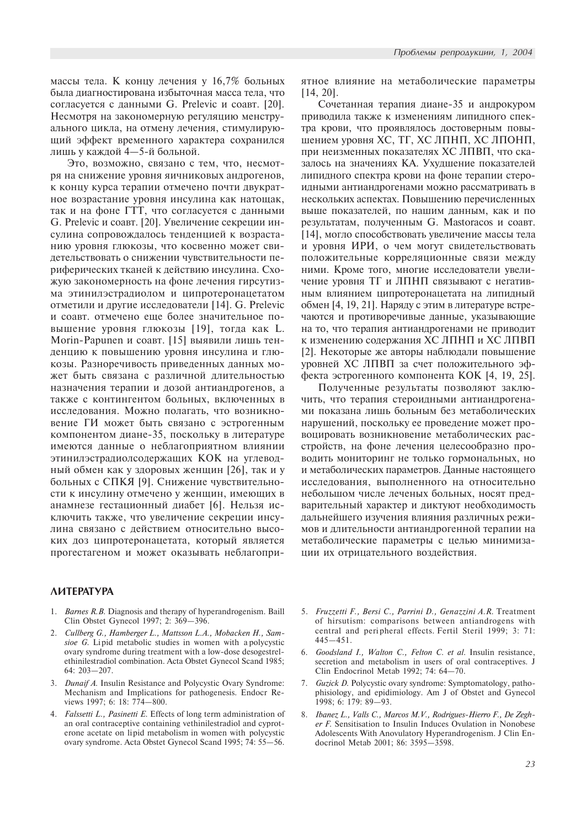массы тела. К концу лечения у  $16,7\%$  больных была диагностирована избыточная масса тела, что согласуется с данными G. Prelevic и соавт. [20]. Несмотря на закономерную регуляцию менструального цикла, на отмену лечения, стимулирующий эффект временного характера сохранился лишь у каждой 4-5-й больной.

Это, возможно, связано с тем, что, несмотря на снижение уровня яичниковых андрогенов, к концу курса терапии отмечено почти двукратное возрастание уровня инсулина как натощак, так и на фоне ГТТ, что согласуется с данными G. Prelevic и соавт. [20]. Увеличение секреции инсулина сопровождалось тенденцией к возрастанию уровня глюкозы, что косвенно может свидетельствовать о снижении чувствительности периферических тканей к действию инсулина. Схожую закономерность на фоне лечения гирсутизма этинилэстрадиолом и ципротеронацетатом отметили и другие исследователи [14]. G. Prelevic й соавт. отмечено еще более значительное повышение уровня глюкозы [19], тогда как L. Morin-Papunen и соавт. [15] выявили лишь тенденцию к повышению уровня инсулина и глюкозы. Разноречивость приведенных данных может быть связана с различной длительностью назначения терапии и дозой антиандрогенов, а также с контингентом больных, включенных в исследования. Можно полагать, что возникновение ГИ может быть связано с эстрогенным компонентом диане-35, поскольку в литературе имеются данные о неблагоприятном влиянии этинилэстрадиолсодержащих КОК на углеводный обмен как у здоровых женщин [26], так и у больных с СПКЯ [9]. Снижение чувствительности к инсулину отмечено у женщин, имеющих в анамнезе гестационный диабет [6]. Нельзя исключить также, что увеличение секреции инсулина связано с действием относительно высоких доз ципротеронацетата, который является прогестагеном и может оказывать неблагопри-

# *AUTEPATYPA*

- 1. *Barnes R.B.* Diagnosis and therapy of hyperandrogenism. Baill Clin Obstet Gynecol 1997; 2: 369-396.
- Cullberg G., Hamberger L., Mattsson L.A., Mobacken H., Samsioe G. Lipid metabolic studies in women with a polycystic ovary syndrome during treatment with a low-dose desogestrelethinilestradiol combination. Acta Obstet Gynecol Scand 1985; 64:  $203 - 207$ .
- 3. Dunaif A. Insulin Resistance and Polycystic Ovary Syndrome: Mechanism and Implications for pathogenesis. Endocr Reviews 1997; 6: 18: 774-800.
- 4. Falssetti L., Pasinetti E. Effects of long term administration of an oral contraceptive containing vethinilestradiol and cyproterone acetate on li pid metabolism in women with polycystic ovary syndrome. Acta Obstet Gynecol Scand 1995; 74: 55-56.

ятное влияние на метаболические параметры [14, 20].

Сочетанная терапия диане-35 и андрокуром приводила также к изменениям липидного спектра крови, что проявлялось достоверным повышением уровня ХС, ТГ, ХС ЛПНП, ХС ЛПОНП, при неизменных показателях ХС ЛПВП, что сказалось на значениях КА. Ухудшение показателей липидного спектра крови на фоне терапии стероидными антиандрогенами можно рассматривать в нескольких аспектах. Повышению перечисленных выше показателей, по нашим данным, как и по результатам, полученным G. Mastoracos и соавт.  $[14]$ , могло способствовать увеличение массы тела и уровня ИРИ, о чем могут свидетельствовать положительные корреляционные связи между ними. Кроме того, многие исследователи увеличение уровня ТГ и ЛПНП связывают с негативным влиянием ципротеронацетата на липидный обмен [4, 19, 21]. Наряду с этим в литературе встречаются и противоречивые данные, указывающие на то, что терапия антиандрогенами не приводит к изменению содержания ХС ЛПНП и ХС ЛПВП [2]. Некоторые же авторы наблюдали повышение уровней ХС ЛПВП за счет положительного эффекта эстрогенного компонента КОК [4, 19, 25].

Полученные результаты позволяют заключить, что терапия стероидными антиандрогенами показана лишь больным без метаболических нарушений, поскольку ее проведение может провоцировать возникновение метаболических расстройств, на фоне лечения целесообразно проводить мониторинг не только гормональных, но и метаболических параметров. Данные настоящего исследования, выполненного на относительно небольшом числе леченых больных, носят предварительный характер и диктуют необходимость дальнейшего изучения влияния различных режимов и длительности антиандрогенной терапии на метаболические параметры с целью минимизации их отрицательного воздействия.

- 5. Fruzzetti F., Bersi C., Parrini D., Genazzini A.R. Treatment of hirsutism: comparisons between antiandrogens with central and peripheral effects. Fertil Steril 1999; 3: 71:  $445 - 451$ .
- 6. Goodsland I., Walton C., Felton C. et al. Insulin resistance, secretion and metabolism in users of oral contraceptives. J Clin Endocrinol Metab 1992; 74: 64-70.
- 7. Guzick D. Polycystic ovary syndrome: Symptomatology, pathophisiology, and epidimiology. Am J of Obstet and Gynecol 1998; 6: 179: 89-93.
- 8. Ibanez L., Valls C., Marcos M.V., Rodrigues-Hierro F., De Zegher F. Sensitisation to Insulin Induces Ovulation in Nonobese Adolescents With Anovulatory Hyperandrogenism. J Clin Endocrinol Metab 2001; 86: 3595-3598.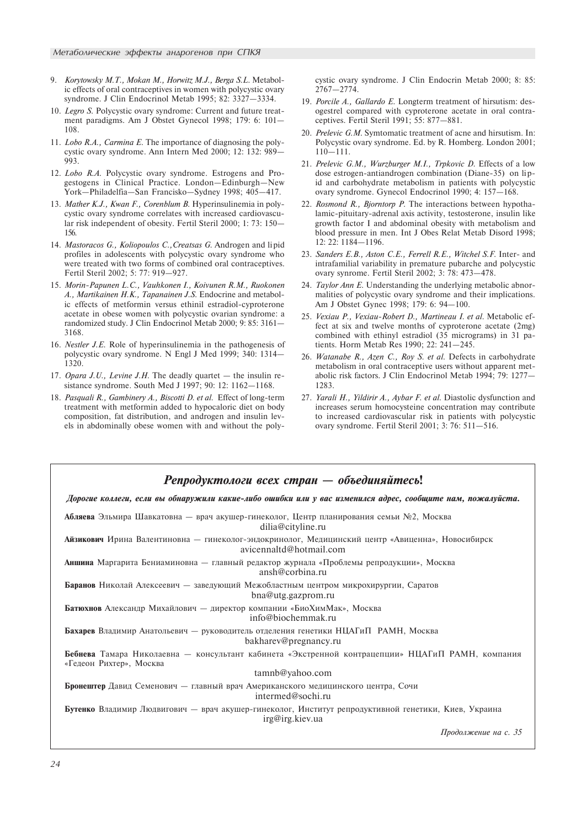- 9. Korytowsky M.T., Mokan M., Horwitz M.J., Berga S.L. Metabolic effects of oral contraceptives in women with polycystic ovary syndrome. J Clin Endocrinol Metab 1995; 82: 3327-3334.
- 10. Legro S. Polycystic ovary syndrome: Current and future treatment paradigms. Am J Obstet Gynecol 1998; 179: 6: 101 108.
- 11. Lobo R.A., Carmina E. The importance of diagnosing the polycystic ovary syndrome. Ann Intern Med 2000; 12: 132: 989 993.
- 12. Lobo R.A. Polycystic ovary syndrome. Estrogens and Progestogens in Clinical Practice. London-Edinburgh-New York-Philadelfia-San Francisko-Sydney 1998; 405-417.
- 13. Mather K.J., Kwan F., Corenblum B. Hyperinsulinemia in polycystic ovary syndrome correlates with increased cardiovascular risk independent of obesity. Fertil Steril 2000; 1: 73: 150 156.
- 14. Mastoracos G., Koliopoulos C., Creatsas G. Androgen and li pid profiles in adolescents with polycystic ovary syndrome who were treated with two forms of combined oral contraceptives. Fertil Steril 2002; 5: 77: 919-927.
- 15. Morin-Papunen L.C., Vauhkonen I., Koivunen R.M., Ruokonen A., Martikainen H.K., Tapanainen J.S. Endocrine and metabolic effects of metformin versus ethinil estradiol-cyproterone acetate in obese women with polycystic ovarian syndrome: a randomized study. J Clin Endocrinol Metab 2000; 9: 85: 3161 3168.
- 16. Nestler J.E. Role of hyperinsulinemia in the pathogenesis of polycystic ovary syndrome. N Engl J Med 1999; 340: 1314 1320.
- 17. Opara J.U., Levine J.H. The deadly quartet  $-$  the insulin resistance syndrome. South Med J 1997; 90: 12: 1162-1168.
- 18. Pasquali R., Gambinery A., Biscotti D. et al. Effect of long-term treatment with metformin added to hypocaloric diet on body composition, fat distribution, and androgen and insulin levels in abdominally obese women with and without the poly-

cystic ovary syndrome. J Clin Endocrin Metab 2000; 8: 85:  $2767 - 2774$ 

- 19. Porcile A., Gallardo E. Longterm treatment of hirsutism: desogestrel compared with cyproterone acetate in oral contraceptives. Fertil Steril 1991; 55: 877-881.
- 20. Prelevic G.M. Symtomatic treatment of acne and hirsutism. In: Polycystic ovary syndrome. Ed. by R. Homberg. London 2001;  $110 - 111.$
- 21. Prelevic G.M., Wurzburger M.I., Trpkovic D. Effects of a low dose estrogen-antiandrogen combination (Diane-35) on lipid and carbohydrate metabolism in patients with polycystic ovary syndrome. Gynecol Endocrinol 1990; 4: 157-168.
- 22. Rosmond R., Biorntorp P. The interactions between hypothalamic-pituitary-adrenal axis activity, testosterone, insulin like growth factor I and abdominal obesity with metabolism and blood pressure in men. Int J Obes Relat Metab Disord 1998; 12: 22: 1184-1196.
- 23. Sanders E.B., Aston C.E., Ferrell R.E., Witchel S.F. Inter- and intrafamilial variability in premature pubarche and polycystic ovary synrome. Fertil Steril 2002; 3: 78: 473-478.
- 24. Taylor Ann E. Understanding the underlying metabolic abnormalities of polycystic ovary syndrome and their implications. Am J Obstet Gynec 1998; 179: 6: 94-100.
- 25. Vexiau P., Vexiau-Robert D., Martineau I. et al. Metabolic effect at six and twelve months of cyproterone acetate (2mg) combined with ethinyl estradiol (35 micrograms) in 31 patients. Horm Metab Res 1990; 22: 241-245.
- 26. Watanabe R., Azen C., Roy S. et al. Defects in carbohydrate metabolism in oral contraceptive users without apparent metabolic risk factors. J Clin Endocrinol Metab 1994; 79: 1277 1283.
- 27. Yarali H., Yildirir A., Aybar F. et al. Diastolic dysfunction and increases serum homocysteine concentration may contribute to increased cardiovascular risk in patients with polycystic ovary syndrome. Fertil Steril 2001; 3: 76: 511-516.

| Репродуктологи всех стран — объединяйтесь!                                                                                  |
|-----------------------------------------------------------------------------------------------------------------------------|
| Дорогие коллеги, если вы обнаружили какие-либо ошибки или у вас изменился адрес, сообщите нам, пожалуйста.                  |
| Абляева Эльмира Шавкатовна — врач акушер-гинеколог, Центр планирования семьи №2, Москва<br>dilia@cityline.ru                |
| Айзикович Ирина Валентиновна — гинеколог-эндокринолог, Медицинский центр «Авиценна», Новосибирск<br>avicennaltd@hotmail.com |
| Аншина Маргарита Бениаминовна — главный редактор журнала «Проблемы репродукции», Москва<br>ansh@corbina.ru                  |
| Баранов Николай Алексеевич — заведующий Межобластным центром микрохирургии, Саратов<br>bna@utg.gazprom.ru                   |
| Батюхнов Александр Михайлович — директор компании «БиоХимМак», Москва<br>info@biochemmak.ru                                 |
| Бахарев Владимир Анатольевич — руководитель отделения генетики НЦАГиП РАМН, Москва<br>bakharev@pregnancy.ru                 |
| Бебнева Тамара Николаевна — консультант кабинета «Экстренной контрацепции» НЦАГиП РАМН, компания<br>«Гедеон Рихтер», Москва |
| tamnb@yahoo.com                                                                                                             |
| Бронештер Давид Семенович - главный врач Американского медицинского центра, Сочи<br>intermed@sochi.ru                       |
| Бутенко Владимир Людвигович — врач акушер-гинеколог, Институт репродуктивной генетики, Киев, Украина<br>irg@irg.kiev.ua     |
| Продолжение на с. 35                                                                                                        |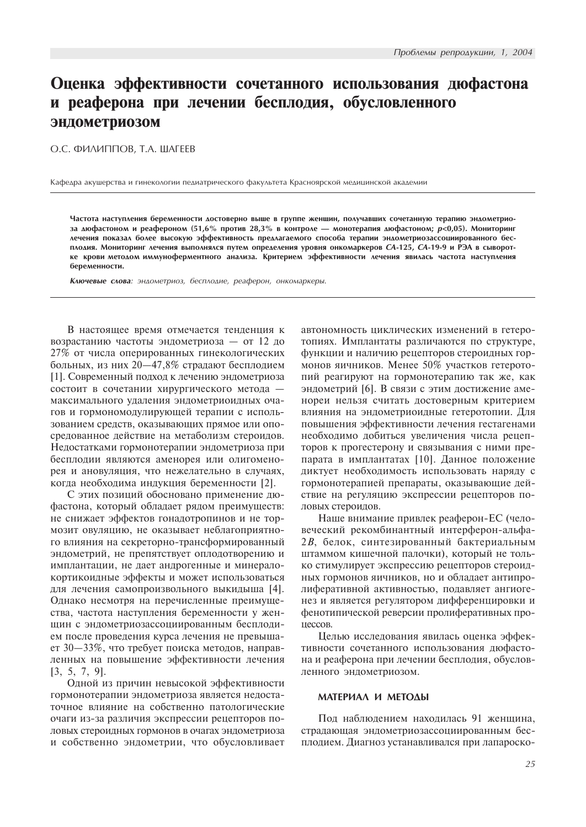# Оценка эффективности сочетанного использования дюфастона и реаферона при лечении бесплодия, обусловленного эндометриозом

# О.С. ФИЛИППОВ, Т.А. ШАГЕЕВ

Кафедра акушерства и гинекологии педиатрического факультета Красноярской медицинской академии

Частота наступления беременности достоверно выше в группе женшин, получавших сочетанную терапию эндометриоза дюфастоном и реафероном (51,6% против 28,3% в контроле — монотерапия дюфастоном;  $p$ <0,05). Мониторинг лечения показал более высокую эффективность предлагаемого способа терапии эндометриозассоциированного бесплодия. Мониторинг лечения выполнялся путем определения уровня онкомаркеров CA-125, CA-19-9 и РЭА в сыворотке крови методом иммуноферментного анализа. Критерием эффективности лечения явилась частота наступления беременности.

Ключевые слова: эндометриоз, бесплодие, реаферон, онкомаркеры.

В настоящее время отмечается тенденция к возрастанию частоты эндометриоза — от 12 до 27% от числа оперированных гинекологических больных, из них 20-47,8% страдают бесплодием [1]. Современный подход к лечению эндометриоза состоит в сочетании хирургического метода максимального удаления эндометриоидных очагов и гормономодулирующей терапии с использованием средств, оказывающих прямое или опосредованное действие на метаболизм стероидов. Недостатками гормонотерапии эндометриоза при бесплодии являются аменорея или олигоменорея и ановуляция, что нежелательно в случаях, когда необходима индукция беременности [2].

С этих позиций обосновано применение дюфастона, который обладает рядом преимуществ: не снижает эффектов гонадотропинов и не тормозит овуляцию, не оказывает неблагоприятного влияния на секреторно-трансформированный эндометрий, не препятствует оплодотворению и имплантации, не дает андрогенные и минералокортикоидные эффекты и может использоваться для лечения самопроизвольного выкидыша [4]. Однако несмотря на перечисленные преимущества, частота наступления беременности у женщин с эндометриозассоциированным бесплодием после проведения курса лечения не превышает 30 $-33\%$ , что требует поиска методов, направленных на повышение эффективности лечения [3, 5, 7, 9].

Одной из причин невысокой эффективности гормонотерапии эндометриоза является недостаточное влияние на собственно патологические очаги из-за различия экспрессии рецепторов половых стероидных гормонов в очагах эндометриоза и собственно эндометрии, что обусловливает автономность циклических изменений в гетеротопиях. Имплантаты различаются по структуре. функции и наличию рецепторов стероидных гормонов яичников. Менее 50% участков гетеротопий реагируют на гормонотерапию так же, как эндометрий [6]. В связи с этим достижение аменореи нельзя считать достоверным критерием влияния на эндометриоидные гетеротопии. Для повышения эффективности лечения гестагенами необходимо добиться увеличения числа рецепторов к прогестерону и связывания с ними препарата в имплантатах [10]. Данное положение диктует необходимость использовать наряду с гормонотерапией препараты, оказывающие действие на регуляцию экспрессии рецепторов половых стероилов.

Наше внимание привлек реаферон-ЕС (человеческий рекомбинантный интерферон-альфа- $2B$ , белок, синтезированный бактериальным штаммом кишечной палочки), который не только стимулирует экспрессию рецепторов стероидных гормонов яичников, но и обладает антипролиферативной активностью, подавляет ангиогенез и является регулятором дифференцировки и фенотипической реверсии пролиферативных про-LIECCOB.

Целью исследования явилась оценка эффективности сочетанного использования дюфастона и реаферона при лечении бесплодия, обусловленного эндометриозом.

#### MATEPHAA H METOAH

Под наблюдением находилась 91 женщина, страдающая эндометриозассоциированным бесплодием. Диагноз устанавливался при лапароско-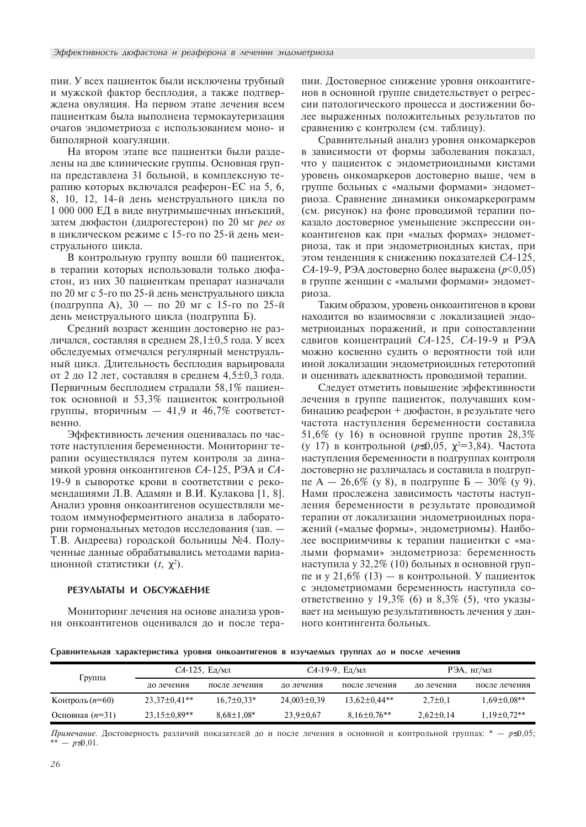пии. У всех пациенток были исключены трубный и мужской фактор бесплодия, а также подтверждена овуляция. На первом этапе лечения всем пациенткам была выполнена термокаутеризация очагов эндометриоза с использованием моно- и биполярной коагуляции.

На втором этапе все пациентки были разделены на две клинические группы. Основная группа представлена 31 больной, в комплексную терапию которых включался реаферон-ЕС на 5, 6, 8, 10, 12, 14-й день менструального цикла по 1 000 000 ЕД в виде внутримышечных инъекций, затем дюфастон (дидрогестерон) по 20 мг рег оз в циклическом режиме с 15-го по 25-й день менструального цикла.

В контрольную группу вошли 60 пациенток, в терапии которых использовали только дюфастон, из них 30 пациенткам препарат назначали по 20 мг с 5-го по 25-й день менструального цикла (подгруппа А),  $30 -$  по 20 мг с 15-го по 25-й день менструального цикла (подгруппа Б).

Средний возраст женщин достоверно не различался, составляя в среднем 28,1 $\pm$ 0,5 года. У всех обследуемых отмечался регулярный менструальный цикл. Длительность бесплодия варьировала от 2 до 12 лет, составляя в среднем  $4,5\pm0,3$  года. Первичным бесплодием страдали 58,1% пациенток основной и 53,3% пациенток контрольной группы, вторичным  $-41,9$  и  $46,7\%$  соответственно.

Эффективность лечения оценивалась по частоте наступления беременности. Мониторинг терапии осуществлялся путем контроля за динамикой уровня онкоантигенов *СА*-125, РЭА и СА-19-9 в сыворотке крови в соответствии с рекомендациями Л.В. Адамян и В.И. Кулакова [1, 8]. Анализ уровня онкоантигенов осуществляли методом иммуноферментного анализа в лаборатории гормональных методов исследования (зав. — Т.В. Андреева) городской больницы №4. Полученные данные обрабатывались методами вариационной статистики  $(t, \chi^2)$ .

#### РЕЗУЛЬТАТЫ И ОБСУЖДЕНИЕ

Мониторинг лечения на основе анализа уровня онкоантигенов оценивался до и после терапии. Достоверное снижение уровня онкоантигенов в основной группе свидетельствует о регрессии патологического процесса и достижении более выраженных положительных результатов по сравнению с контролем (см. таблицу).

Сравнительный анализ уровня онкомаркеров в зависимости от формы заболевания показал, что у пациенток с эндометриоидными кистами уровень онкомаркеров достоверно выше, чем в группе больных с «малыми формами» эндометриоза. Сравнение динамики онкомаркерограмм (см. рисунок) на фоне проводимой терапии показало достоверное уменьшение экспрессии онкоантигенов как при «малых формах» эндометриоза, так и при эндометриоидных кистах, при этом тенденция к снижению показателей  $CA-125$ ,  $CA-19-9$ , РЭА достоверно более выражена ( $p<0,05$ ) в группе женщин с «малыми формами» эндометриоза.

Таким образом, уровень онкоантигенов в крови находится во взаимосвязи с локализацией эндометриоидных поражений, и при сопоставлении сдвигов концентраций СА-125, СА-19-9 и РЭА можно косвенно судить о вероятности той или иной локализации эндометриоидных гетеротопий и оценивать адекватность проводимой терапии.

Следует отметить повышение эффективности лечения в группе пациенток, получавших комбинацию реаферон + дюфастон, в результате чего частота наступления беременности составила  $51,6\%$  (у 16) в основной группе против 28,3% (у 17) в контрольной ( $p$ ≤0,05,  $\chi$ <sup>2=3</sup>,84). Частота наступления беременности в подгруппах контроля достоверно не различалась и составила в подгруппе А — 26,6% (у 8), в подгруппе Б — 30% (у 9). Нами прослежена зависимость частоты наступления беременности в результате проводимой терапии от локализации эндометриоидных поражений («малые формы», эндометриомы). Наиболее восприимчивы к терапии пациентки с «малыми формами» эндометриоза: беременность наступила у 32,2% (10) больных в основной группе и у 21,6% (13) — в контрольной. У пациенток с эндометриомами беременность наступила соответственно у 19,3% (6) и 8,3% (5), что указывает на меньшую результативность лечения у данного контингента больных.

Сравнительная характеристика уровня онкоантигенов в изучаемых группах до и после лечения

|                          | $CA-125$ , Ед/мл   |                  | СА-19-9, Ед/мл    |                    | РЭА, нг/мл      |                    |
|--------------------------|--------------------|------------------|-------------------|--------------------|-----------------|--------------------|
| Группа                   | ло лечения         | после лечения    | ло лечения        | после лечения      | ло лечения      | после лечения      |
| Контроль ( <i>n</i> =60) | $23.37 \pm 0.41**$ | $16.7 \pm 0.33*$ | $24.003 \pm 0.39$ | $13.62 \pm 0.44**$ | $2.7 \pm 0.1$   | $1.69 \pm 0.08$ ** |
| Основная $(n=31)$        | $23,15\pm0.89**$   | $8.68 \pm 1.08*$ | $23.9 \pm 0.67$   | $8.16 \pm 0.76$ ** | $2.62 \pm 0.14$ | $1,19\pm0.72**$    |

Примечание. Достоверность различий показателей до и после лечения в основной и контрольной группах: \* -  $p \le 0,05$ ;  $- p \leq 0.01$ .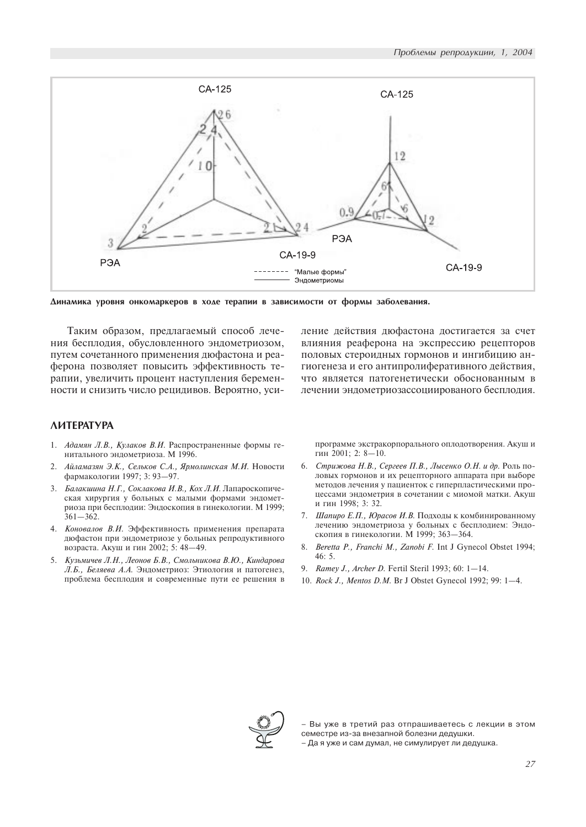

Динамика уровня онкомаркеров в ходе терапии в зависимости от формы заболевания.

Таким образом, предлагаемый способ лечения бесплодия, обусловленного эндометриозом, путем сочетанного применения дюфастона и реаферона позволяет повысить эффективность терапии, увеличить процент наступления беременности и снизить число рецидивов. Вероятно, уси-

# **AMTEPATYPA**

- 1. Адамян Л.В., Кулаков В.И. Распространенные формы генитального эндометриоза. М 1996.
- 2. Айламазян Э.К., Сельков С.А., Ярмолинская М.И. Новости фармакологии 1997; 3: 93-97.
- 3. *Балакшина Н.Г., Соклакова И.В., Кох Л.И.* Лапароскопическая хирургия у больных с малыми формами эндометриоза при бесплодии: Эндоскопия в гинекологии. М 1999;  $361 - 362.$
- 4. Коновалов В.И. Эффективность применения препарата дюфастон при эндометриозе у больных репродуктивного возраста. Акуш и гин 2002; 5: 48-49.
- 5. Кузьмичев Л.Н., Леонов Б.В., Смольникова В.Ю., Киндарова Л.Б., Беляева А.А. Эндометриоз: Этиология и патогенез, проблема бесплодия и современные пути ее решения в

ление действия дюфастона достигается за счет влияния реаферона на экспрессию рецепторов половых стероидных гормонов и ингибицию ангиогенеза и его антипролиферативного действия, что является патогенетически обоснованным в лечении эндометриозассоциированого бесплодия.

программе экстракорпорального оплодотворения. Акуш и гин 2001; 2: 8-10.

- 6. Стрижова Н.В., Сергеев П.В., Лысенко О.Н. и др. Роль половых гормонов и их рецепторного аппарата при выборе методов лечения у пациенток с гиперпластическими процессами эндометрия в сочетании с миомой матки. Акуш и гин 1998; 3: 32.
- 7. Шапиро Е.П., Юрасов И.В. Подходы к комбинированному лечению эндометриоза у больных с бесплодием: Эндоскопия в гинекологии. М 1999; 363-364.
- 8. Beretta P., Franchi M., Zanobi F. Int J Gynecol Obstet 1994; 46: 5.
- 9. Ramey J., Archer D. Fertil Steril 1993; 60: 1-14.
- 10. Rock J., Mentos D.M. Br J Obstet Gynecol 1992; 99: 1-4.



– Вы уже в третий раз отпрашиваетесь с лекции в этом семестре из-за внезапной болезни дедушки.

– Да я уже и сам думал, не симулирует ли дедушка.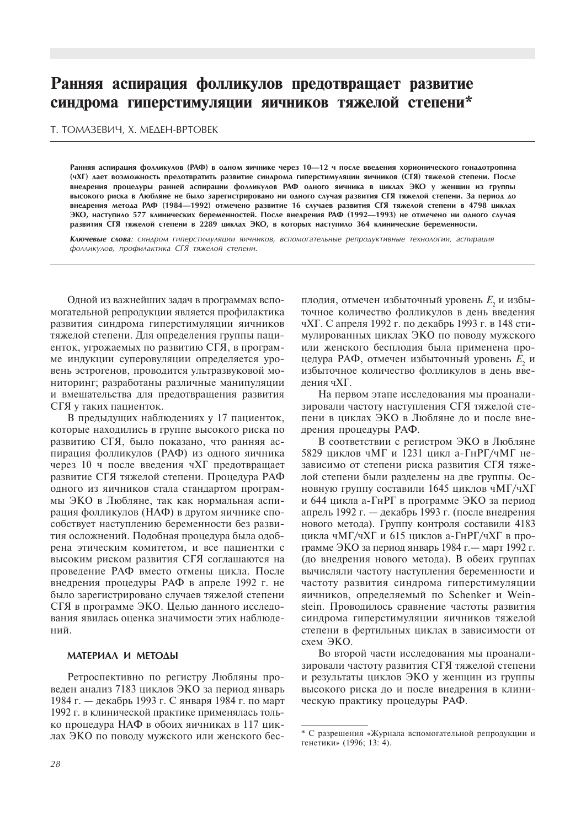# Ранняя аспирация фолликулов предотвращает развитие синдрома гиперстимуляции яичников тяжелой степени\*

### Т. ТОМАЗЕВИЧ, Х. МЕДЕН-ВРТОВЕК

Ранняя аспирация фолликулов (РАФ) в одном яичнике через 10-12 ч после введения хорионического гонадотропина (чХГ) дает возможность предотвратить развитие синдрома гиперстимуляции яичников (СГЯ) тяжелой степени. После внедрения процедуры ранней аспирации фолликулов РАФ одного яичника в циклах ЭКО у женщин из группы высокого риска в Любляне не было зарегистрировано ни одного случая развития СГЯ тяжелой степени. За период до внедрения метода РАФ (1984—1992) отмечено развитие 16 случаев развития СГЯ тяжелой степени в 4798 циклах ЭКО, наступило 577 клинических беременностей. После внедрения РАФ (1992—1993) не отмечено ни одного случая развития СГЯ тяжелой степени в 2289 циклах ЭКО, в которых наступило 364 клинические беременности.

Ключевые слова: синдром гиперстимуляции яичников, вспомогательные репродуктивные технологии, аспирация фолликулов, профилактика СГЯ тяжелой степени.

Одной из важнейших задач в программах вспомогательной репродукции является профилактика развития синдрома гиперстимуляции яичников тяжелой степени. Для определения группы пациенток, угрожаемых по развитию СГЯ, в программе индукции суперовуляции определяется уровень эстрогенов, проводится ультразвуковой мониторинг: разработаны различные манипуляции и вмешательства для предотвращения развития СГЯ у таких пациенток.

В предыдущих наблюдениях у 17 пациенток, которые находились в группе высокого риска по развитию СГЯ, было показано, что ранняя аспирация фолликулов (РАФ) из одного яичника через 10 ч после введения чХГ предотвращает развитие СГЯ тяжелой степени. Процедура РАФ одного из яичников стала стандартом программы ЭКО в Любляне, так как нормальная аспирация фолликулов (НАФ) в другом яичнике способствует наступлению беременности без развития осложнений. Подобная процедура была одобрена этическим комитетом, и все пациентки с высоким риском развития СГЯ соглашаются на проведение РАФ вместо отмены цикла. После внедрения процедуры РАФ в апреле 1992 г. не было зарегистрировано случаев тяжелой степени СГЯ в программе ЭКО. Целью данного исследования явилась оценка значимости этих наблюдений

#### МАТЕРИАЛ И МЕТОДЫ

Ретроспективно по регистру Любляны проведен анализ 7183 циклов ЭКО за период январь 1984 г. – декабрь 1993 г. С января 1984 г. по март 1992 г. в клинической практике применялась только процедура НАФ в обоих яичниках в 117 циклах ЭКО по поводу мужского или женского бесплодия, отмечен избыточный уровень Е, и избыточное количество фолликулов в день введения чХГ. С апреля 1992 г. по декабрь 1993 г. в 148 стимулированных циклах ЭКО по поводу мужского или женского бесплодия была применена процедура РАФ, отмечен избыточный уровень Е, и избыточное количество фолликулов в день ввеления чХГ.

На первом этапе исследования мы проанализировали частоту наступления СГЯ тяжелой степени в циклах ЭКО в Любляне до и после внелрения процедуры РАФ.

В соответствии с регистром ЭКО в Любляне 5829 циклов чМГ и 1231 цикл а-ГнРГ/чМГ независимо от степени риска развития СГЯ тяжелой степени были разделены на две группы. Основную группу составили 1645 циклов чМГ/чХГ и 644 цикла а-ГнРГ в программе ЭКО за период апрель 1992 г. - декабрь 1993 г. (после внедрения нового метода). Группу контроля составили 4183 цикла чМГ/чХГ и 615 циклов а-ГнРГ/чХГ в программе ЭКО за период январь 1984 г. — март 1992 г. (до внедрения нового метода). В обеих группах вычисляли частоту наступления беременности и частоту развития синдрома гиперстимуляции яичников, определяемый по Schenker и Weinstein. Проводилось сравнение частоты развития синдрома гиперстимуляции яичников тяжелой степени в фертильных циклах в зависимости от схем ЭКО.

Во второй части исследования мы проанализировали частоту развития СГЯ тяжелой степени и результаты циклов ЭКО у женщин из группы высокого риска до и после внедрения в клиническую практику процедуры РАФ.

<sup>\*</sup> С разрешения «Журнала вспомогательной репродукции и генетики» (1996; 13: 4).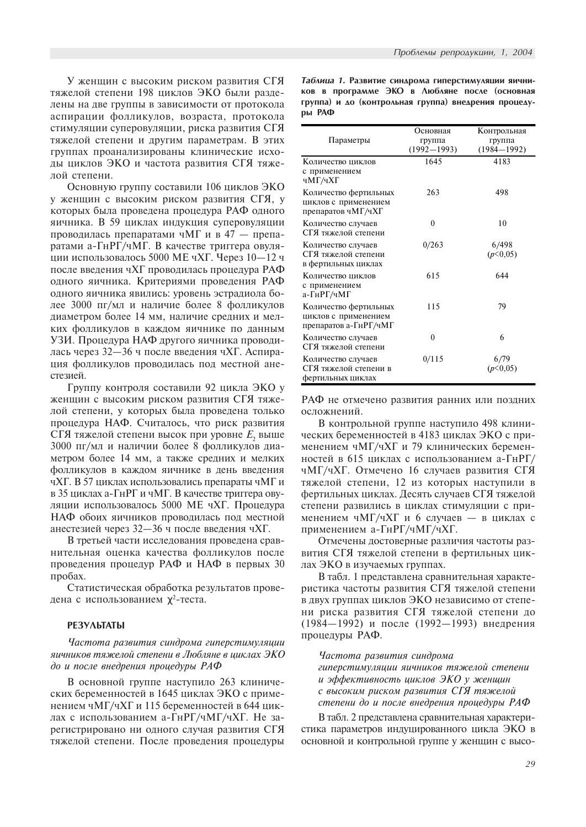У женщин с высоким риском развития СГЯ тяжелой степени 198 циклов ЭКО были разделены на две группы в зависимости от протокола аспирации фолликулов, возраста, протокола стимуляции суперовуляции, риска развития СГЯ тяжелой степени и другим параметрам. В этих группах проанализированы клинические исходы циклов ЭКО и частота развития СГЯ тяжелой степени.

Основную группу составили 106 циклов ЭКО у женщин с высоким риском развития СГЯ, у которых была проведена процедура РАФ одного яичника. В 59 циклах индукция суперовуляции проводилась препаратами чМГ и в 47 — препаратами а-ГнРГ/чМГ. В качестве триггера овуляции использовалось 5000 МЕ чХГ. Через 10-12 ч после введения чХГ проводилась процедура РАФ одного яичника. Критериями проведения РАФ одного яичника явились: уровень эстрадиола более 3000 пг/мл и наличие более 8 фолликулов диаметром более 14 мм, наличие средних и мелких фолликулов в каждом яичнике по данным УЗИ. Процедура НАФ другого яичника проводилась через 32—36 ч после введения чХГ. Аспирация фолликулов проводилась под местной анестезией.

Группу контроля составили 92 цикла ЭКО у женщин с высоким риском развития СГЯ тяжелой степени, у которых была проведена только процедура НАФ. Считалось, что риск развития СГЯ тяжелой степени высок при уровне  $E_{2}$  выше 3000 пг/мл и наличии более 8 фолликулов диаметром более 14 мм, а также средних и мелких фолликулов в каждом яичнике в день введения чХГ. В 57 циклах использовались препараты чМГ и в 35 циклах а-ГнРГ и чМГ. В качестве триггера овуляции использовалось 5000 МЕ чХГ. Процедура НАФ обоих яичников проводилась под местной анестезией через 32—36 ч после введения чХГ.

В третьей части исследования проведена сравнительная оценка качества фолликулов после проведения процедур РАФ и НАФ в первых 30 пробах.

Статистическая обработка результатов проведена с использованием  $\chi^2$ -теста.

#### РЕЗУЛЬТАТЫ

Частота развития синдрома гиперстимуляции яичников тяжелой степени в Любляне в циклах ЭКО до и после внедрения процедуры  $PA\Phi$ 

В основной группе наступило 263 клинических беременностей в 1645 циклах ЭКО с применением чМГ/чХГ и 115 беременностей в 644 циклах с использованием а-ГнРГ/чМГ/чХГ. Не зарегистрировано ни одного случая развития СГЯ тяжелой степени. После проведения процедуры

Таблица 1. Развитие синдрома гиперстимуляции яичников в программе ЭКО в Любляне после (основная группа) и до (контрольная группа) внедрения процедуры РАФ

| Параметры                                                              | Основная<br>группа<br>$(1992 - 1993)$ | Контрольная<br>группа<br>$(1984 - 1992)$ |
|------------------------------------------------------------------------|---------------------------------------|------------------------------------------|
| Количество циклов<br>с применением<br>чМГ/чХГ                          | 1645                                  | 4183                                     |
| Количество фертильных<br>циклов с применением<br>препаратов чМГ/чХГ    | 263                                   | 498                                      |
| Количество случаев<br>СГЯ тяжелой степени                              | $\theta$                              | 10                                       |
| Количество случаев<br>СГЯ тяжелой степени<br>в фертильных циклах       | 0/263                                 | 6/498<br>(p<0.05)                        |
| Количество циклов<br>с применением<br>а-ГнРГ/чМГ                       | 615                                   | 644                                      |
| Количество фертильных<br>циклов с применением<br>препаратов а-ГнРГ/чМГ | 115                                   | 79                                       |
| Количество случаев<br>СГЯ тяжелой степени                              | $\theta$                              | 6                                        |
| Количество случаев<br>СГЯ тяжелой степени в<br>фертильных циклах       | 0/115                                 | 6/79<br>(p<0.05)                         |

РАФ не отмечено развития ранних или поздних осложнений.

В контрольной группе наступило 498 клинических беременностей в 4183 циклах ЭКО с применением чМГ/чХГ и 79 клинических беременностей в 615 циклах с использованием а-ГнРГ/ чМГ/чХГ. Отмечено 16 случаев развития СГЯ тяжелой степени, 12 из которых наступили в фертильных циклах. Десять случаев СГЯ тяжелой степени развились в циклах стимуляции с применением чМГ/чХГ и 6 случаев — в циклах с применением а-ГнРГ/чМГ/чХГ.

Отмечены достоверные различия частоты развития СГЯ тяжелой степени в фертильных циклах ЭКО в изучаемых группах.

В табл. 1 представлена сравнительная характеристика частоты развития СГЯ тяжелой степени в двух группах циклов ЭКО независимо от степени риска развития СГЯ тяжелой степени до  $(1984-1992)$  и после (1992-1993) внедрения процедуры РАФ.

### Частота развития синдрома

гиперстимуляции яичников тяжелой степени  $\mu$  эффективность циклов ЭКО у женщин с высоким риском развития СГЯ тяжелой степени до и после внедрения процедуры РАФ

В табл. 2 представлена сравнительная характеристика параметров индуцированного цикла ЭКО в основной и контрольной группе у женщин с высо-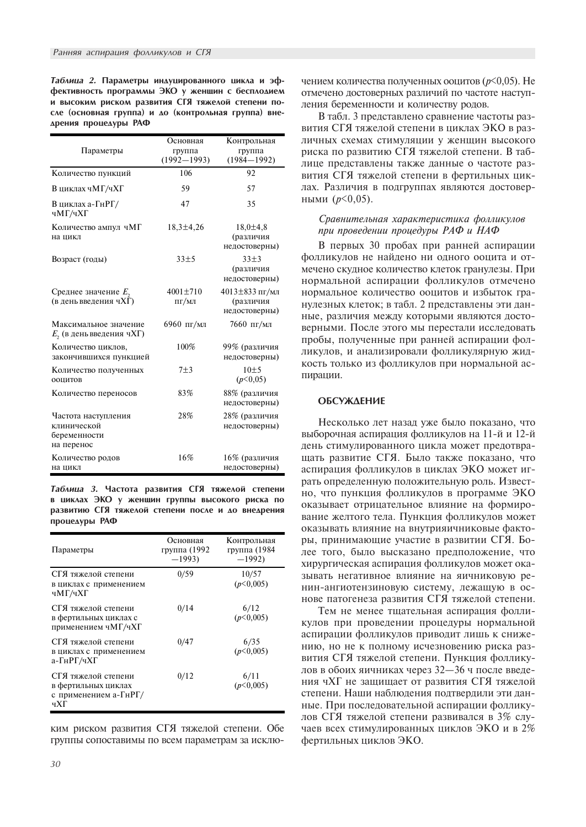Таблица 2. Параметры индуцированного цикла и эффективность программы ЭКО у женщин с бесплодием и высоким риском развития СГЯ тяжелой степени после (основная группа) и до (контрольная группа) внедрения процедуры РАФ

| Параметры                                                        | Основная<br>группа<br>$(1992 - 1993)$ | Контрольная<br>группа<br>$(1984 - 1992)$           |
|------------------------------------------------------------------|---------------------------------------|----------------------------------------------------|
| Количество пункций                                               | 106                                   | 92                                                 |
| В циклах чМГ/чХГ                                                 | 59                                    | 57                                                 |
| В циклах а-ГнРГ/<br>чМГ/чХГ                                      | 47                                    | 35                                                 |
| Количество ампул чМГ<br>на цикл                                  | $18,3 \pm 4,26$                       | $18,0{\pm}4,8$<br>(различия<br>недостоверны)       |
| Возраст (годы)                                                   | $33 + 5$                              | $33 + 3$<br>(различия<br>недостоверны)             |
| Среднее значение $E_2$<br>(в день введения чХГ)                  | $4001 \pm 710$<br>ПГ/МЛ               | $4013 \pm 833$ пг/мл<br>(различия<br>недостоверны) |
| Максимальное значение<br>$E$ , (в день введения ч $X\Gamma$ )    | 6960 пг/мл                            | 7660 пг/мл                                         |
| Количество циклов,<br>закончившихся пункцией                     | 100%                                  | 99% (различия<br>недостоверны)                     |
| Количество полученных<br>ооцитов                                 | $7 + 3$                               | $10+5$<br>(p<0.05)                                 |
| Количество переносов                                             | 83%                                   | 88% (различия<br>недостоверны)                     |
| Частота наступления<br>клинической<br>беременности<br>на перенос | 28%                                   | 28% (различия<br>недостоверны)                     |
| Количество родов<br>на цикл                                      | 16%                                   | 16% (различия<br>недостоверны)                     |

Таблица 3. Частота развития СГЯ тяжелой степени в циклах ЭКО у женщин группы высокого риска по развитию СГЯ тяжелой степени после и до внедрения процедуры РАФ

| Параметры                                                                  | Основная<br>группа (1992<br>$-1993$ | Контрольная<br>группа (1984<br>$-1992$ |
|----------------------------------------------------------------------------|-------------------------------------|----------------------------------------|
| СГЯ тяжелой степени<br>в циклах с применением<br>чМГ/чХГ                   | 0/59                                | 10/57<br>(p<0.005)                     |
| СГЯ тяжелой степени<br>в фертильных циклах с<br>применением чМГ/чХГ        | 0/14                                | 6/12<br>(p<0,005)                      |
| СГЯ тяжелой степени<br>в циклах с применением<br>а-ГнРГ/чХГ                | 0/47                                | 6/35<br>(p<0,005)                      |
| СГЯ тяжелой степени<br>в фертильных циклах<br>с применением а-ГнРГ/<br>чХГ | 0/12                                | 6/11<br>(p<0.005)                      |

ким риском развития СГЯ тяжелой степени. Обе группы сопоставимы по всем параметрам за исключением количества полученных ооцитов ( $p$ <0,05). Не отмечено достоверных различий по частоте наступления беременности и количеству родов.

В табл. 3 представлено сравнение частоты развития СГЯ тяжелой степени в циклах ЭКО в различных схемах стимуляции у женщин высокого риска по развитию СГЯ тяжелой степени. В таблице представлены также данные о частоте развития СГЯ тяжелой степени в фертильных циклах. Различия в подгруппах являются достоверными  $(p<0,05)$ .

# Сравнительная характеристика фолликулов при проведении процедуры РАФ и НАФ

В первых 30 пробах при ранней аспирации фолликулов не найдено ни одного ооцита и отмечено скудное количество клеток гранулезы. При нормальной аспирации фолликулов отмечено нормальное количество ооцитов и избыток гранулезных клеток; в табл. 2 представлены эти данные, различия между которыми являются достоверными. После этого мы перестали исследовать пробы, полученные при ранней аспирации фолликулов, и анализировали фолликулярную жидкость только из фолликулов при нормальной аспирации.

#### **ОБСУЖДЕНИЕ**

Несколько лет назад уже было показано, что выборочная аспирация фолликулов на 11-й и 12-й день стимулированного цикла может предотвращать развитие СГЯ. Было также показано, что аспирация фолликулов в циклах ЭКО может играть определенную положительную роль. Известно, что пункция фолликулов в программе ЭКО оказывает отрицательное влияние на формирование желтого тела. Пункция фолликулов может оказывать влияние на внутрияичниковые факторы, принимающие участие в развитии СГЯ. Более того, было высказано предположение, что хирургическая аспирация фолликулов может оказывать негативное влияние на яичниковую ренин-ангиотензиновую систему, лежащую в основе патогенеза развития СГЯ тяжелой степени.

Тем не менее тщательная аспирация фолликулов при проведении процедуры нормальной аспирации фолликулов приводит лишь к снижению, но не к полному исчезновению риска развития СГЯ тяжелой степени. Пункция фолликулов в обоих яичниках через 32-36 ч после введения чХГ не защищает от развития СГЯ тяжелой степени. Наши наблюдения подтвердили эти данные. При последовательной аспирации фолликулов СГЯ тяжелой степени развивался в 3% случаев всех стимулированных циклов ЭКО и в 2% фертильных циклов ЭКО.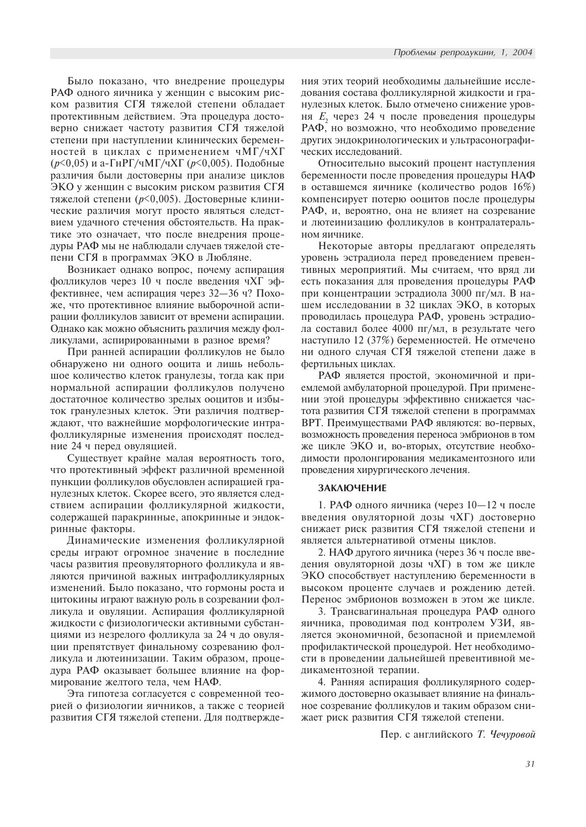Было показано, что внедрение процедуры РАФ одного яичника у женщин с высоким риском развития СГЯ тяжелой степени обладает протективным действием. Эта процедура достоверно снижает частоту развития СГЯ тяжелой степени при наступлении клинических беременностей в циклах с применением чМГ/чХГ  $(p<0.05)$  и а-ГнРГ/чМГ/чХГ ( $p<0.005$ ). Подобные различия были достоверны при анализе циклов ЭКО у женщин с высоким риском развития СГЯ тяжелой степени (р<0,005). Достоверные клинические различия могут просто являться следствием удачного стечения обстоятельств. На практике это означает, что после внедрения процедуры РАФ мы не наблюдали случаев тяжелой степени СГЯ в программах ЭКО в Любляне.

Возникает однако вопрос, почему аспирация фолликулов через 10 ч после введения чХГ эффективнее, чем аспирация через 32-36 ч? Похоже, что протективное влияние выборочной аспирации фолликулов зависит от времени аспирации. Однако как можно объяснить различия между фолликулами, аспирированными в разное время?

При ранней аспирации фолликулов не было обнаружено ни одного ооцита и лишь небольшое количество клеток гранулезы, тогда как при нормальной аспирации фолликулов получено достаточное количество зрелых ооцитов и избыток гранулезных клеток. Эти различия подтверждают, что важнейшие морфологические интрафолликулярные изменения происходят последние 24 ч перед овуляцией.

Существует крайне малая вероятность того, что протективный эффект различной временной пункции фолликулов обусловлен аспирацией гранулезных клеток. Скорее всего, это является следствием аспирации фолликулярной жидкости, содержащей паракринные, апокринные и эндокринные факторы.

Динамические изменения фолликулярной среды играют огромное значение в последние часы развития преовуляторного фолликула и являются причиной важных интрафолликулярных изменений. Было показано, что гормоны роста и цитокины играют важную роль в созревании фолликула и овуляции. Аспирация фолликулярной жидкости с физиологически активными субстанциями из незрелого фолликула за 24 ч до овуляции препятствует финальному созреванию фолликула и лютеинизации. Таким образом, процедура РАФ оказывает большее влияние на формирование желтого тела, чем НАФ.

Эта гипотеза согласуется с современной теорией о физиологии яичников, а также с теорией развития СГЯ тяжелой степени. Для подтверждения этих теорий необходимы дальнейшие исследования состава фолликулярной жидкости и гранулезных клеток. Было отмечено снижение уровня Е, через 24 ч после проведения процедуры РАФ, но возможно, что необходимо проведение других эндокринологических и ультрасонографических исследований.

Относительно высокий процент наступления беременности после проведения процедуры НАФ в оставшемся яичнике (количество родов 16%) компенсирует потерю ооцитов после процедуры РАФ, и, вероятно, она не влияет на созревание и лютеинизацию фолликулов в контралатеральном яичнике.

Некоторые авторы предлагают определять уровень эстрадиола перед проведением превентивных мероприятий. Мы считаем, что вряд ли есть показания для проведения процедуры РАФ при концентрации эстрадиола 3000 пг/мл. В нашем исследовании в 32 циклах ЭКО, в которых проводилась процедура РАФ, уровень эстрадиола составил более 4000 пг/мл, в результате чего наступило 12 (37%) беременностей. Не отмечено ни одного случая СГЯ тяжелой степени даже в фертильных циклах.

РАФ является простой, экономичной и приемлемой амбулаторной процедурой. При применении этой процедуры эффективно снижается частота развития СГЯ тяжелой степени в программах ВРТ. Преимуществами РАФ являются: во-первых, возможность проведения переноса эмбрионов в том же цикле ЭКО и, во-вторых, отсутствие необходимости пролонгирования медикаментозного или проведения хирургического лечения.

# **ЗАКЛЮЧЕНИЕ**

1. РАФ одного яичника (через 10-12 ч после введения овуляторной дозы чХГ) достоверно снижает риск развития СГЯ тяжелой степени и является альтернативой отмены циклов.

2. НАФ другого яичника (через 36 ч после введения овуляторной дозы чХГ) в том же цикле ЭКО способствует наступлению беременности в высоком проценте случаев и рождению детей. Перенос эмбрионов возможен в этом же цикле.

3. Трансвагинальная процедура РАФ одного яичника, проводимая под контролем УЗИ, является экономичной, безопасной и приемлемой профилактической процедурой. Нет необходимости в проведении дальнейшей превентивной медикаментозной терапии.

4. Ранняя аспирация фолликулярного содержимого достоверно оказывает влияние на финальное созревание фолликулов и таким образом снижает риск развития СГЯ тяжелой степени.

Пер. с английского Т. Чечуровой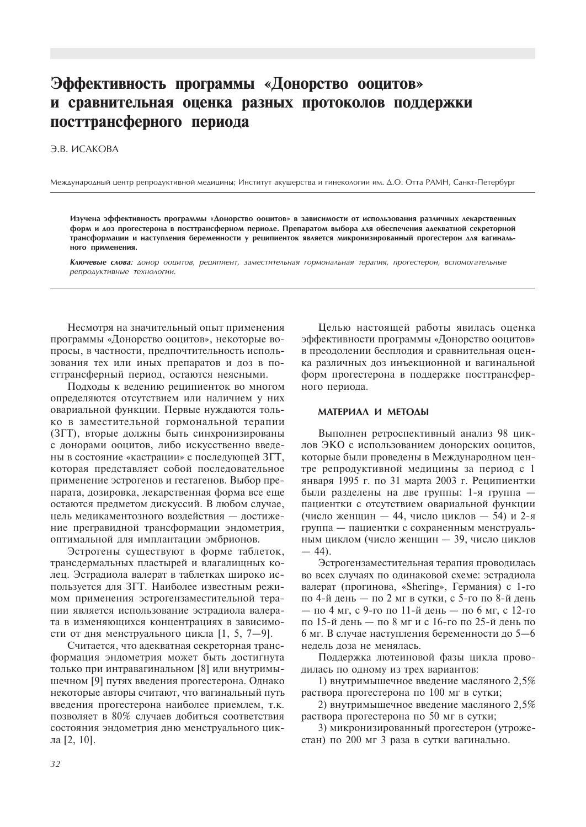# Эффективность программы «Донорство ооцитов» и сравнительная оценка разных протоколов поддержки посттрансферного периода

# Э.В. ИСАКОВА

Международный центр репродуктивной медицины; Институт акушерства и гинекологии им. Д.О. Отта РАМН, Санкт-Петербург

Изучена эффективность программы «Донорство ооцитов» в зависимости от использования различных лекарственных форм и доз прогестерона в посттрансферном периоде. Препаратом выбора для обеспечения адекватной секреторной трансформации и наступления беременности у реципиенток является микронизированный прогестерон для вагинального применения.

Ключевые слова: донор ооцитов, реципиент, заместительная гормональная терапия, прогестерон, вспомогательные репродуктивные технологии.

Несмотря на значительный опыт применения программы «Донорство ооцитов», некоторые вопросы, в частности, предпочтительность использования тех или иных препаратов и доз в посттрансферный период, остаются неясными.

Подходы к ведению реципиенток во многом определяются отсутствием или наличием у них овариальной функции. Первые нуждаются только в заместительной гормональной терапии (ЗГТ), вторые должны быть синхронизированы с донорами ооцитов, либо искусственно введены в состояние «кастрации» с последующей ЗГТ, которая представляет собой последовательное применение эстрогенов и гестагенов. Выбор препарата, дозировка, лекарственная форма все еще остаются предметом дискуссий. В любом случае. цель медикаментозного воздействия - достижение прегравидной трансформации эндометрия, оптимальной для имплантации эмбрионов.

Эстрогены существуют в форме таблеток, трансдермальных пластырей и влагалищных колец. Эстрадиола валерат в таблетках широко используется для ЗГТ. Наиболее известным режимом применения эстрогензаместительной терапии является использование эстрадиола валерата в изменяющихся концентрациях в зависимости от дня менструального цикла [1, 5, 7-9].

Считается, что адекватная секреторная трансформация эндометрия может быть достигнута только при интравагинальном [8] или внутримышечном [9] путях введения прогестерона. Однако некоторые авторы считают, что вагинальный путь введения прогестерона наиболее приемлем, т.к. позволяет в 80% случаев добиться соответствия состояния эндометрия дню менструального цикла [2, 10].

Целью настоящей работы явилась оценка эффективности программы «Донорство ооцитов» в преодолении бесплодия и сравнительная оценка различных доз инъекционной и вагинальной форм прогестерона в поддержке посттрансферного периода.

#### МАТЕРИАЛ И МЕТОДЫ

Выполнен ретроспективный анализ 98 циклов ЭКО с использованием донорских ооцитов, которые были проведены в Международном центре репродуктивной медицины за период с 1 января 1995 г. по 31 марта 2003 г. Реципиентки были разделены на две группы: 1-я группа пациентки с отсутствием овариальной функции (число женщин - 44, число циклов - 54) и 2-я группа — пациентки с сохраненным менструальным циклом (число женщин - 39, число циклов  $-44$ ).

Эстрогензаместительная терапия проводилась во всех случаях по одинаковой схеме: эстрадиола валерат (прогинова, «Shering», Германия) с 1-го по 4-й день - по 2 мг в сутки, с 5-го по 8-й день — по 4 мг, с 9-го по 11-й день — по 6 мг, с 12-го по 15-й день — по 8 мг и с 16-го по 25-й день по 6 мг. В случае наступления беременности до 5-6 нелель доза не менялась.

Поддержка лютеиновой фазы цикла проводилась по одному из трех вариантов:

1) внутримышечное введение масляного 2,5% раствора прогестерона по 100 мг в сутки;

2) внутримышечное введение масляного 2.5% раствора прогестерона по 50 мг в сутки:

3) микронизированный прогестерон (утрожестан) по 200 мг 3 раза в сутки вагинально.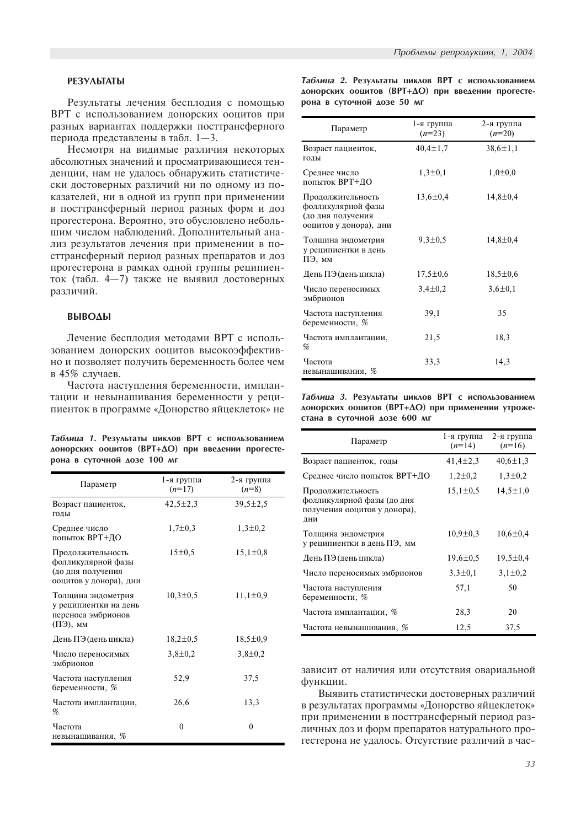# **PE3YAbTATbl**

Результаты лечения бесплодия с помощью ВРТ с использованием донорских ооцитов при разных вариантах поддержки посттрансферного периода представлены в табл.  $1-3$ .

Несмотря на видимые различия некоторых абсолютных значений и просматривающиеся тенденции, нам не удалось обнаружить статистически достоверных различий ни по одному из показателей, ни в одной из групп при применении в посттрансферный период разных форм и доз прогестерона. Вероятно, это обусловлено небольшим числом наблюдений. Дополнительный анализ результатов лечения при применении в посттрансферный период разных препаратов и доз прогестерона в рамках одной группы реципиенток (табл. 4-7) также не выявил достоверных различий.

# **BbIBOAbI**

Лечение бесплодия методами ВРТ с использованием донорских ооцитов высокоэффективно и позволяет получить беременность более чем в 45% случаев.

Частота наступления беременности, имплантации и невынашивания беременности у реципиенток в программе «Донорство яйцеклеток» не

| Таблица 1. Результаты циклов ВРТ с использованием |  |  |  |  |  |
|---------------------------------------------------|--|--|--|--|--|
| донорских ооцитов (ВРТ+ДО) при введении прогесте- |  |  |  |  |  |
| рона в суточной дозе 100 мг                       |  |  |  |  |  |

| Параметр                                                                               | 1-я группа<br>$(n=17)$ | 2-я группа<br>$(n=8)$ |
|----------------------------------------------------------------------------------------|------------------------|-----------------------|
| Возраст пациенток,<br>ГОДЫ                                                             | $42,5 \pm 2,3$         | $39,5 \pm 2,5$        |
| Среднее число<br>попыток ВРТ+ДО                                                        | $1,7\pm0.3$            | $1,3 \pm 0,2$         |
| Продолжительность<br>фолликулярной фазы<br>(до дня получения<br>ооцитов у донора), дни | 15±0,5                 | $15,1 \pm 0.8$        |
| Толщина эндометрия<br>у реципиентки на день<br>переноса эмбрионов<br>$(\Pi 3)$ , MM    | $10,3 \pm 0.5$         | $11,1\pm0.9$          |
| День ПЭ (день цикла)                                                                   | $18,2 \pm 0.5$         | $18,5 \pm 0.9$        |
| Число переносимых<br>эмбрионов                                                         | $3,8 \pm 0,2$          | $3,8 \pm 0,2$         |
| Частота наступления<br>беременности, %                                                 | 52,9                   | 37,5                  |
| Частота имплантации,<br>%                                                              | 26,6                   | 13,3                  |
| Частота<br>невынашивания, %                                                            | $\theta$               | $\theta$              |

Таблица 2. Результаты циклов ВРТ с использованием аонорских ооцитов (ВРТ+ДО) при введении прогестерона в суточной дозе 50 мг

| Параметр                                                                               | 1-я группа<br>$(n=23)$ | 2-я группа<br>$(n=20)$ |
|----------------------------------------------------------------------------------------|------------------------|------------------------|
| Возраст пациенток,<br>ГОДЫ                                                             | $40,4 \pm 1,7$         | $38,6 \pm 1,1$         |
| Среднее число<br>попыток ВРТ+ДО                                                        | $1,3 \pm 0,1$          | $1,0{\pm}0,0$          |
| Продолжительность<br>фолликулярной фазы<br>(до дня получения<br>ооцитов у донора), дни | $13,6 \pm 0,4$         | $14,8 \pm 0,4$         |
| Толщина эндометрия<br>у реципиентки в день<br>ПЭ, мм                                   | $9,3 \pm 0.5$          | $14,8 \pm 0,4$         |
| День ПЭ (день цикла)                                                                   | $17,5 \pm 0.6$         | $18,5 \pm 0.6$         |
| Число переносимых<br>эмбрионов                                                         | $3,4 \pm 0,2$          | $3,6 \pm 0,1$          |
| Частота наступления<br>беременности, %                                                 | 39,1                   | 35                     |
| Частота имплантации,<br>%                                                              | 21,5                   | 18,3                   |
| Частота<br>невынашивания, %                                                            | 33,3                   | 14,3                   |

Таблица 3. Результаты циклов ВРТ с использованием аонорских ооцитов (ВРТ+ДО) при применении утрожестана в суточной дозе 600 мг

| Параметр                                                                               | 1-я группа<br>$(n=14)$ | 2-я группа<br>$(n=16)$ |
|----------------------------------------------------------------------------------------|------------------------|------------------------|
| Возраст пациенток, годы                                                                | $41,4 \pm 2,3$         | $40,6 \pm 1,3$         |
| Среднее число попыток ВРТ+ДО                                                           | $1,2\pm0,2$            | $1,3\pm0,2$            |
| Продолжительность<br>фолликулярной фазы (до дня<br>получения ооцитов у донора),<br>ДНИ | $15,1\pm0.5$           | $14,5 \pm 1,0$         |
| Толщина эндометрия<br>у реципиентки в день ПЭ, мм                                      | $10.9 \pm 0.3$         | $10,6 \pm 0.4$         |
| День ПЭ (день цикла)                                                                   | $19,6 \pm 0.5$         | $19,5 \pm 0.4$         |
| Число переносимых эмбрионов                                                            | $3,3 \pm 0,1$          | $3,1\pm0,2$            |
| Частота наступления<br>беременности, %                                                 | 57,1                   | 50                     |
| Частота имплантации, %                                                                 | 28,3                   | 20                     |
| Частота невынашивания, %                                                               | 12,5                   | 37,5                   |

зависит от наличия или отсутствия овариальной функции.

Выявить статистически достоверных различий в результатах программы «Донорство яйцеклеток» при применении в посттрансферный период различных доз и форм препаратов натурального прогестерона не удалось. Отсутствие различий в час-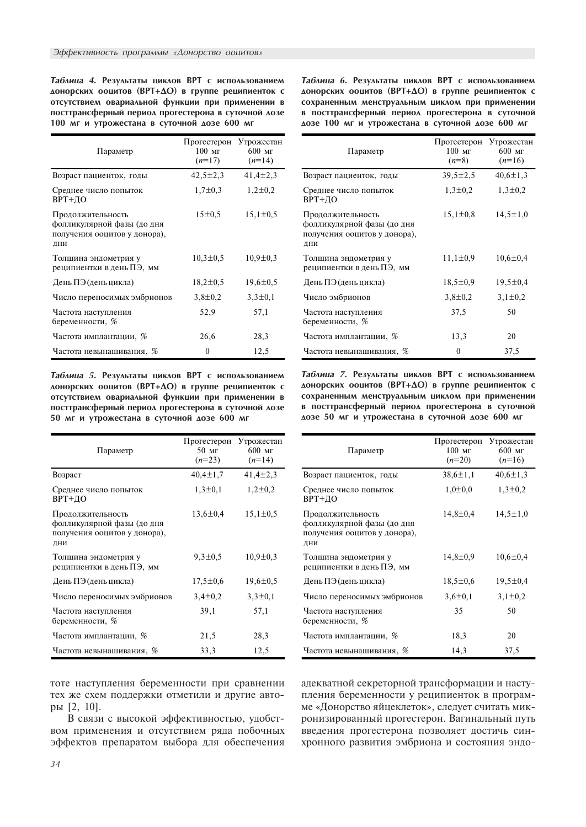Таблица 4. Результаты циклов ВРТ с использованием аонорских ооцитов (ВРТ+ДО) в группе реципиенток с отсутствием овариальной функции при применении в посттрансферный период прогестерона в суточной дозе 100 мг и утрожестана в суточной дозе 600 мг

| Параметр                                                                               | Прогестерон<br>$100$ MF<br>$(n=17)$ | Утрожестан<br>$600$ MF<br>$(n=14)$ |
|----------------------------------------------------------------------------------------|-------------------------------------|------------------------------------|
| Возраст пациенток, годы                                                                | $42,5 \pm 2,3$                      | $41,4\pm 2,3$                      |
| Среднее число попыток<br>ВРТ+ДО                                                        | $1,7\pm0.3$                         | $1,2\pm0,2$                        |
| Продолжительность<br>фолликулярной фазы (до дня<br>получения ооцитов у донора),<br>ДНИ | 15±0.5                              | $15,1\pm0,5$                       |
| Толщина эндометрия у<br>реципиентки в день ПЭ, мм                                      | $10,3 \pm 0.5$                      | $10.9 \pm 0.3$                     |
| День ПЭ (день цикла)                                                                   | $18,2 \pm 0.5$                      | $19,6 \pm 0.5$                     |
| Число переносимых эмбрионов                                                            | $3,8 \pm 0,2$                       | $3,3 \pm 0,1$                      |
| Частота наступления<br>беременности, %                                                 | 52,9                                | 57,1                               |
| Частота имплантации, %                                                                 | 26,6                                | 28,3                               |
| Частота невынашивания, %                                                               | $\theta$                            | 12,5                               |

Таблица 5. Результаты циклов ВРТ с использованием аонорских ооцитов (ВРТ+ДО) в группе реципиенток с отсутствием овариальной функции при применении в посттрансферный период прогестерона в суточной дозе 50 мг и утрожестана в суточной дозе 600 мг

| Параметр                                                                               | Прогестерон<br>$50 \text{ m}$<br>$(n=23)$ | Утрожестан<br>$600$ MF<br>$(n=14)$ |
|----------------------------------------------------------------------------------------|-------------------------------------------|------------------------------------|
| Возраст                                                                                | $40,4 \pm 1,7$                            | $41,4\pm2,3$                       |
| Среднее число попыток<br>ВРТ+ДО                                                        | $1,3\pm0,1$                               | $1,2\pm0,2$                        |
| Продолжительность<br>фолликулярной фазы (до дня<br>получения ооцитов у донора),<br>ДНИ | $13,6 \pm 0.4$                            | $15,1\pm0,5$                       |
| Толщина эндометрия у<br>реципиентки в день ПЭ, мм                                      | $9,3 \pm 0.5$                             | $10,9 \pm 0.3$                     |
| День ПЭ (день цикла)                                                                   | $17,5 \pm 0.6$                            | $19,6 \pm 0.5$                     |
| Число переносимых эмбрионов                                                            | $3,4 \pm 0,2$                             | $3,3 \pm 0,1$                      |
| Частота наступления<br>беременности, %                                                 | 39,1                                      | 57,1                               |
| Частота имплантации, %                                                                 | 21,5                                      | 28,3                               |
| Частота невынашивания, %                                                               | 33,3                                      | 12,5                               |

тоте наступления беременности при сравнении тех же схем поддержки отметили и другие автоðû [2, 10].

В связи с высокой эффективностью, удобством применения и отсутствием ряда побочных эффектов препаратом выбора для обеспечения Таблица 6. Результаты циклов ВРТ с использованием аонорских ооцитов (ВРТ+ДО) в группе реципиенток с сохраненным менструальным циклом при применении в посттрансферный период прогестерона в суточной аозе 100 мг и утрожестана в суточной дозе 600 мг

| Параметр                                                                               | Прогестерон<br>$100$ MF<br>$(n=8)$ | Утрожестан<br>$600$ MF<br>$(n=16)$ |
|----------------------------------------------------------------------------------------|------------------------------------|------------------------------------|
| Возраст пациенток, годы                                                                | $39,5 \pm 2,5$                     | $40,6 \pm 1,3$                     |
| Среднее число попыток<br>ВРТ+ДО                                                        | $1,3\pm0,2$                        | $1,3\pm0,2$                        |
| Продолжительность<br>фолликулярной фазы (до дня<br>получения ооцитов у донора),<br>ДНИ | $15,1 \pm 0.8$                     | $14,5 \pm 1,0$                     |
| Толщина эндометрия у<br>реципиентки в день ПЭ, мм                                      | $11,1 \pm 0.9$                     | $10,6 \pm 0.4$                     |
| День ПЭ (день цикла)                                                                   | $18,5 \pm 0.9$                     | $19,5 \pm 0,4$                     |
| Число эмбрионов                                                                        | $3,8 \pm 0.2$                      | $3,1\pm0,2$                        |
| Частота наступления<br>беременности, %                                                 | 37,5                               | 50                                 |
| Частота имплантации, %                                                                 | 13,3                               | 20                                 |
| Частота невынашивания, %                                                               | 0                                  | 37,5                               |

Таблица 7. Результаты циклов ВРТ с использованием аонорских ооцитов (ВРТ+ДО) в группе реципиенток с сохраненным менструальным циклом при применении в посттрансферный период прогестерона в суточной аозе 50 мг и утрожестана в суточной дозе 600 мг

| Параметр                                                                               | Прогестерон<br>$100$ MF<br>$(n=20)$ | Утрожестан<br>$600$ MF<br>$(n=16)$ |
|----------------------------------------------------------------------------------------|-------------------------------------|------------------------------------|
| Возраст пациенток, годы                                                                | $38,6 \pm 1,1$                      | $40,6 \pm 1,3$                     |
| Среднее число попыток<br>ВРТ+ДО                                                        | $1,0{\pm}0,0$                       | $1,3\pm0,2$                        |
| Продолжительность<br>фолликулярной фазы (до дня<br>получения ооцитов у донора),<br>ДНИ | $14,8 \pm 0.4$                      | $14,5 \pm 1,0$                     |
| Толщина эндометрия у<br>реципиентки в день ПЭ, мм                                      | $14,8 \pm 0.9$                      | $10,6 \pm 0,4$                     |
| День ПЭ (день цикла)                                                                   | $18,5 \pm 0.6$                      | $19,5 \pm 0.4$                     |
| Число переносимых эмбрионов                                                            | $3,6 \pm 0,1$                       | $3,1\pm0.2$                        |
| Частота наступления<br>беременности, %                                                 | 35                                  | 50                                 |
| Частота имплантации, %                                                                 | 18,3                                | 20                                 |
| Частота невынашивания, %                                                               | 14,3                                | 37,5                               |

алекватной секреторной трансформации и наступления беременности у реципиенток в программе «Донорство яйцеклеток», следует считать микронизированный прогестерон. Вагинальный путь введения прогестерона позволяет достичь синхронного развития эмбриона и состояния эндо-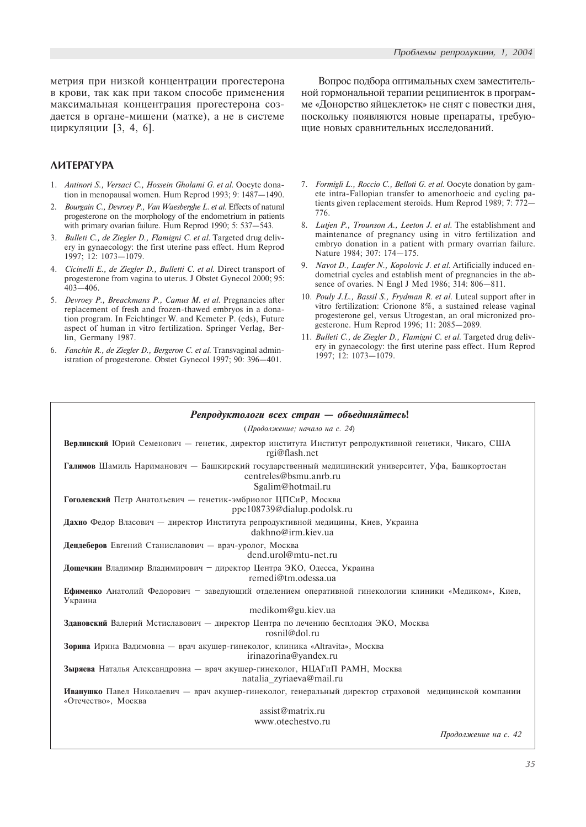метрия при низкой концентрации прогестерона в крови, так как при таком способе применения максимальная концентрация прогестерона создается в органе-мишени (матке), а не в системе циркуляции [3, 4, 6].

# *AMTEPATYPA*

- 1. Antinori S., Versaci C., Hossein Gholami G. et al. Oocyte donation in menopausal women. Hum Reprod 1993; 9:  $1487-1490$ .
- 2. Bourgain C., Devroey P., Van Waesberghe L. et al. Effects of natural progesterone on the morphology of the endometrium in patients with primary ovarian failure. Hum Reprod 1990; 5: 537-543.
- 3. Bulleti C., de Ziegler D., Flamigni C. et al. Targeted drug delivery in gynaecology: the first uterine pass effect. Hum Reprod 1997; 12: 1073-1079.
- 4. Cicinelli E., de Ziegler D., Bulletti C. et al. Direct transport of progesterone from vagina to uterus. J Obstet Gynecol 2000; 95:  $403 - 406$ .
- 5. Devroey P., Breackmans P., Camus M. et al. Pregnancies after replacement of fresh and frozen-thawed embryos in a donation program. In Feichtinger W. and Kemeter P. (eds), Future aspect of human in vitro fertilization. Springer Verlag, Berlin, Germany 1987.
- 6. Fanchin R., de Ziegler D., Bergeron C. et al. Transvaginal administration of progesterone. Obstet Gynecol 1997; 90: 396-401.

Вопрос подбора оптимальных схем заместительной гормональной терапии реципиенток в программе «Донорство яйцеклеток» не снят с повестки дня, поскольку появляются новые препараты, требующие новых сравнительных исследований.

- 7. Formigli L., Roccio C., Belloti G. et al. Oocyte donation by gamete intra-Fallopian transfer to amenorhoeic and cycling patients given replacement steroids. Hum Reprod 1989; 7: 772 776.
- 8. Lutjen P., Trounson A., Leeton J. et al. The establishment and maintenance of pregnancy using in vitro fertilization and embryo donation in a patient with prmary ovarrian failure. Nature 1984; 307: 174-175.
- 9. Navot D., Laufer N., Kopolovic J. et al. Artificially induced endometrial cycles and establish ment of pregnancies in the absence of ovaries. N Engl J Med 1986; 314:  $806 - 811$ .
- 10. Pouly J.L., Bassil S., Frydman R. et al. Luteal support after in vitro fertilization: Crionone 8%, a sustained release vaginal progesterone gel, versus Utrogestan, an oral micronized progesterone. Hum Reprod 1996; 11: 2085-2089.
- 11. Bulleti C., de Ziegler D., Flamigni C. et al. Targeted drug delivery in gynaecology: the first uterine pass effect. Hum Reprod 1997; 12: 1073-1079.

| Репродуктологи всех стран — объединяйтесь!                                                                                                        |
|---------------------------------------------------------------------------------------------------------------------------------------------------|
| (Продолжение; начало на с. 24)                                                                                                                    |
| Верлинский Юрий Семенович - генетик, директор института Институт репродуктивной генетики, Чикаго, США<br>rgi@flash.net                            |
| Галимов Шамиль Нариманович - Башкирский государственный медицинский университет, Уфа, Башкортостан<br>centreles@bsmu.anrb.ru<br>Sgalim@hotmail.ru |
| Гоголевский Петр Анатольевич - генетик-эмбриолог ЦПСиР, Москва<br>ppc108739@dialup.podolsk.ru                                                     |
| Дахно Федор Власович — директор Института репродуктивной медицины, Киев, Украина<br>dakhno@irm.kiev.ua                                            |
| Дендеберов Евгений Станиславович — врач-уролог, Москва<br>dend.urol@mtu-net.ru                                                                    |
| Дощечкин Владимир Владимирович - директор Центра ЭКО, Одесса, Украина<br>remedi@tm.odessa.ua                                                      |
| Ефименко Анатолий Федорович - заведующий отделением оперативной гинекологии клиники «Медиком», Киев,<br>Украина                                   |
| medikom@gu.kiev.ua                                                                                                                                |
| Здановский Валерий Мстиславович — директор Центра по лечению бесплодия ЭКО, Москва<br>rosnil@dol.ru                                               |
| Зорина Ирина Вадимовна - врач акушер-гинеколог, клиника «Altravita», Москва<br>irinazorina@vandex.ru                                              |
| Зыряева Наталья Александровна — врач акушер-гинеколог, НЦАГиП РАМН, Москва<br>natalia zyriaeva@mail.ru                                            |
| Иванушко Павел Николаевич - врач акушер-гинеколог, генеральный директор страховой медицинской компании<br>«Отечество», Москва                     |
| assignatrix.run                                                                                                                                   |
| www.otechestvo.ru                                                                                                                                 |

 $\Pi$ родолжение на с. 42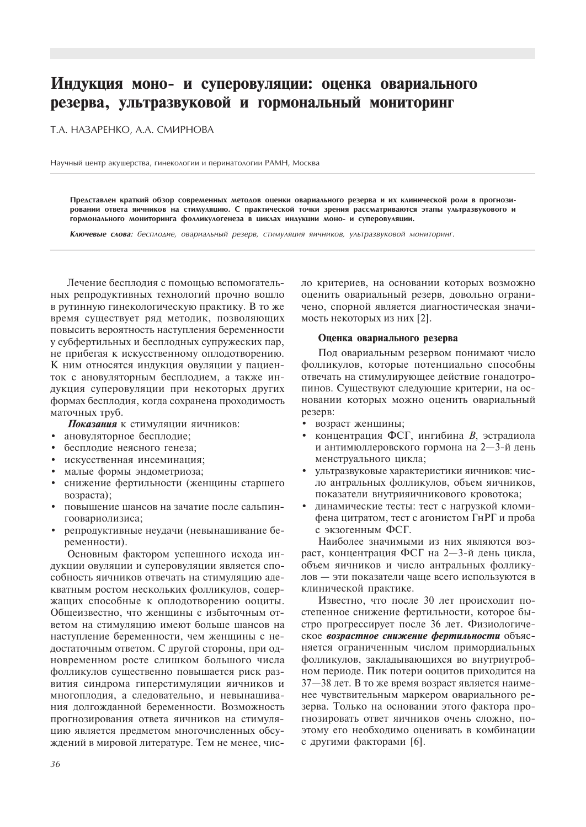# Индукция моно- и суперовуляции: оценка овариального резерва, ультразвуковой и гормональный мониторинг

Т.А. НАЗАРЕНКО, А.А. СМИРНОВА

Научный центр акушерства, гинекологии и перинатологии РАМН, Москва

Представлен краткий обзор современных методов оценки овариального резерва и их клинической роли в прогнозировании ответа яичников на стимуляцию. С практической точки зрения рассматриваются этапы ультразвукового и гормонального мониторинга фолликулогенеза в циклах индукции моно- и суперовуляции.

Ключевые слова: бесплодие, овариальный резерв, стимуляция яичников, ультразвуковой мониторинг.

Лечение бесплодия с помощью вспомогательных репродуктивных технологий прочно вошло в рутинную гинекологическую практику. В то же время существует ряд методик, позволяющих повысить вероятность наступления беременности у субфертильных и бесплодных супружеских пар, не прибегая к искусственному оплодотворению. К ним относятся индукция овуляции у пациенток с ановуляторным бесплодием, а также индукция суперовуляции при некоторых других формах бесплодия, когда сохранена проходимость маточных труб.

Показания к стимуляции яичников:

- ановуляторное бесплодие;  $\bullet$
- бесплодие неясного генеза;
- искусственная инсеминация;
- малые формы эндометриоза;
- снижение фертильности (женщины старшего возраста);
- повышение шансов на зачатие после сальпингоовариолизиса;
- репродуктивные неудачи (невынашивание бе- $\bullet$ ременности).

Основным фактором успешного исхода индукции овуляции и суперовуляции является способность яичников отвечать на стимуляцию адекватным ростом нескольких фолликулов, содержащих способные к оплодотворению ооциты. Общеизвестно, что женщины с избыточным ответом на стимуляцию имеют больше шансов на наступление беременности, чем женщины с недостаточным ответом. С другой стороны, при одновременном росте слишком большого числа фолликулов существенно повышается риск развития синдрома гиперстимуляции яичников и многоплодия, а следовательно, и невынашивания долгожданной беременности. Возможность прогнозирования ответа яичников на стимуляцию является предметом многочисленных обсуждений в мировой литературе. Тем не менее, число критериев, на основании которых возможно оценить овариальный резерв, довольно ограничено, спорной является диагностическая значимость некоторых из них [2].

#### Оценка овариального резерва

Под овариальным резервом понимают число фолликулов, которые потенциально способны отвечать на стимулирующее действие гонадотропинов. Существуют следующие критерии, на основании которых можно оценить овариальный резерв:

- возраст женщины;
- концентрация ФСГ, ингибина В, эстрадиола и антимюллеровского гормона на 2-3-й день менструального цикла;
- ультразвуковые характеристики яичников: число антральных фолликулов, объем яичников, показатели внутрияичникового кровотока;
- $\bullet$ динамические тесты: тест с нагрузкой кломифена цитратом, тест с агонистом ГнРГ и проба с экзогенным ФСГ.

Наиболее значимыми из них являются возраст, концентрация ФСГ на 2-3-й день цикла, объем яичников и число антральных фолликулов - эти показатели чаще всего используются в клинической практике.

Известно, что после 30 лет происходит постепенное снижение фертильности, которое быстро прогрессирует после 36 лет. Физиологическое возрастное снижение фертильности объясняется ограниченным числом примордиальных фолликулов, закладывающихся во внутриутробном периоде. Пик потери ооцитов приходится на 37-38 лет. В то же время возраст является наименее чувствительным маркером овариального резерва. Только на основании этого фактора прогнозировать ответ яичников очень сложно, поэтому его необходимо оценивать в комбинации с другими факторами [6].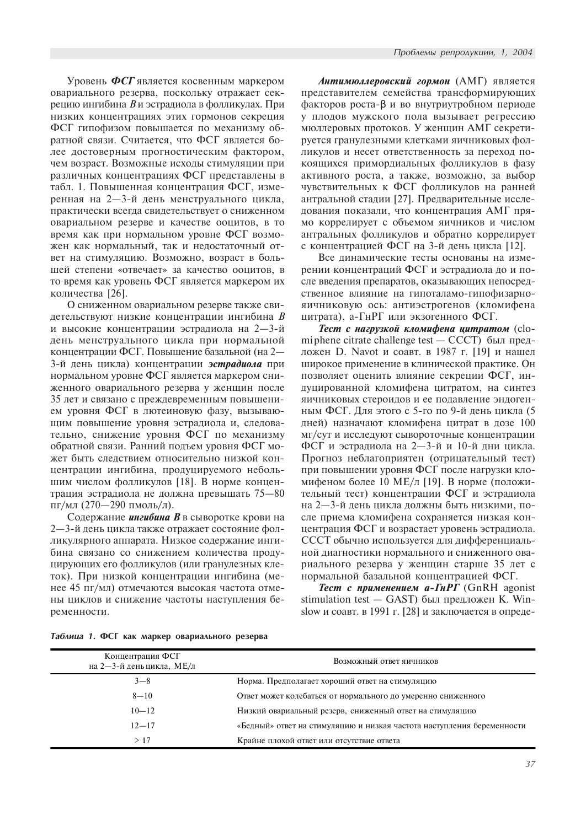Уровень ФСГ является косвенным маркером овариального резерва, поскольку отражает секрецию ингибина В и эстрадиола в фолликулах. При низких концентрациях этих гормонов секреция ФСГ гипофизом повышается по механизму обратной связи. Считается, что ФСГ является более достоверным прогностическим фактором, чем возраст. Возможные исходы стимуляции при различных концентрациях ФСГ представлены в табл. 1. Повышенная концентрация ФСГ, измеренная на 2-3-й день менструального цикла, практически всегда свидетельствует о сниженном овариальном резерве и качестве ооцитов, в то время как при нормальном уровне ФСГ возможен как нормальный, так и недостаточный ответ на стимуляцию. Возможно, возраст в большей степени «отвечает» за качество ооцитов, в то время как уровень ФСГ является маркером их количества [26].

О сниженном овариальном резерве также свидетельствуют низкие концентрации ингибина В и высокие концентрации эстрадиола на 2-3-й день менструального цикла при нормальной концентрации ФСГ. Повышение базальной (на 2— 3-й день цикла) концентрации эстрадиола при нормальном уровне ФСГ является маркером сниженного овариального резерва у женщин после 35 лет и связано с преждевременным повышением уровня ФСГ в лютеиновую фазу, вызывающим повышение уровня эстрадиола и, следовательно, снижение уровня ФСГ по механизму обратной связи. Ранний подъем уровня ФСГ может быть следствием относительно низкой концентрации ингибина, продуцируемого небольшим числом фолликулов [18]. В норме концентрация эстрадиола не должна превышать 75-80  $\pi r / \text{mJ}$  (270—290 пмоль/л).

Содержание ингибина В в сыворотке крови на 2-3-й день цикла также отражает состояние фолликулярного аппарата. Низкое содержание ингибина связано со снижением количества продуцирующих его фолликулов (или гранулезных клеток). При низкой концентрации ингибина (менее 45 пг/мл) отмечаются высокая частота отмены циклов и снижение частоты наступления беременности.

Антимюллеровский гормон (АМГ) является представителем семейства трансформирующих факторов роста-β и во внутриутробном периоде у плодов мужского пола вызывает регрессию мюллеровых протоков. У женщин АМГ секретируется гранулезными клетками яичниковых фолликулов и несет ответственность за переход покоящихся примордиальных фолликулов в фазу активного роста, а также, возможно, за выбор чувствительных к ФСГ фолликулов на ранней антральной стадии [27]. Предварительные исследования показали, что концентрация АМГ прямо коррелирует с объемом яичников и числом антральных фолликулов и обратно коррелирует с концентрацией ФСГ на 3-й день цикла [12].

Все динамические тесты основаны на измерении концентраций ФСГ и эстрадиола до и после введения препаратов, оказывающих непосредственное влияние на гипоталамо-гипофизарнояичниковую ось: антиэстрогенов (кломифена цитрата), а-ГнРГ или экзогенного ФСГ.

Тест с нагрузкой кломифена цитратом (clomi phene citrate challenge test — СССТ) был предложен D. Navot и соавт. в 1987 г. [19] и нашел широкое применение в клинической практике. Он позволяет оценить влияние секреции ФСГ, индуцированной кломифена цитратом, на синтез яичниковых стероидов и ее подавление эндогенным ФСГ. Для этого с 5-го по 9-й день цикла (5 дней) назначают кломифена цитрат в дозе 100 мг/сут и исследуют сывороточные концентрации ФСГ и эстрадиола на 2-3-й и 10-й дни цикла. Прогноз неблагоприятен (отрицательный тест) при повышении уровня ФСГ после нагрузки кломифеном более 10 МЕ/л [19]. В норме (положительный тест) концентрации ФСГ и эстрадиола на 2-3-й день цикла должны быть низкими, после приема кломифена сохраняется низкая концентрация ФСГ и возрастает уровень эстрадиола. СССТ обычно используется для дифференциальной диагностики нормального и сниженного овариального резерва у женщин старше 35 лет с нормальной базальной концентрацией ФСГ.

Tecm с применением a-ГнРГ (GnRH agonist stimulation test  $-$  GAST) был предложен К. Winslow и соавт. в 1991 г. [28] и заключается в опреде-

|  |  |  |  |  | Таблица 1. ФСГ как маркер овариального резерва |  |
|--|--|--|--|--|------------------------------------------------|--|
|--|--|--|--|--|------------------------------------------------|--|

| Концентрация ФСГ<br>на 2—3-й деньцикла, МЕ/л | Возможный ответ яичников                                               |
|----------------------------------------------|------------------------------------------------------------------------|
| $3 - 8$                                      | Норма. Предполагает хороший ответ на стимуляцию                        |
| $8 - 10$                                     | Ответ может колебаться от нормального до умеренно сниженного           |
| $10 - 12$                                    | Низкий овариальный резерв, сниженный ответ на стимуляцию               |
| $12 - 17$                                    | «Бедный» ответ на стимуляцию и низкая частота наступления беременности |
| >17                                          | Крайне плохой ответ или отсутствие ответа                              |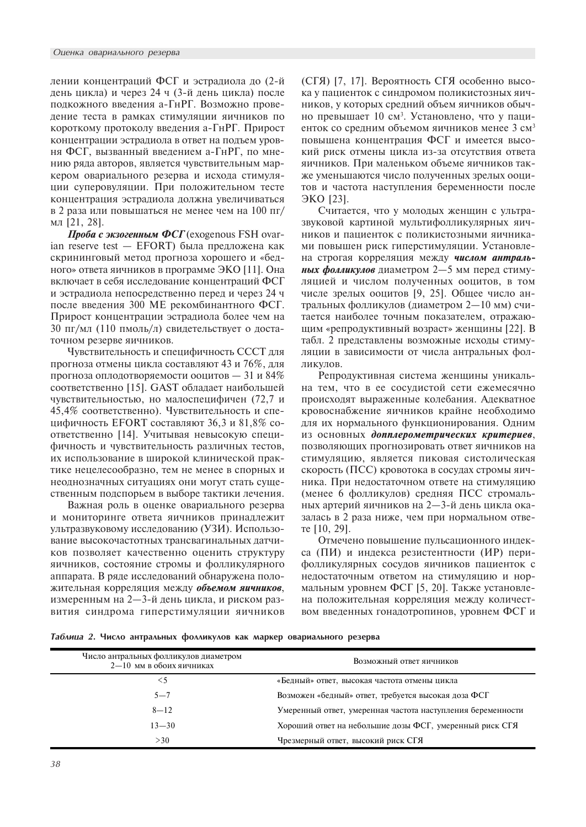лении концентраций ФСГ и эстрадиола до (2-й день цикла) и через 24 ч (3-й день цикла) после подкожного введения а-ГнРГ. Возможно проведение теста в рамках стимуляции яичников по короткому протоколу введения а-ГнРГ. Прирост концентрации эстрадиола в ответ на подъем уровня ФСГ, вызванный введением а-ГнРГ, по мнению ряда авторов, является чувствительным маркером овариального резерва и исхода стимуляции суперовуляции. При положительном тесте концентрация эстрадиола должна увеличиваться в 2 раза или повышаться не менее чем на  $100$  пг/ мл $[21, 28]$ .

Проба с экзогенным ФСГ (exogenous FSH ovarian reserve test  $-$  EFORT) была предложена как скрининговый метод прогноза хорошего и «бедного» ответа яичников в программе ЭКО [11]. Она включает в себя исследование концентраций ФСГ и эстрадиола непосредственно перед и через 24 ч после введения 300 МЕ рекомбинантного ФСГ. Прирост концентрации эстрадиола более чем на 30 пг/мл (110 пмоль/л) свидетельствует о достаточном резерве яичников.

Чувствительность и специфичность СССТ для прогноза отмены цикла составляют 43 и 76%, для прогноза оплодотворяемости ооцитов — 31 и 84% соответственно [15]. GAST обладает наибольшей чувствительностью, но малоспецифичен (72,7 и 45,4% соответственно). Чувствительность и специфичность EFORT составляют 36,3 и 81,8% соответственно [14]. Учитывая невысокую специфичность и чувствительность различных тестов, их использование в широкой клинической практике нецелесообразно, тем не менее в спорных и неоднозначных ситуациях они могут стать существенным подспорьем в выборе тактики лечения.

Важная роль в оценке овариального резерва и мониторинге ответа яичников принадлежит ультразвуковому исследованию (УЗИ). Использование высокочастотных трансвагинальных датчиков позволяет качественно оценить структуру яичников, состояние стромы и фолликулярного аппарата. В ряде исследований обнаружена положительная корреляция между объемом яичников, измеренным на 2—3-й день цикла, и риском развития синдрома гиперстимуляции яичников (СГЯ) [7, 17]. Вероятность СГЯ особенно высока у пациенток с синдромом поликистозных яичников, у которых средний объем яичников обычно превышает 10 см<sup>з</sup>. Установлено, что у пациенток со средним объемом яичников менее 3 см<sup>3</sup> повышена концентрация ФСГ и имеется высокий риск отмены цикла из-за отсутствия ответа яичников. При маленьком объеме яичников также уменьшаются число полученных зрелых ооцитов и частота наступления беременности после  $\partial KQ$  [23].

Считается, что у молодых женщин с ультразвуковой картиной мультифолликулярных яичников и пациенток с поликистозными яичниками повышен риск гиперстимуляции. Установлена строгая корреляция между числом антральных фолликулов диаметром 2-5 мм перед стимуляцией и числом полученных ооцитов, в том числе зрелых ооцитов [9, 25]. Общее число антральных фолликулов (диаметром 2-10 мм) считается наиболее точным показателем, отражающим «репродуктивный возраст» женщины [22]. В табл. 2 представлены возможные исходы стимуляции в зависимости от числа антральных фолликулов.

Репродуктивная система женщины уникальна тем, что в ее сосудистой сети ежемесячно происходят выраженные колебания. Адекватное кровоснабжение яичников крайне необходимо для их нормального функционирования. Одним из основных допплерометрических критериев, позволяющих прогнозировать ответ яичников на стимуляцию, является пиковая систолическая скорость ( $\Pi CC$ ) кровотока в сосудах стромы яичника. При недостаточном ответе на стимуляцию (менее 6 фолликулов) средняя ПСС стромальных артерий яичников на 2-3-й день цикла оказалась в 2 раза ниже, чем при нормальном отвеre  $[10, 29]$ .

Отмечено повышение пульсационного индекса (ПИ) и индекса резистентности (ИР) перифолликулярных сосудов яичников пациенток с недостаточным ответом на стимуляцию и нормальным уровнем ФСГ [5, 20]. Также установлена положительная корреляция между количеством введенных гонадотропинов, уровнем ФСГ и

Таблица 2. Число антральных фолликулов как маркер овариального резерва

| Число антральных фолликулов диаметром<br>$2-10$ мм в обоих яичниках | Возможный ответ яичников                                    |
|---------------------------------------------------------------------|-------------------------------------------------------------|
| $\leq 5$                                                            | «Бедный» ответ, высокая частота отмены цикла                |
| $5 - 7$                                                             | Возможен «бедный» ответ, требуется высокая доза ФСГ         |
| $8 - 12$                                                            | Умеренный ответ, умеренная частота наступления беременности |
| $13 - 30$                                                           | Хороший ответ на небольшие дозы ФСГ, умеренный риск СГЯ     |
| >30                                                                 | Чрезмерный ответ, высокий риск СГЯ                          |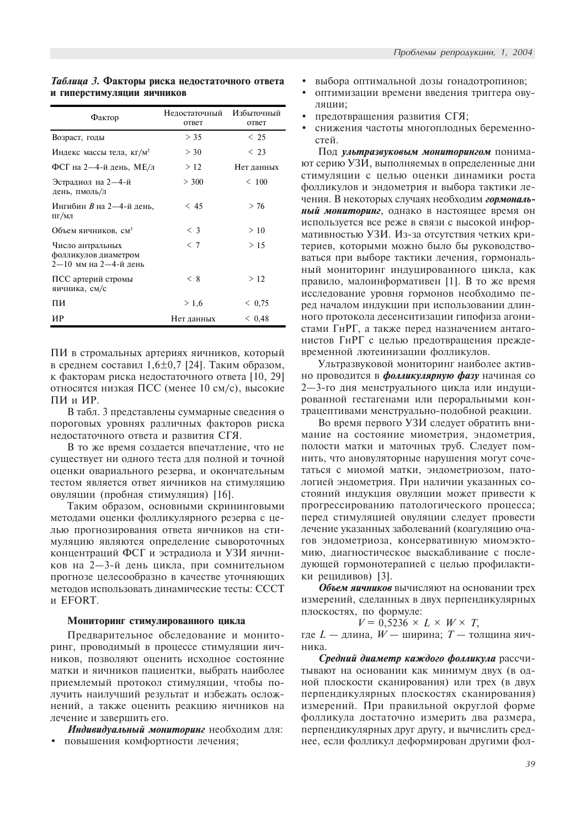| Фактор                                                              | Недостаточный Избыточный<br>ответ | ответ      |
|---------------------------------------------------------------------|-----------------------------------|------------|
| Возраст, годы                                                       | > 35                              | < 25       |
| Индекс массы тела, кг/м <sup>2</sup>                                | $>$ 30                            | $\leq 23$  |
| ФСГ на 2—4-й день, МЕ/л                                             | >12                               | Нет данных |
| Эстрадиол на 2-4-й<br>день, пмоль/л                                 | > 300                             | < 100      |
| Ингибин В на 2-4-й день,<br>пг/мл                                   | < 45                              | > 76       |
| Объем яичников, см <sup>3</sup>                                     | $\langle$ 3                       | >10        |
| Число антральных<br>фолликулов диаметром<br>$2-10$ мм на 2-4-й день | < 7                               | > 15       |
| ПСС артерий стромы<br>яичника, см/с                                 | < 8                               | >12        |
| пи                                                                  | > 1.6                             | < 0.75     |
| ИР                                                                  | Нет данных                        | < 0.48     |

Таблица 3. Факторы риска недостаточного ответа и гиперстимуляции яичников

ПИ в стромальных артериях яичников, который в среднем составил 1,6 $\pm$ 0,7 [24]. Таким образом, к факторам риска недостаточного ответа [10, 29] относятся низкая ПСС (менее 10 см/с), высокие ПИ и ИР.

В табл. 3 представлены суммарные сведения о пороговых уровнях различных факторов риска недостаточного ответа и развития СГЯ.

В то же время создается впечатление, что не существует ни одного теста для полной и точной оценки овариального резерва, и окончательным тестом является ответ яичников на стимуляцию овуляции (пробная стимуляция) [16].

Таким образом, основными скрининговыми методами оценки фолликулярного резерва с целью прогнозирования ответа яичников на стимуляцию являются определение сывороточных концентраций ФСГ и эстрадиола и УЗИ яичников на 2—3-й день цикла, при сомнительном прогнозе целесообразно в качестве уточняющих методов использовать динамические тесты: СССТ и EFORT.

### Мониторинг стимулированного цикла

Предварительное обследование и мониторинг, проводимый в процессе стимуляции яичников, позволяют оценить исходное состояние матки и яичников пациентки, выбрать наиболее приемлемый протокол стимуляции, чтобы получить наилучший результат и избежать осложнений, а также оценить реакцию яичников на лечение и завершить его.

Индивидуальный мониторинг необходим для: • повышения комфортности лечения:

- выбора оптимальной дозы гонадотропинов;
- оптимизации времени введения триггера овуляции:
- предотвращения развития СГЯ;
- снижения частоты многоплодных беременностей.

Под ультразвуковым мониторингом понимают серию УЗИ, выполняемых в определенные дни стимуляции с целью оценки динамики роста фолликулов и эндометрия и выбора тактики лечения. В некоторых случаях необходим гормональный мониторинг, однако в настоящее время он используется все реже в связи с высокой информативностью УЗИ. Из-за отсутствия четких критериев, которыми можно было бы руководствоваться при выборе тактики лечения, гормональный мониторинг индуцированного цикла, как правило, малоинформативен [1]. В то же время исследование уровня гормонов необходимо перед началом индукции при использовании длинного протокола десенситизации гипофиза агонистами ГнРГ, а также перед назначением антагонистов ГнРГ с целью предотвращения преждевременной лютеинизации фолликулов.

Ультразвуковой мониторинг наиболее активно проводится в *фолликулярную фазу* начиная со 2-3-го дня менструального цикла или индуцированной гестагенами или пероральными контрацептивами менструально-подобной реакции.

Во время первого УЗИ следует обратить внимание на состояние миометрия, эндометрия, полости матки и маточных труб. Следует помнить, что ановуляторные нарушения могут сочетаться с миомой матки, эндометриозом, патологией эндометрия. При наличии указанных состояний индукция овуляции может привести к прогрессированию патологического процесса; перед стимуляцией овуляции следует провести лечение указанных заболеваний (коагуляцию очагов эндометриоза, консервативную миомэктомию, диагностическое выскабливание с последующей гормонотерапией с целью профилактики рецидивов) [3].

Объем яичников вычисляют на основании трех измерений, сделанных в двух перпендикулярных плоскостях, по формуле:

$$
V = 0,5236 \times L \times W \times T,
$$

где  $L$  — длина,  $W$  — ширина;  $T$  — толщина яичника.

Средний диаметр каждого фолликула рассчитывают на основании как минимум двух (в одной плоскости сканирования) или трех (в двух перпендикулярных плоскостях сканирования) измерений. При правильной округлой форме фолликула достаточно измерить два размера, перпендикулярных друг другу, и вычислить среднее, если фолликул деформирован другими фол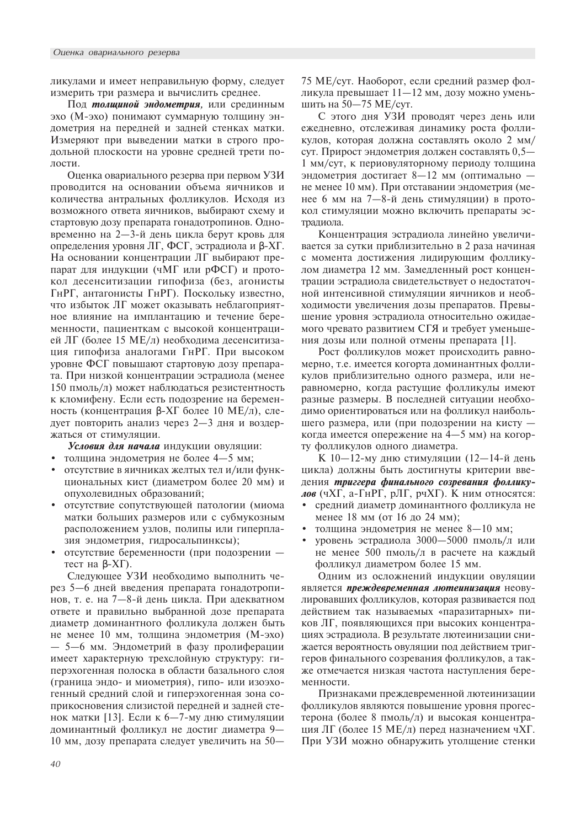ликулами и имеет неправильную форму, следует измерить три размера и вычислить среднее.

Под толщиной эндометрия, или срединным эхо (М-эхо) понимают суммарную толщину эндометрия на передней и задней стенках матки. Измеряют при выведении матки в строго продольной плоскости на уровне средней трети полости.

Оценка овариального резерва при первом УЗИ проводится на основании объема яичников и количества антральных фолликулов. Исходя из возможного ответа яичников, выбирают схему и стартовую дозу препарата гонадотропинов. Одновременно на 2—3-й день цикла берут кровь для определения уровня ЛГ, ФСГ, эстрадиола и β-ХГ. На основании концентрации ЛГ выбирают препарат для индукции (чМГ или рФСГ) и протокол десенситизации гипофиза (без, агонисты ГнРГ, антагонисты ГнРГ). Поскольку известно, что избыток ЛГ может оказывать неблагоприятное влияние на имплантацию и течение беременности, пациенткам с высокой концентрацией ЛГ (более 15 МЕ/л) необходима десенситизация гипофиза аналогами ГнРГ. При высоком уровне ФСГ повышают стартовую дозу препарата. При низкой концентрации эстрадиола (менее 150 пмоль/л) может наблюдаться резистентность к кломифену. Если есть подозрение на беременность (концентрация β-ХГ более 10 МЕ/л), следует повторить анализ через 2-3 дня и воздержаться от стимуляции.

Условия для начала индукции овуляции:

- толщина эндометрия не более 4-5 мм;
- отсутствие в яичниках желтых тел и/или функциональных кист (диаметром более 20 мм) и опухолевидных образований;
- отсутствие сопутствующей патологии (миома матки больших размеров или с субмукозным расположением узлов, полипы или гиперплазия эндометрия, гидросальпинксы);
- отсутствие беременности (при подозрении тест на  $\beta$ - $X\Gamma$ ).

Следующее УЗИ необходимо выполнить через 5-6 дней введения препарата гонадотропинов, т. е. на 7—8-й день цикла. При адекватном ответе и правильно выбранной дозе препарата диаметр доминантного фолликула должен быть не менее 10 мм, толщина эндометрия (М-эхо) — 5—6 мм. Эндометрий в фазу пролиферации имеет характерную трехслойную структуру: гиперэхогенная полоска в области базального слоя (граница эндо- и миометрия), гипо- или изоэхогенный средний слой и гиперэхогенная зона соприкосновения слизистой передней и задней стенок матки [13]. Если к 6-7-му дню стимуляции доминантный фолликул не достиг диаметра 9-10 мм, дозу препарата следует увеличить на  $50-$  75 ME/сут. Наоборот, если средний размер фолликула превышает  $11-12$  мм, дозу можно уменьшить на 50-75 МЕ/сут.

С этого дня УЗИ проводят через день или ежедневно, отслеживая динамику роста фолликулов, которая должна составлять около 2 мм/ сут. Прирост эндометрия должен составлять 0,5— 1 мм/сут, к периовуляторному периоду толщина эндометрия достигает  $8-12$  мм (оптимально не менее 10 мм). При отставании эндометрия (менее 6 мм на 7-8-й день стимуляции) в протокол стимуляции можно включить препараты эстрадиола.

Концентрация эстрадиола линейно увеличивается за сутки приблизительно в 2 раза начиная с момента достижения лидирующим фолликулом диаметра 12 мм. Замедленный рост концентрации эстрадиола свидетельствует о недостаточной интенсивной стимуляции яичников и необходимости увеличения дозы препаратов. Превышение уровня эстрадиола относительно ожидаемого чревато развитием СГЯ и требует уменьшения дозы или полной отмены препарата [1].

Рост фолликулов может происходить равномерно, т.е. имеется когорта доминантных фолликулов приблизительно одного размера, или неравномерно, когда растущие фолликулы имеют разные размеры. В последней ситуации необходимо ориентироваться или на фолликул наибольшего размера, или (при подозрении на кисту когда имеется опережение на 4-5 мм) на когорту фолликулов одного диаметра.

К 10-12-му дню стимуляции (12-14-й день цикла) должны быть достигнуты критерии введения триггера финального созревания фолликулов (ЧХГ, а-ГнРГ, рЛГ, рЧХГ). К ним относятся:

- средний диаметр доминантного фолликула не менее 18 мм (от 16 до 24 мм);
- толщина эндометрия не менее 8-10 мм;
- уровень эстрадиола  $3000 5000$  пмоль/л или не менее 500 пмоль/л в расчете на каждый фолликул диаметром более 15 мм.

Одним из осложнений индукции овуляции является преждевременная лютеинизация неовулировавших фолликулов, которая развивается под действием так называемых «паразитарных» пиков ЛГ, появляющихся при высоких концентрациях эстрадиола. В результате лютеинизации снижается вероятность овуляции под действием триггеров финального созревания фолликулов, а также отмечается низкая частота наступления беременности.

Признаками преждевременной лютеинизации фолликулов являются повышение уровня прогестерона (более 8 пмоль/л) и высокая концентрация ЛГ (более 15 МЕ/л) перед назначением чХГ. При УЗИ можно обнаружить утолщение стенки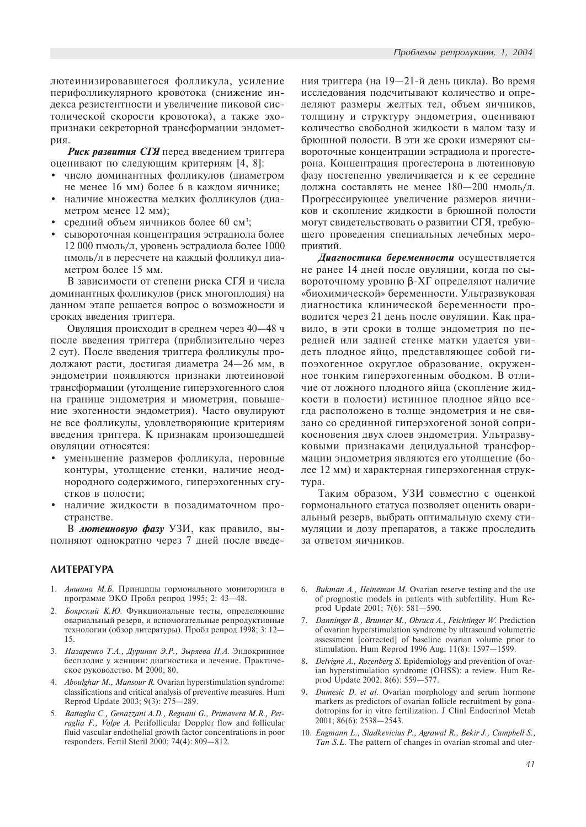декса резистентности и увеличение пиковой систолической скорости кровотока), а также эхопризнаки секреторной трансформации эндометрия.

Риск развития СГЯ перед введением триггера оценивают по следующим критериям [4, 8]:

- число доминантных фолликулов (диаметром не менее 16 мм) более 6 в каждом яичнике;
- наличие множества мелких фолликулов (диаметром менее  $12$  мм);
- средний объем яичников более 60 см<sup>3</sup>;
- сывороточная концентрация эстрадиола более 12 000 пмоль/л, уровень эстрадиола более  $1000$ пмоль/л в пересчете на каждый фолликул диаметром более 15 мм.

В зависимости от степени риска СГЯ и числа доминантных фолликулов (риск многоплодия) на данном этапе решается вопрос о возможности и сроках введения триггера.

Овуляция происходит в среднем через 40-48 ч после введения триггера (приблизительно через 2 сут). После введения триггера фолликулы продолжают расти, достигая диаметра 24-26 мм, в эндометрии появляются признаки лютеиновой трансформации (утолщение гиперэхогенного слоя на границе эндометрия и миометрия, повышение эхогенности эндометрия). Часто овулируют не все фолликулы, удовлетворяющие критериям введения триггера. К признакам произошедшей овуляции относятся:

- уменьшение размеров фолликула, неровные контуры, утолщение стенки, наличие неоднородного содержимого, гиперэхогенных сгустков в полости;
- наличие жидкости в позадиматочном пространстве.

В лютеиновую фазу УЗИ, как правило, выполняют однократно через 7 дней после введе-

# **AMTEPATYPA**

- 1. Аншина М.Б. Принципы гормонального мониторинга в программе ЭКО Пробл репрод 1995; 2: 43-48.
- 2. Боярский К.Ю. Функциональные тесты, определяющие овариальный резерв, и вспомогательные репродуктивные технологии (обзор литературы). Пробл репрод 1998; 3: 12-15.
- 3. Назаренко Т.А., Дуринян Э.Р., Зыряева Н.А. Эндокринное бесплодие у женщин: диагностика и лечение. Практическое руководство. М 2000; 80.
- 4. Aboulghar M., Mansour R. Ovarian hyperstimulation syndrome: classifications and critical analysis of preventive measures. Hum Reprod Update 2003; 9(3): 275-289.
- 5. Battaglia C., Genazzani A.D., Regnani G., Primavera M.R., Petraglia F., Volpe A. Perifollicular Doppler flow and follicular fluid vascular endothelial growth factor concentrations in poor responders. Fertil Steril 2000; 74(4): 809-812.

ния триггера (на 19—21-й день цикла). Во время исследования подсчитывают количество и определяют размеры желтых тел, объем яичников, толщину и структуру эндометрия, оценивают количество свободной жидкости в малом тазу и брюшной полости. В эти же сроки измеряют сывороточные концентрации эстрадиола и прогестерона. Концентрация прогестерона в лютеиновую фазу постепенно увеличивается и к ее середине должна составлять не менее 180-200 нмоль/л. Прогрессирующее увеличение размеров яичников и скопление жидкости в брюшной полости могут свидетельствовать о развитии СГЯ, требующего проведения специальных лечебных мероприятий.

Диагностика беременности осуществляется не ранее 14 дней после овуляции, когда по сывороточному уровню β-XΓ определяют наличие «биохимической» беременности. Ультразвуковая диагностика клинической беременности проводится через 21 день после овуляции. Как правило, в эти сроки в толще эндометрия по передней или задней стенке матки удается увидеть плодное яйцо, представляющее собой гипоэхогенное округлое образование, окруженное тонким гиперэхогенным ободком. В отличие от ложного плодного яйца (скопление жидкости в полости) истинное плодное яйцо всегда расположено в толще эндометрия и не связано со срединной гиперэхогеной зоной соприкосновения двух слоев эндометрия. Ультразвуковыми признаками децидуальной трансформации эндометрия являются его утолщение (более 12 мм) и характерная гиперэхогенная струкrvpa.

Таким образом, УЗИ совместно с оценкой гормонального статуса позволяет оценить овариальный резерв, выбрать оптимальную схему стимуляции и дозу препаратов, а также проследить за ответом яичников.

- 6. Bukman A., Heineman M. Ovarian reserve testing and the use of prognostic models in patients with subfertility. Hum Reprod Update 2001; 7(6): 581-590.
- 7. Danninger B., Brunner M., Obruca A., Feichtinger W. Prediction of ovarian hyperstimulation syndrome by ultrasound volumetric assessment [corrected] of baseline ovarian volume prior to stimulation. Hum Reprod 1996 Aug; 11(8): 1597-1599.
- 8. Delvigne A., Rozenberg S. Epidemiology and prevention of ovarian hyperstimulation syndrome (OHSS): a review. Hum Reprod Update 2002; 8(6): 559-577.
- 9. Dumesic D. et al. Ovarian morphology and serum hormone markers as predictors of ovarian follicle recruitment by gonadotropins for in vitro fertilization. J Clinl Endocrinol Metab  $2001$ ;  $86(6)$ ;  $2538 - 2543$ .
- 10. Engmann L., Sladkevicius P., Agrawal R., Bekir J., Campbell S., Tan S.L. The pattern of changes in ovarian stromal and uter-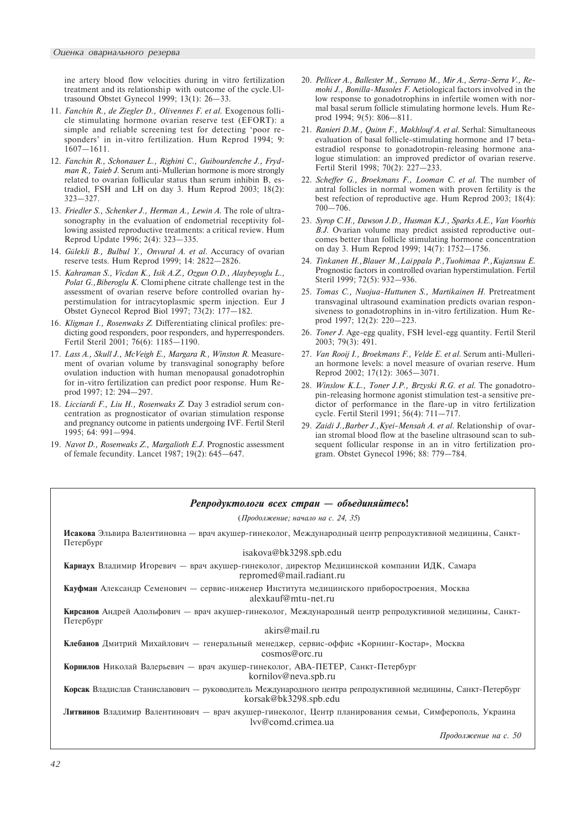ine artery blood flow velocities during in vitro fertilization treatment and its relationship with outcome of the cycle. Ultrasound Obstet Gynecol 1999;  $13(1)$ :  $26-33$ .

- 11. Fanchin R., de Ziegler D., Olivennes F. et al. Exogenous follicle stimulating hormone ovarian reserve test (EFORT): a simple and reliable screening test for detecting 'poor responders' in in-vitro fertilization. Hum Reprod 1994; 9:  $1607 - 1611.$
- 12. Fanchin R., Schonauer L., Righini C., Guibourdenche J., Frydman R., Taieb J. Serum anti-Mullerian hormone is more strongly related to ovarian follicular status than serum inhibin B, estradiol, FSH and LH on day 3. Hum Reprod 2003; 18(2):  $323 - 327$ .
- 13. Friedler S., Schenker J., Herman A., Lewin A. The role of ultrasonography in the evaluation of endometrial receptivity following assisted reproductive treatments: a critical review. Hum Reprod Update 1996; 2(4): 323-335.
- 14. Gülekli B., Bulbul Y., Onvural A. et al. Accuracy of ovarian reserve tests. Hum Reprod 1999; 14: 2822-2826.
- 15. Kahraman S., Vicdan K., Isik A.Z., Ozgun O.D., Alaybeyoglu L., Polat G., Biberoglu K. Clomiphene citrate challenge test in the assessment of ovarian reserve before controlled ovarian hyperstimulation for intracytoplasmic sperm injection. Eur J Obstet Gynecol Reprod Biol 1997; 73(2): 177-182.
- 16. Kligman I., Rosenwaks Z. Differentiating clinical profiles: predicting good responders, poor responders, and hyperresponders. Fertil Steril 2001; 76(6): 1185-1190.
- 17. Lass A., Skull J., McVeigh E., Margara R., Winston R. Measurement of ovarian volume by transvaginal sonography before ovulation induction with human menopausal gonadotrophin for in-vitro fertilization can predict poor response. Hum Reprod 1997; 12: 294-297.
- 18. Licciardi F., Liu H., Rosenwaks Z. Day 3 estradiol serum concentration as prognosticator of ovarian stimulation response and pregnancy outcome in patients undergoing IVF. Fertil Steril 1995: 64: 991-994.
- 19. Navot D., Rosenwaks Z., Margalioth E.J. Prognostic assessment of female fecundity. Lancet 1987; 19(2): 645-647.
- 20. Pellicer A., Ballester M., Serrano M., Mir A., Serra-Serra V., Remohi J., Bonilla-Musoles F. Aetiological factors involved in the low response to gonadotrophins in infertile women with normal basal serum follicle stimulating hormone levels. Hum Reprod 1994; 9(5): 806-811.
- 21. Ranieri D.M., Quinn F., Makhlouf A. et al. Serhal: Simultaneous evaluation of basal follicle-stimulating hormone and 17 betaestradiol response to gonadotropin-releasing hormone analogue stimulation: an improved predictor of ovarian reserve. Fertil Steril 1998; 70(2): 227-233.
- 22. Scheffer G., Broekmans F., Looman C. et al. The number of antral follicles in normal women with proven fertility is the best refection of reproductive age. Hum Reprod 2003; 18(4):  $700 - 706$ .
- 23. Syrop C.H., Dawson J.D., Husman K.J., Sparks A.E., Van Voorhis B.J. Ovarian volume may predict assisted reproductive outcomes better than follicle stimulating hormone concentration on day 3. Hum Reprod 1999; 14(7): 1752-1756.
- 24. Tinkanen H., Blauer M., Lai ppala P., Tuohimaa P., Kujansuu E. Prognostic factors in controlled ovarian hyperstimulation. Fertil Steril 1999; 72(5): 932-936.
- 25. Tomas C., Nuojua-Huttunen S., Martikainen H. Pretreatment transvaginal ultrasound examination predicts ovarian responsiveness to gonadotrophins in in-vitro fertilization. Hum Reprod 1997; 12(2): 220-223.
- 26. Toner J. Age-egg quality, FSH level-egg quantity. Fertil Steril 2003; 79(3): 491.
- 27. Van Rooij I., Broekmans F., Velde E. et al. Serum anti-Mullerian hormone levels: a novel measure of ovarian reserve. Hum Reprod 2002; 17(12): 3065-3071.
- 28. Winslow K.L., Toner J.P., Brzyski R.G. et al. The gonadotropin-releasing hormone agonist stimulation test-a sensitive predictor of performance in the flare-up in vitro fertilization cycle. Fertil Steril 1991; 56(4): 711-717.
- 29. Zaidi J., Barber J., Kyei-Mensah A. et al. Relationship of ovarian stromal blood flow at the baseline ultrasound scan to subsequent follicular response in an in vitro fertilization program. Obstet Gynecol 1996; 88: 779-784.

# $P$ епродуктологи всех стран — объединяйтесь!  $(IIpodo.s.$ кение; начало на с. 24, 35) Исакова Эльвира Валентиновна — врач акушер-гинеколог, Международный центр репродуктивной медицины, Санкт-Петербург isakova@bk3298.spb.edu Карнаух Владимир Игоревич — врач акушер-гинеколог, директор Медицинской компании ИДК, Самара repromed@mail.radiant.ru Кауфман Александр Семенович — сервис-инженер Института медицинского приборостроения, Москва alexkauf@mtu-net.ru Кирсанов Андрей Адольфович — врач акушер-гинеколог, Международный центр репродуктивной медицины, Санкт- $\Pi$ e $\tau$ e $\sigma$ ov $\sigma$ r akirs@mail.ru Клебанов Дмитрий Михайлович — генеральный менеджер, сервис-оффис «Корнинг-Костар», Москва cosmos@orc.ru Корнилов Николай Валерьевич — врач акушер-гинеколог, АВА-ПЕТЕР, Санкт-Петербург kornilov@neva.spb.ru Корсак Владислав Станиславович — руководитель Международного центра репродуктивной медицины, Санкт-Петербург korsak@bk3298.spb.edu Литвинов Владимир Валентинович — врач акушер-гинеколог, Центр планирования семьи, Симферополь, Украина lvv@comd.crimea.ua

Продолжение на с. 50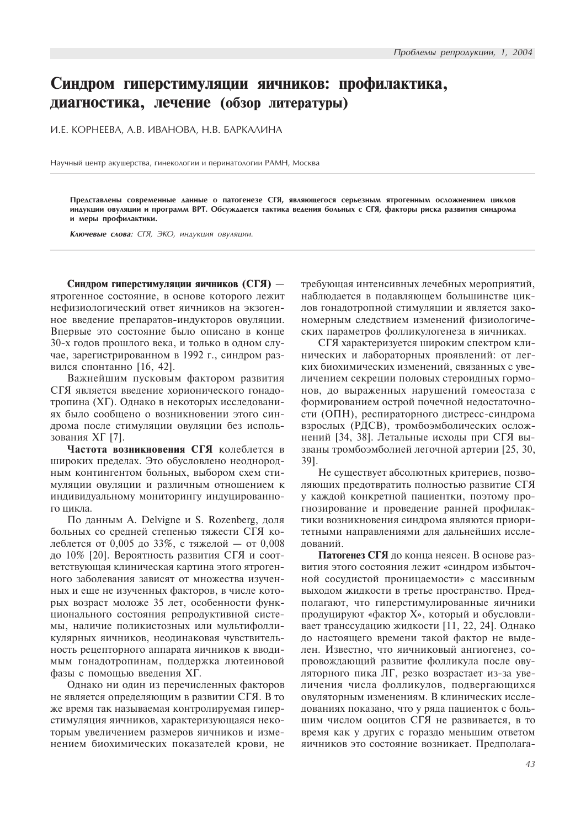# Синдром гиперстимуляции яичников: профилактика, диагностика, лечение (обзор литературы)

И.Е. КОРНЕЕВА, А.В. ИВАНОВА, Н.В. БАРКАЛИНА

Научный центр акушерства, гинекологии и перинатологии РАМН, Москва

Представлены современные данные о патогенезе СГЯ, являющегося серьезным ятрогенным осложнением циклов индукции овуляции и программ ВРТ. Обсуждается тактика ведения больных с СГЯ, факторы риска развития синдрома и меры профилактики.

Ключевые слова: СГЯ, ЭКО, индукция овуляции.

Синдром гиперстимуляции яичников (СГЯ) ятрогенное состояние, в основе которого лежит нефизиологический ответ яичников на экзогенное введение препаратов-индукторов овуляции. Впервые это состояние было описано в конце 30-х годов прошлого века, и только в одном случае, зарегистрированном в 1992 г., синдром развился спонтанно [16, 42].

Важнейшим пусковым фактором развития СГЯ является введение хорионического гонадотропина (XГ). Однако в некоторых исследованиях было сообщено о возникновении этого синдрома после стимуляции овуляции без использования ХГ [7].

Частота возникновения СГЯ колеблется в широких пределах. Это обусловлено неоднородным контингентом больных, выбором схем стимуляции овуляции и различным отношением к индивидуальному мониторингу индуцированного цикла.

По данным A. Delvigne и S. Rozenberg, доля больных со средней степенью тяжести СГЯ колеблется от 0,005 до 33%, с тяжелой - от 0,008 до 10% [20]. Вероятность развития СГЯ и соответствующая клиническая картина этого ятрогенного заболевания зависят от множества изученных и еще не изученных факторов, в числе которых возраст моложе 35 лет, особенности функционального состояния репродуктивной системы, наличие поликистозных или мультифолликулярных яичников, неодинаковая чувствительность рецепторного аппарата яичников к вводимым гонадотропинам, поддержка лютеиновой фазы с помощью введения ХГ.

Однако ни один из перечисленных факторов не является определяющим в развитии СГЯ. В то же время так называемая контролируемая гиперстимуляция яичников, характеризующаяся некоторым увеличением размеров яичников и изменением биохимических показателей крови, не требующая интенсивных лечебных мероприятий, наблюдается в подавляющем большинстве циклов гонадотропной стимуляции и является закономерным следствием изменений физиологических параметров фолликулогенеза в яичниках.

СГЯ характеризуется широким спектром клинических и лабораторных проявлений: от легких биохимических изменений, связанных с увеличением секреции половых стероидных гормонов, до выраженных нарушений гомеостаза с формированием острой почечной недостаточности (ОПН), респираторного дистресс-синдрома взрослых (РДСВ), тромбоэмболических осложнений [34, 38]. Летальные исходы при СГЯ вызваны тромбоэмболией легочной артерии [25, 30, 39].

Не существует абсолютных критериев, позволяющих предотвратить полностью развитие СГЯ у каждой конкретной пациентки, поэтому прогнозирование и проведение ранней профилактики возникновения синдрома являются приоритетными направлениями для дальнейших исслелований.

Патогенез СГЯ до конца неясен. В основе развития этого состояния лежит «синдром избыточной сосудистой проницаемости» с массивным выходом жидкости в третье пространство. Предполагают, что гиперстимулированные яичники продуцируют «фактор Х», который и обусловливает транссудацию жидкости [11, 22, 24]. Однако до настоящего времени такой фактор не выделен. Известно, что яичниковый ангиогенез, сопровождающий развитие фолликула после овуляторного пика ЛГ, резко возрастает из-за увеличения числа фолликулов, подвергающихся овуляторным изменениям. В клинических исследованиях показано, что у ряда пациенток с большим числом ооцитов СГЯ не развивается, в то время как у других с гораздо меньшим ответом яичников это состояние возникает. Предполага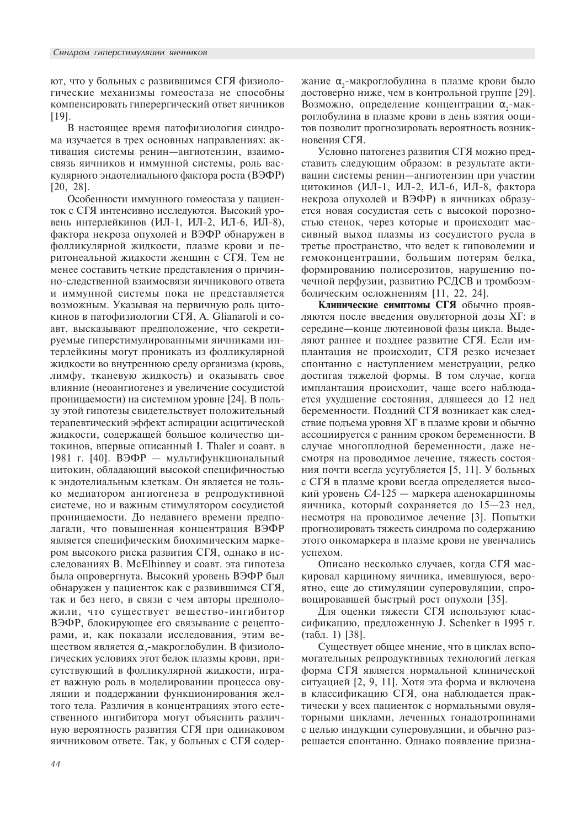ют, что у больных с развившимся СГЯ физиологические механизмы гомеостаза не способны компенсировать гиперергический ответ яичников [19].

В настоящее время патофизиология синдрома изучается в трех основных направлениях: активация системы ренин-ангиотензин, взаимосвязь яичников и иммунной системы, роль васкулярного эндотелиального фактора роста (ВЭФР) [20, 28].

Особенности иммунного гомеостаза у пациенток с СГЯ интенсивно исследуются. Высокий уровень интерлейкинов (ИЛ-1, ИЛ-2, ИЛ-6, ИЛ-8), фактора некроза опухолей и ВЭФР обнаружен в фолликулярной жидкости, плазме крови и перитонеальной жидкости женщин с СГЯ. Тем не менее составить четкие представления о причинно-следственной взаимосвязи яичникового ответа и иммунной системы пока не представляется возможным. Указывая на первичную роль цитокинов в патофизиологии СГЯ, A. Glianaroli и соавт. высказывают предположение, что секретируемые гиперстимулированными яичниками интерлейкины могут проникать из фолликулярной жидкости во внутреннюю среду организма (кровь, лимфу, тканевую жидкость) и оказывать свое влияние (неоангиогенез и увеличение сосудистой проницаемости) на системном уровне [24]. В пользу этой гипотезы свидетельствует положительный терапевтический эффект аспирации асцитической жидкости, содержащей большое количество цитокинов, впервые описанный I. Thaler и соавт. в 1981 г. [40]. ВЭФР - мультифункциональный цитокин, обладающий высокой специфичностью к эндотелиальным клеткам. Он является не только медиатором ангиогенеза в репродуктивной системе, но и важным стимулятором сосудистой проницаемости. До недавнего времени предполагали, что повышенная концентрация ВЭФР является специфическим биохимическим маркером высокого риска развития СГЯ, однако в исследованиях В. McElhinney и соавт. эта гипотеза была опровергнута. Высокий уровень ВЭФР был обнаружен у пациенток как с развившимся СГЯ, так и без него, в связи с чем авторы предположили, что существует вещество-ингибитор ВЭФР, блокирующее его связывание с рецепторами, и, как показали исследования, этим веществом является α<sub>2</sub>-макроглобулин. В физиологических условиях этот белок плазмы крови, присутствующий в фолликулярной жидкости, играет важную роль в моделировании процесса овуляции и поддержании функционирования желтого тела. Различия в концентрациях этого естественного ингибитора могут объяснить различную вероятность развития СГЯ при одинаковом яичниковом ответе. Так, у больных с СГЯ содер-

жание  $\alpha_{_2}$ -макроглобулина в плазме крови было достоверно ниже, чем в контрольной группе [29]. Возможно, определение концентрации  $\alpha$ <sub>2</sub>-макроглобулина в плазме крови в день взятия ооцитов позволит прогнозировать вероятность возникновения СГЯ.

Условно патогенез развития СГЯ можно представить следующим образом: в результате активации системы ренин-ангиотензин при участии цитокинов (ИЛ-1, ИЛ-2, ИЛ-6, ИЛ-8, фактора некроза опухолей и ВЭФР) в яичниках образуется новая сосудистая сеть с высокой порозностью стенок, через которые и происходит массивный выход плазмы из сосудистого русла в третье пространство, что ведет к гиповолемии и гемоконцентрации, большим потерям белка, формированию полисерозитов, нарушению почечной перфузии, развитию РСДСВ и тромбоэмболическим осложнениям [11, 22, 24].

Клинические симптомы СГЯ обычно проявляются после введения овуляторной дозы ХГ: в середине—конце лютеиновой фазы цикла. Выделяют раннее и позднее развитие СГЯ. Если имплантация не происходит, СГЯ резко исчезает спонтанно с наступлением менструации, редко достигая тяжелой формы. В том случае, когда имплантация происходит, чаще всего наблюдается ухудшение состояния, длящееся до 12 нед беременности. Поздний СГЯ возникает как следствие подъема уровня XГ в плазме крови и обычно ассоциируется с ранним сроком беременности. В случае многоплодной беременности, даже несмотря на проводимое лечение, тяжесть состояния почти всегда усугубляется [5, 11]. У больных с СГЯ в плазме крови всегда определяется высокий уровень  $CA-125$  — маркера аденокарциномы яичника, который сохраняется до  $15-23$  нед, несмотря на проводимое лечение [3]. Попытки прогнозировать тяжесть синдрома по содержанию этого онкомаркера в плазме крови не увенчались успехом.

Описано несколько случаев, когда СГЯ маскировал карциному яичника, имевшуюся, вероятно, еще до стимуляции суперовуляции, спровоцировавшей быстрый рост опухоли [35].

Для оценки тяжести СГЯ используют классификацию, предложенную J. Schenker в 1995 г. (табл. 1) [38].

Существует общее мнение, что в циклах вспомогательных репродуктивных технологий легкая форма СГЯ является нормальной клинической ситуацией [2, 9, 11]. Хотя эта форма и включена в классификацию СГЯ, она наблюдается практически у всех пациенток с нормальными овуляторными циклами, леченных гонадотропинами с целью индукции суперовуляции, и обычно разрешается спонтанно. Однако появление призна-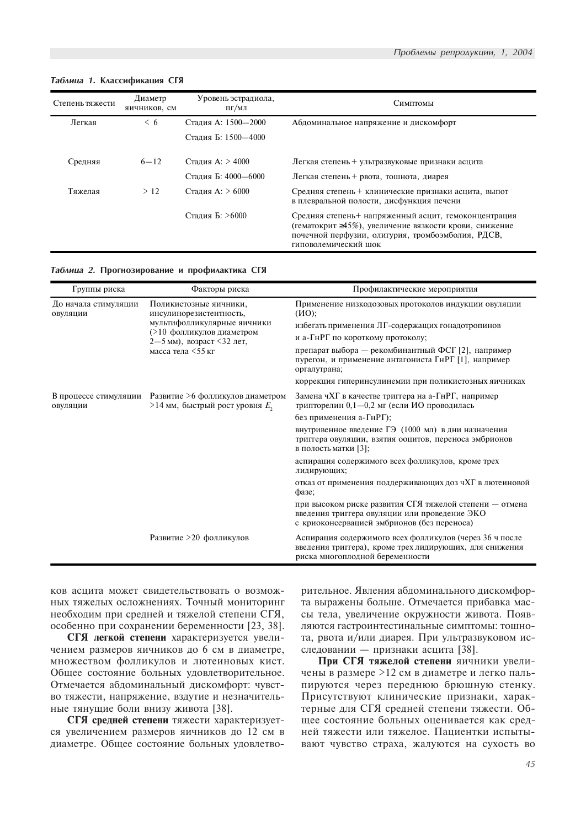| Степень тяжести | Диаметр<br>яичников, см | Уровень эстрадиола,<br>$\Pi$ Г $/M$ Л | Симптомы                                                                                                                                                                                            |
|-----------------|-------------------------|---------------------------------------|-----------------------------------------------------------------------------------------------------------------------------------------------------------------------------------------------------|
| Легкая          | < 6                     | Сталия А: 1500-2000                   | Абдоминальное напряжение и дискомфорт                                                                                                                                                               |
|                 |                         | Сталия Б: 1500-4000                   |                                                                                                                                                                                                     |
| Средняя         | $6 - 12$                | Стадия А: > 4000                      | Легкая степень + ультразвуковые признаки асцита                                                                                                                                                     |
|                 |                         | Сталия Б: 4000-6000                   | Легкая степень + рвота, тошнота, диарея                                                                                                                                                             |
| Тяжелая         | >12                     | Сталия А: > 6000                      | Средняя степень + клинические признаки асцита, выпот<br>в плевральной полости, дисфункция печени                                                                                                    |
|                 |                         | Сталия Б: >6000                       | Средняя степень+ напряженный асцит, гемоконцентрация<br>(гематокрит $\geq 45\%$ ), увеличение вязкости крови, снижение<br>почечной перфузии, олигурия, тромбоэмболия, РДСВ,<br>гиповолемический шок |

## Таблица 1. Классификация СГЯ

### Таблица 2. Прогнозирование и профилактика СГЯ

| Группы риска                     | Факторы риска                                                                               | Профилактические мероприятия                                                                                                                            |
|----------------------------------|---------------------------------------------------------------------------------------------|---------------------------------------------------------------------------------------------------------------------------------------------------------|
| До начала стимуляции<br>ОВУЛЯЦИИ | Поликистозные яичники,<br>инсулинорезистентность,                                           | Применение низкодозовых протоколов индукции овуляции<br>(MO):                                                                                           |
|                                  | мультифолликулярные яичники<br>(>10 фолликулов диаметром<br>2-5 мм), возраст <32 лет,       | избегать применения ЛГ-содержащих гонадотропинов                                                                                                        |
|                                  |                                                                                             | и а-ГнРГ по короткому протоколу;                                                                                                                        |
|                                  | масса тела $\leq$ 55 кг                                                                     | препарат выбора — рекомбинантный ФСГ [2], например<br>пурегон, и применение антагониста ГнРГ [1], например<br>оргалутрана;                              |
|                                  |                                                                                             | коррекция гиперинсулинемии при поликистозных яичниках                                                                                                   |
| овуляции                         | В процессе стимуляции Развитие >6 фолликулов диаметром<br>>14 мм, быстрый рост уровня $E_2$ | Замена чХГ в качестве триггера на а-ГнРГ, например<br>трипторелин 0,1-0,2 мг (если ИО проводилась                                                       |
|                                  |                                                                                             | без применения а-ГнРГ);                                                                                                                                 |
|                                  |                                                                                             | внутривенное введение ГЭ (1000 мл) в дни назначения<br>триггера овуляции, взятия ооцитов, переноса эмбрионов<br>в полость матки [3];                    |
|                                  |                                                                                             | аспирация содержимого всех фолликулов, кроме трех<br>лидирующих;                                                                                        |
|                                  |                                                                                             | отказ от применения поддерживающих доз чХГ в лютеиновой<br>фазе;                                                                                        |
|                                  |                                                                                             | при высоком риске развития СГЯ тяжелой степени - отмена<br>введения триггера овуляции или проведение ЭКО<br>с криоконсервацией эмбрионов (без переноса) |
|                                  | Развитие >20 фолликулов                                                                     | Аспирация содержимого всех фолликулов (через 36 ч после<br>введения триггера), кроме трех лидирующих, для снижения<br>риска многоплодной беременности   |

ков асцита может свидетельствовать о возможных тяжелых осложнениях. Точный мониторинг необходим при средней и тяжелой степени СГЯ, особенно при сохранении беременности [23, 38].

СГЯ легкой степени характеризуется увеличением размеров яичников до 6 см в диаметре, множеством фолликулов и лютеиновых кист. Общее состояние больных удовлетворительное. Отмечается абдоминальный дискомфорт: чувство тяжести, напряжение, вздутие и незначительные тянущие боли внизу живота [38].

СГЯ средней степени тяжести характеризуется увеличением размеров яичников до 12 см в диаметре. Общее состояние больных удовлетворительное. Явления абдоминального дискомфорта выражены больше. Отмечается прибавка массы тела, увеличение окружности живота. Появляются гастроинтестинальные симптомы: тошнота, рвота и/или диарея. При ультразвуковом исследовании — признаки асцита [38].

При СГЯ тяжелой степени яичники увеличены в размере >12 см в диаметре и легко пальпируются через переднюю брюшную стенку. Присутствуют клинические признаки, характерные для СГЯ средней степени тяжести. Общее состояние больных оценивается как средней тяжести или тяжелое. Пациентки испытывают чувство страха, жалуются на сухость во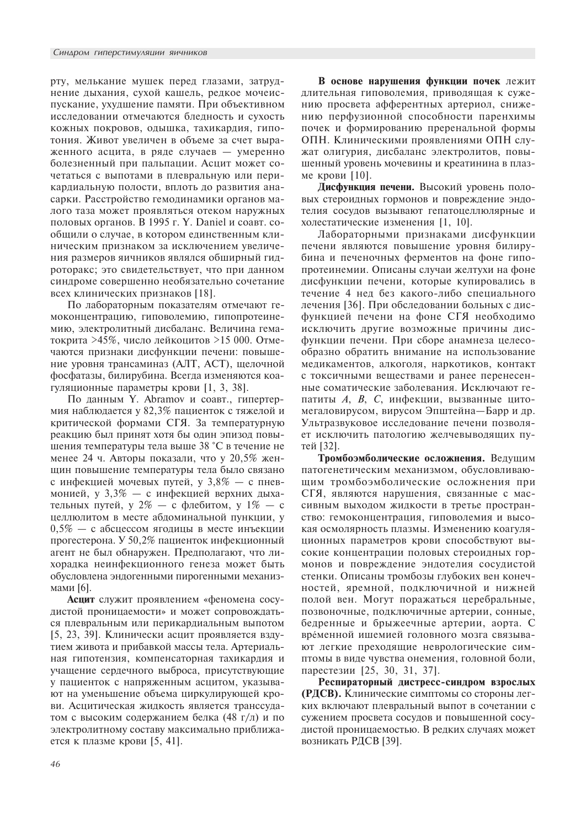рту, мелькание мушек перед глазами, затруднение дыхания, сухой кашель, редкое мочеиспускание, ухудшение памяти. При объективном исследовании отмечаются бледность и сухость кожных покровов, одышка, тахикардия, гипотония. Живот увеличен в объеме за счет выраженного асцита, в ряде случаев - умеренно болезненный при пальпации. Асцит может сочетаться с выпотами в плевральную или перикардиальную полости, вплоть до развития анасарки. Расстройство гемодинамики органов малого таза может проявляться отеком наружных половых органов. В 1995 г. Y. Daniel и соавт. сообщили о случае, в котором единственным клиническим признаком за исключением увеличения размеров яичников являлся обширный гидроторакс; это свидетельствует, что при данном синдроме совершенно необязательно сочетание всех клинических признаков [18].

По лабораторным показателям отмечают гемоконцентрацию, гиповолемию, гипопротеинемию, электролитный дисбаланс. Величина гематокрита >45%, число лейкоцитов >15 000. Отмечаются признаки дисфункции печени: повышение уровня трансаминаз (АЛТ, АСТ), щелочной фосфатазы, билирубина. Всегда изменяются коагуляционные параметры крови [1, 3, 38].

По данным Ү. Абгато и соавт., гипертермия наблюдается у 82,3% пациенток с тяжелой и критической формами СГЯ. За температурную реакцию был принят хотя бы один эпизод повышения температуры тела выше 38 °С в течение не менее 24 ч. Авторы показали, что у 20,5% женщин повышение температуры тела было связано с инфекцией мочевых путей, у  $3.8\%$  — с пневмонией, у 3,3% — с инфекцией верхних дыхательных путей, у 2% — с флебитом, у 1% — с целлюлитом в месте абдоминальной пункции, у 0.5% - с абсцессом ягодицы в месте инъекции прогестерона. У 50,2% пациенток инфекционный агент не был обнаружен. Предполагают, что лихорадка неинфекционного генеза может быть обусловлена эндогенными пирогенными механизмами [6].

**Асцит** служит проявлением «феномена сосудистой проницаемости» и может сопровождаться плевральным или перикардиальным выпотом [5, 23, 39]. Клинически асцит проявляется вздутием живота и прибавкой массы тела. Артериальная гипотензия, компенсаторная тахикардия и учащение сердечного выброса, присутствующие у пациенток с напряженным асцитом, указывают на уменьшение объема циркулирующей крови. Асцитическая жидкость является транссудатом с высоким содержанием белка (48 г/л) и по электролитному составу максимально приближается к плазме крови [5, 41].

В основе нарушения функции почек лежит длительная гиповолемия, приводящая к сужению просвета афферентных артериол, снижению перфузионной способности паренхимы почек и формированию преренальной формы ОПН. Клиническими проявлениями ОПН служат олигурия, дисбаланс электролитов, повышенный уровень мочевины и креатинина в плазме крови [10].

Дисфункция печени. Высокий уровень половых стероидных гормонов и повреждение эндотелия сосудов вызывают гепатоцеллюлярные и холестатические изменения [1, 10].

Лабораторными признаками дисфункции печени являются повышение уровня билирубина и печеночных ферментов на фоне гипопротеинемии. Описаны случаи желтухи на фоне дисфункции печени, которые купировались в течение 4 нед без какого-либо специального лечения [36]. При обследовании больных с дисфункцией печени на фоне СГЯ необходимо исключить другие возможные причины дисфункции печени. При сборе анамнеза целесообразно обратить внимание на использование медикаментов, алкоголя, наркотиков, контакт с токсичными веществами и ранее перенесенные соматические заболевания. Исключают гепатиты А, В, С, инфекции, вызванные цитомегаловирусом, вирусом Эпштейна-Барр и др. Ультразвуковое исследование печени позволяет исключить патологию желчевыводящих путей [32].

Тромбоэмболические осложнения. Ведущим патогенетическим механизмом, обусловливающим тромбоэмболические осложнения при СГЯ, являются нарушения, связанные с массивным выходом жидкости в третье пространство: гемоконцентрация, гиповолемия и высокая осмолярность плазмы. Изменению коагуляционных параметров крови способствуют высокие концентрации половых стероидных гормонов и повреждение эндотелия сосудистой стенки. Описаны тромбозы глубоких вен конечностей, яремной, подключичной и нижней полой вен. Могут поражаться церебральные, позвоночные, подключичные артерии, сонные, бедренные и брыжеечные артерии, аорта. С временной ишемией головного мозга связывают легкие преходящие неврологические симптомы в виде чувства онемения, головной боли, парестезии [25, 30, 31, 37].

Респираторный дистресс-синдром взрослых (РДСВ). Клинические симптомы со стороны легких включают плевральный выпот в сочетании с сужением просвета сосудов и повышенной сосудистой проницаемостью. В редких случаях может возникать РДСВ [39].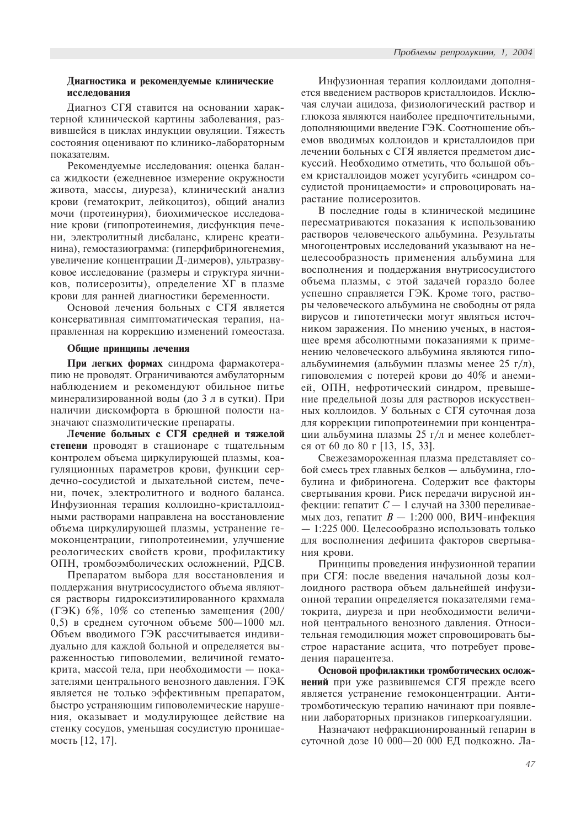# Диагностика и рекомендуемые клинические исследования

Диагноз СГЯ ставится на основании характерной клинической картины заболевания, развившейся в циклах индукции овуляции. Тяжесть состояния оценивают по клинико-лабораторным показателям.

Рекомендуемые исследования: оценка баланса жидкости (ежедневное измерение окружности живота, массы, диуреза), клинический анализ крови (гематокрит, лейкоцитоз), общий анализ мочи (протеинурия), биохимическое исследование крови (гипопротеинемия, дисфункция печени, электролитный дисбаланс, клиренс креатинина), гемостазиограмма: (гиперфибриногенемия, увеличение концентрации Д-димеров), ультразвуковое исследование (размеры и структура яичников, полисерозиты), определение ХГ в плазме крови для ранней диагностики беременности.

Основой лечения больных с СГЯ является консервативная симптоматическая терапия, направленная на коррекцию изменений гомеостаза.

# Общие принципы лечения

При легких формах синдрома фармакотерапию не проводят. Ограничиваются амбулаторным наблюдением и рекомендуют обильное питье минерализированной воды (до 3 л в сутки). При наличии дискомфорта в брюшной полости назначают спазмолитические препараты.

Лечение больных с СГЯ средней и тяжелой степени проводят в стационаре с тщательным контролем объема циркулирующей плазмы, коагуляционных параметров крови, функции сердечно-сосудистой и дыхательной систем, печени, почек, электролитного и водного баланса. Инфузионная терапия коллоидно-кристаллоидными растворами направлена на восстановление объема циркулирующей плазмы, устранение гемоконцентрации, гипопротеинемии, улучшение реологических свойств крови, профилактику ОПН, тромбоэмболических осложнений, РДСВ.

Препаратом выбора для восстановления и поддержания внутрисосудистого объема являются растворы гидроксиэтилированного крахмала (ГЭК) 6%, 10% со степенью замещения (200/ 0,5) в среднем суточном объеме  $500-1000$  мл. Объем вводимого ГЭК рассчитывается индивидуально для каждой больной и определяется выраженностью гиповолемии, величиной гематокрита, массой тела, при необходимости — показателями центрального венозного давления. ГЭК является не только эффективным препаратом, быстро устраняющим гиповолемические нарушения, оказывает и модулирующее действие на стенку сосудов, уменьшая сосудистую проницаемость  $[12, 17]$ .

Инфузионная терапия коллоидами дополняется введением растворов кристаллоидов. Исключая случаи ацидоза, физиологический раствор и глюкоза являются наиболее предпочтительными, дополняющими введение ГЭК. Соотношение объемов вводимых коллоидов и кристаллоидов при лечении больных с СГЯ является предметом дискуссий. Необходимо отметить, что большой объем кристаллоидов может усугубить «синдром сосудистой проницаемости» и спровоцировать нарастание полисерозитов.

В последние годы в клинической медицине пересматриваются показания к использованию растворов человеческого альбумина. Результаты многоцентровых исследований указывают на нецелесообразность применения альбумина для восполнения и поддержания внутрисосудистого объема плазмы, с этой задачей гораздо более успешно справляется ГЭК. Кроме того, растворы человеческого альбумина не свободны от ряда вирусов и гипотетически могут являться источником заражения. По мнению ученых, в настоящее время абсолютными показаниями к применению человеческого альбумина являются гипоальбуминемия (альбумин плазмы менее 25 г/л), гиповолемия с потерей крови до 40% и анемией, ОПН, нефротический синдром, превышение предельной дозы для растворов искусственных коллоидов. У больных с СГЯ суточная доза для коррекции гипопротеинемии при концентрации альбумина плазмы 25 г/л и менее колеблется от 60 до 80 г [13, 15, 33].

Свежезамороженная плазма представляет собой смесь трех главных белков — альбумина, глобулина и фибриногена. Содержит все факторы свертывания крови. Риск передачи вирусной инфекции: гепатит  $C-1$  случай на 3300 переливаемых доз, гепатит  $B - 1:200 000$ , ВИЧ-инфекция  $-1:225000$ . Целесообразно использовать только для восполнения дефицита факторов свертывания крови.

Принципы проведения инфузионной терапии при СГЯ: после введения начальной дозы коллоидного раствора объем дальнейшей инфузионной терапии определяется показателями гематокрита, диуреза и при необходимости величиной центрального венозного давления. Относительная гемодилюция может спровоцировать быстрое нарастание асцита, что потребует проведения парацентеза.

Основой профилактики тромботических осложнений при уже развившемся СГЯ прежде всего является устранение гемоконцентрации. Антитромботическую терапию начинают при появлении лабораторных признаков гиперкоагуляции.

Назначают нефракционированный гепарин в суточной дозе 10 000-20 000 ЕД подкожно. Ла-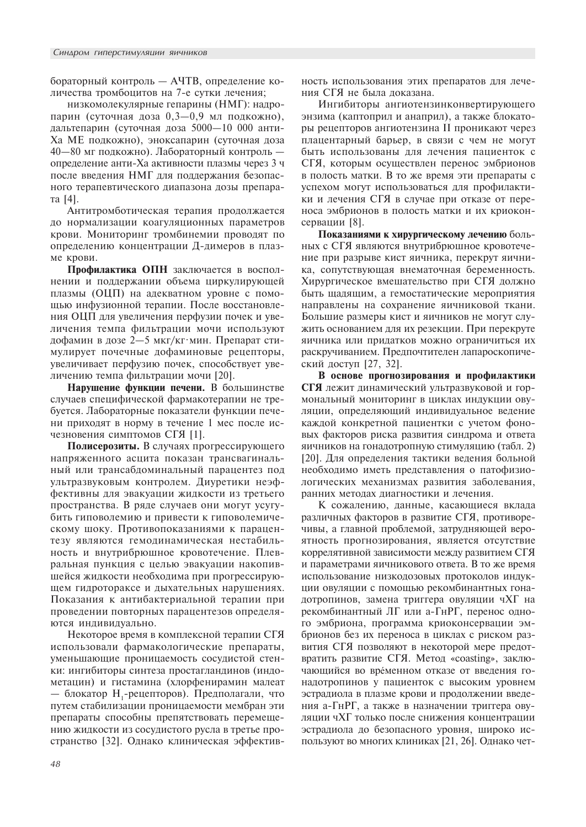бораторный контроль - АЧТВ, определение количества тромбоцитов на 7-е сутки лечения;

низкомолекулярные гепарины (НМГ): надропарин (суточная доза 0,3-0,9 мл подкожно), дальтепарин (суточная доза 5000-10 000 анти-Ха МЕ подкожно), эноксапарин (суточная доза 40-80 мг подкожно). Лабораторный контроль определение анти-Ха активности плазмы через 3 ч после введения НМГ для поддержания безопасного терапевтического диапазона дозы препарата [4].

Антитромботическая терапия продолжается до нормализации коагуляционных параметров крови. Мониторинг тромбинемии проводят по определению концентрации Д-димеров в плазме крови.

Профилактика ОПН заключается в восполнении и поддержании объема циркулирующей плазмы (ОЦП) на адекватном уровне с помощью инфузионной терапии. После восстановления ОЦП для увеличения перфузии почек и увеличения темпа фильтрации мочи используют дофамин в дозе 2-5 мкг/кг·мин. Препарат стимулирует почечные дофаминовые рецепторы, увеличивает перфузию почек, способствует увеличению темпа фильтрации мочи [20].

Нарушение функции печени. В большинстве случаев специфической фармакотерапии не требуется. Лабораторные показатели функции печени приходят в норму в течение 1 мес после исчезновения симптомов СГЯ [1].

Полисерозиты. В случаях прогрессирующего напряженного асцита показан трансвагинальный или трансабдоминальный парацентез под ультразвуковым контролем. Диуретики неэффективны для эвакуации жидкости из третьего пространства. В ряде случаев они могут усугубить гиповолемию и привести к гиповолемическому шоку. Противопоказаниями к парацентезу являются гемодинамическая нестабильность и внутрибрюшное кровотечение. Плевральная пункция с целью эвакуации накопившейся жидкости необходима при прогрессирующем гидротораксе и дыхательных нарушениях. Показания к антибактериальной терапии при проведении повторных парацентезов определяются индивидуально.

Некоторое время в комплексной терапии СГЯ использовали фармакологические препараты, уменьшающие проницаемость сосудистой стенки: ингибиторы синтеза простагландинов (индометацин) и гистамина (хлорфенирамин малеат — блокатор Н.-рецепторов). Предполагали, что путем стабилизации проницаемости мембран эти препараты способны препятствовать перемещению жидкости из сосудистого русла в третье пространство [32]. Однако клиническая эффективность использования этих препаратов для лечения СГЯ не была доказана.

Ингибиторы ангиотензинконвертирующего энзима (каптоприл и анаприл), а также блокаторы рецепторов ангиотензина II проникают через плацентарный барьер, в связи с чем не могут быть использованы для лечения пациенток с СГЯ, которым осуществлен перенос эмбрионов в полость матки. В то же время эти препараты с успехом могут использоваться для профилактики и лечения СГЯ в случае при отказе от переноса эмбрионов в полость матки и их криоконсервации [8].

Показаниями к хирургическому лечению больных с СГЯ являются внутрибрюшное кровотечение при разрыве кист яичника, перекрут яичника, сопутствующая внематочная беременность. Хирургическое вмешательство при СГЯ должно быть щадящим, а гемостатические мероприятия направлены на сохранение яичниковой ткани. Большие размеры кист и яичников не могут служить основанием для их резекции. При перекруте яичника или придатков можно ограничиться их раскручиванием. Предпочтителен лапароскопический доступ [27, 32].

В основе прогнозирования и профилактики СГЯ лежит динамический ультразвуковой и гормональный мониторинг в циклах индукции овуляции, определяющий индивидуальное ведение каждой конкретной пациентки с учетом фоновых факторов риска развития синдрома и ответа яичников на гонадотропную стимуляцию (табл. 2) [20]. Для определения тактики ведения больной необходимо иметь представления о патофизиологических механизмах развития заболевания, ранних методах диагностики и лечения.

К сожалению, данные, касающиеся вклада различных факторов в развитие СГЯ, противоречивы, а главной проблемой, затрудняющей вероятность прогнозирования, является отсутствие коррелятивной зависимости между развитием СГЯ и параметрами яичникового ответа. В то же время использование низкодозовых протоколов индукции овуляции с помощью рекомбинантных гонадотропинов, замена триггера овуляции чХГ на рекомбинантный ЛГ или а-ГнРГ, перенос одного эмбриона, программа криоконсервации эмбрионов без их переноса в циклах с риском развития СГЯ позволяют в некоторой мере предотвратить развитие СГЯ. Метод «coasting», заключающийся во временном отказе от введения гонадотропинов у пациенток с высоким уровнем эстрадиола в плазме крови и продолжении введения а-ГнРГ, а также в назначении триггера овуляции чХГ только после снижения концентрации эстрадиола до безопасного уровня, широко используют во многих клиниках [21, 26]. Однако чет-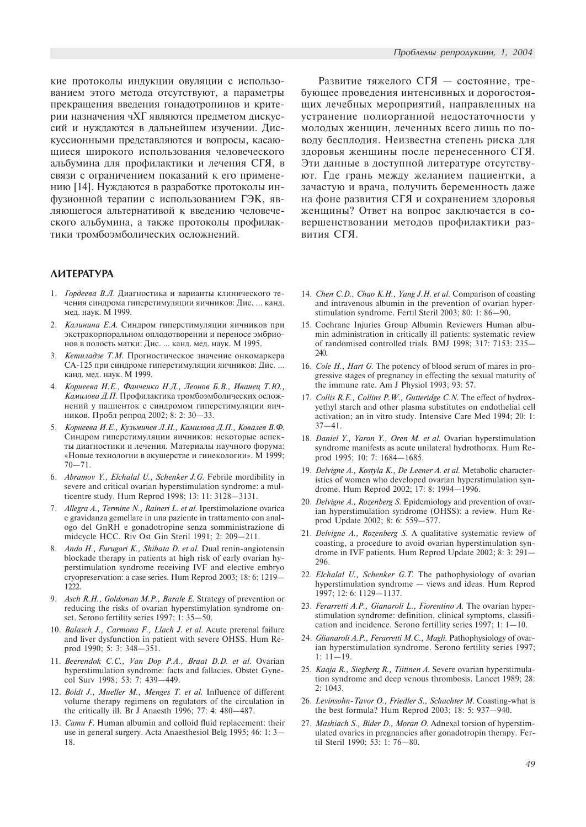кие протоколы индукции овуляции с использованием этого метода отсутствуют, а параметры прекращения введения гонадотропинов и критерии назначения чХГ являются предметом дискуссий и нуждаются в дальнейшем изучении. Дискуссионными представляются и вопросы, касающиеся широкого использования человеческого альбумина для профилактики и лечения СГЯ, в связи с ограничением показаний к его применению [14]. Нуждаются в разработке протоколы инфузионной терапии с использованием ГЭК, являющегося альтернативой к введению человеческого альбумина, а также протоколы профилактики тромбоэмболических осложнений.

# *AVATEPATYPA*

- 1. Гордеева В.Л. Диагностика и варианты клинического течения синдрома гиперстимуляции яичников: Дис. ... канд. мед. наук. М 1999.
- Калинина Е.А. Синдром гиперстимуляции яичников при экстракорпоральном оплодотворении и переносе эмбрионов в полость матки: Дис. ... канд. мед. наук. М 1995.
- 3. Кетиладзе Т.М. Прогностическое значение онкомаркера СА-125 при синдроме гиперстимуляции яичников: Дис. ... канд. мед. наук. М 1999.
- 4. Корнеева И.Е., Фанченко Н.Д., Леонов Б.В., Иванец Т.Ю., Камилова Д.П. Профилактика тромбоэмболических осложнений у пациенток с синдромом гиперстимуляции яичников. Пробл репрод 2002; 8: 2: 30-33.
- 5. Корнеева И.Е., Кузьмичев Л.Н., Камилова Д.П., Ковалев В.Ф. Синдром гиперстимуляции яичников: некоторые аспекты диагностики и лечения. Материалы научного форума: «Новые технологии в акушерстве и гинекологии». М 1999;  $70 - 71$ .
- 6. Abramov Y., Elchalal U., Schenker J.G. Febrile mordibility in severe and critical ovarian hyperstimulation syndrome: a multicentre study. Hum Reprod 1998; 13: 11: 3128-3131.
- 7. Allegra A., Termine N., Raineri L. et al. Iperstimolazione ovarica e gravidanza gemellare in una paziente in trattamento con analogo del GnRH e gonadotropine senza somministrazione di midcycle HCC. Riv Ost Gin Steril 1991; 2: 209-211.
- Ando H., Furugori K., Shibata D. et al. Dual renin-angiotensin blockade therapy in patients at high risk of early ovarian hyperstimulation syndrome receiving IVF and elective embryo cryopreservation: a case series. Hum Reprod 2003; 18: 6: 1219 1222.
- 9. Asch R.H., Goldsman M.P., Barale E. Strategy of prevention or reducing the risks of ovarian hyperstimylation syndrome onset. Serono fertility series 1997; 1: 35-50.
- 10. Balasch J., Carmona F., Llach J. et al. Acute prerenal failure and liver dysfunction in patient with severe OHSS. Hum Reprod 1990; 5: 3: 348-351.
- 11. Beerendok C.C., Van Dop P.A., Braat D.D. et al. Ovarian hyperstimulation syndrome: facts and fallacies. Obstet Gynecol Surv 1998; 53: 7: 439-449.
- 12. Boldt J., Mueller M., Menges T. et al. Influence of different volume therapy regimens on regulators of the circulation in the critically ill. Br J Anaesth 1996;  $77: 4: 480-487$ .
- 13. Camu F. Human albumin and colloid fluid replacement: their use in general surgery. Acta Anaesthesiol Belg 1995; 46: 1: 3 18.

Развитие тяжелого СГЯ - состояние, требующее проведения интенсивных и дорогостоящих лечебных мероприятий, направленных на устранение полиорганной недостаточности у молодых женщин, леченных всего лишь по поводу бесплодия. Неизвестна степень риска для здоровья женщины после перенесенного СГЯ. Эти данные в доступной литературе отсутствуют. Где грань между желанием пациентки, а зачастую и врача, получить беременность даже на фоне развития СГЯ и сохранением здоровья женщины? Ответ на вопрос заключается в совершенствовании методов профилактики развития СГЯ.

- 14. Chen C.D., Chao K.H., Yang J.H. et al. Comparison of coasting and intravenous albumin in the prevention of ovarian hyperstimulation syndrome. Fertil Steril 2003; 80: 1: 86-90.
- 15. Cochrane Injuries Group Albumin Reviewers Human albumin administration in critically ill patients: systematic review of randomised controlled trials. BMJ 1998; 317: 7153: 235 240.
- 16. Cole H., Hart G. The potency of blood serum of mares in progressive stages of pregnancy in effecting the sexual maturity of the immune rate. Am J Physiol 1993; 93: 57.
- 17. Collis R.E., Collins P.W., Gutteridge C.N. The effect of hydroxyethyl starch and other plasma substitutes on endothelial cell activation; an in vitro study. Intensive Care Med 1994; 20: 1:  $37 - 41$ .
- 18. Daniel Y., Yaron Y., Oren M. et al. Ovarian hyperstimulation syndrome manifests as acute unilateral hydrothorax. Hum Reprod 1995; 10: 7: 1684-1685.
- 19. Delvigne A., Kostyla K., De Leener A. et al. Metabolic characteristics of women who developed ovarian hyperstimulation syndrome. Hum Reprod 2002; 17: 8: 1994-1996.
- 20. Delvigne A., Rozenberg S. Epidemiology and prevention of ovarian hyperstimulation syndrome (OHSS): a review. Hum Reprod Update 2002; 8: 6: 559-577.
- 21. Delvigne A., Rozenberg S. A qualitative systematic review of coasting, a procedure to avoid ovarian hyperstimulation syndrome in IVF patients. Hum Reprod Update 2002; 8: 3: 291 296.
- 22. Elchalal U., Schenker G.T. The pathophysiology of ovarian hyperstimulation syndrome - views and ideas. Hum Reprod 1997; 12: 6: 1129-1137.
- 23. Ferarretti A.P., Gianaroli L., Fiorentino A. The ovarian hyperstimulation syndrome: definition, clinical symptoms, classification and incidence. Serono fertillity series 1997; 1:  $1-10$ .
- 24. Glianaroli A.P., Ferarretti M.C., Magli. Pathophysiology of ovarian hyperstimulation syndrome. Serono fertility series 1997;  $1: 11 - 19.$
- 25. Kaaja R., Siegberg R., Tiitinen A. Severe ovarian hyperstimulation syndrome and deep venous thrombosis. Lancet 1989; 28: 2: 1043.
- 26. Levinsohn-Tavor O., Friedler S., Schachter M. Coasting-what is the best formula? Hum Reprod 2003; 18: 5: 937-940.
- 27. Mashiach S., Bider D., Moran O. Adnexal torsion of hyperstimulated ovaries in pregnancies after gonadotropin therapy. Fertil Steril 1990; 53: 1: 76-80.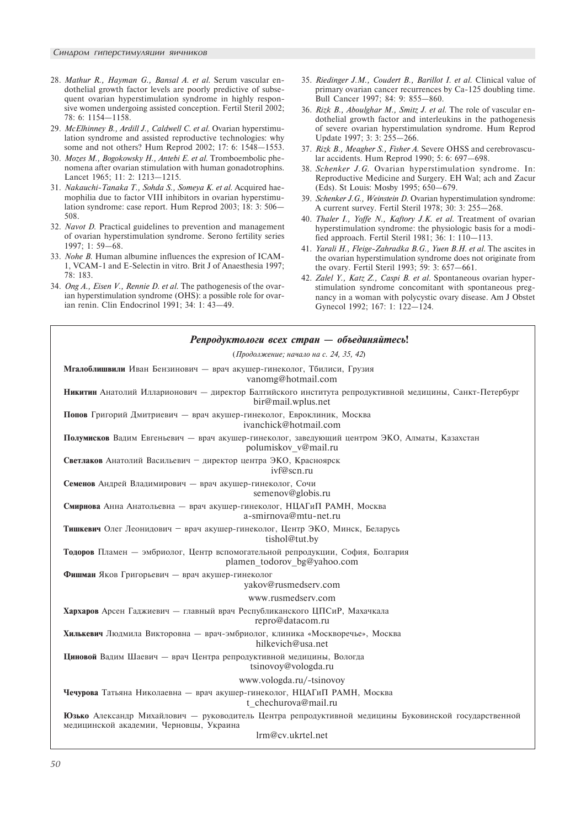- 28. Mathur R., Hayman G., Bansal A. et al. Serum vascular endothelial growth factor levels are poorly predictive of subsequent ovarian hyperstimulation syndrome in highly responsive women undergoing assisted conception. Fertil Steril 2002; 78: 6: 1154-1158.
- 29. McElhinney B., Ardill J., Caldwell C. et al. Ovarian hyperstimulation syndrome and assisted reproductive technologies: why some and not others? Hum Reprod 2002; 17: 6: 1548-1553.
- 30. Mozes M., Bogokowsky H., Antebi E. et al. Tromboembolic phenomena after ovarian stimulation with human gonadotrophins. Lancet 1965; 11: 2: 1213-1215.
- 31. Nakauchi-Tanaka T., Sohda S., Someya K. et al. Acquired haemophilia due to factor VIII inhibitors in ovarian hyperstimulation syndrome: case report. Hum Reprod 2003; 18: 3: 506 508.
- 32. Navot D. Practical guidelines to prevention and management of ovarian hyperstimulation syndrome. Serono fertility series  $1997: 1: 59 - 68.$
- 33. Nohe B. Human albumine influences the expresion of ICAM-1, VCAM-1 and E-Selectin in vitro. Brit J of Anaesthesia 1997; 78: 183.
- 34. Ong A., Eisen V., Rennie D. et al. The pathogenesis of the ovarian hyperstimulation syndrome (OHS): a possible role for ovarian renin. Clin Endocrinol 1991; 34: 1: 43-49.
- 35. Riedinger J.M., Coudert B., Barillot I. et al. Clinical value of primary ovarian cancer recurrences by Ca-125 doubling time. Bull Cancer 1997; 84: 9: 855-860.
- 36. Rizk B., Aboulghar M., Smitz J. et al. The role of vascular endothelial growth factor and interleukins in the pathogenesis of severe ovarian hyperstimulation syndrome. Hum Reprod Update 1997; 3: 3: 255-266.
- 37. Rizk B., Meagher S., Fisher A. Severe OHSS and cerebrovascular accidents. Hum Reprod 1990; 5: 6: 697-698.
- 38. Schenker J.G. Ovarian hyperstimulation syndrome. In: Reproductive Medicine and Surgery. EH Wal; ach and Zacur (Eds). St Louis: Mosby 1995; 650-679.
- 39. Schenker J.G., Weinstein D. Ovarian hyperstimulation syndrome: A current survey. Fertil Steril 1978; 30: 3: 255-268.
- 40. Thaler I., Yoffe N., Kaftory J.K. et al. Treatment of ovarian hyperstimulation syndrome: the physiologic basis for a modified approach. Fertil Steril 1981; 36: 1: 110-113.
- 41. Yarali H., Fleige-Zahradka B.G., Yuen B.H. et al. The ascites in the ovarian hyperstimulation syndrome does not originate from the ovary. Fertil Steril 1993; 59: 3: 657–661.
- 42. Zalel Y., Katz Z., Caspi B. et al. Spontaneous ovarian hyperstimulation syndrome concomitant with spontaneous pregnancy in a woman with polycystic ovary disease. Am J Obstet Gynecol 1992; 167: 1: 122-124.

| Репродуктологи всех стран — объединяйтесь!                                                                                                                           |
|----------------------------------------------------------------------------------------------------------------------------------------------------------------------|
| (Продолжение; начало на с. 24, 35, 42)                                                                                                                               |
| Мгалоблишвили Иван Бензинович — врач акушер-гинеколог, Тбилиси, Грузия<br>vanomg@hotmail.com                                                                         |
| Никитин Анатолий Илларионович - директор Балтийского института репродуктивной медицины, Санкт-Петербург<br>bir@mail.wplus.net                                        |
| Попов Григорий Дмитриевич — врач акушер-гинеколог, Евроклиник, Москва<br>ivanchick@hotmail.com                                                                       |
| Полумисков Вадим Евгеньевич - врач акушер-гинеколог, заведующий центром ЭКО, Алматы, Казахстан<br>polumiskov v@mail.ru                                               |
| Светлаков Анатолий Васильевич - директор центра ЭКО, Красноярск<br>ivf@scn.ru                                                                                        |
| Семенов Андрей Владимирович — врач акушер-гинеколог, Сочи<br>semenov@globis.ru                                                                                       |
| Смирнова Анна Анатольевна — врач акушер-гинеколог, НЦАГиП РАМН, Москва<br>a-smirnova@mtu-net.ru                                                                      |
| Тишкевич Олег Леонидович - врач акушер-гинеколог, Центр ЭКО, Минск, Беларусь<br>tishol@tut.by                                                                        |
| Тодоров Пламен — эмбриолог, Центр вспомогательной репродукции, София, Болгария<br>plamen todorov bg@yahoo.com                                                        |
| Фишман Яков Григорьевич - врач акушер-гинеколог<br>yakov@rusmedserv.com                                                                                              |
| www.rusmedserv.com                                                                                                                                                   |
| Хархаров Арсен Гаджиевич — главный врач Республиканского ЦПСиР, Махачкала<br>repro@datacom.ru                                                                        |
| Хилькевич Людмила Викторовна - врач-эмбриолог, клиника «Москворечье», Москва<br>hilkevich@usa.net                                                                    |
| Циновой Вадим Шаевич — врач Центра репродуктивной медицины, Вологда<br>tsinovoy@vologda.ru                                                                           |
| www.vologda.ru/-tsinovoy                                                                                                                                             |
| Чечурова Татьяна Николаевна - врач акушер-гинеколог, НЦАГиП РАМН, Москва<br>t chechurova@mail.ru                                                                     |
| Юзько Александр Михайлович — руководитель Центра репродуктивной медицины Буковинской государственной<br>медицинской академии, Черновцы, Украина<br>lrm@cv.ukrtel.net |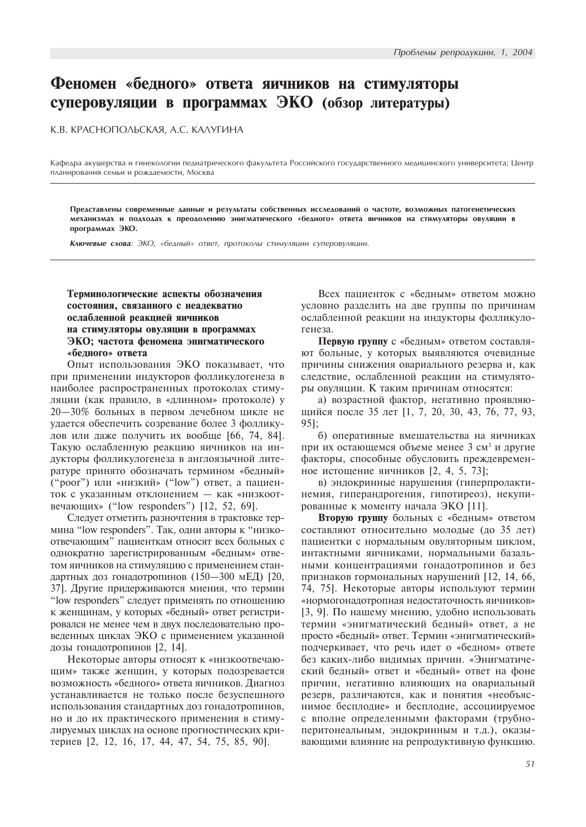# Феномен «бедного» ответа яичников на стимуляторы суперовуляции в программах ЭКО (обзор литературы)

К.В. КРАСНОПОЛЬСКАЯ, А.С. КАЛУГИНА

Кафедра акушерства и гинекологии педиатрического факультета Российского государственного медицинского университета; Центр планирования семьи и рождаемости, Москва

Представлены современные данные и результаты собственных исследований о частоте, возможных патогенетических механизмах и подходах к преодолению энигматического «бедного» ответа яичников на стимуляторы овуляции в программах ЭКО.

Ключевые слова: ЭКО, «бедный» ответ, протоколы стимуляции суперовуляции.

# Терминологические аспекты обозначения состояния, связанного с неадекватно ослабленной реакцией яичников на стимуляторы овуляции в программах ЭКО; частота феномена энигматического «белного» ответа

Опыт использования ЭКО показывает, что при применении индукторов фолликулогенеза в наиболее распространенных протоколах стимуляции (как правило, в «длинном» протоколе) у 20-30% больных в первом лечебном цикле не удается обеспечить созревание более 3 фолликулов или даже получить их вообще [66, 74, 84]. Такую ослабленную реакцию яичников на индукторы фолликулогенеза в англоязычной литературе принято обозначать термином «бедный» ("poor") или «низкий» ("low") ответ, а пациенток с указанным отклонением - как «низкоотвечающих» ("low responders")  $[12, 52, 69]$ .

Следует отметить разночтения в трактовке термина "low responders". Так, одни авторы к "низкоотвечающим" пациенткам относят всех больных с однократно зарегистрированным «бедным» ответом яичников на стимуляцию с применением стандартных доз гонадотропинов (150-300 мЕД) [20, 37]. Другие придерживаются мнения, что термин "low responders" следует применять по отношению к женщинам, у которых «бедный» ответ регистрировался не менее чем в двух последовательно проведенных циклах ЭКО с применением указанной дозы гонадотропинов [2, 14].

Некоторые авторы относят к «низкоотвечающим» также женщин, у которых подозревается возможность «бедного» ответа яичников. Диагноз устанавливается не только после безуспешного использования стандартных доз гонадотропинов, но и до их практического применения в стимулируемых циклах на основе прогностических критериев [2, 12, 16, 17, 44, 47, 54, 75, 85, 90].

Всех пациенток с «бедным» ответом можно условно разделить на две группы по причинам ослабленной реакции на индукторы фолликулогенеза.

Первую группу с «бедным» ответом составляют больные, у которых выявляются очевидные причины снижения овариального резерва и, как следствие, ослабленной реакции на стимуляторы овуляции. К таким причинам относятся:

а) возрастной фактор, негативно проявляющийся после 35 лет [1, 7, 20, 30, 43, 76, 77, 93, 95];

б) оперативные вмешательства на яичниках при их остающемся объеме менее 3 см<sup>3</sup> и другие факторы, способные обусловить преждевременное истощение яичников  $[2, 4, 5, 73]$ ;

в) эндокринные нарушения (гиперпролактинемия, гиперандрогения, гипотиреоз), некупированные к моменту начала ЭКО [11].

Вторую группу больных с «бедным» ответом составляют относительно молодые (до 35 лет) пациентки с нормальным овуляторным циклом, интактными яичниками, нормальными базальными концентрациями гонадотропинов и без признаков гормональных нарушений [12, 14, 66, 74, 75]. Некоторые авторы используют термин «нормогонадотропная недостаточность яичников» [3, 9]. По нашему мнению, удобно использовать термин «энигматический бедный» ответ, а не просто «бедный» ответ. Термин «энигматический» подчеркивает, что речь идет о «бедном» ответе без каких-либо видимых причин. «Энигматический бедный» ответ и «бедный» ответ на фоне причин, негативно влияющих на овариальный резерв, различаются, как и понятия «необъяснимое бесплодие» и бесплодие, ассоциируемое с вполне определенными факторами (трубноперитонеальным, эндокринным и т.д.), оказывающими влияние на репродуктивную функцию.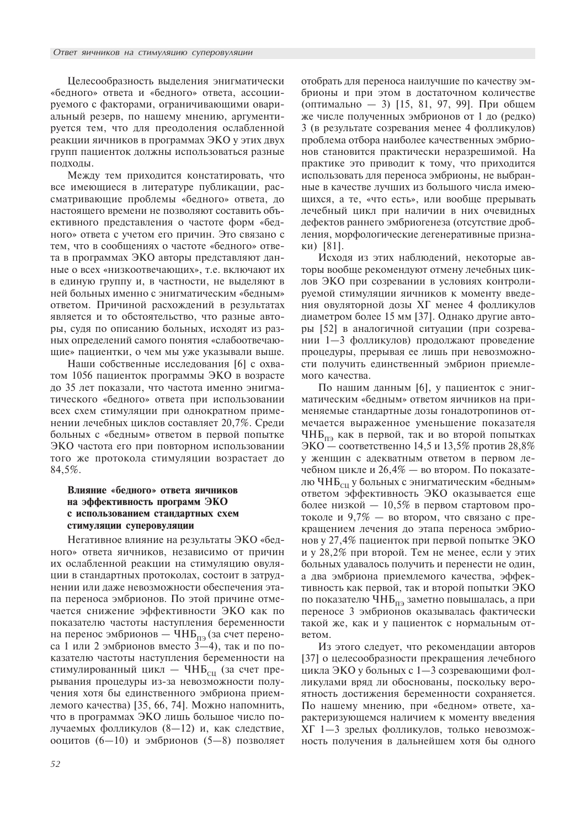Целесообразность выделения энигматически «бедного» ответа и «бедного» ответа, ассоциируемого с факторами, ограничивающими овариальный резерв, по нашему мнению, аргументируется тем, что для преодоления ослабленной реакции яичников в программах ЭКО у этих двух групп пациенток должны использоваться разные подходы.

Между тем приходится констатировать, что все имеющиеся в литературе публикации, рассматривающие проблемы «бедного» ответа, до настоящего времени не позволяют составить объективного представления о частоте форм «бедного» ответа с учетом его причин. Это связано с тем, что в сообщениях о частоте «бедного» ответа в программах ЭКО авторы представляют данные о всех «низкоотвечающих», т.е. включают их в единую группу и, в частности, не выделяют в ней больных именно с энигматическим «бедным» ответом. Причиной расхождений в результатах является и то обстоятельство, что разные авторы, судя по описанию больных, исходят из разных определений самого понятия «слабоотвечающие» пациентки, о чем мы уже указывали выше.

Наши собственные исследования [6] с охватом 1056 пациенток программы ЭКО в возрасте до 35 лет показали, что частота именно энигматического «бедного» ответа при использовании всех схем стимуляции при однократном применении лечебных циклов составляет 20,7%. Среди больных с «бедным» ответом в первой попытке ЭКО частота его при повторном использовании того же протокола стимуляции возрастает до 84,5%.

# Влияние «бедного» ответа яичников на эффективность программ ЭКО с использованием стандартных схем стимуляции суперовуляции

Негативное влияние на результаты ЭКО «бедного» ответа яичников, независимо от причин их ослабленной реакции на стимуляцию овуляции в стандартных протоколах, состоит в затруднении или даже невозможности обеспечения этапа переноса эмбрионов. По этой причине отмечается снижение эффективности ЭКО как по показателю частоты наступления беременности на перенос эмбрионов - ЧНБ<sub>пэ</sub> (за счет переноса 1 или 2 эмбрионов вместо  $3-4$ ), так и по показателю частоты наступления беременности на стимулированный цикл — ЧНБ<sub>си</sub> (за счет прерывания процедуры из-за невозможности получения хотя бы единственного эмбриона приемлемого качества) [35, 66, 74]. Можно напомнить, что в программах ЭКО лишь большое число получаемых фолликулов (8-12) и, как следствие, ооцитов (6-10) и эмбрионов (5-8) позволяет

отобрать для переноса наилучшие по качеству эмбрионы и при этом в достаточном количестве (оптимально - 3) [15, 81, 97, 99]. При общем же числе полученных эмбрионов от 1 до (редко) 3 (в результате созревания менее 4 фолликулов) проблема отбора наиболее качественных эмбрионов становится практически неразрешимой. На практике это приводит к тому, что приходится использовать для переноса эмбрионы, не выбранные в качестве лучших из большого числа имеющихся, а те, «что есть», или вообще прерывать лечебный цикл при наличии в них очевидных дефектов раннего эмбриогенеза (отсутствие дробления, морфологические дегенеративные признаки) [81].

Исходя из этих наблюдений, некоторые авторы вообще рекомендуют отмену лечебных циклов ЭКО при созревании в условиях контролируемой стимуляции яичников к моменту введения овуляторной дозы ХГ менее 4 фолликулов диаметром более 15 мм [37]. Однако другие авторы [52] в аналогичной ситуации (при созревании 1-3 фолликулов) продолжают проведение процедуры, прерывая ее лишь при невозможности получить единственный эмбрион приемлемого качества.

По нашим данным [6], у пациенток с энигматическим «бедным» ответом яичников на применяемые стандартные дозы гонадотропинов отмечается выраженное уменьшение показателя ЧНБ<sub>па</sub> как в первой, так и во второй попытках ЭКО — соответственно 14,5 и 13,5% против 28,8% у женщин с адекватным ответом в первом лечебном цикле и 26,4% - во втором. По показателю ЧНБ<sub>си</sub> у больных с энигматическим «бедным» ответом эффективность ЭКО оказывается еще более низкой - 10,5% в первом стартовом протоколе и 9,7% - во втором, что связано с прекращением лечения до этапа переноса эмбрионов у 27,4% пациенток при первой попытке ЭКО и у 28,2% при второй. Тем не менее, если у этих больных удавалось получить и перенести не один, а два эмбриона приемлемого качества, эффективность как первой, так и второй попытки ЭКО по показателю ЧНБ<sub>пэ</sub> заметно повышалась, а при переносе 3 эмбрионов оказывалась фактически такой же, как и у пациенток с нормальным ответом.

Из этого следует, что рекомендации авторов [37] о целесообразности прекращения лечебного цикла ЭКО у больных с 1-3 созревающими фолликулами вряд ли обоснованы, поскольку вероятность достижения беременности сохраняется. По нашему мнению, при «бедном» ответе, характеризующемся наличием к моменту введения ХГ 1-3 зрелых фолликулов, только невозможность получения в дальнейшем хотя бы одного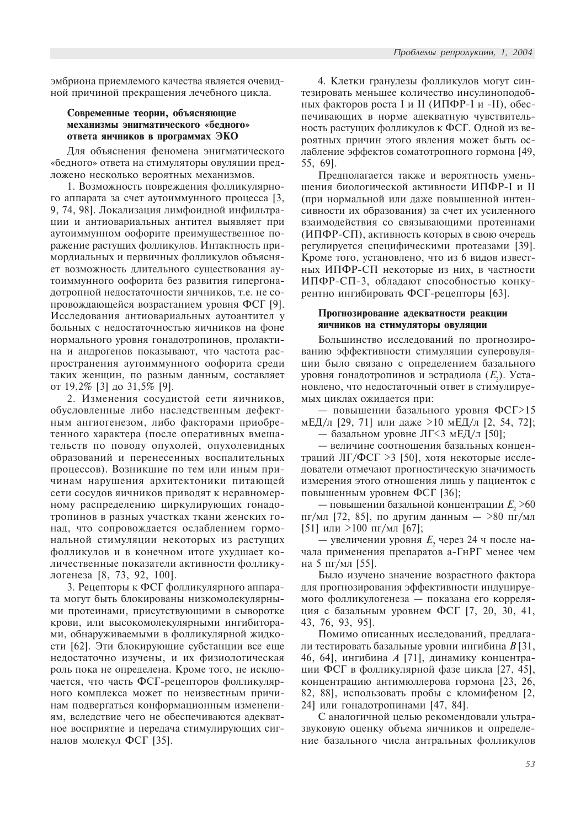эмбриона приемлемого качества является очевидной причиной прекращения лечебного цикла.

# Современные теории, объясняющие механизмы энигматического «бедного» ответа яичников в программах  $\partial$ КО

Для объяснения феномена энигматического «бедного» ответа на стимуляторы овуляции предложено несколько вероятных механизмов.

1. Возможность повреждения фолликулярного аппарата за счет аутоиммунного процесса [3, 9, 74, 98]. Локализация лимфоидной инфильтрации и антиовариальных антител выявляет при аутоиммунном оофорите преимущественное поражение растущих фолликулов. Интактность примордиальных и первичных фолликулов объясняет возможность длительного существования аутоиммунного оофорита без развития гипергонадотропной недостаточности яичников, т.е. не сопровождающейся возрастанием уровня ФСГ [9]. Исследования антиовариальных аутоантител у больных с недостаточностью яичников на фоне нормального уровня гонадотропинов, пролактина и андрогенов показывают, что частота распространения аутоиммунного оофорита среди таких женщин, по разным данным, составляет от 19,2% [3] до 31,5% [9].

2. Изменения сосудистой сети яичников, обусловленные либо наследственным дефектным ангиогенезом, либо факторами приобретенного характера (после оперативных вмешательств по поводу опухолей, опухолевидных образований и перенесенных воспалительных процессов). Возникшие по тем или иным причинам нарушения архитектоники питающей сети сосудов яичников приводят к неравномерному распределению циркулирующих гонадотропинов в разных участках ткани женских гонад, что сопровождается ослаблением гормональной стимуляции некоторых из растущих фолликулов и в конечном итоге ухудшает количественные показатели активности фолликулогенеза [8, 73, 92, 100].

3. Рецепторы к ФСГ фолликулярного аппарата могут быть блокированы низкомолекулярными протеинами, присутствующими в сыворотке крови, или высокомолекулярными ингибиторами, обнаруживаемыми в фолликулярной жидкости [62]. Эти блокирующие субстанции все еще недостаточно изучены, и их физиологическая роль пока не определена. Кроме того, не исключается, что часть ФСГ-рецепторов фолликулярного комплекса может по неизвестным причинам подвергаться конформационным изменениям, вследствие чего не обеспечиваются адекватное восприятие и передача стимулирующих сигналов молекул ФСГ [35].

4. Клетки гранулезы фолликулов могут синтезировать меньшее количество инсулиноподобных факторов роста I и II (ИПФР-I и -II), обеспечивающих в норме адекватную чувствительность растущих фолликулов к ФСГ. Одной из вероятных причин этого явления может быть ослабление эффектов соматотропного гормона [49, 55, 69].

Предполагается также и вероятность уменьшения биологической активности ИПФР-I и II (при нормальной или даже повышенной интенсивности их образования) за счет их усиленного взаимодействия со связывающими протеинами (ИПФР-СП), активность которых в свою очередь регулируется специфическими протеазами [39]. Кроме того, установлено, что из 6 видов известных ИПФР-СП некоторые из них, в частности ИПФР-СП-3, обладают способностью конкурентно ингибировать ФСГ-рецепторы [63].

## Прогнозирование адекватности реакции яичников на стимуляторы овуляции

Большинство исследований по прогнозированию эффективности стимуляции суперовуляции было связано с определением базального уровня гонадотропинов и эстрадиола  $(E_{_2})$ . Установлено, что недостаточный ответ в стимулируемых циклах ожидается при:

— повышении базального уровня ФСГ>15 мЕД/л [29, 71] или даже >10 мЕД/л [2, 54, 72];

— базальном уровне ЛГ<3 мЕД/л [50];

— величине соотношения базальных концентраций ЛГ/ФСГ >3 [50], хотя некоторые исследователи отмечают прогностическую значимость измерения этого отношения лишь у пациенток с повышенным уровнем ФСГ [36];

— повышении базальной концентрации  $E_{_2}\!>\!\!60$ пг/мл [72, 85], по другим данным  $-$  >80 пг/мл [51] или  $>100$  пг/мл [67];

— увеличении уровня  $E_{2}$  через 24 ч после начала применения препаратов а-ГнРГ менее чем на 5 пг/мл [55].

Было изучено значение возрастного фактора для прогнозирования эффективности индуцируемого фолликулогенеза — показана его корреляция с базальным уровнем ФСГ [7, 20, 30, 41, 43, 76, 93, 95].

Помимо описанных исследований, предлагали тестировать базальные уровни ингибина  $B$  [31, 46, 64], ингибина  $A$  [71], динамику концентрации ФСГ в фолликулярной фазе цикла [27, 45], концентрацию антимюллерова гормона [23, 26, 82, 88], использовать пробы с кломифеном [2, 24] или гонадотропинами [47, 84].

С аналогичной целью рекомендовали ультразвуковую оценку объема яичников и определение базального числа антральных фолликулов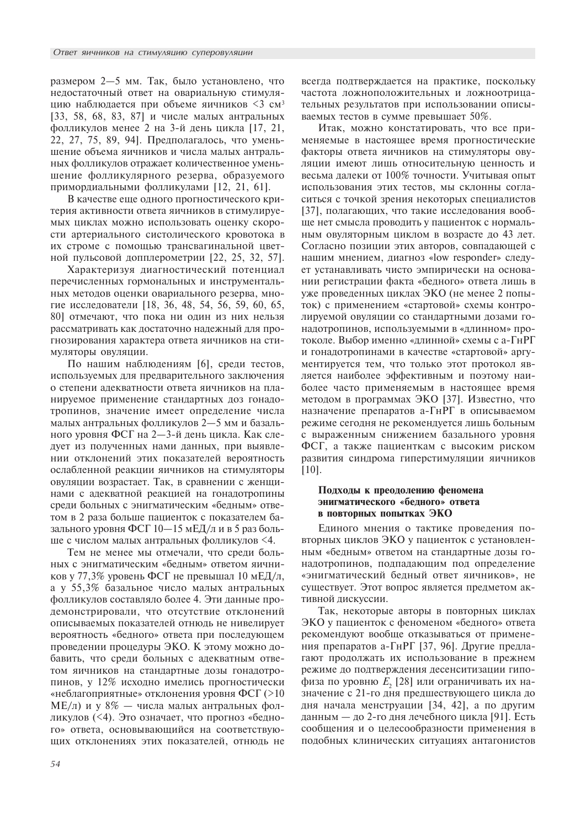размером 2-5 мм. Так, было установлено, что недостаточный ответ на овариальную стимуляцию наблюдается при объеме яичников <3 см<sup>3</sup>  $[33, 58, 68, 83, 87]$  и числе малых антральных фолликулов менее 2 на 3-й день цикла [17, 21, 22, 27, 75, 89, 94]. Предполагалось, что уменьшение объема яичников и числа малых антральных фолликулов отражает количественное уменьшение фолликулярного резерва, образуемого примордиальными фолликулами [12, 21, 61].

В качестве еще одного прогностического критерия активности ответа яичников в стимулируемых циклах можно использовать оценку скорости артериального систолического кровотока в их строме с помощью трансвагинальной цветной пульсовой допплерометрии [22, 25, 32, 57].

Характеризуя диагностический потенциал перечисленных гормональных и инструментальных методов оценки овариального резерва, многие исследователи [18, 36, 48, 54, 56, 59, 60, 65, 80] отмечают, что пока ни один из них нельзя рассматривать как достаточно надежный для прогнозирования характера ответа яичников на стимуляторы овуляции.

По нашим наблюдениям [6], среди тестов, используемых для предварительного заключения о степени адекватности ответа яичников на планируемое применение стандартных доз гонадотропинов, значение имеет определение числа малых антральных фолликулов 2-5 мм и базального уровня ФСГ на 2—3-й день цикла. Как следует из полученных нами данных, при выявлении отклонений этих показателей вероятность ослабленной реакции яичников на стимуляторы овуляции возрастает. Так, в сравнении с женщинами с адекватной реакцией на гонадотропины среди больных с энигматическим «бедным» ответом в 2 раза больше пациенток с показателем базального уровня ФСГ  $10-15$  мЕД/л и в 5 раз больше с числом малых антральных фолликулов <4.

Тем не менее мы отмечали, что среди больных с энигматическим «бедным» ответом яичников у 77,3% уровень ФСГ не превышал 10 мЕД/л, а у 55,3% базальное число малых антральных фолликулов составляло более 4. Эти данные продемонстрировали, что отсутствие отклонений описываемых показателей отнюдь не нивелирует вероятность «бедного» ответа при последующем проведении процедуры ЭКО. К этому можно добавить, что среди больных с адекватным ответом яичников на стандартные дозы гонадотропинов, у 12% исходно имелись прогностически «неблагоприятные» отклонения уровня ФСГ $(>10$  $ME/\pi$ ) и у  $8\%$  — числа малых антральных фолликулов (<4). Это означает, что прогноз «бедного» ответа, основывающийся на соответствующих отклонениях этих показателей, отнюдь не всегда подтверждается на практике, поскольку частота ложноположительных и ложноотрицательных результатов при использовании описываемых тестов в сумме превышает  $50\%$ .

Итак, можно констатировать, что все применяемые в настоящее время прогностические факторы ответа яичников на стимуляторы овуляции имеют лишь относительную ценность и весьма далеки от 100% точности. Учитывая опыт использования этих тестов, мы склонны согласиться с точкой зрения некоторых специалистов [37], полагающих, что такие исследования вообще нет смысла проводить у пациенток с нормальным овуляторным циклом в возрасте до 43 лет. Согласно позиции этих авторов, совпадающей с нашим мнением, диагноз «low responder» следует устанавливать чисто эмпирически на основании регистрации факта «бедного» ответа лишь в уже проведенных циклах ЭКО (не менее 2 попыток) с применением «стартовой» схемы контролируемой овуляции со стандартными дозами гонадотропинов, используемыми в «длинном» протоколе. Выбор именно «длинной» схемы с а-ГнРГ и гонадотропинами в качестве «стартовой» аргументируется тем, что только этот протокол является наиболее эффективным и поэтому наиболее часто применяемым в настоящее время методом в программах ЭКО [37]. Известно, что назначение препаратов а-ГнРГ в описываемом режиме сегодня не рекомендуется лишь больным с выраженным снижением базального уровня ФСГ, а также пациенткам с высоким риском развития синдрома гиперстимуляции яичников [10].

# Подходы к преодолению феномена энигматического «белного» ответа **в повторных попытках ЭКО**

Единого мнения о тактике проведения повторных циклов ЭКО у пациенток с установленным «бедным» ответом на стандартные дозы гонадотропинов, подпадающим под определение «энигматический бедный ответ яичников», не существует. Этот вопрос является предметом активной дискуссии.

Так, некоторые авторы в повторных циклах ЭКО у пациенток с феноменом «бедного» ответа рекомендуют вообще отказываться от применения препаратов а-ГнРГ [37, 96]. Другие предлагают продолжать их использование в прежнем режиме до подтверждения десенситизации гипофиза по уровню  $E_{_2}$  [28] или ограничивать их назначение с 21-го дня предшествующего цикла до дня начала менструации [34, 42], а по другим данным — до 2-го дня лечебного цикла [91]. Есть сообщения и о целесообразности применения в подобных клинических ситуациях антагонистов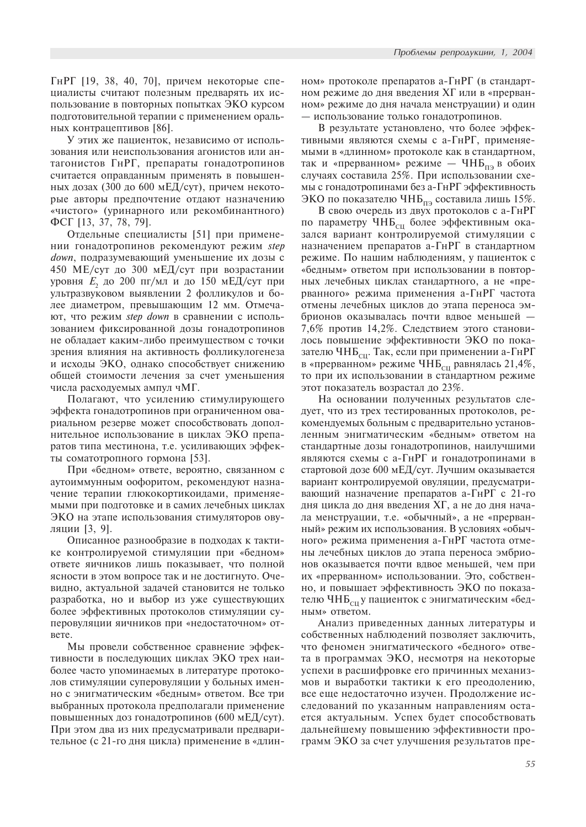ГнРГ [19, 38, 40, 70], причем некоторые специалисты считают полезным предварять их использование в повторных попытках ЭКО курсом подготовительной терапии с применением оральных контрацептивов [86].

У этих же пациенток, независимо от использования или неиспользования агонистов или антагонистов ГнРГ, препараты гонадотропинов считается оправданным применять в повышенных дозах (300 до 600 мЕД/сут), причем некоторые авторы предпочтение отдают назначению «чистого» (уринарного или рекомбинантного) ФСГ [13, 37, 78, 79].

Отдельные специалисты [51] при применении гонадотропинов рекомендуют режим step down, подразумевающий уменьшение их дозы с 450 МЕ/сут до 300 мЕД/сут при возрастании уровня  $E_{_2}$  до 200 пг/мл и до 150 мЕД/сут при ультразвуковом выявлении 2 фолликулов и более диаметром, превышающим 12 мм. Отмечают, что режим *step down* в сравнении с использованием фиксированной дозы гонадотропинов не обладает каким-либо преимуществом с точки зрения влияния на активность фолликулогенеза и исходы ЭКО, однако способствует снижению общей стоимости лечения за счет уменьшения числа расходуемых ампул чМГ.

Полагают, что усилению стимулирующего эффекта гонадотропинов при ограниченном овариальном резерве может способствовать дополнительное использование в циклах ЭКО препаратов типа местинона, т.е. усиливающих эффекты соматотропного гормона [53].

При «бедном» ответе, вероятно, связанном с аутоиммунным оофоритом, рекомендуют назначение терапии глюкокортикоидами, применяемыми при подготовке и в самих лечебных циклах ЭКО на этапе использования стимуляторов овуляции [3, 9].

Описанное разнообразие в подходах к тактике контролируемой стимуляции при «бедном» ответе яичников лишь показывает, что полной ясности в этом вопросе так и не достигнуто. Очевидно, актуальной задачей становится не только разработка, но и выбор из уже существующих более эффективных протоколов стимуляции суперовуляции яичников при «недостаточном» ответе.

Мы провели собственное сравнение эффективности в последующих циклах ЭКО трех наиболее часто упоминаемых в литературе протоколов стимуляции суперовуляции у больных именно с энигматическим «бедным» ответом. Все три выбранных протокола предполагали применение повышенных доз гонадотропинов (600 мЕД/сут). При этом два из них предусматривали предварительное (с 21-го дня цикла) применение в «длинном» протоколе препаратов а-ГнРГ (в стандартном режиме до дня введения XГ или в «прерванном» режиме до дня начала менструации) и один — использование только гонадотропинов.

В результате установлено, что более эффективными являются схемы с а-ГнРГ, применяемыми в «длинном» протоколе как в стандартном, так и «прерванном» режиме — ЧНБ<sub>пэ</sub> в обоих случаях составила 25%. При использовании схемы с гонадотропинами без а-ГнРГ эффективность ЭКО по показателю ЧНБ<sub>па</sub> составила лишь 15%.

В свою очередь из двух протоколов с а-ГнРГ по параметру ЧНБ<sub>си</sub> более эффективным оказался вариант контролируемой стимуляции с назначением препаратов а-ГнРГ в стандартном режиме. По нашим наблюдениям, у пациенток с «бедным» ответом при использовании в повторных лечебных циклах стандартного, а не «прерванного» режима применения а-ГнРГ частота отмены лечебных циклов до этапа переноса эмбрионов оказывалась почти вдвое меньшей -7,6% против 14,2%. Следствием этого становилось повышение эффективности ЭКО по показателю ЧНБ<sub>си</sub>. Так, если при применении а-ГнРГ в «прерванном» режиме ЧНБ<sub>си</sub> равнялась 21,4%, то при их использовании в стандартном режиме этот показатель возрастал до 23%.

На основании полученных результатов следует, что из трех тестированных протоколов, рекомендуемых больным с предварительно установленным энигматическим «бедным» ответом на стандартные дозы гонадотропинов, наилучшими являются схемы с а-ГнРГ и гонадотропинами в стартовой дозе 600 мЕД/сут. Лучшим оказывается вариант контролируемой овуляции, предусматривающий назначение препаратов а-ГнРГ с 21-го дня цикла до дня введения ХГ, а не до дня начала менструации, т.е. «обычный», а не «прерванный» режим их использования. В условиях «обычного» режима применения а-ГнРГ частота отмены лечебных циклов до этапа переноса эмбрионов оказывается почти вдвое меньшей, чем при их «прерванном» использовании. Это, собственно, и повышает эффективность ЭКО по показателю ЧНБ<sub>си</sub> у пациенток с энигматическим «бедным» ответом.

Анализ приведенных данных литературы и собственных наблюдений позволяет заключить, что феномен энигматического «бедного» ответа в программах ЭКО, несмотря на некоторые успехи в расшифровке его причинных механизмов и выработки тактики к его преодолению, все еще недостаточно изучен. Продолжение исследований по указанным направлениям остается актуальным. Успех будет способствовать дальнейшему повышению эффективности программ ЭКО за счет улучшения результатов пре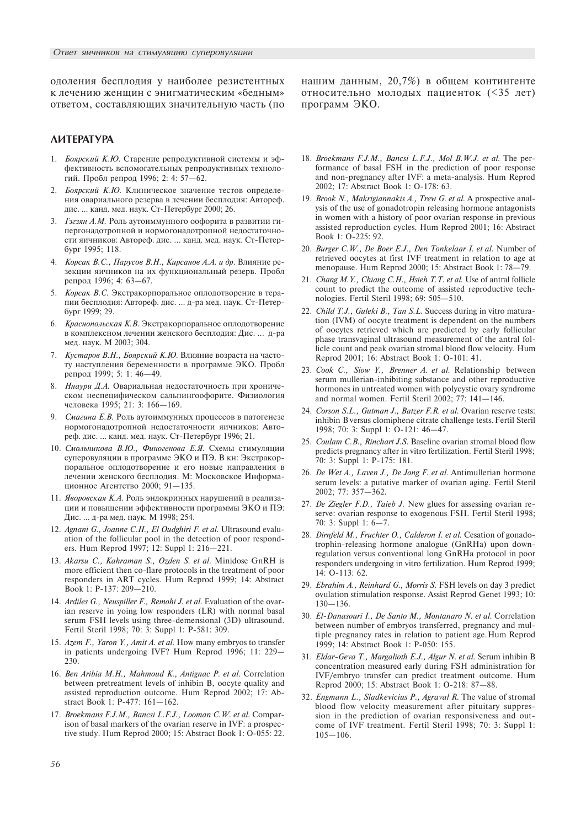одоления бесплодия у наиболее резистентных к лечению женщин с энигматическим «бедным» ответом, составляющих значительную часть (по

# *AVATEPATYPA*

- 1. Боярский К.Ю. Старение репродуктивной системы и эффективность вспомогательных репродуктивных технологий. Пробл репрод 1996; 2: 4: 57-62.
- 2. Боярский К.Ю. Клиническое значение тестов определения овариального резерва в лечении бесплодия: Автореф. дис. ... канд. мед. наук. Ст-Петербург 2000; 26.
- 3. *Гзгзян А.М.* Роль аутоиммунного оофорита в развитии гипергонадотропной и нормогонадотропной недостаточности яичников: Автореф. дис. ... канд. мед. наук. Ст-Петербург 1995; 118.
- 4. *Корсак В.С., Парусов В.Н., Кирсанов А.А. и др.* Влияние резекции яичников на их функциональный резерв. Пробл репрод 1996; 4: 63-67.
- 5. Корсак В.С. Экстракорпоральное оплодотворение в терапии бесплодия: Автореф. дис. ... д-ра мед. наук. Ст-Петербург 1999; 29.
- 6. Краснопольская К.В. Экстракорпоральное оплодотворение в комплексном лечении женского бесплолия: Лис. ... д-ра мед. наук. М 2003; 304.
- 7. Кустаров В.Н., Боярский К.Ю. Влияние возраста на частоту наступления беременности в программе ЭКО. Пробл репрод 1999; 5: 1: 46-49.
- 8. *Ннаури Д.А.* Овариальная недостаточность при хроническом неспецифическом сальпингоофорите. Физиология человека 1995; 21: 3: 166-169.
- 9. Смагина Е.В. Роль аутоиммунных процессов в патогенезе нормогоналотропной нелостаточности яичников: Автореф. дис. ... канд. мед. наук. Ст-Петербург 1996; 21.
- 10. Смольникова В.Ю., Финогенова Е.Я. Схемы стимуляции суперовуляции в программе ЭКО и ПЭ. В кн: Экстракорпоральное оплодотворение и его новые направления в лечении женского бесплодия. М: Московское Информационное Агентство 2000; 91-135.
- 11. Яворовская К.А. Роль эндокринных нарушений в реализации и повышении эффективности программы ЭКО и ПЭ: Дис. ... д-ра мед. наук. М 1998; 254.
- 12. Agnani G., Joanne C.H., El Oudghiri F. et al. Ultrasound evaluation of the follicular pool in the detection of poor responders. Hum Reprod 1997; 12: Suppl 1: 216-221.
- 13. Akarsu C., Kahraman S., Ozden S. et al. Minidose GnRH is more efficient then co-flare protocols in the treatment of poor responders in ART cycles. Hum Reprod 1999; 14: Abstract Book 1: P-137: 209-210.
- 14. Ardiles G., Neuspiller F., Remohi J. et al. Evaluation of the ovarian reserve in yoing low responders (LR) with normal basal serum FSH levels using three-demensional (3D) ultrasound. Fertil Steril 1998; 70: 3: Suppl 1: P-581: 309.
- 15. Azem F., Yaron Y., Amit A. et al. How many embryos to transfer in patients undergoing IVF? Hum Reprod 1996; 11: 229 230.
- 16. Ben Aribia M.H., Mahmoud K., Antignac P. et al. Correlation between pretreatment levels of inhibin B, oocyte quality and assisted reproduction outcome. Hum Reprod 2002; 17: Abstract Book 1: P-477: 161-162.
- 17. Broekmans F.J.M., Bancsi L.F.J., Looman C.W. et al. Comparison of basal markers of the ovarian reserve in IVF: a prospective study. Hum Reprod 2000; 15: Abstract Book 1: O-055: 22.

нашим данным,  $20,7\%$ ) в общем контингенте относительно молодых пациенток (<35 лет) программ ЭКО.

- 18. Broekmans F.J.M., Bancsi L.F.J., Mol B.W.J. et al. The performance of basal FSH in the prediction of poor response and non-pregnancy after IVF: a meta-analysis. Hum Reprod 2002; 17: Abstract Book 1: O-178: 63.
- 19. Brook N., Makrigiannakis A., Trew G. et al. A prospective analysis of the use of gonadotropin releasing hormone antagonists in women with a history of poor ovarian response in previous assisted reproduction cycles. Hum Reprod 2001; 16: Abstract Book 1: O-225: 92.
- 20. Burger C.W., De Boer E.J., Den Tonkelaar I. et al. Number of retrieved oocytes at first IVF treatment in relation to age at menopause. Hum Reprod 2000; 15: Abstract Book 1:  $78-79$ .
- 21. Chang M.Y., Chiang C.H., Hsieh T.T. et al. Use of antral follicle count to predict the outcome of assisted reproductive technologies. Fertil Steril 1998: 69: 505-510.
- 22. Child T.J., Guleki B., Tan S.L. Success during in vitro maturation (IVM) of oocyte treatment is dependent on the numbers of oocytes retrieved which are predicted by early follicular phase transvaginal ultrasound measurement of the antral follicle count and peak ovarian stromal blood flow velocity. Hum Reprod 2001; 16: Abstract Book 1: O-101: 41.
- 23. Cook C., Siow Y., Brenner A. et al. Relationship between serum mullerian-inhibiting substance and other reproductive hormones in untreated women with polycystic ovary syndrome and normal women. Fertil Steril 2002; 77:  $141-146$ .
- 24. Corson S.L., Gutman J., Batzer F.R. et al. Ovarian reserve tests: inhibin B versus clomiphene citrate challenge tests. Fertil Steril 1998; 70: 3: Suppl 1: O-121: 46-47.
- 25. Coulam C.B., Rinchart J.S. Baseline ovarian stromal blood flow predicts pregnancy after in vitro fertilization. Fertil Steril 1998; 70: 3: Suppl 1: Ð-175: 181.
- 26. De Wet A., Laven J., De Jong F. et al. Antimullerian hormone serum levels: a putative marker of ovarian aging. Fertil Steril 2002; 77: 357-362.
- 27. De Ziegler F.D., Taieb J. New glues for assessing ovarian reserve: ovarian response to exogenous FSH. Fertil Steril 1998; 70: 3: Suppl 1:  $6 - 7$ .
- 28. Dirnfeld M., Fruchter O., Calderon I. et al. Cesation of gonadotrophin-releasing hormone analogue (GnRHa) upon downregulation versus conventional long GnRHa protocol in poor responders undergoing in vitro fertilization. Hum Reprod 1999; 14: O-113: 62.
- 29. Ebrahim A., Reinhard G., Morris S. FSH levels on day 3 predict ovulation stimulation response. Assist Reprod Genet 1993; 10:  $130 - 136$ .
- 30. El-Danasouri I., De Santo M., Montanaro N. et al. Correlation between number of embryos transferred, pregnancy and multiple pregnancy rates in relation to patient age. Hum Reprod 1999; 14: Abstract Book 1: P-050: 155.
- 31. Eldar-Geva T., Margalioth E.J., Algur N. et al. Serum inhibin B concentration measured early during FSH administration for IVF/embryo transfer can predict treatment outcome. Hum Reprod 2000; 15: Abstract Book 1: O-218: 87-88.
- 32. Engmann L., Sladkevicius P., Agraval R. The value of stromal blood flow velocity measurement after pituitary suppression in the prediction of ovarian responsiveness and outcome of IVF treatment. Fertil Steril 1998; 70: 3: Suppl 1:  $105 - 106$ .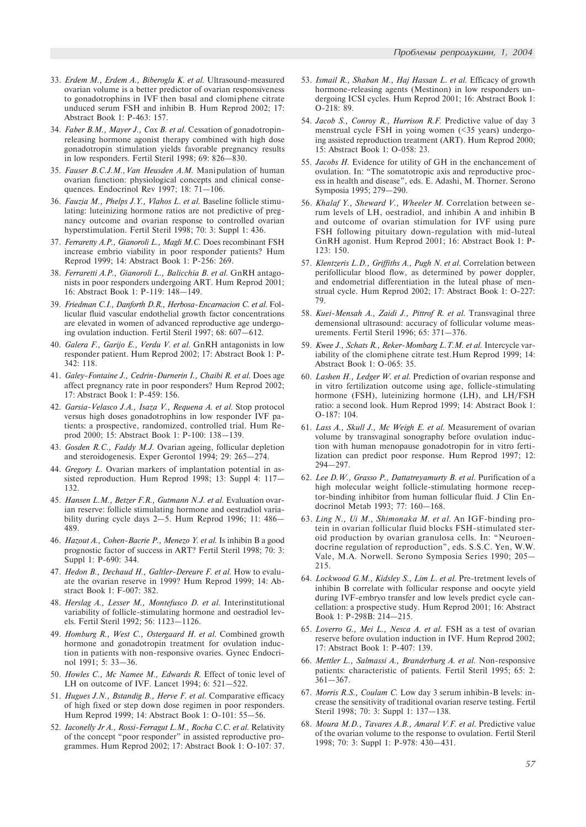- 33. Erdem M., Erdem A., Biberoglu K. et al. Ultrasound-measured ovarian volume is a better predictor of ovarian responsiveness to gonadotrophins in IVF then basal and clomi phene citrate unduced serum FSH and inhibin B. Hum Reprod 2002; 17: Abstract Book 1: P-463: 157.
- 34. Faber B.M., Mayer J., Cox B. et al. Cessation of gonadotropinreleasing hormone agonist therapy combined with high dose gonadotropin stimulation yields favorable pregnancy results in low responders. Fertil Steril 1998;  $69: 826-830$ .
- 35. Fauser B.C.J.M., Van Heusden A.M. Mani pulation of human ovarian function: physiological concepts and clinical consequences. Endocrinol Rev 1997; 18: 71-106.
- 36. Fauzia M., Phelps J.Y., Vlahos L. et al. Baseline follicle stimulating: luteinizing hormone ratios are not predictive of pregnancy outcome and ovarian response to controlled ovarian hyperstimulation. Fertil Steril 1998; 70: 3: Suppl 1: 436.
- 37. Ferraretty A.P., Gianoroli L., Magli M.C. Does recombinant FSH increase embrio viability in poor responder patients? Hum Reprod 1999; 14: Abstract Book 1: Ð-256: 269.
- 38. Ferraretti A.P., Gianoroli L., Balicchia B. et al. GnRH antagonists in poor responders undergoing ART. Hum Reprod 2001; 16: Abstract Book 1: P-119: 148-149.
- 39. Friedman C.I., Danforth D.R., Herbosa-Encarnacion C. et al. Follicular fluid vascular endothelial growth factor concentrations are elevated in women of advanced reproductive age undergoing ovulation induction. Fertil Steril 1997; 68: 607-612.
- 40. Galera F., Garijo E., Verdu V. et al. GnRH antagonists in low responder patient. Hum Reprod 2002; 17: Abstract Book 1: P-342: 118.
- 41. Galey-Fontaine J., Cedrin-Durnerin I., Chaibi R. et al. Does age affect pregnancy rate in poor responders? Hum Reprod 2002; 17: Abstract Book 1: P-459: 156.
- 42. Garsia-Velasco J.A., Isaza V., Requena A. et al. Stop protocol versus high doses gonadotrophins in low responder IVF patients: a prospective, randomized, controlled trial. Hum Reprod 2000; 15: Abstract Book 1: P-100: 138-139.
- 43. Gosden R.C., Faddy M.J. Ovarian ageing, follicular depletion and steroidogenesis. Exper Gerontol 1994; 29: 265-274.
- 44. Gregory L. Ovarian markers of implantation potential in assisted reproduction. Hum Reprod 1998; 13: Suppl 4: 117 132.
- 45. Hansen L.M., Betzer F.R., Gutmann N.J. et al. Evaluation ovarian reserve: follicle stimulating hormone and oestradiol variability during cycle days  $2-5$ . Hum Reprod 1996; 11: 486-489.
- 46. Hazout A., Cohen-Bacrie P., Menezo Y. et al. Is inhibin B a good prognostic factor of success in ART? Fertil Steril 1998; 70: 3: Suppl 1: P-690: 344.
- 47. Hedon B., Dechaud H., Galtler-Dereure F. et al. How to evaluate the ovarian reserve in 1999? Hum Reprod 1999; 14: Abstract Book 1: F-007: 382.
- 48. Herslag A., Lesser M., Montefusco D. et al. Interinstitutional variability of follicle-stimulating hormone and oestradiol levels. Fertil Steril 1992; 56: 1123-1126.
- 49. Homburg R., West C., Ostergaard H. et al. Combined growth hormone and gonadotropin treatment for ovulation induction in patients with non-responsive ovaries. Gynec Endocrinol 1991; 5: 33-36.
- 50. Howles C., Mc Namee M., Edwards R. Effect of tonic level of LH on outcome of IVF. Lancet 1994;  $6: 521-522$ .
- 51. Hugues J.N., Bstandig B., Herve F. et al. Comparative efficacy of high fixed or step down dose regimen in poor responders. Hum Reprod 1999; 14: Abstract Book 1: O-101: 55-56.
- 52. Iaconelly Jr A., Rossi-Ferragut L.M., Rocha C.C. et al. Relativity of the concept "poor responder" in assisted reproductive programmes. Hum Reprod 2002; 17: Abstract Book 1: O-107: 37.
- 53. Ismail R., Shaban M., Haj Hassan L. et al. Efficacy of growth hormone-releasing agents (Mestinon) in low responders undergoing ICSI cycles. Hum Reprod 2001; 16: Abstract Book 1: O-218: 89.
- 54. Jacob S., Conroy R., Hurrison R.F. Predictive value of day 3 menstrual cycle FSH in yoing women (<35 years) undergoing assisted reproduction treatment (ART). Hum Reprod 2000; 15: Abstract Book 1: O-058: 23.
- 55. Jacobs H. Evidence for utility of GH in the enchancement of ovulation. In: The somatotropic axis and reproductive process in health and disease", eds. E. Adashi, M. Thorner. Serono Symposia 1995; 279-290.
- 56. Khalaf Y., Sheward V., Wheeler M. Correlation between serum levels of LH, oestradiol, and inhibin A and inhibin B and outcome of ovarian stimulation for IVF using pure FSH following pituitary down-regulation with mid-luteal GnRH agonist. Hum Reprod 2001; 16: Abstract Book 1: P-123: 150.
- 57. Klentzeris L.D., Griffiths A., Pugh N. et al. Correlation between perifollicular blood flow, as determined by power doppler, and endometrial differentiation in the luteal phase of menstrual cycle. Hum Reprod 2002; 17: Abstract Book 1: O-227: 79.
- 58. Kuei-Mensah A., Zaidi J., Pittrof R. et al. Transvaginal three demensional ultrasound: accuracy of follicular volume measurements. Fertil Steril 1996; 65: 371-376.
- 59. Kwee J., Schats R., Reker-Mombarg L.T.M. et al. Intercycle variability of the clomiphene citrate test. Hum Reprod 1999; 14: Abstract Book 1: O-065: 35.
- 60. Lashen H., Ledger W. et al. Prediction of ovarian response and in vitro fertilization outcome using age, follicle-stimulating hormone (FSH), luteinizing hormone (LH), and LH/FSH ratio: a second look. Hum Reprod 1999; 14: Abstract Book 1: O-187: 104.
- 61. Lass A., Skull J., Mc Weigh E. et al. Measurement of ovarian volume by transvaginal sonography before ovulation induction with human menopause gonadotropin for in vitro fertilization can predict poor response. Hum Reprod 1997; 12:  $294 - 297$ .
- 62. Lee D.W., Grasso P., Dattatreyamurty B. et al. Purification of a high molecular weight follicle-stimulating hormone receptor-binding inhibitor from human follicular fluid. J Clin Endocrinol Metab 1993; 77: 160-168.
- 63. Ling N., Ui M., Shimonaka M. et al. An IGF-binding protein in ovarian follicular fluid blocks FSH-stimulated steroid production by ovarian granulosa cells. In: "Neuroendocrine regulation of reproduction", eds. S.S.C. Yen, W.W. Vale, M.A. Norwell. Serono Symposia Series 1990; 205 215.
- 64. Lockwood G.M., Kidsley S., Lim L. et al. Pre-tretment levels of inhibin B correlate with follicular response and oocyte yield during IVF-embryo transfer and low levels predict cycle cancellation: a prospective study. Hum Reprod 2001; 16: Abstract Book 1: P-298B: 214-215.
- 65. Loverro G., Mei L., Nesca A. et al. FSH as a test of ovarian reserve before ovulation induction in IVF. Hum Reprod 2002; 17: Abstract Book 1: P-407: 139.
- 66. Mettler L., Salmassi A., Branderburg A. et al. Non-responsive patients: characteristic of patients. Fertil Steril 1995; 65: 2:  $361 - 367$ .
- 67. Morris R.S., Coulam C. Low day 3 serum inhibin-B levels: increase the sensitivity of traditional ovarian reserve testing. Fertil Steril 1998; 70: 3: Suppl 1: 137-138.
- 68. Moura M.D., Tavares A.B., Amaral V.F. et al. Predictive value of the ovarian volume to the response to ovulation. Fertil Steril 1998; 70: 3: Suppl 1: P-978: 430-431.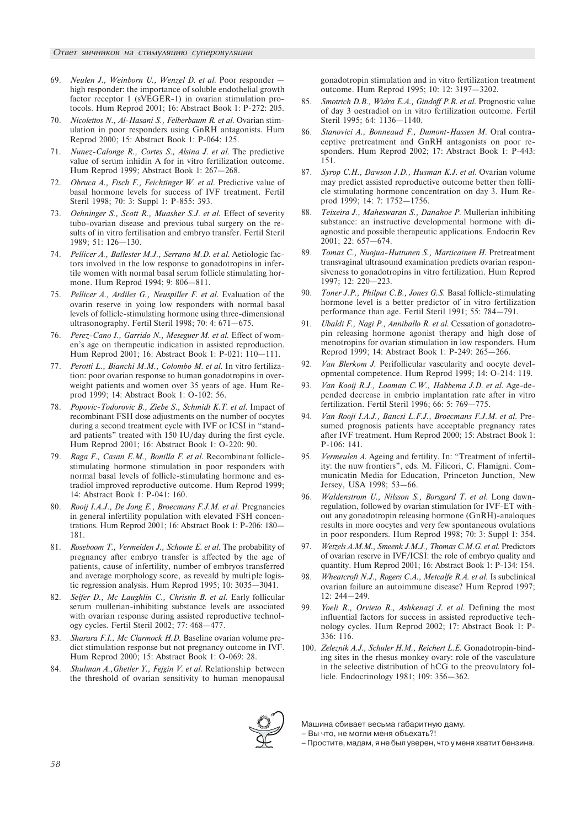- 69. Neulen J., Weinborn U., Wenzel D. et al. Poor responder high responder: the importance of soluble endothelial growth factor receptor 1 (sVEGER-1) in ovarian stimulation protocols. Hum Reprod 2001; 16: Abstract Book 1: P-272: 205.
- 70. Nicolettos N., Al-Hasani S., Felberbaum R. et al. Ovarian stimulation in poor responders using GnRH antagonists. Hum Reprod 2000; 15: Abstract Book 1: P-064: 125.
- 71. Nunez-Calonge R., Cortes S., Alsina J. et al. The predictive value of serum inhidin A for in vitro fertilization outcome. Hum Reprod 1999; Abstract Book 1: 267-268.
- 72. Obruca A., Fisch F., Feichtinger W. et al. Predictive value of basal hormone levels for success of IVF treatment. Fertil Steril 1998; 70: 3: Suppl 1: P-855: 393.
- 73. Oehninger S., Scott R., Muasher S.J. et al. Effect of severity tubo-ovarian disease and previous tubal surgery on the results of in vitro fertilisation and embryo transfer. Fertil Steril 1989; 51: 126-130.
- 74. Pellicer A., Ballester M.J., Serrano M.D. et al. Aetiologic factors involved in the low response to gonadotropins in infertile women with normal basal serum follicle stimulating hormone. Hum Reprod 1994; 9: 806-811.
- Pellicer A., Ardiles G., Neuspiller F. et al. Evaluation of the ovarin reserve in yoing low responders with normal basal levels of follicle-stimulating hormone using three-dimensional ultrasonography. Fertil Steril 1998; 70: 4:  $671-675$ .
- 76. Perez-Cano I., Garrido N., Meseguer M. et al. Effect of women's age on therapeutic indication in assisted reproduction. Hum Reprod 2001; 16: Abstract Book 1: P-021: 110-111.
- Perotti L., Bianchi M.M., Colombo M. et al. In vitro fertilization: poor ovarian response to human gonadotropins in overweight patients and women over 35 years of age. Hum Reprod 1999; 14: Abstract Book 1: O-102: 56.
- 78. Popovic-Todorovic B., Ziebe S., Schmidt K.T. et al. Impact of recombinant FSH dose adjustments on the number of oocytes during a second treatment cycle with IVF or ICSI in "standard patients" treated with 150 IU/day during the first cycle. Hum Reprod 2001; 16: Abstract Book 1: O-220: 90.
- 79. Raga F., Casan E.M., Bonilla F. et al. Recombinant folliclestimulating hormone stimulation in poor responders with normal basal levels of follicle-stimulating hormone and estradiol improved reproductive outcome. Hum Reprod 1999; 14: Abstract Book 1: P-041: 160.
- 80. Rooij I.A.J., De Jong E., Broecmans F.J.M. et al. Pregnancies in general infertility population with elevated FSH concentrations. Hum Reprod 2001; 16: Abstract Book 1: P-206: 180 181.
- 81. Roseboom T., Vermeiden J., Schoute E. et al. The probability of pregnancy after embryo transfer is affected by the age of patients, cause of infertility, number of embryos transferred and average morphology score, as reveald by multi ple logistic regression analysis. Hum Reprod 1995; 10:  $3035-3041$ .
- 82. Seifer D., Mc Laughlin C., Christin B. et al. Early follicular serum mullerian-inhibiting substance levels are associated with ovarian response during assisted reproductive technology cycles. Fertil Steril 2002; 77: 468-477.
- 83. Sharara F.I., Mc Clarmock H.D. Baseline ovarian volume predict stimulation response but not pregnancy outcome in IVF. Hum Reprod 2000; 15: Abstract Book 1: O-069: 28.
- 84. Shulman A., Ghetler Y., Fejgin V. et al. Relationship between the threshold of ovarian sensitivity to human menopausal

gonadotropin stimulation and in vitro fertilization treatment outcome. Hum Reprod 1995; 10: 12: 3197-3202.

- 85. Smotrich D.B., Widra E.A., Gindoff P.R. et al. Prognostic value of day 3 oestradiol on in vitro fertilization outcome. Fertil Steril 1995; 64: 1136-1140.
- 86. Stanovici A., Bonneaud F., Dumont-Hassen M. Oral contraceptive pretreatment and GnRH antagonists on poor responders. Hum Reprod 2002; 17: Abstract Book 1: P-443: 151.
- 87. Syrop C.H., Dawson J.D., Husman K.J. et al. Ovarian volume may predict assisted reproductive outcome better then follicle stimulating hormone concentration on day 3. Hum Reprod 1999; 14: 7: 1752-1756.
- 88. Teixeira J., Maheswaran S., Danahoe P. Mullerian inhibiting substance: an instructive developmental hormone with diagnostic and possible therapeutic applications. Endocrin Rev 2001; 22: 657-674.
- 89. Tomas C., Nuojua-Huttunen S., Marticainen H. Pretreatment transvaginal ultrasound examination predicts ovarian responsiveness to gonadotropins in vitro fertilization. Hum Reprod 1997; 12: 220-223.
- 90. Toner J.P., Philput C.B., Jones G.S. Basal follicle-stimulating hormone level is a better predictor of in vitro fertilization performance than age. Fertil Steril 1991; 55: 784-791.
- 91. Ubaldi F., Nagi P., Anniballo R. et al. Cessation of gonadotropin releasing hormone agonist therapy and high dose of menotropins for ovarian stimulation in low responders. Hum Reprod 1999; 14: Abstract Book 1: P-249: 265-266.
- 92. *Van Blerkom J.* Perifollicular vascularity and oocyte developmental competence. Hum Reprod 1999; 14: O-214: 119.
- 93. Van Kooij R.J., Looman C.W., Habbema J.D. et al. Age-depended decrease in embrio implantation rate after in vitro fertilization. Fertil Steril 1996; 66: 5: 769-775.
- 94. Van Rooji I.A.J., Bancsi L.F.J., Broecmans F.J.M. et al. Presumed prognosis patients have acceptable pregnancy rates after IVF treatment. Hum Reprod 2000; 15: Abstract Book 1: P-106: 141.
- 95. Vermeulen A. Ageing and fertility. In: "Treatment of infertility: the nuw frontiers", eds. M. Filicori, C. Flamigni. Communicatin Media for Education, Princeton Junction, New Jersey, USA 1998; 53-66.
- 96. Waldenstrom U., Nilsson S., Borsgard T. et al. Long dawnregulation, followed by ovarian stimulation for IVF-ET without any gonadotropin releasing hormone (GnRH)-analoques results in more oocytes and very few spontaneous ovulations in poor responders. Hum Reprod 1998; 70: 3: Suppl 1: 354.
- 97. Wetzels A.M.M., Smeenk J.M.J., Thomas C.M.G. et al. Predictors of ovarian reserve in IVF/ICSI: the role of embryo quality and quantity. Hum Reprod 2001; 16: Abstract Book 1: P-134: 154.
- 98. Wheatcroft N.J., Rogers C.A., Metcalfe R.A. et al. Is subclinical ovarian failure an autoimmune disease? Hum Reprod 1997;  $12: 244 - 249.$
- 99. Yoeli R., Orvieto R., Ashkenazi J. et al. Defining the most influential factors for success in assisted reproductive technology cycles. Hum Reprod 2002; 17: Abstract Book 1: P-336: 116.
- 100. Zeleznik A.J., Schuler H.M., Reichert L.E. Gonadotropin-binding sites in the rhesus monkey ovary: role of the vasculature in the selective distribution of hCG to the preovulatory follicle. Endocrinology 1981; 109: 356-362.

Машина сбивает весьма габаритную даму.

– Вы что, не могли меня объехать?!

– Простите, мадам, я не был уверен, что у меня хватит бензина.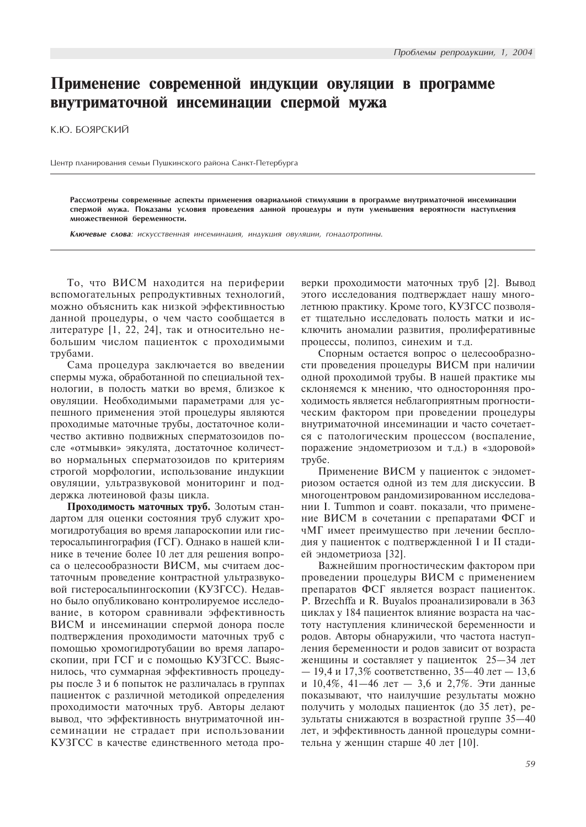# Применение современной индукции овуляции в программе внутриматочной инсеминации спермой мужа

К.Ю. БОЯРСКИЙ

Центр планирования семьи Пушкинского района Санкт-Петербурга

Рассмотрены современные аспекты применения овариальной стимуляции в программе внутриматочной инсеминации спермой мужа. Показаны условия проведения данной процедуры и пути уменьшения вероятности наступления множественной беременности.

Ключевые слова: искусственная инсеминация, индукция овуляции, гонадотропины.

То, что ВИСМ находится на периферии вспомогательных репродуктивных технологий, можно объяснить как низкой эффективностью данной процедуры, о чем часто сообщается в литературе  $[1, 22, 24]$ , так и относительно небольшим числом пациенток с проходимыми трубами.

Сама процедура заключается во введении спермы мужа, обработанной по специальной технологии, в полость матки во время, близкое к овуляции. Необходимыми параметрами для успешного применения этой процедуры являются проходимые маточные трубы, достаточное количество активно подвижных сперматозоидов после «отмывки» эякулята, достаточное количество нормальных сперматозоидов по критериям строгой морфологии, использование индукции овуляции, ультразвуковой мониторинг и поддержка лютеиновой фазы цикла.

Проходимость маточных труб. Золотым стандартом для оценки состояния труб служит хромогидротубация во время лапароскопии или гистеросальпингография (ГСГ). Однако в нашей клинике в течение более 10 лет для решения вопроса о целесообразности ВИСМ, мы считаем достаточным проведение контрастной ультразвуковой гистеросальпингоскопии (КУЗГСС). Недавно было опубликовано контролируемое исследование, в котором сравнивали эффективность ВИСМ и инсеминации спермой донора после подтверждения проходимости маточных труб с помощью хромогидротубации во время лапароскопии, при ГСГ и с помощью КУЗГСС. Выяснилось, что суммарная эффективность процедуры после 3 и 6 попыток не различалась в группах пациенток с различной методикой определения проходимости маточных труб. Авторы делают вывод, что эффективность внутриматочной инсеминации не страдает при использовании КУЗГСС в качестве единственного метода проверки проходимости маточных труб [2]. Вывод этого исследования подтверждает нашу многолетнюю практику. Кроме того, КУЗГСС позволяет тщательно исследовать полость матки и исключить аномалии развития, пролиферативные процессы, полипоз, синехим и т.д.

Спорным остается вопрос о целесообразности проведения процедуры ВИСМ при наличии одной проходимой трубы. В нашей практике мы склоняемся к мнению, что односторонняя проходимость является неблагоприятным прогностическим фактором при проведении процедуры внутриматочной инсеминации и часто сочетается с патологическим процессом (воспаление, поражение эндометриозом и т.д.) в «здоровой» трубе.

Применение ВИСМ у пациенток с эндометриозом остается одной из тем для дискуссии. В многоцентровом рандомизированном исследовании I. Tummon и соавт. показали, что применение ВИСМ в сочетании с препаратами ФСГ и чМГ имеет преимущество при лечении бесплодия у пациенток с подтвержденной I и II стадией эндометриоза [32].

Важнейшим прогностическим фактором при проведении процедуры ВИСМ с применением препаратов ФСГ является возраст пациенток. P. Brzechffa и R. Buyalos проанализировали в 363 циклах у 184 пациенток влияние возраста на частоту наступления клинической беременности и родов. Авторы обнаружили, что частота наступления беременности и родов зависит от возраста женщины и составляет у пациенток  $25-34$  лет  $-19,4$  и 17,3% соответственно, 35-40 лет - 13,6 и 10,4%, 41-46 лет - 3,6 и 2,7%. Эти данные показывают, что наилучшие результаты можно получить у молодых пациенток (до 35 лет), результаты снижаются в возрастной группе 35-40 лет, и эффективность данной процедуры сомнительна у женщин старше 40 лет [10].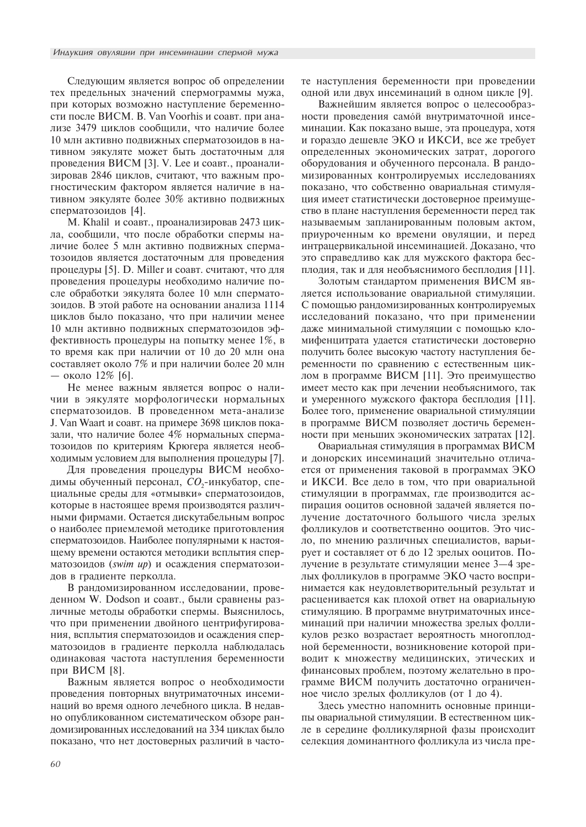Следующим является вопрос об определении тех предельных значений спермограммы мужа, при которых возможно наступление беременности после ВИСМ. В. Van Voorhis и соавт. при анализе 3479 циклов сообщили, что наличие более 10 млн активно подвижных сперматозоидов в нативном эякуляте может быть достаточным для проведения ВИСМ [3]. V. Lee и соавт., проанализировав 2846 циклов, считают, что важным прогностическим фактором является наличие в нативном эякуляте более 30% активно подвижных сперматозоидов [4].

М. Khalil и соавт., проанализировав 2473 цикла, сообщили, что после обработки спермы наличие более 5 млн активно подвижных сперматозоидов является достаточным для проведения процедуры [5]. D. Miller и соавт. считают, что для проведения процедуры необходимо наличие после обработки эякулята более 10 млн сперматозоидов. В этой работе на основании анализа 1114 циклов было показано, что при наличии менее 10 млн активно подвижных сперматозоидов эффективность процедуры на попытку менее  $1\%$ , в то время как при наличии от 10 до 20 млн она составляет около 7% и при наличии более 20 млн — около 12% [6].

Не менее важным является вопрос о наличии в эякуляте морфологически нормальных сперматозоидов. В проведенном мета-анализе J. Van Waart и соавт. на примере 3698 циклов показали, что наличие более 4% нормальных сперматозоидов по критериям Крюгера является необходимым условием для выполнения процедуры [7].

Для проведения процедуры ВИСМ необходимы обученный персонал,  $\mathit{CO}_2$ -инкубатор, специальные среды для «отмывки» сперматозоидов, которые в настоящее время производятся различными фирмами. Остается дискутабельным вопрос о наиболее приемлемой методике приготовления сперматозоидов. Наиболее популярными к настоящему времени остаются методики всплытия сперматозоидов (swim up) и осаждения сперматозоидов в градиенте перколла.

В рандомизированном исследовании, проведенном W. Dodson и соавт., были сравнены различные методы обработки спермы. Выяснилось, что при применении двойного центрифугирования, всплытия сперматозоидов и осаждения сперматозоидов в градиенте перколла наблюдалась одинаковая частота наступления беременности при ВИСМ [8].

Важным является вопрос о необходимости проведения повторных внутриматочных инсеминаций во время одного лечебного цикла. В недавно опубликованном систематическом обзоре рандомизированных исследований на 334 циклах было показано, что нет достоверных различий в частоте наступления беременности при проведении одной или двух инсеминаций в одном цикле [9].

Важнейшим является вопрос о целесообразности проведения самой внутриматочной инсеминации. Как показано выше, эта процедура, хотя и гораздо дешевле ЭКО и ИКСИ, все же требует определенных экономических затрат, дорогого оборудования и обученного персонала. В рандомизированных контролируемых исследованиях показано, что собственно овариальная стимуляция имеет статистически достоверное преимущество в плане наступления беременности перед так называемым запланированным половым актом, приуроченным ко времени овуляции, и перед интрацервикальной инсеминацией. Доказано, что это справедливо как для мужского фактора бесплодия, так и для необъяснимого бесплодия [11].

Золотым стандартом применения ВИСМ является использование овариальной стимуляции. С помощью рандомизированных контролируемых исследований показано, что при применении даже минимальной стимуляции с помощью кломифенцитрата удается статистически достоверно получить более высокую частоту наступления беременности по сравнению с естественным циклом в программе ВИСМ [11]. Это преимущество имеет место как при лечении необъяснимого, так й умеренного мужского фактора бесплодия [11]. Более того, применение овариальной стимуляции в программе ВИСМ позволяет достичь беременности при меньших экономических затратах [12].

Овариальная стимуляция в программах ВИСМ и донорских инсеминаций значительно отличается от применения таковой в программах  $\partial K$ <sup>0</sup> и ИКСИ. Все дело в том, что при овариальной стимуляции в программах, где производится аспирация ооцитов основной задачей является получение достаточного большого числа зрелых фолликулов и соответственно ооцитов. Это число, по мнению различных специалистов, варьирует и составляет от 6 до 12 зрелых ооцитов. Получение в результате стимуляции менее 3-4 зрелых фолликулов в программе ЭКО часто воспринимается как неудовлетворительный результат и расценивается как плохой ответ на овариальную стимуляцию. В программе внутриматочных инсеминаций при наличии множества зрелых фолликулов резко возрастает вероятность многоплодной беременности, возникновение которой приводит к множеству медицинских, этических и финансовых проблем, поэтому желательно в программе ВИСМ получить достаточно ограниченное число зрелых фолликулов (от 1 до 4).

Здесь уместно напомнить основные принципы овариальной стимуляции. В естественном цикле в середине фолликулярной фазы происходит селекция доминантного фолликула из числа пре-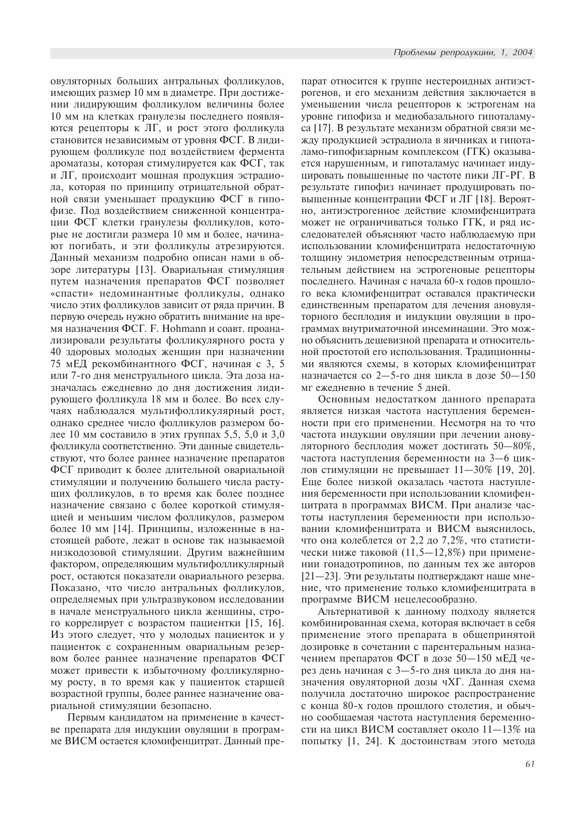овуляторных больших антральных фолликулов, имеющих размер 10 мм в диаметре. При достижении лидирующим фолликулом величины более 10 мм на клетках гранулезы последнего появляются рецепторы к ЛГ, и рост этого фолликула становится независимым от уровня ФСГ. В лидирующем фолликуле под воздействием фермента ароматазы, которая стимулируется как ФСГ, так и ЛГ, происходит мощная продукция эстрадиола, которая по принципу отрицательной обратной связи уменьшает продукцию ФСГ в гипофизе. Под воздействием сниженной концентрации ФСГ клетки гранулезы фолликулов, которые не достигли размера 10 мм и более, начинают погибать, и эти фолликулы атрезируются. Данный механизм подробно описан нами в обзоре литературы [13]. Овариальная стимуляция путем назначения препаратов ФСГ позволяет «спасти» недоминантные фолликулы, однако число этих фолликулов зависит от ряда причин. В первую очередь нужно обратить внимание на время назначения ФСГ. F. Hohmann и соавт. проанализировали результаты фолликулярного роста у 40 здоровых молодых женщин при назначении 75 мЕД рекомбинантного ФСГ, начиная с 3, 5 или 7-го дня менструального цикла. Эта доза назначалась ежедневно до дня достижения лидирующего фолликула 18 мм и более. Во всех случаях наблюдался мультифолликулярный рост, однако среднее число фолликулов размером более 10 мм составило в этих группах 5,5, 5,0 и 3,0 фолликула соответственно. Эти данные свидетельствуют, что более раннее назначение препаратов ФСГ приводит к более длительной овариальной стимуляции и получению большего числа растущих фолликулов, в то время как более позднее назначение связано с более короткой стимуляцией и меньшим числом фолликулов, размером более 10 мм [14]. Принципы, изложенные в настоящей работе, лежат в основе так называемой низкодозовой стимуляции. Другим важнейшим фактором, определяющим мультифолликулярный рост, остаются показатели овариального резерва. Показано, что число антральных фолликулов, определяемых при ультразвуковом исследовании в начале менструального цикла женщины, строго коррелирует с возрастом пациентки [15, 16]. Из этого следует, что у молодых пациенток и у пациенток с сохраненным овариальным резервом более раннее назначение препаратов ФСГ может привести к избыточному фолликулярному росту, в то время как у пациенток старшей возрастной группы, более раннее назначение овариальной стимуляции безопасно.

Первым кандидатом на применение в качестве препарата для индукции овуляции в программе ВИСМ остается кломифенцитрат. Данный препарат относится к группе нестероидных антиэстрогенов, и его механизм действия заключается в уменьшении числа рецепторов к эстрогенам на уровне гипофиза и медиобазального гипоталамуса [17]. В результате механизм обратной связи между продукцией эстрадиола в яичниках и гипоталамо-гипофизарным комплексом (ГГК) оказывается нарушенным, и гипоталамус начинает индуцировать повышенные по частоте пики ЛГ-РГ. В результате гипофиз начинает продуцировать повышенные концентрации ФСГ и ЛГ [18]. Вероятно, антиэстрогенное действие кломифенцитрата может не ограничиваться только ГГК, и ряд исследователей объясняют часто наблюдаемую при использовании кломифенцитрата недостаточную толщину эндометрия непосредственным отрицательным действием на эстрогеновые рецепторы последнего. Начиная с начала 60-х годов прошлого века кломифенцитрат оставался практически единственным препаратом для лечения ановуляторного бесплодия и индукции овуляции в программах внутриматочной инсеминации. Это можно объяснить дешевизной препарата и относительной простотой его использования. Традиционными являются схемы, в которых кломифенцитрат назначается со 2-5-го дня цикла в дозе  $50-150$ мг ежедневно в течение 5 дней.

Основным недостатком данного препарата является низкая частота наступления беременности при его применении. Несмотря на то что частота индукции овуляции при лечении ановуляторного бесплодия может достигать 50-80%, частота наступления беременности на 3-6 циклов стимуляции не превышает  $11-30\%$  [19, 20]. Еще более низкой оказалась частота наступления беременности при использовании кломифенцитрата в программах ВИСМ. При анализе частоты наступления беременности при использовании кломифенцитрата и ВИСМ выяснилось, что она колеблется от 2,2 до 7,2%, что статистически ниже таковой (11,5 $-12,8\%$ ) при применении гонадотропинов, по данным тех же авторов  $[21-23]$ . Эти результаты подтверждают наше мнение, что применение только кломифенцитрата в программе ВИСМ нецелесообразно.

Альтернативой к данному подходу является комбинированная схема, которая включает в себя применение этого препарата в общепринятой дозировке в сочетании с парентеральным назначением препаратов ФСГ в дозе  $50-150$  мЕД через день начиная с 3-5-го дня цикла до дня назначения овуляторной дозы чХГ. Данная схема получила достаточно широкое распространение с конца 80-х годов прошлого столетия, и обычно сообщаемая частота наступления беременности на цикл ВИСМ составляет около  $11-13\%$  на попытку [1, 24]. К достоинствам этого метода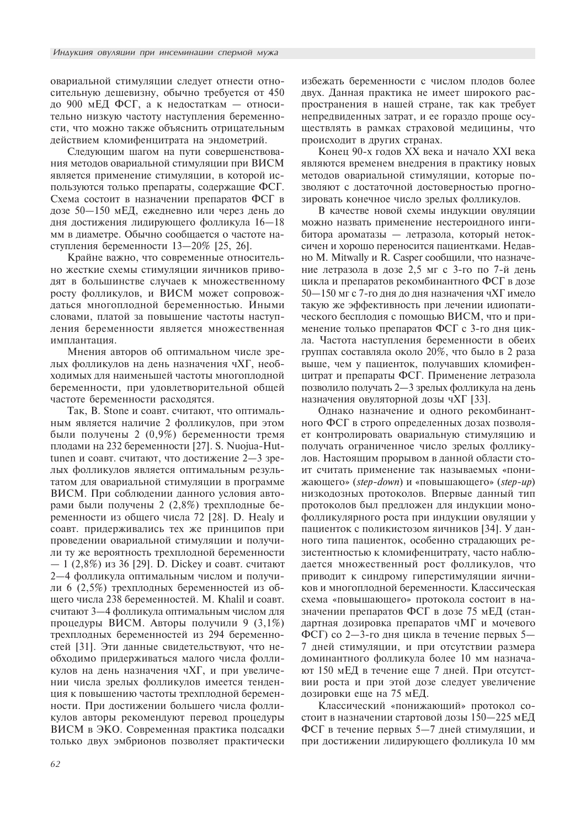овариальной стимуляции следует отнести относительную дешевизну, обычно требуется от 450 до 900 мЕД ФСГ, а к недостаткам - относительно низкую частоту наступления беременности, что можно также объяснить отрицательным действием кломифенцитрата на эндометрий.

Следующим шагом на пути совершенствования методов овариальной стимуляции при ВИСМ является применение стимуляции, в которой используются только препараты, содержащие ФСГ. Схема состоит в назначении препаратов ФСГ в дозе 50-150 мЕД, ежедневно или через день до дня достижения лидирующего фолликула  $16-18$ мм в диаметре. Обычно сообщается о частоте наступления беременности 13-20% [25, 26].

Крайне важно, что современные относительно жесткие схемы стимуляции яичников приводят в большинстве случаев к множественному росту фолликулов, и ВИСМ может сопровождаться многоплодной беременностью. Иными словами, платой за повышение частоты наступления беременности является множественная имплантация.

Мнения авторов об оптимальном числе зрелых фолликулов на день назначения чХГ, необходимых для наименьшей частоты многоплодной беременности, при удовлетворительной общей частоте беременности расходятся.

Так, В. Stone и соавт. считают, что оптимальным является наличие 2 фолликулов, при этом были получены 2 (0,9%) беременности тремя плодами на 232 беременности [27]. S. Nuojua-Huttunen и соавт. считают, что достижение 2-3 зрелых фолликулов является оптимальным результатом для овариальной стимуляции в программе ВИСМ. При соблюдении данного условия авторами были получены 2 (2,8%) трехплодные беременности из общего числа 72 [28]. D. Healy и соавт. придерживались тех же принципов при проведении овариальной стимуляции и получили ту же вероятность трехплодной беременности  $-1$  (2,8%) из 36 [29]. D. Dickey и соавт. считают 2-4 фолликула оптимальным числом и получили 6 (2,5%) трехплодных беременностей из общего числа 238 беременностей. М. Khalil и соавт. считают 3-4 фолликула оптимальным числом для процедуры ВИСМ. Авторы получили 9 (3,1%) трехплодных беременностей из 294 беременностей [31]. Эти данные свидетельствуют, что необходимо придерживаться малого числа фолликулов на день назначения чХГ, и при увеличении числа зрелых фолликулов имеется тенденция к повышению частоты трехплодной беременности. При достижении большего числа фолликулов авторы рекомендуют перевод процедуры ВИСМ в ЭКО. Современная практика подсадки только двух эмбрионов позволяет практически избежать беременности с числом плодов более двух. Данная практика не имеет широкого распространения в нашей стране, так как требует непредвиденных затрат, и ее гораздо проще осуществлять в рамках страховой медицины, что происходит в других странах.

Конец 90-х годов XX века и начало XXI века являются временем внедрения в практику новых методов овариальной стимуляции, которые позволяют с достаточной достоверностью прогнозировать конечное число зрелых фолликулов.

В качестве новой схемы индукции овуляции можно назвать применение нестероидного ингибитора ароматазы — летразола, который нетоксичен и хорошо переносится пациентками. Недавно M. Mitwally и R. Casper сообщили, что назначение летразола в дозе 2.5 мг с 3-го по 7-й день цикла и препаратов рекомбинантного ФСГ в дозе 50-150 мг с 7-го дня до дня назначения чХГ имело такую же эффективность при лечении идиопатического бесплодия с помощью ВИСМ, что и применение только препаратов ФСГ с 3-го дня цикла. Частота наступления беременности в обеих группах составляла около 20%, что было в 2 раза выше, чем у пациенток, получавших кломифенцитрат и препараты ФСГ. Применение летразола позволило получать 2-3 зрелых фолликула на день назначения овуляторной дозы чХГ [33].

Однако назначение и одного рекомбинантного ФСГ в строго определенных дозах позволяет контролировать овариальную стимуляцию и получать ограниченное число зрелых фолликулов. Настоящим прорывом в данной области стоит считать применение так называемых «понижающего» (step-down) и «повышающего» (step-up) низкодозных протоколов. Впервые данный тип протоколов был предложен для индукции монофолликулярного роста при индукции овуляции у пациенток с поликистозом яичников [34]. У данного типа пациенток, особенно страдающих резистентностью к кломифенцитрату, часто наблюдается множественный рост фолликулов, что приводит к синдрому гиперстимуляции яичников и многоплодной беременности. Классическая схема «повышающего» протокола состоит в назначении препаратов ФСГ в дозе 75 мЕД (стандартная дозировка препаратов чМГ и мочевого ФСГ) со 2-3-го дня цикла в течение первых 5-7 дней стимуляции, и при отсутствии размера доминантного фолликула более 10 мм назначают 150 мЕД в течение еще 7 дней. При отсутствии роста и при этой дозе следует увеличение дозировки еще на 75 мЕД.

Классический «понижающий» протокол состоит в назначении стартовой дозы 150-225 мЕД ФСГ в течение первых 5-7 дней стимуляции, и при достижении лидирующего фолликула 10 мм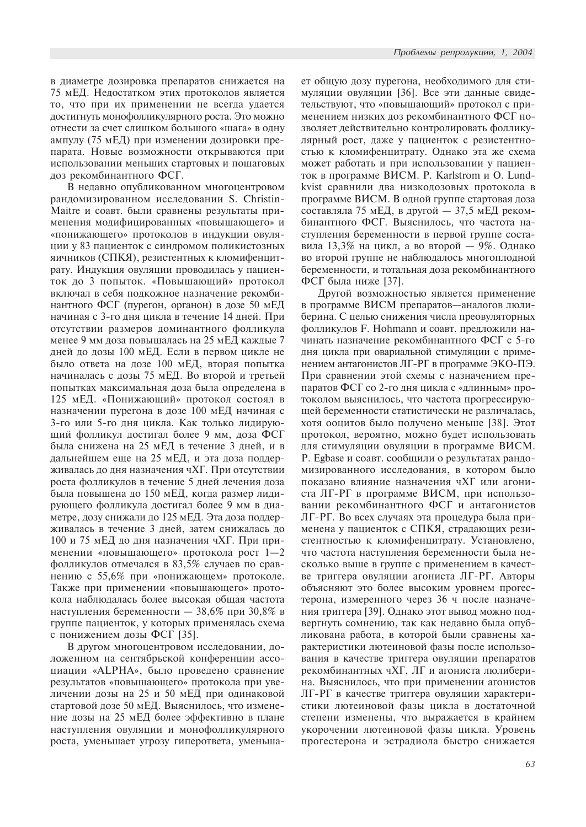в диаметре дозировка препаратов снижается на 75 мЕД. Недостатком этих протоколов является то, что при их применении не всегда удается достигнуть монофолликулярного роста. Это можно отнести за счет слишком большого «шага» в одну ампулу (75 мЕД) при изменении дозировки препарата. Новые возможности открываются при использовании меньших стартовых и пошаговых доз рекомбинантного ФСГ.

В недавно опубликованном многоцентровом рандомизированном исследовании S. Christin-Maitre и соавт. были сравнены результаты применения модифицированных «повышающего» и «понижающего» протоколов в индукции овуляции у 83 пациенток с синдромом поликистозных яичников (СПКЯ), резистентных к кломифенцитрату. Индукция овуляции проводилась у пациенток до 3 попыток. «Повышающий» протокол включал в себя подкожное назначение рекомбинантного ФСГ (пурегон, органон) в дозе 50 мЕД начиная с 3-го дня цикла в течение 14 дней. При отсутствии размеров доминантного фолликула менее 9 мм доза повышалась на 25 мЕД каждые 7 дней до дозы 100 мЕД. Если в первом цикле не было ответа на дозе 100 мЕД, вторая попытка начиналась с дозы 75 мЕД. Во второй и третьей попытках максимальная доза была определена в 125 мЕД. «Понижающий» протокол состоял в назначении пурегона в дозе 100 мЕД начиная с 3-го или 5-го дня цикла. Как только лидирующий фолликул достигал более 9 мм, доза ФСГ была снижена на 25 мЕД в течение 3 дней, и в дальнейшем еще на 25 мЕД, и эта доза поддерживалась до дня назначения чХГ. При отсутствии роста фолликулов в течение 5 дней лечения доза была повышена до 150 мЕД, когда размер лидирующего фолликула достигал более 9 мм в диаметре, дозу снижали до 125 мЕД. Эта доза поддерживалась в течение 3 дней, затем снижалась до 100 и 75 мЕД до дня назначения чХГ. При применении «повышающего» протокола рост 1-2 фолликулов отмечался в 83,5% случаев по сравнению с 55,6% при «понижающем» протоколе. Также при применении «повышающего» протокола наблюдалась более высокая общая частота наступления беременности - 38,6% при 30,8% в группе пациенток, у которых применялась схема с понижением дозы ФСГ [35].

В другом многоцентровом исследовании, доложенном на сентябрьской конференции ассоциации «ALPHA», было проведено сравнение результатов «повышающего» протокола при увеличении дозы на 25 и 50 мЕД при одинаковой стартовой дозе 50 мЕД. Выяснилось, что изменение дозы на 25 мЕД более эффективно в плане наступления овуляции и монофолликулярного роста, уменьшает угрозу гиперответа, уменьшает общую дозу пурегона, необходимого для стимуляции овуляции [36]. Все эти данные свидетельствуют, что «повышающий» протокол с применением низких доз рекомбинантного ФСГ позволяет действительно контролировать фолликулярный рост, даже у пациенток с резистентностью к кломифенцитрату. Однако эта же схема может работать и при использовании у пациенток в программе ВИСМ. P. Karlstrom и O. Lundkvist сравнили два низкодозовых протокола в программе ВИСМ. В одной группе стартовая доза составляла 75 мЕД, в другой - 37,5 мЕД рекомбинантного ФСГ. Выяснилось, что частота наступления беременности в первой группе составила 13,3% на цикл, а во второй - 9%. Однако во второй группе не наблюдалось многоплодной беременности, и тотальная доза рекомбинантного ФСГ была ниже [37].

Другой возможностью является применение в программе ВИСМ препаратов-аналогов люлиберина. С целью снижения числа преовуляторных фолликулов F. Hohmann и соавт. предложили начинать назначение рекомбинантного ФСГ с 5-го дня цикла при овариальной стимуляции с применением антагонистов ЛГ-РГ в программе ЭКО-ПЭ. При сравнении этой схемы с назначением препаратов ФСГ со 2-го дня цикла с «длинным» протоколом выяснилось, что частота прогрессирующей беременности статистически не различалась, хотя ооцитов было получено меньше [38]. Этот протокол, вероятно, можно будет использовать для стимуляции овуляции в программе ВИСМ. Р. Еgbase и соавт. сообщили о результатах рандомизированного исследования, в котором было показано влияние назначения чХГ или агониста ЛГ-РГ в программе ВИСМ, при использовании рекомбинантного ФСГ и антагонистов ЛГ-РГ. Во всех случаях эта процедура была применена у пациенток с СПКЯ, страдающих резистентностью к кломифенцитрату. Установлено, что частота наступления беременности была несколько выше в группе с применением в качестве триггера овуляции агониста ЛГ-РГ. Авторы объясняют это более высоким уровнем прогестерона, измеренного через 36 ч после назначения триггера [39]. Однако этот вывод можно подвергнуть сомнению, так как недавно была опубликована работа, в которой были сравнены характеристики лютеиновой фазы после использования в качестве триггера овуляции препаратов рекомбинантных чХГ, ЛГ и агониста люлиберина. Выяснилось, что при применении агонистов ЛГ-РГ в качестве триггера овуляции характеристики лютеиновой фазы цикла в достаточной степени изменены, что выражается в крайнем укорочении лютеиновой фазы цикла. Уровень прогестерона и эстрадиола быстро снижается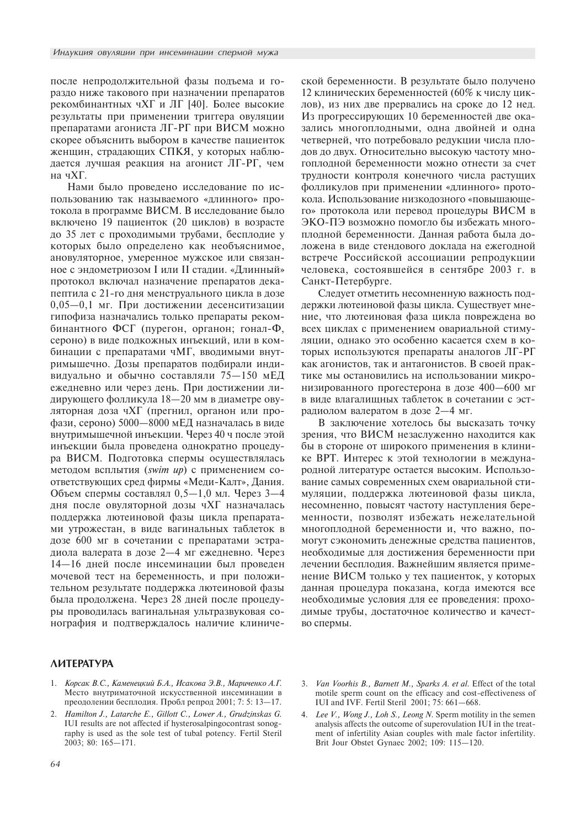после непродолжительной фазы подъема и гораздо ниже такового при назначении препаратов рекомбинантных чХГ и ЛГ [40]. Более высокие результаты при применении триггера овуляции препаратами агониста ЛГ-РГ при ВИСМ можно скорее объяснить выбором в качестве пациенток женщин, страдающих СПКЯ, у которых наблюдается лучшая реакция на агонист ЛГ-РГ, чем на чХГ.

Нами было проведено исследование по использованию так называемого «длинного» протокола в программе ВИСМ. В исследование было включено 19 пациенток (20 циклов) в возрасте до 35 лет с проходимыми трубами, бесплодие у которых было определено как необъяснимое, ановуляторное, умеренное мужское или связанное с эндометриозом I или II стадии. «Длинный» протокол включал назначение препаратов декапептила с 21-го дня менструального цикла в дозе 0,05-0,1 мг. При достижении десенситизации гипофиза назначались только препараты рекомбинантного ФСГ (пурегон, органон; гонал-Ф, сероно) в виде подкожных инъекций, или в комбинации с препаратами чМГ, вводимыми внутримышечно. Дозы препаратов подбирали индивидуально и обычно составляли 75-150 мЕД ежедневно или через день. При достижении лидирующего фолликула 18-20 мм в диаметре овуляторная доза чХГ (прегнил, органон или профази, сероно) 5000-8000 мЕД назначалась в виде внутримышечной инъекции. Через 40 ч после этой инъекции была проведена однократно процедура ВИСМ. Подготовка спермы осуществлялась методом всплытия (swim up) с применением соответствующих сред фирмы «Меди-Калт», Дания. Объем спермы составлял  $0,5-1,0$  мл. Через  $3-4$ дня после овуляторной дозы чХГ назначалась поддержка лютеиновой фазы цикла препаратами утрожестан, в виде вагинальных таблеток в дозе 600 мг в сочетании с препаратами эстрадиола валерата в дозе 2-4 мг ежедневно. Через 14-16 дней после инсеминации был проведен мочевой тест на беременность, и при положительном результате поддержка лютеиновой фазы была продолжена. Через 28 дней после процедуры проводилась вагинальная ультразвуковая сонография и подтверждалось наличие клиниче-

# ской беременности. В результате было получено 12 клинических беременностей (60% к числу циклов), из них две прервались на сроке до 12 нед. Из прогрессирующих 10 беременностей две оказались многоплодными, одна двойней и одна четверней, что потребовало редукции числа плодов до двух. Относительно высокую частоту многоплодной беременности можно отнести за счет трудности контроля конечного числа растущих фолликулов при применении «длинного» протокола. Использование низкодозного «повышающего» протокола или перевод процедуры ВИСМ в ЭКО-ПЭ возможно помогло бы избежать многоплодной беременности. Данная работа была доложена в виде стендового доклада на ежегодной встрече Российской ассоциации репродукции человека, состоявшейся в сентябре 2003 г. в Санкт-Петербурге.

Следует отметить несомненную важность поддержки лютеиновой фазы цикла. Существует мнение, что лютеиновая фаза цикла повреждена во всех циклах с применением овариальной стимуляции, однако это особенно касается схем в которых используются препараты аналогов ЛГ-РГ как агонистов, так и антагонистов. В своей практике мы остановились на использовании микронизированного прогестерона в дозе 400-600 мг в виде влагалищных таблеток в сочетании с эстрадиолом валератом в дозе 2-4 мг.

В заключение хотелось бы высказать точку зрения, что ВИСМ незаслуженно находится как бы в стороне от широкого применения в клинике ВРТ. Интерес к этой технологии в международной литературе остается высоким. Использование самых современных схем овариальной стимуляции, поддержка лютеиновой фазы цикла, несомненно, повысят частоту наступления беременности, позволят избежать нежелательной многоплодной беременности и, что важно, помогут сэкономить денежные средства пациентов, необходимые для достижения беременности при лечении бесплодия. Важнейшим является применение ВИСМ только у тех пациенток, у которых данная процедура показана, когда имеются все необходимые условия для ее проведения: проходимые трубы, достаточное количество и качество спермы.

# **ЛИТЕРАТУРА**

- 1. Корсак В.С., Каменецкий Б.А., Исакова Э.В., Мариченко А.Г. Место внутриматочной искусственной инсеминации в преодолении бесплодия. Пробл репрод 2001; 7: 5: 13-17.
- 2. Hamilton J., Latarche E., Gillott C., Lower A., Grudzinskas G. IUI results are not affected if hysterosalpingocontrast sonography is used as the sole test of tubal potency. Fertil Steril  $2003: 80: 165 - 171.$
- Van Voorhis B., Barnett M., Sparks A. et al. Effect of the total  $\mathfrak{Z}$ . motile sperm count on the efficacy and cost-effectiveness of IUI and IVF. Fertil Steril 2001; 75: 661-668.
- 4. Lee V., Wong J., Loh S., Leong N. Sperm motility in the semen analysis affects the outcome of superovulation IUI in the treatment of infertility Asian couples with male factor infertility. Brit Jour Obstet Gynaec 2002; 109: 115-120.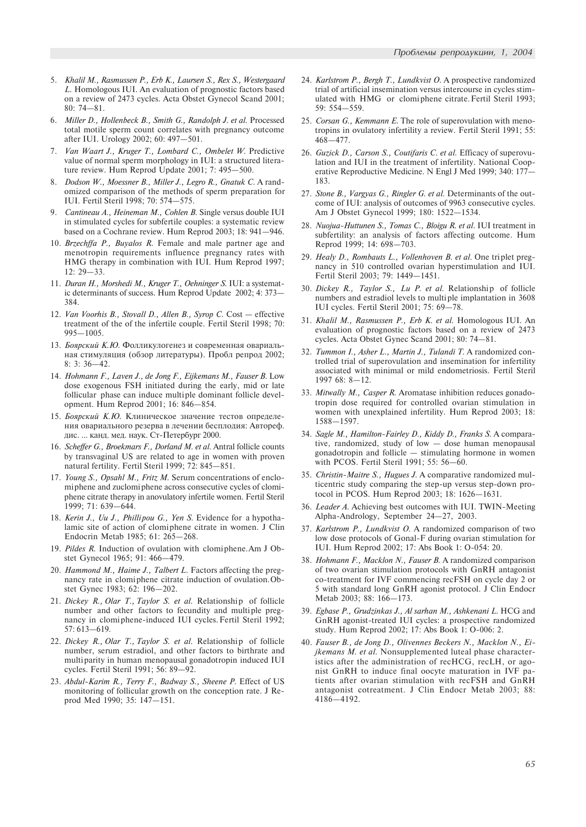- 5. Khalil M., Rasmussen P., Erb K., Laursen S., Rex S., Westergaard L. Homologous IUI. An evaluation of prognostic factors based on a review of 2473 cycles. Acta Obstet Gynecol Scand 2001;  $80 \cdot 74 - 81$
- Miller D., Hollenbeck B., Smith G., Randolph J. et al. Processed total motile sperm count correlates with pregnancy outcome after IUI. Urology 2002; 60: 497-501.
- Van Waart J., Kruger T., Lombard C., Ombelet W. Predictive value of normal sperm morphology in IUI: a structured literature review. Hum Reprod Update 2001; 7: 495-500.
- 8. Dodson W., Moessner B., Miller J., Legro R., Gnatuk C. A randomized comparison of the methods of sperm preparation for IUI. Fertil Steril 1998: 70: 574-575.
- Cantineau A., Heineman M., Cohlen B. Single versus double IUI in stimulated cycles for subfertile couples: a systematic review based on a Cochrane review. Hum Reprod 2003; 18: 941-946.
- 10. Brzechffa P., Buyalos R. Female and male partner age and menotropin requirements influence pregnancy rates with HMG therapy in combination with IUI. Hum Reprod 1997;  $12: 29 - 33.$
- 11. Duran H., Morshedi M., Kruger T., Oehninger S. IUI: a systematic determinants of success. Hum Reprod Update 2002; 4: 373 384.
- 12. Van Voorhis B., Stovall D., Allen B., Syrop C. Cost effective treatment of the of the infertile couple. Fertil Steril 1998; 70:  $995 - 1005$ .
- 13. Боярский К.Ю. Фолликулогенез и современная овариальная стимуляция (обзор литературы). Пробл репрод 2002; 8: 3: 36-42.
- 14. Hohmann F., Laven J., de Jong F., Eijkemans M., Fauser B. Low dose exogenous FSH initiated during the early, mid or late follicular phase can induce multiple dominant follicle development. Hum Reprod 2001; 16: 846-854.
- 15. Боярский К.Ю. Клиническое значение тестов определения овариального резерва в лечении бесплодия: Автореф. дис. ... канд. мед. наук. Ст-Петербург 2000.
- 16. Scheffer G., Broekmars F., Dorland M. et al. Antral follicle counts by transvaginal US are related to age in women with proven natural fertility. Fertil Steril 1999; 72: 845-851.
- 17. Young S., Opsahl M., Fritz M. Serum concentrations of enclomiphene and zuclomiphene across consecutive cycles of clomiphene citrate therapy in anovulatory infertile women. Fertil Steril 1999; 71: 639-644.
- 18. Kerin J., Uu J., Phillipou G., Yen S. Evidence for a hypothalamic site of action of clomiphene citrate in women. J Clin Endocrin Metab 1985; 61: 265-268.
- 19. Pildes R. Induction of ovulation with clomiphene. Am J Obstet Gynecol 1965; 91: 466-479.
- 20. Hammond M., Haime J., Talbert L. Factors affecting the pregnancy rate in clomiphene citrate induction of ovulation. Obstet Gynec 1983; 62: 196-202.
- 21. Dickey R., Olar T., Taylor S. et al. Relationship of follicle number and other factors to fecundity and multiple pregnancy in clomi phene-induced IUI cycles. Fertil Steril 1992;  $57:613-619.$
- 22. Dickey R., Olar T., Taylor S. et al. Relationship of follicle number, serum estradiol, and other factors to birthrate and multi parity in human menopausal gonadotropin induced IUI cycles. Fertil Steril 1991; 56: 89-92.
- 23. Abdul-Karim R., Terry F., Badway S., Sheene P. Effect of US monitoring of follicular growth on the conception rate. J Reprod Med 1990; 35: 147-151.
- 24. Karlstrom P., Bergh T., Lundkvist O. A prospective randomized trial of artificial insemination versus intercourse in cycles stimulated with HMG or clomiphene citrate. Fertil Steril 1993; 59: 554-559.
- 25. Corsan G., Kemmann E. The role of superovulation with menotropins in ovulatory infertility a review. Fertil Steril 1991; 55: 468477.
- 26. Guzick D., Carson S., Coutifaris C. et al. Efficacy of superovulation and IUI in the treatment of infertility. National Cooperative Reproductive Medicine. N Engl J Med 1999; 340: 177 183.
- 27. Stone B., Vargyas G., Ringler G. et al. Determinants of the outcome of IUI: analysis of outcomes of 9963 consecutive cycles. Am J Obstet Gynecol 1999; 180: 1522-1534.
- 28. Nuojua-Huttunen S., Tomas C., Bloigu R. et al. IUI treatment in subfertility: an analysis of factors affecting outcome. Hum Reprod 1999; 14: 698-703.
- 29. Healy D., Rombauts L., Vollenhoven B. et al. One tri plet pregnancy in 510 controlled ovarian hyperstimulation and IUI. Fertil Steril 2003: 79: 1449-1451.
- 30. Dickey R., Taylor S., Lu P. et al. Relationship of follicle numbers and estradiol levels to multi ple implantation in 3608 IUI cycles. Fertil Steril 2001; 75: 69-78.
- 31. Khalil M., Rasmussen P., Erb K. et al. Homologous IUI. An evaluation of prognostic factors based on a review of 2473 cycles. Acta Obstet Gynec Scand 2001; 80: 74-81.
- 32. Tummon I., Asher L., Martin J., Tulandi T. A randomized controlled trial of superovulation and insemination for infertility associated with minimal or mild endometriosis. Fertil Steril 1997 68: 8-12.
- 33. Mitwally M., Casper R. Aromatase inhibition reduces gonadotropin dose required for controlled ovarian stimulation in women with unexplained infertility. Hum Reprod 2003; 18: 1588-1597.
- 34. Sagle M., Hamilton-Fairley D., Kiddy D., Franks S. A comparative, randomized, study of low  $-$  dose human menopausal gonadotropin and follicle  $-$  stimulating hormone in women with PCOS. Fertil Steril 1991; 55: 56-60.
- 35. Christin-Maitre S., Hugues J. A comparative randomized multicentric study comparing the step-up versus step-down protocol in PCOS. Hum Reprod 2003; 18: 1626-1631.
- 36. Leader A. Achieving best outcomes with IUI. TWIN-Meeting Alpha-Andrology, September 24–27, 2003.
- 37. Karlstrom P., Lundkvist O. A randomized comparison of two low dose protocols of Gonal-F during ovarian stimulation for IUI. Hum Reprod 2002; 17: Abs Book 1: O-054: 20.
- 38. Hohmann F., Macklon N., Fauser B. A randomized comparison of two ovarian stimulation protocols with GnRH antagonist co-treatment for IVF commencing recFSH on cycle day 2 or 5 with standard long GnRH agonist protocol. J Clin Endocr Metab 2003; 88: 166-173.
- 39. Egbase P., Grudzinkas J., Al sarhan M., Ashkenani L. HCG and GnRH agonist-treated IUI cycles: a prospective randomized study. Hum Reprod 2002; 17: Abs Book 1: O-006: 2.
- 40. Fauser B., de Jong D., Olivennes Beckers N., Macklon N., Eijkemans M. et al. Nonsupplemented luteal phase characteristics after the administration of recHCG, recLH, or agonist GnRH to induce final oocyte maturation in IVF patients after ovarian stimulation with recFSH and GnRH antagonist cotreatment. J Clin Endocr Metab 2003; 88: 41864192.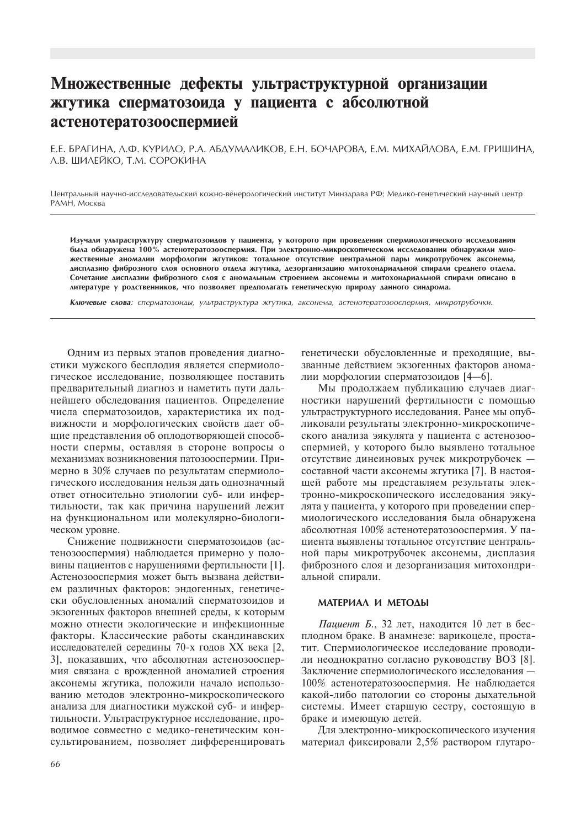# Множественные дефекты ультраструктурной организации жгутика сперматозоида у пациента с абсолютной астенотератозооспермией

Е.Е. БРАГИНА, Л.Ф. КУРИЛО, Р.А. АБДУМАЛИКОВ, Е.Н. БОЧАРОВА, Е.М. МИХАЙЛОВА, Е.М. ГРИШИНА, Л.В. ШИЛЕЙКО, Т.М. СОРОКИНА

Центральный научно-исследовательский кожно-венерологический институт Минздрава РФ; Медико-генетический научный центр РАМН, Москва

Изучали ультраструктуру сперматозоидов у пациента, у которого при проведении спермиологического исследования была обнаружена 100% астенотератозооспермия. При электронно-микроскопическом исследовании обнаружили множественные аномалии морфологии жгутиков: тотальное отсутствие центральной пары микротрубочек аксонемы, лисплазию фиброзного слоя основного отдела жгутика, дезорганизацию митохондриальной спирали среднего отдела. Сочетание дисплазии фиброзного слоя с аномальным строением аксонемы и митохондриальной спирали описано в литературе у родственников, что позволяет предполагать генетическую природу данного синдрома.

Ключевые слова: сперматозоиды, ультраструктура жгутика, аксонема, астенотератозооспермия, микротрубочки.

Одним из первых этапов проведения диагностики мужского бесплодия является спермиологическое исследование, позволяющее поставить предварительный диагноз и наметить пути дальнейшего обследования пациентов. Определение числа сперматозоидов, характеристика их подвижности и морфологических свойств дает общие представления об оплодотворяющей способности спермы, оставляя в стороне вопросы о механизмах возникновения патозооспермии. Примерно в 30% случаев по результатам спермиологического исследования нельзя дать однозначный ответ относительно этиологии суб- или инфертильности, так как причина нарушений лежит на функциональном или молекулярно-биологическом уровне.

Снижение подвижности сперматозоидов (астенозооспермия) наблюдается примерно у половины пациентов с нарушениями фертильности [1]. Астенозооспермия может быть вызвана действием различных факторов: эндогенных, генетически обусловленных аномалий сперматозоидов и экзогенных факторов внешней среды, к которым можно отнести экологические и инфекционные факторы. Классические работы скандинавских исследователей середины 70-х годов XX века [2, 3], показавших, что абсолютная астенозооспермия связана с врожденной аномалией строения аксонемы жгутика, положили начало использованию методов электронно-микроскопического анализа для диагностики мужской суб- и инфертильности. Ультраструктурное исследование, проводимое совместно с медико-генетическим консультированием, позволяет дифференцировать

генетически обусловленные и преходящие, вызванные действием экзогенных факторов аномалии морфологии сперматозоидов [4-6].

Мы продолжаем публикацию случаев диагностики нарушений фертильности с помощью ультраструктурного исследования. Ранее мы опубликовали результаты электронно-микроскопического анализа эякулята у пациента с астенозооспермией, у которого было выявлено тотальное отсутствие динеиновых ручек микротрубочек составной части аксонемы жгутика [7]. В настоящей работе мы представляем результаты электронно-микроскопического исследования эякулята у пациента, у которого при проведении спермиологического исследования была обнаружена абсолютная 100% астенотератозооспермия. У пациента выявлены тотальное отсутствие центральной пары микротрубочек аксонемы, дисплазия фиброзного слоя и дезорганизация митохондриальной спирали.

## МАТЕРИАЛ И МЕТОДЫ

Пациент Б., 32 лет, находится 10 лет в бесплодном браке. В анамнезе: варикоцеле, простатит. Спермиологическое исследование проводили неоднократно согласно руководству ВОЗ [8]. Заключение спермиологического исследования -100% астенотератозооспермия. Не наблюдается какой-либо патологии со стороны дыхательной системы. Имеет старшую сестру, состоящую в браке и имеющую детей.

Для электронно-микроскопического изучения материал фиксировали 2,5% раствором глутаро-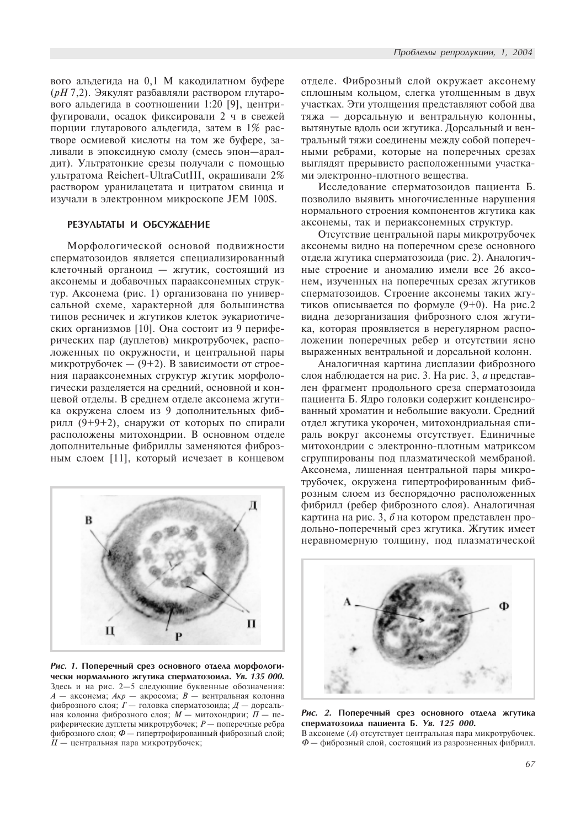вого альдегида на 0,1 M какодилатном буфере ( $pH$  7,2). Эякулят разбавляли раствором глутарового альдегида в соотношении 1:20 [9], центрифугировали, осадок фиксировали 2 ч в свежей порции глутарового альдегида, затем в 1% растворе осмиевой кислоты на том же буфере, заливали в эпоксидную смолу (смесь эпон-аралдит). Ультратонкие срезы получали с помощью ультратома Reichert-UltraCutIII, окрашивали 2% раствором уранилацетата и цитратом свинца и изучали в электронном микроскопе JEM 100S.

# РЕЗУЛЬТАТЫ И ОБСУЖДЕНИЕ

Морфологической основой подвижности сперматозоидов является специализированный клеточный органоид — жгутик, состоящий из аксонемы и добавочных парааксонемных структур. Аксонема (рис. 1) организована по универсальной схеме, характерной для большинства типов ресничек и жгутиков клеток эукариотических организмов [10]. Она состоит из 9 периферических пар (дуплетов) микротрубочек, расположенных по окружности, и центральной пары микротрубочек —  $(9+2)$ . В зависимости от строения парааксонемных структур жгутик морфологически разделяется на средний, основной и концевой отделы. В среднем отделе аксонема жгутика окружена слоем из 9 дополнительных фибрилл (9+9+2), снаружи от которых по спирали расположены митохондрии. В основном отделе дополнительные фибриллы заменяются фиброзным слоем [11], который исчезает в концевом



Рис. 1. Поперечный срез основного отдела морфологически нормального жгутика сперматозоида. Ув. 135 000. Здесь и на рис. 2-5 следующие буквенные обозначения:  $A$  — аксонема;  $A\kappa p$  — акросома;  $B$  — вентральная колонна фиброзного слоя;  $\overline{I}$  - головка сперматозоида;  $\overline{A}$  - дорсальная колонна фиброзного слоя;  $\dot{M}$  - митохондрии;  $\dot{II}$  - периферические дуплеты микротрубочек;  $P$  — поперечные ребра <sup>•</sup> фиброзного слоя; Ф — гипертрофированный фиброзный слой;  $H$  — центральная пара микротрубочек;

отделе. Фиброзный слой окружает аксонему сплошным кольцом, слегка утолщенным в двух участках. Эти утолщения представляют собой два тяжа — дорсальную и вентральную колонны, вытянутые вдоль оси жгутика. Дорсальный и вентральный тяжи соединены между собой поперечными ребрами, которые на поперечных срезах выглядят прерывисто расположенными участками электронно-плотного вещества.

Исследование сперматозоидов пациента Б. позволило выявить многочисленные нарушения нормального строения компонентов жгутика как аксонемы, так и периаксонемных структур.

Отсутствие центральной пары микротрубочек аксонемы видно на поперечном срезе основного отдела жгутика сперматозоида (рис. 2). Аналогичные строение и аномалию имели все 26 аксонем, изученных на поперечных срезах жгутиков сперматозоидов. Строение аксонемы таких жгутиков описывается по формуле  $(9+0)$ . На рис.2 видна дезорганизация фиброзного слоя жгутика, которая проявляется в нерегулярном расположении поперечных ребер и отсутствии ясно выраженных вентральной и дорсальной колонн.

Аналогичная картина дисплазии фиброзного слоя наблюдается на рис. 3. На рис. 3, а представлен фрагмент продольного среза сперматозоида пациента Б. Ядро головки содержит конденсированный хроматин и небольшие вакуоли. Средний отдел жгутика укорочен, митохондриальная спираль вокруг аксонемы отсутствует. Единичные митохондрии с электронно-плотным матриксом сгруппированы под плазматической мембраной. Аксонема, лишенная центральной пары микротрубочек, окружена гипертрофированным фиброзным слоем из беспорядочно расположенных фибрилл (ребер фиброзного слоя). Аналогичная картина на рис. 3,  $\delta$  на котором представлен продольно-поперечный срез жгутика. Жгутик имеет неравномерную толщину, под плазматической



Рис. 2. Поперечный срез основного отдела жгутика сперматозоида пациента Б. Ув. 125 000.

В аксонеме (А) отсутствует центральная пара микротрубочек. Ф — фиброзный слой, состоящий из разрозненных фибрилл.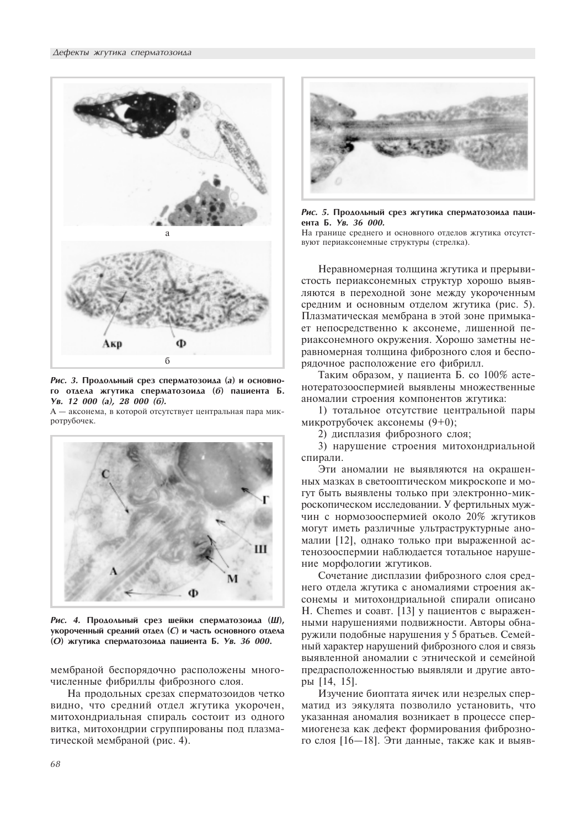

Рис. 3. Продольный срез сперматозоида (а) и основного отдела жгутика сперматозоида (б) пациента Б. Óâ. 12 000 (à), 28 000 (á).

А - аксонема, в которой отсутствует центральная пара микротрубочек.



Рис. 4. Продольный срез шейки сперматозоида (Ш), укороченный средний отдел (С) и часть основного отдела (O) жгутика сперматозоида пациента Б. Ув. 36 000.

мембраной беспорядочно расположены многочисленные фибриллы фиброзного слоя.

На продольных срезах сперматозоидов четко видно, что средний отдел жгутика укорочен. митохондриальная спираль состоит из одного витка, митохондрии сгруппированы под плазматической мембраной (рис. 4).



Рис. 5. Продольный срез жгутика сперматозоида пациента Б. Ув. 36 000.

На границе среднего и основного отделов жгутика отсутствуют периаксонемные структуры (стрелка).

Неравномерная толщина жгутика и прерывистость периаксонемных структур хорошо выявляются в переходной зоне между укороченным средним и основным отделом жгутика (рис. 5). Плазматическая мембрана в этой зоне примыкает непосредственно к аксонеме, лишенной периаксонемного окружения. Хорошо заметны неравномерная толщина фиброзного слоя и беспорядочное расположение его фибрилл.

Таким образом, у пациента Б. со 100% астенотератозооспермией выявлены множественные аномалии строения компонентов жгутика:

1) тотальное отсутствие центральной пары микротрубочек аксонемы  $(9+0)$ ;

2) дисплазия фиброзного слоя;

3) нарушение строения митохондриальной спирали.

Эти аномалии не выявляются на окрашенных мазках в светооптическом микроскопе и могут быть выявлены только при электронно-микроскопическом исследовании. У фертильных мужчин с нормозооспермией около 20% жгутиков могут иметь различные ультраструктурные аномалии [12], однако только при выраженной астенозооспермии наблюдается тотальное нарушение морфологии жгутиков.

Сочетание дисплазии фиброзного слоя среднего отлела жгутика с аномалиями строения аксонемы и митохондриальной спирали описано H. Chemes и соавт. [13] у пациентов с выраженными нарушениями подвижности. Авторы обнаружили подобные нарушения у 5 братьев. Семейный характер нарушений фиброзного слоя и связь выявленной аномалии с этнической и семейной предрасположенностью выявляли и другие авторы [14, 15].

Изучение биоптата яичек или незрелых сперматил из эякулята позволило установить, что указанная аномалия возникает в процессе спермиогенеза как дефект формирования фиброзного слоя [16-18]. Эти данные, также как и выяв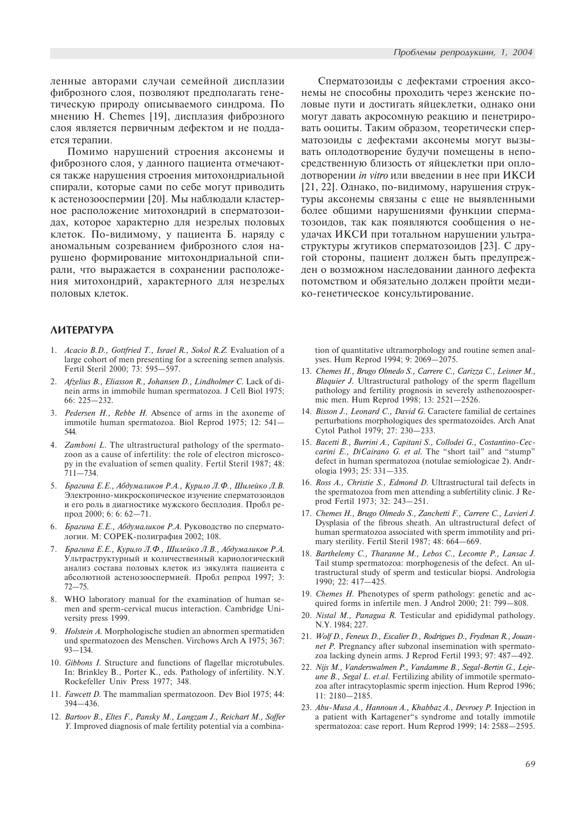ленные авторами случаи семейной дисплазии фиброзного слоя, позволяют предполагать генетическую природу описываемого синдрома. По мнению Н. Chemes [19], дисплазия фиброзного слоя является первичным дефектом и не поддается терапии.

Помимо нарушений строения аксонемы и фиброзного слоя, у данного пациента отмечаются также нарушения строения митохондриальной спирали, которые сами по себе могут приводить к астенозооспермии [20]. Мы наблюдали кластерное расположение митохондрий в сперматозоидах, которое характерно для незрелых половых клеток. По-видимому, у пациента Б. наряду с аномальным созреванием фиброзного слоя нарушено формирование митохондриальной спирали, что выражается в сохранении расположения митохондрий, характерного для незрелых половых клеток.

# **AUTEPATYPA**

- 1. Acacio B.D., Gottfried T., Israel R., Sokol R.Z. Evaluation of a large cohort of men presenting for a screening semen analysis. Fertil Steril 2000; 73: 595-597.
- 2. Afzelius B., Eliasson R., Johansen D., Lindholmer C. Lack of dinein arms in immobile human spermatozoa. J Cell Biol 1975;  $66: 225 - 232.$
- 3. Pedersen H., Rebbe H. Absence of arms in the axoneme of immotile human spermatozoa. Biol Reprod 1975; 12: 541 544.
- 4. Zamboni L. The ultrastructural pathology of the spermatozoon as a cause of infertility: the role of electron microscopy in the evaluation of semen quality. Fertil Steril 1987; 48:  $711 - 734$ .
- 5. Брагина Е.Е., Абдумаликов Р.А., Курило Л.Ф., Шилейко Л.В. Электронно-микроскопическое изучение сперматозоидов й его роль в диагностике мужского бесплодия. Пробл репрод 2000; 6: 6: 62-71.
- 6. Брагина Е.Е., Абдумаликов Р.А. Руководство по сперматологии. М: СОРЕК-полиграфия 2002; 108.
- 7. Брагина Е.Е., Курило Л.Ф., Шилейко Л.В., Абдумаликов Р.А. Ультраструктурный и количественный кариологический анализ состава половых клеток из эякулята пациента с абсолютной астенозооспермией. Пробл репрод 1997; 3:  $72 - 75.$
- 8. WHO laboratory manual for the examination of human semen and sperm-cervical mucus interaction. Cambridge University press 1999.
- 9. Holstein A. Morphologische studien an abnormen spermatiden und spermatozoen des Menschen. Virchows Arch A 1975; 367:  $93 - 134.$
- 10. Gibbons I. Structure and functions of flagellar microtubules. In: Brinkley B., Porter K., eds. Pathology of infertility. N.Y. Rockefeller Univ Press 1977; 348.
- 11. Fawcett D. The mammalian spermatozoon. Dev Biol 1975; 44:  $394 - 436$ .
- 12. Bartoov B., Eltes F., Pansky M., Langzam J., Reichart M., Soffer Y. Improved diagnosis of male fertility potential via a combina-

Сперматозоиды с дефектами строения аксонемы не способны проходить через женские половые пути и достигать яйцеклетки, однако они могут давать акросомную реакцию и пенетрировать ооциты. Таким образом, теоретически сперматозоиды с дефектами аксонемы могут вызывать оплодотворение будучи помещены в непосредственную близость от яйцеклетки при оплодотворении in vitro или введении в нее при ИКСИ [21, 22]. Однако, по-видимому, нарушения структуры аксонемы связаны с еще не выявленными более общими нарушениями функции сперматозоидов, так как появляются сообщения о неудачах ИКСИ при тотальном нарушении ультраструктуры жгутиков сперматозоидов [23]. С другой стороны, пациент должен быть предупрежден о возможном наследовании данного дефекта потомством и обязательно должен пройти медико-генетическое консультирование.

tion of quantitative ultramorphology and routine semen analyses. Hum Reprod 1994; 9: 2069-2075.

- 13. Chemes H., Brugo Olmedo S., Carrere C., Carizza C., Leisner M., Blaquier J. Ultrastructural pathology of the sperm flagellum pathology and fertility prognosis in severely asthenozoospermic men. Hum Reprod 1998; 13: 2521-2526.
- 14. Bisson J., Leonard C., David G. Caractere familial de certaines perturbations morphologiques des spermatozoides. Arch Anat Cytol Pathol 1979; 27: 230-233.
- 15. Bacetti B., Burrini A., Capitani S., Collodei G., Costantino-Ceccarini E., DiCairano G. et al. The "short tail" and "stump" defect in human spermatozoa (notulae semiologicae 2). Andrologia 1993; 25: 331-335.
- 16. Ross A., Christie S., Edmond D. Ultrastructural tail defects in the spermatozoa from men attending a subfertility clinic. J Reprod Fertil 1973; 32: 243-251.
- 17. Chemes H., Brugo Olmedo S., Zanchetti F., Carrere C., Lavieri J. Dysplasia of the fibrous sheath. An ultrastructural defect of human spermatozoa associated with sperm immotility and primary sterility. Fertil Steril 1987; 48: 664-669.
- 18. Barthelemy C., Tharanne M., Lebos C., Lecomte P., Lansac J. Tail stump spermatozoa: morphogenesis of the defect. An ultrastructural study of sperm and testicular biopsi. Andrologia 1990; 22: 417-425.
- 19. Chemes H. Phenotypes of sperm pathology: genetic and acquired forms in infertile men. J Androl 2000; 21: 799-808.
- 20. Nistal M., Panagua R. Testicular and epididymal pathology. N.Y. 1984; 227.
- 21. Wolf D., Feneux D., Escalier D., Rodrigues D., Frydman R., Jouannet P. Pregnancy after subzonal insemination with spermatozoa lacking dynein arms. J Reprod Fertil 1993; 97: 487-492.
- 22. Nijs M., Vanderswalmen P., Vandamme B., Segal-Bertin G., Lejeune B., Segal L. et.al. Fertilizing ability of immotile spermatozoa after intracytoplasmic sperm injection. Hum Reprod 1996; 11: 2180 - 2185.
- 23. Abu-Musa A., Hannoun A., Khabbaz A., Devroey P. Injection in a patient with Kartagener"s syndrome and totally immotile spermatozoa: case report. Hum Reprod 1999; 14: 2588-2595.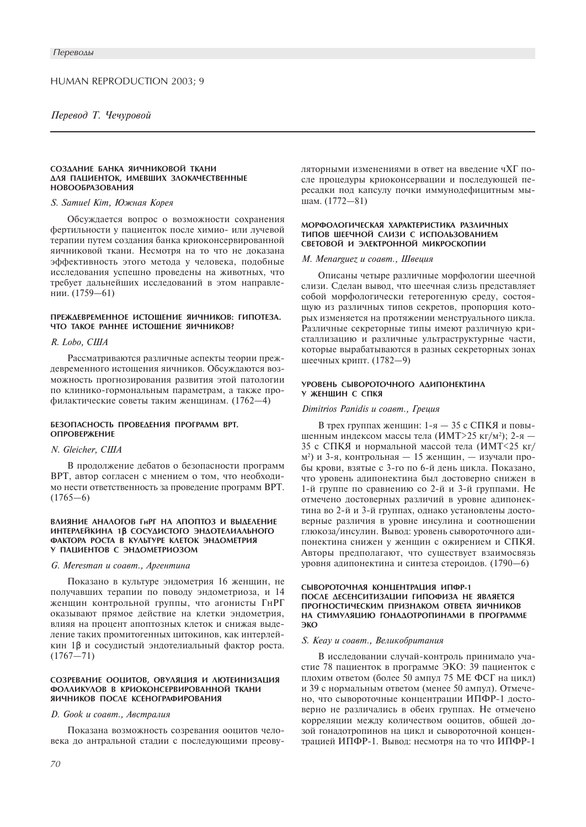#### СОЗДАНИЕ БАНКА ЯИЧНИКОВОЙ ТКАНИ ДЛЯ ПАЦИЕНТОК, ИМЕВШИХ ЗЛОКАЧЕСТВЕННЫЕ **НОВООБРАЗОВАНИЯ**

## S. Samuel Kim, Южная Корея

Обсуждается вопрос о возможности сохранения фертильности у пациенток после химио- или лучевой терапии путем создания банка криоконсервированной яичниковой ткани. Несмотря на то что не доказана эффективность этого метода у человека, подобные исследования успешно проведены на животных, что требует дальнейших исследований в этом направлении. (1759-61)

# ПРЕЖДЕВРЕМЕННОЕ ИСТОЩЕНИЕ ЯИЧНИКОВ: ГИПОТЕЗА. ЧТО ТАКОЕ РАННЕЕ ИСТОЩЕНИЕ ЯИЧНИКОВ?

## R. Lobo, CIIIA

Рассматриваются различные аспекты теории преждевременного истощения яичников. Обсуждаются возможность прогнозирования развития этой патологии по клинико-гормональным параметрам, а также профилактические советы таким женщинам. (1762-4)

#### БЕЗОПАСНОСТЬ ПРОВЕДЕНИЯ ПРОГРАММ ВРТ. **ОПРОВЕРЖЕНИЕ**

# N. Gleicher, CIIIA

В продолжение дебатов о безопасности программ ВРТ, автор согласен с мнением о том, что необходимо нести ответственность за проведение программ ВРТ.  $(1765-6)$ 

#### ВЛИЯНИЕ АНАЛОГОВ ГНРГ НА АПОПТОЗ И ВЫДЕЛЕНИЕ ИНТЕРЛЕЙКИНА 1В СОСУДИСТОГО ЭНДОТЕЛИАЛЬНОГО ФАКТОРА РОСТА В КУЛЬТУРЕ КЛЕТОК ЭНДОМЕТРИЯ У ПАЦИЕНТОВ С ЭНДОМЕТРИОЗОМ

#### G. Meresman и соавт., Аргентина

Показано в культуре эндометрия 16 женщин, не получавших терапии по поводу эндометриоза, и 14 женщин контрольной группы, что агонисты ГнРГ оказывают прямое действие на клетки эндометрия, влияя на процент апоптозных клеток и снижая выделение таких промитогенных цитокинов, как интерлейкин 1β и сосудистый эндотелиальный фактор роста.  $(1767 - 71)$ 

#### СОЗРЕВАНИЕ ООЦИТОВ, ОВУЛЯЦИЯ И ЛЮТЕИНИЗАЦИЯ ФОЛЛИКУЛОВ В КРИОКОНСЕРВИРОВАННОЙ ТКАНИ ЯИЧНИКОВ ПОСЛЕ КСЕНОГРАФИРОВАНИЯ

### D. Gook и соавт., Австралия

Показана возможность созревания ооцитов человека до антральной стадии с последующими преовуляторными изменениями в ответ на введение чХГ после процедуры криоконсервации и последующей пересадки под капсулу почки иммунодефицитным мышам. (1772-81)

#### МОРФОЛОГИЧЕСКАЯ ХАРАКТЕРИСТИКА РАЗЛИЧНЫХ ТИПОВ ШЕЕЧНОЙ СЛИЗИ С ИСПОЛЬЗОВАНИЕМ СВЕТОВОЙ И ЭЛЕКТРОННОЙ МИКРОСКОПИИ

#### М. Мепагдиег и соавт., Швешия

Описаны четыре различные морфологии шеечной слизи. Сделан вывод, что шеечная слизь представляет собой морфологически гетерогенную среду, состоящую из различных типов секретов, пропорция которых изменяется на протяжении менструального цикла. Различные секреторные типы имеют различную кристаллизацию и различные ультраструктурные части, которые вырабатываются в разных секреторных зонах шеечных крипт. (1782-9)

#### УРОВЕНЬ СЫВОРОТОЧНОГО АДИПОНЕКТИНА У ЖЕНШИН С СПКЯ

## Dimitrios Panidis u coaem., Греция

В трех группах женщин: 1-я - 35 с СПКЯ и повышенным индексом массы тела (ИМТ>25 кг/м<sup>2</sup>); 2-я -35 с СПКЯ и нормальной массой тела (ИМТ<25 кг/ м<sup>2</sup>) и 3-я, контрольная — 15 женщин, — изучали пробы крови, взятые с 3-го по 6-й день цикла. Показано, что уровень адипонектина был достоверно снижен в 1-й группе по сравнению со 2-й и 3-й группами. Не отмечено достоверных различий в уровне адипонектина во 2-й и 3-й группах, однако установлены достоверные различия в уровне инсулина и соотношении глюкоза/инсулин. Вывод: уровень сывороточного адипонектина снижен у женщин с ожирением и СПКЯ. Авторы предполагают, что существует взаимосвязь уровня адипонектина и синтеза стероидов. (1790-6)

#### СЫВОРОТОЧНАЯ КОНЦЕНТРАЦИЯ ИПФР-1 ПОСЛЕ ДЕСЕНСИТИЗАЦИИ ГИПОФИЗА НЕ ЯВЛЯЕТСЯ ПРОГНОСТИЧЕСКИМ ПРИЗНАКОМ ОТВЕТА ЯИЧНИКОВ НА СТИМУЛЯЦИЮ ГОНАДОТРОПИНАМИ В ПРОГРАММЕ ЭКО

#### S. Keay и соавт., Великобритания

В исследовании случай-контроль принимало участие 78 пациенток в программе ЭКО: 39 пациенток с плохим ответом (более 50 ампул 75 МЕ ФСГ на цикл) и 39 с нормальным ответом (менее 50 ампул). Отмечено, что сывороточные концентрации ИПФР-1 достоверно не различались в обеих группах. Не отмечено корреляции между количеством ооцитов, общей дозой гонадотропинов на цикл и сывороточной концентрацией ИПФР-1. Вывод: несмотря на то что ИПФР-1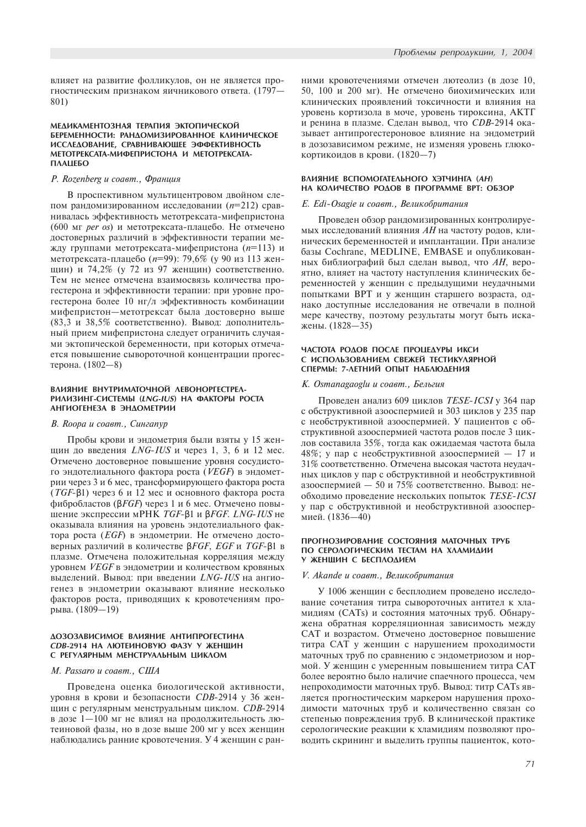влияет на развитие фолликулов, он не является прогностическим признаком яичникового ответа. (1797-801)

#### МЕДИКАМЕНТОЗНАЯ ТЕРАПИЯ ЭКТОПИЧЕСКОЙ БЕРЕМЕННОСТИ: РАНДОМИЗИРОВАННОЕ КЛИНИЧЕСКОЕ ИССЛЕДОВАНИЕ, СРАВНИВАЮЩЕЕ ЭФФЕКТИВНОСТЬ МЕТОТРЕКСАТА-МИФЕПРИСТОНА И МЕТОТРЕКСАТА-**NAALIEEO**

## P. Rozenberg и соавт., Франция

В проспективном мультицентровом двойном слепом рандомизированном исследовании ( $n=212$ ) сравнивалась эффективность метотрексата-мифепристона  $(600$  мг *per os*) и метотрексата-плацебо. Не отмечено достоверных различий в эффективности терапии между группами метотрексата-мифепристона ( $n=113$ ) и метотрексата-плацебо (*n*=99): 79,6% (у 90 из 113 женщин) и 74,2% (у 72 из 97 женщин) соответственно. Тем не менее отмечена взаимосвязь количества прогестерона и эффективности терапии: при уровне прогестерона более 10 нг/л эффективность комбинации мифепристон-метотрексат была достоверно выше (83,3 и 38,5% соответственно). Вывод: дополнительный прием мифепристона следует ограничить случаями эктопической беременности, при которых отмечается повышение сывороточной концентрации прогестерона. (1802-8)

#### ВЛИЯНИЕ ВНУТРИМАТОЧНОЙ ЛЕВОНОРГЕСТРЕЛ-PUAU3UHF-CUCTEMЫ (LNG-IUS) НА ФАКТОРЫ РОСТА АНГИОГЕНЕЗА В ЭНДОМЕТРИИ

#### В. Roopa и соавт., Сингапур

Пробы крови и эндометрия были взяты у 15 женщин до введения  $LNG- IUS$  и через 1, 3, 6 и 12 мес. Отмечено достоверное повышение уровня сосудистого эндотелиального фактора роста (VEGF) в эндометрии через 3 и 6 мес, трансформирующего фактора роста ( $TGF-β1$ ) через 6 и 12 мес и основного фактора роста фибробластов (β*FGF*) через 1 и 6 мес. Отмечено повышение экспрессии мРНК *TGF-*β1 и β*FGF. LNG-IUS* не оказывала влияния на уровень эндотелиального фактора роста (*EGF*) в эндометрии. Не отмечено достоверных различий в количестве βFGF, EGF и TGF-β1 в плазме. Отмечена положительная корреляция между уровнем VEGF в эндометрии и количеством кровяных выделений. Вывод: при введении LNG-IUS на ангиогенез в эндометрии оказывают влияние несколько факторов роста, приводящих к кровотечениям прорыва. (1809-19)

#### **ДОЗОЗАВИСИМОЕ ВЛИЯНИЕ АНТИПРОГЕСТИНА** СДВ-2914 НА ЛЮТЕИНОВУЮ ФАЗУ У ЖЕНШИН С РЕГУЛЯРНЫМ МЕНСТРУАЛЬНЫМ ЦИКЛОМ

#### M. Passaro u coaem., CIIIA

Проведена оценка биологической активности, уровня в крови и безопасности *CDB*-2914 у 36 женщин с регулярным менструальным циклом. CDB-2914 в дозе  $1-100$  мг не влиял на продолжительность лютеиновой фазы, но в дозе выше 200 мг у всех женщин наблюдались ранние кровотечения. У 4 женщин с ранними кровотечениями отмечен лютеолиз (в дозе 10, 50, 100 и 200 мг). Не отмечено биохимических или клинических проявлений токсичности и влияния на уровень кортизола в моче, уровень тироксина, АКТГ и ренина в плазме. Сделан вывод, что *CDB*-2914 оказывает антипрогестероновое влияние на эндометрий в дозозависимом режиме, не изменяя уровень глюкокортикоидов в крови. (1820-7)

#### ВЛИЯНИЕ ВСПОМОГАТЕЛЬНОГО ХЭТЧИНГА (АН) НА КОЛИЧЕСТВО РОДОВ В ПРОГРАММЕ ВРТ: ОБЗОР

#### E. Edi-Osagie и соавт., Великобритания

Проведен обзор рандомизированных контролируемых исследований влияния  $AH$  на частоту родов, клинических беременностей и имплантации. При анализе базы Cochrane, MEDLINE, EMBASE и опубликованных библиографий был сделан вывод, что  $AH$ , вероятно, влияет на частоту наступления клинических беременностей у женщин с предыдущими неудачными попытками ВРТ и у женщин старшего возраста, однако доступные исследования не отвечали в полной мере качеству, поэтому результаты могут быть искажены. (1828—35)

#### ЧАСТОТА РОДОВ ПОСЛЕ ПРОЦЕДУРЫ ИКСИ С ИСПОЛЬЗОВАНИЕМ СВЕЖЕЙ ТЕСТИКУЛЯРНОЙ СПЕРМЫ: 7-ЛЕТНИЙ ОПЫТ НАБЛЮДЕНИЯ

#### К. Osmanagaoglu и соавт., Бельгия

Проведен анализ 609 циклов TESE-ICSI у 364 пар с обструктивной азооспермией и 303 циклов у 235 пар с необструктивной азооспермией. У пациентов с обструктивной азооспермией частота родов после 3 циклов составила 35%, тогда как ожидаемая частота была 48%; у пар с необструктивной азооспермией — 17 и  $31\%$  соответственно. Отмечена высокая частота неудачных циклов у пар с обструктивной и необструктивной азооспермией — 50 и 75% соответственно. Вывод: необходимо проведение нескольких попыток TESE-ICSI у пар с обструктивной и необструктивной азооспермией. (1836—40)

#### ПРОГНОЗИРОВАНИЕ СОСТОЯНИЯ МАТОЧНЫХ ТРУБ ПО СЕРОЛОГИЧЕСКИМ ТЕСТАМ НА ХЛАМИДИИ У ЖЕНШИН С БЕСПЛОДИЕМ

#### V. Akande и соавт., Великобритания

У 1006 женщин с бесплодием проведено исследование сочетания титра сывороточных антител к хламидиям (CATs) и состояния маточных труб. Обнаружена обратная корреляционная зависимость между САТ и возрастом. Отмечено лостоверное повышение титра САТ у женщин с нарушением проходимости маточных труб по сравнению с эндометриозом и нормой. У женщин с умеренным повышением титра CAT более вероятно было наличие спаечного процесса, чем непроходимости маточных труб. Вывод: титр CATs является прогностическим маркером нарушения проходимости маточных труб и количественно связан со степенью повреждения труб. В клинической практике серологические реакции к хламидиям позволяют проводить скрининг и выделить группы пациенток, кото-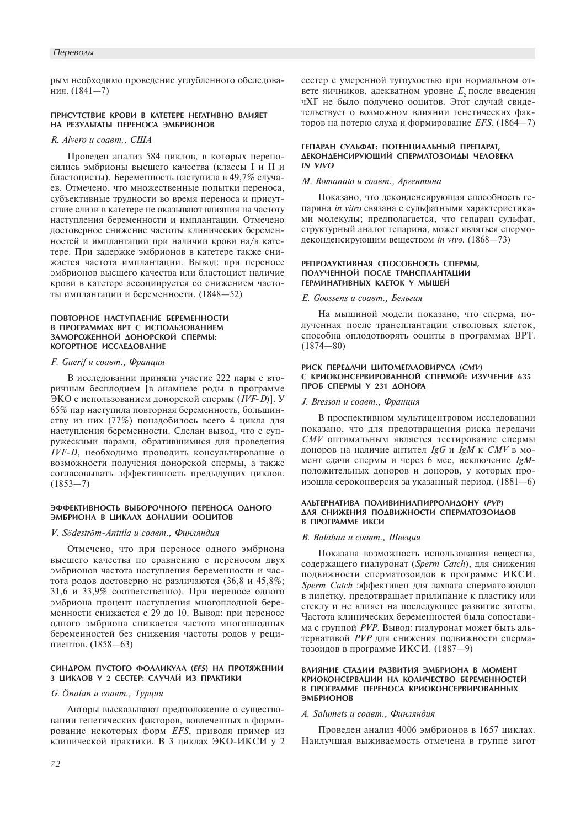#### Переводы

рым необходимо проведение углубленного обследования. (1841-7)

## **ПРИСУТСТВИЕ КРОВИ В КАТЕТЕРЕ НЕГАТИВНО ВЛИЯЕТ** НА РЕЗУЛЬТАТЫ ПЕРЕНОСА ЭМБРИОНОВ

## R. Alvero и соавт., США

Проведен анализ 584 циклов, в которых переносились эмбрионы высшего качества (классы I и II и бластоцисты). Беременность наступила в 49,7% случаев. Отмечено, что множественные попытки переноса, субъективные трудности во время переноса и присутствие слизи в катетере не оказывают влияния на частоту наступления беременности и имплантации. Отмечено достоверное снижение частоты клинических беременностей и имплантации при наличии крови на/в катетере. При задержке эмбрионов в катетере также снижается частота имплантации. Вывод: при переносе эмбрионов высшего качества или бластоцист наличие крови в катетере ассоциируется со снижением частоты имплантации и беременности. (1848-52)

#### ПОВТОРНОЕ НАСТУПЛЕНИЕ БЕРЕМЕННОСТИ В ПРОГРАММАХ ВРТ С ИСПОЛЬЗОВАНИЕМ ЗАМОРОЖЕННОЙ ДОНОРСКОЙ СПЕРМЫ: КОГОРТНОЕ ИССЛЕДОВАНИЕ

## F. Guerif и соавт., Франция

В исследовании приняли участие 222 пары с вторичным бесплодием [в анамнезе роды в программе ЭКО с использованием донорской спермы (IVF-D)]. У 65% пар наступила повторная беременность, большинству из них (77%) понадобилось всего 4 цикла для наступления беременности. Сделан вывод, что с супружескими парами, обратившимися для проведения IVF-D, необходимо проводить консультирование о возможности получения донорской спермы, а также согласовывать эффективность предыдущих циклов.  $(1853 - 7)$ 

#### ЭФФЕКТИВНОСТЬ ВЫБОРОЧНОГО ПЕРЕНОСА ОДНОГО ЭМБРИОНА В ЦИКЛАХ ДОНАЦИИ ООЦИТОВ

# V. Södeström-Anttila и соавт., Финляндия

Отмечено, что при переносе одного эмбриона высшего качества по сравнению с переносом двух эмбрионов частота наступления беременности и частота родов достоверно не различаются (36,8 и 45,8%; 31,6 и 33,9% соответственно). При переносе одного эмбриона процент наступления многоплодной беременности снижается с 29 до 10. Вывод: при переносе одного эмбриона снижается частота многоплодных беременностей без снижения частоты родов у реципиентов. (1858-63)

#### **СИНДРОМ ПУСТОГО ФОЛЛИКУЛА (EFS) НА ПРОТЯЖЕНИИ** З ЦИКЛОВ У 2 СЕСТЕР: СЛУЧАЙ ИЗ ПРАКТИКИ

## G. Önalan и соавт., Турция

Авторы высказывают предположение о существовании генетических факторов, вовлеченных в формирование некоторых форм *EFS*, приводя пример из клинической практики. В 3 циклах ЭКО-ИКСИ у 2

сестер с умеренной тугоухостью при нормальном ответе яичников, адекватном уровне  $E$ , после введения чХГ не было получено ооцитов. Этот случай свидетельствует о возможном влиянии генетических факторов на потерю слуха и формирование EFS. (1864-7)

#### ГЕПАРАН СУЛЬФАТ: ПОТЕНЦИАЛЬНЫЙ ПРЕПАРАТ. ДЕКОНДЕНСИРУЮЩИЙ СПЕРМАТОЗОИДЫ ЧЕЛОВЕКА  $IN$   $VIVO$

#### М. Romanato и соавт., Аргентина

Показано, что деконденсирующая способность гепарина in vitro связана с сульфатными характеристиками молекулы; предполагается, что гепаран сульфат, структурный аналог гепарина, может являться спермодеконденсирующим веществом in vivo. (1868-73)

#### РЕПРОДУКТИВНАЯ СПОСОБНОСТЬ СПЕРМЫ, ПОЛУЧЕННОЙ ПОСЛЕ ТРАНСПЛАНТАЦИИ ГЕРМИНАТИВНЫХ КЛЕТОК У МЫШЕЙ

### *E. Goossens и содет... Бельгия*

На мышиной модели показано, что сперма, полученная после трансплантации стволовых клеток, способна оплодотворять ооциты в программах ВРТ.  $(1874 - 80)$ 

#### РИСК ПЕРЕДАЧИ ЦИТОМЕГАЛОВИРУСА (СМV) С КРИОКОНСЕРВИРОВАННОЙ СПЕРМОЙ: ИЗУЧЕНИЕ 635 ПРОБ СПЕРМЫ У 231 ДОНОРА

#### J. Bresson и соавт., Франция

В проспективном мультицентровом исследовании показано, что для предотвращения риска передачи СМУ оптимальным является тестирование спермы доноров на наличие антител IgG и IgM к СМV в момент слачи спермы и через 6 мес. исключение IgMположительных доноров и доноров, у которых произошла сероконверсия за указанный период. (1881-6)

#### АЛЬТЕРНАТИВА ПОЛИВИНИЛПИРРОЛИДОНУ (PVP) ДЛЯ СНИЖЕНИЯ ПОДВИЖНОСТИ СПЕРМАТОЗОИДОВ В ПРОГРАММЕ ИКСИ

#### В. Ваlаbап и соавт., Швеция

Показана возможность использования вещества, содержащего гиалуронат (Sperm Catch), для снижения подвижности сперматозоидов в программе ИКСИ. Sperm Catch эффективен для захвата сперматозоидов в пипетку, предотвращает прилипание к пластику или стеклу и не влияет на последующее развитие зиготы. Частота клинических беременностей была сопоставима с группой PVP. Вывод: гиалуронат может быть альтернативой PVP для снижения подвижности сперматозоидов в программе ИКСИ. (1887-9)

#### ВЛИЯНИЕ СТАДИИ РАЗВИТИЯ ЭМБРИОНА В МОМЕНТ КРИОКОНСЕРВАЦИИ НА КОЛИЧЕСТВО БЕРЕМЕННОСТЕЙ В ПРОГРАММЕ ПЕРЕНОСА КРИОКОНСЕРВИРОВАННЫХ ЭМБРИОНОВ

#### A. Salumets и соавт., Финляндия

Проведен анализ 4006 эмбрионов в 1657 циклах. Наилучшая выживаемость отмечена в группе зигот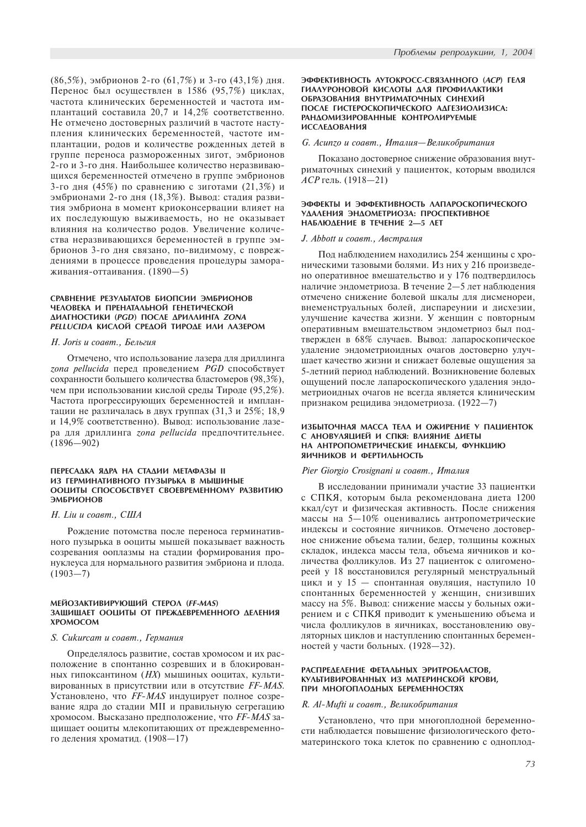(86,5%), эмбрионов 2-го (61,7%) и 3-го (43,1%) дня. Перенос был осуществлен в 1586 (95,7%) циклах, частота клинических беременностей и частота имплантаций составила 20,7 и 14,2% соответственно. Не отмечено достоверных различий в частоте наступления клинических беременностей, частоте имплантации, родов и количестве рожденных детей в группе переноса размороженных зигот, эмбрионов 2-го и 3-го дня. Наибольшее количество неразвивающихся беременностей отмечено в группе эмбрионов 3-го дня (45%) по сравнению с зиготами (21,3%) и эмбрионами 2-го дня (18,3%). Вывод: стадия развития эмбриона в момент криоконсервации влияет на их последующую выживаемость, но не оказывает влияния на количество родов. Увеличение количества неразвивающихся беременностей в группе эмбрионов 3-го дня связано, по-видимому, с повреждениями в процессе проведения процедуры замораживания-оттаивания.  $(1890-5)$ 

## СРАВНЕНИЕ РЕЗУЛЬТАТОВ БИОПСИИ ЭМБРИОНОВ ЧЕЛОВЕКА И ПРЕНАТАЛЬНОЙ ГЕНЕТИЧЕСКОЙ ДИАГНОСТИКИ (PGD) ПОСЛЕ ДРИЛЛИНГА ZONA PELLUCIDA KUCAOЙ СРЕДОЙ ТИРОДЕ ИЛИ ЛАЗЕРОМ

# H. Joris и соавт., Бельгия

Отмечено, что использование лазера для дриллинга  $z$ опа pellucida перед проведением PGD способствует сохранности большего количества бластомеров (98,3%), чем при использовании кислой среды Тироде (95,2%). Частота прогрессирующих беременностей и имплантации не различалась в двух группах (31,3 и 25%; 18,9 и 14,9% соответственно). Вывод: использование лазера для дриллинга *zona pellucida* предпочтительнее.  $(1896 - 902)$ 

#### ПЕРЕСАДКА ЯДРА НА СТАДИИ МЕТАФАЗЫ ІІ ИЗ ГЕРМИНАТИВНОГО ПУЗЫРЬКА В МЫШИНЫЕ ООЦИТЫ СПОСОБСТВУЕТ СВОЕВРЕМЕННОМУ РАЗВИТИЮ ЭМБРИОНОВ

# H. Liu u coaem., CIIIA

Рождение потомства после переноса герминативного пузырька в ооциты мышей показывает важность созревания ооплазмы на стадии формирования пронуклеуса для нормального развития эмбриона и плода.  $(1903 - 7)$ 

## МЕЙОЗАКТИВИРУЮЩИЙ СТЕРОЛ (FF-MAS) ЗАШИШАЕТ ООЦИТЫ ОТ ПРЕЖДЕВРЕМЕННОГО ДЕЛЕНИЯ **XPOMOCOM**

# S. Cukurcam и соавт., Германия

Определялось развитие, состав хромосом и их расположение в спонтанно созревших и в блокированных гипоксантином ( $HX$ ) мышиных ооцитах, культивированных в присутствии или в отсутствие FF-MAS. Установлено, что FF-MAS индуцирует полное созревание ядра до стадии МII и правильную сегрегацию хромосом. Высказано предположение, что FF-MAS защищает ооциты млекопитающих от преждевременного деления хроматид. (1908-17)

#### ЭФФЕКТИВНОСТЬ АУТОКРОСС-СВЯЗАННОГО (АСР) ГЕЛЯ ГИАЛУРОНОВОЙ КИСЛОТЫ ЛЛЯ ПРОФИЛАКТИКИ ОБРАЗОВАНИЯ ВНУТРИМАТОЧНЫХ СИНЕХИЙ ПОСЛЕ ГИСТЕРОСКОПИЧЕСКОГО АДГЕЗИОЛИЗИСА: РАНДОМИЗИРОВАННЫЕ КОНТРОЛИРУЕМЫЕ **ИССЛЕДОВАНИЯ**

#### G. Асипго и соавт., Италия-Великобритания

Показано достоверное снижение образования внутриматочных синехий у пациенток, которым вводился  $ACP$  гель. (1918—21)

#### ЭФФЕКТЫ И ЭФФЕКТИВНОСТЬ ЛАПАРОСКОПИЧЕСКОГО УДАЛЕНИЯ ЭНДОМЕТРИОЗА: ПРОСПЕКТИВНОЕ HAБЛЮДЕНИЕ В ТЕЧЕНИЕ 2-5 ЛЕТ

#### J. Abbott u coaem., Австралия

Под наблюдением находились 254 женщины с хроническими тазовыми болями. Из них у 216 произведено оперативное вмешательство и у 176 подтвердилось наличие эндометриоза. В течение 2-5 лет наблюдения отмечено снижение болевой шкалы для дисменореи, внеменструальных болей, диспареунии и дисхезии, улучшение качества жизни. У женщин с повторным оперативным вмешательством эндометриоз был подтвержден в 68% случаев. Вывод: лапароскопическое удаление эндометриоидных очагов достоверно улучшает качество жизни и снижает болевые ощущения за 5-летний период наблюдений. Возникновение болевых ощущений после лапароскопического удаления эндометриоидных очагов не всегда является клиническим признаком рецидива эндометриоза. (1922-7)

#### ИЗБЫТОЧНАЯ МАССА ТЕЛА И ОЖИРЕНИЕ У ПАЦИЕНТОК С АНОВУЛЯЦИЕЙ И СПКЯ: ВЛИЯНИЕ ДИЕТЫ НА АНТРОПОМЕТРИЧЕСКИЕ ИНДЕКСЫ, ФУНКЦИЮ ЯИЧНИКОВ И ФЕРТИЛЬНОСТЬ

# Pier Giorgio Crosignani u coaem., Италия

В исследовании принимали участие 33 пациентки с СПКЯ, которым была рекомендована диета 1200 ккал/сут и физическая активность. После снижения массы на  $5-10\%$  оценивались антропометрические индексы и состояние яичников. Отмечено достоверное снижение объема талии, бедер, толщины кожных складок, индекса массы тела, объема яичников и количества фолликулов. Из 27 пациенток с олигоменореей у 18 восстановился регулярный менструальный цикл и у 15 — спонтанная овуляция, наступило 10 спонтанных беременностей у женщин, снизивших массу на 5%. Вывод: снижение массы у больных ожирением и с СПКЯ приводит к уменьшению объема и числа фолликулов в яичниках, восстановлению овуляторных циклов и наступлению спонтанных беременностей у части больных. (1928-32).

#### РАСПРЕДЕЛЕНИЕ ФЕТАЛЬНЫХ ЭРИТРОБЛАСТОВ, КУЛЬТИВИРОВАННЫХ ИЗ МАТЕРИНСКОЙ КРОВИ, ПРИ МНОГОПЛОДНЫХ БЕРЕМЕННОСТЯХ

#### R. Al-Mufti и соавт., Великобритания

Установлено, что при многоплодной беременности наблюдается повышение физиологического фетоматеринского тока клеток по сравнению с одноплод-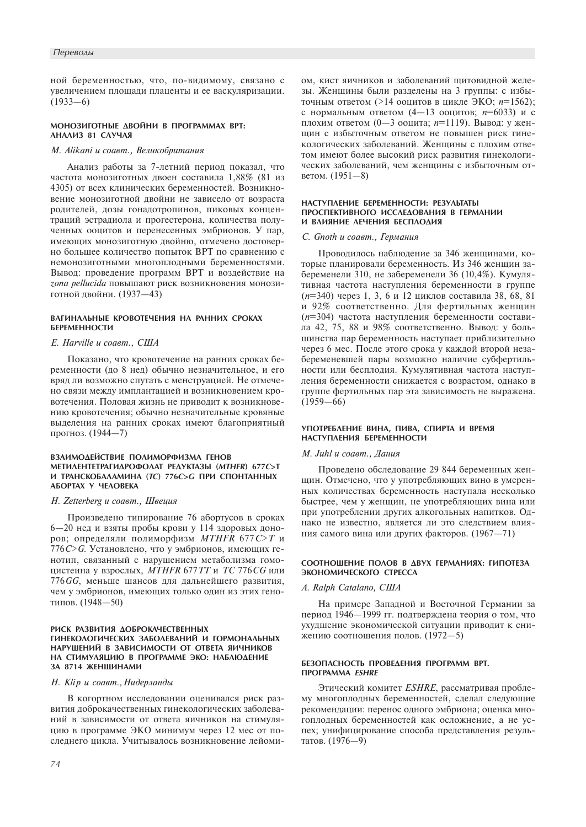ной беременностью, что, по-видимому, связано с увеличением площади плаценты и ее васкуляризации.  $(1933-6)$ 

# МОНОЗИГОТНЫЕ ДВОЙНИ В ПРОГРАММАХ ВРТ: АНАЛИЗ 81 СЛУЧАЯ

# М. Аlikani и соавт., Великобритания

Анализ работы за 7-летний период показал, что частота монозиготных двоен составила 1,88% (81 из 4305) от всех клинических беременностей. Возникновение монозиготной двойни не зависело от возраста родителей, дозы гонадотропинов, пиковых концентраций эстрадиола и прогестерона, количества полученных ооцитов и перенесенных эмбрионов. У пар, имеющих монозиготную двойню, отмечено достоверно большее количество попыток ВРТ по сравнению с немонозиготными многоплодными беременностями. Вывод: проведение программ ВРТ и воздействие на zona pellucida повышают риск возникновения монозиготной двойни. (1937-43)

# ВАГИНАЛЬНЫЕ КРОВОТЕЧЕНИЯ НА РАННИХ СРОКАХ БЕРЕМЕННОСТИ

# E. Harville u coaem., CIIIA

Показано, что кровотечение на ранних сроках беременности (до 8 нед) обычно незначительное, и его вряд ли возможно спутать с менструацией. Не отмечено связи между имплантацией и возникновением кровотечения. Половая жизнь не приводит к возникновению кровотечения; обычно незначительные кровяные выделения на ранних сроках имеют благоприятный прогноз. (1944-7)

#### ВЗАИМОДЕЙСТВИЕ ПОЛИМОРФИЗМА ГЕНОВ METHAEHTETPALHAPOOOAAT PEAVKTA3H (MTHER) 677C>T И ТРАНСКОБАЛАМИНА (ТС) 776С>С ПРИ СПОНТАННЫХ АБОРТАХ У ЧЕЛОВЕКА

## H. Zetterberg и соавт., Швеция

Произведено типирование 76 абортусов в сроках 6-20 нед и взяты пробы крови у 114 здоровых доноров; определяли полиморфизм MTHFR 677 C>T и 776 С> С. Установлено, что у эмбрионов, имеющих генотип, связанный с нарушением метаболизма гомоцистеина у взрослых, *MTHFR 677TT и TC 776CG или* 776 GG, меньше шансов для дальнейшего развития, чем у эмбрионов, имеющих только один из этих генотипов. (1948-50)

# РИСК РАЗВИТИЯ ДОБРОКАЧЕСТВЕННЫХ ГИНЕКОЛОГИЧЕСКИХ ЗАБОЛЕВАНИЙ И ГОРМОНАЛЬНЫХ НАРУШЕНИЙ В ЗАВИСИМОСТИ ОТ ОТВЕТА ЯИЧНИКОВ НА СТИМУЛЯЦИЮ В ПРОГРАММЕ ЭКО: НАБЛЮЛЕНИЕ ЗА 8714 ЖЕНШИНАМИ

#### Н. Klip и соавт., Нидерланды

В когортном исследовании оценивался риск развития доброкачественных гинекологических заболеваний в зависимости от ответа яичников на стимуляцию в программе ЭКО минимум через 12 мес от последнего цикла. Учитывалось возникновение лейомиом, кист яичников и заболеваний щитовидной железы. Женщины были разделены на 3 группы: с избыточным ответом (>14 ооцитов в цикле ЭКО; n=1562); с нормальным ответом (4-13 ооцитов;  $n=6033$ ) и с плохим ответом (0-3 ооцита;  $n=1119$ ). Вывод: у женщин с избыточным ответом не повышен риск гинекологических заболеваний. Женщины с плохим ответом имеют более высокий риск развития гинекологических заболеваний, чем женщины с избыточным ответом. (1951-8)

## НАСТУПЛЕНИЕ БЕРЕМЕННОСТИ РЕЗУЛЬТАТЫ ПРОСПЕКТИВНОГО ИССЛЕДОВАНИЯ В ГЕРМАНИИ И ВЛИЯНИЕ ЛЕЧЕНИЯ БЕСПЛОДИЯ

# С. Gnoth и соавт., Германия

Проводилось наблюдение за 346 женщинами, которые планировали беременность. Из 346 женщин забеременели 310, не забеременели 36 (10,4%). Кумулятивная частота наступления беременности в группе (n=340) через 1, 3, 6 и 12 циклов составила 38, 68, 81 и 92% соответственно. Для фертильных женщин (n=304) частота наступления беременности составила 42, 75, 88 и 98% соответственно. Вывод: у большинства пар беременность наступает приблизительно через 6 мес. После этого срока у каждой второй незабеременевшей пары возможно наличие субфертильности или бесплодия. Кумулятивная частота наступления беременности снижается с возрастом, однако в группе фертильных пар эта зависимость не выражена.  $(1959 - 66)$ 

# УПОТРЕБЛЕНИЕ ВИНА, ПИВА, СПИРТА И ВРЕМЯ НАСТУПЛЕНИЯ БЕРЕМЕННОСТИ

#### *M. Juhl u соавт., Дания*

Проведено обследование 29 844 беременных женшин. Отмечено, что у употребляющих вино в умеренных количествах беременность наступала несколько быстрее, чем у женшин, не употребляющих вина или при употреблении других алкогольных напитков. Однако не известно, является ли это следствием влияния самого вина или других факторов. (1967-71)

# СООТНОШЕНИЕ ПОЛОВ В ДВУХ ГЕРМАНИЯХ: ГИПОТЕЗА ЭКОНОМИЧЕСКОГО СТРЕССА

# A. Ralph Catalano, CIIIA

На примере Запалной и Восточной Германии за период 1946-1999 гг. подтверждена теория о том, что ухудшение экономической ситуации приводит к снижению соотношения полов. (1972-5)

# БЕЗОПАСНОСТЬ ПРОВЕЛЕНИЯ ПРОГРАММ ВРТ. **ΠΡΟΓΡΑΜΜΑ ESHRE**

Этический комитет ESHRE, рассматривая проблему многоплодных беременностей, сделал следующие рекомендации: перенос одного эмбриона; оценка многоплодных беременностей как осложнение, а не успех; унифицирование способа представления результатов. (1976-9)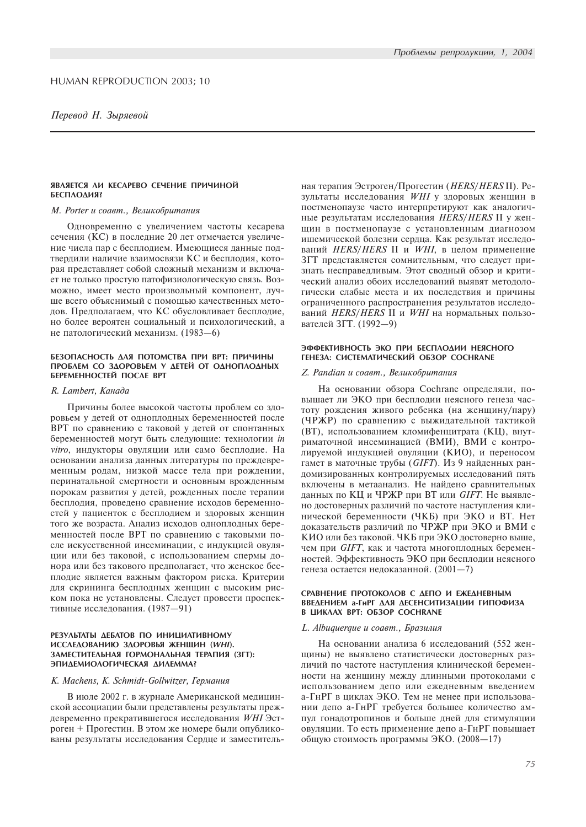#### ЯВЛЯЕТСЯ ЛИ КЕСАРЕВО СЕЧЕНИЕ ПРИЧИНОЙ БЕСПЛОДИЯ?

#### М. Porter и соавт., Великобритания

Одновременно с увеличением частоты кесарева сечения (КС) в последние 20 лет отмечается увеличение числа пар с бесплодием. Имеющиеся данные подтвердили наличие взаимосвязи КС и бесплодия, которая представляет собой сложный механизм и включает не только простую патофизиологическую связь. Возможно, имеет место произвольный компонент, лучше всего объяснимый с помощью качественных методов. Предполагаем, что КС обусловливает бесплодие, но более вероятен социальный и психологический, а не патологический механизм. (1983-6)

## БЕЗОПАСНОСТЬ ДЛЯ ПОТОМСТВА ПРИ ВРТ: ПРИЧИНЫ ПРОБЛЕМ СО ЗДОРОВЬЕМ У ДЕТЕЙ ОТ ОДНОПЛОДНЫХ БЕРЕМЕННОСТЕЙ ПОСЛЕ ВРТ

## R. Lambert, Канада

Причины более высокой частоты проблем со здоровьем у детей от одноплодных беременностей после ВРТ по сравнению с таковой у детей от спонтанных беременностей могут быть следующие: технологии іп vitro, индукторы овуляции или само бесплодие. На основании анализа данных литературы по преждевременным родам, низкой массе тела при рождении, перинатальной смертности и основным врожденным порокам развития у детей, рожденных после терапии бесплодия, проведено сравнение исходов беременностей у пациенток с бесплодием и здоровых женщин того же возраста. Анализ исходов одноплодных беременностей после ВРТ по сравнению с таковыми после искусственной инсеминации, с индукцией овуляции или без таковой, с использованием спермы донора или без такового предполагает, что женское бесплодие является важным фактором риска. Критерии для скрининга бесплодных женщин с высоким риском пока не установлены. Следует провести проспективные исследования. (1987-91)

#### РЕЗУЛЬТАТЫ ДЕБАТОВ ПО ИНИЦИАТИВНОМУ ИССЛЕДОВАНИЮ ЗДОРОВЬЯ ЖЕНЩИН (WHI). ЗАМЕСТИТЕЛЬНАЯ ГОРМОНАЛЬНАЯ ТЕРАПИЯ (ЗГТ): ЭПИДЕМИОЛОГИЧЕСКАЯ ДИЛЕММА?

## K. Machens, K. Schmidt-Gollwitzer, Германия

В июле 2002 г. в журнале Американской медицинской ассоциации были представлены результаты преждевременно прекратившегося исследования WHI Эстроген + Прогестин. В этом же номере были опубликованы результаты исследования Сердце и заместительная терапия Эстроген/Прогестин (HERS/HERS II). Результаты исследования WHI у здоровых женщин в постменопаузе часто интерпретируют как аналогичные результатам исследования HERS/HERS II у женщин в постменопаузе с установленным диагнозом ишемической болезни сердца. Как результат исследований HERS/HERS II и WHI, в целом применение ЗГТ представляется сомнительным, что следует признать несправедливым. Этот сводный обзор и критический анализ обоих исследований выявят методологически слабые места и их последствия и причины ограниченного распространения результатов исследований HERS/HERS II и WHI на нормальных пользователей ЗГТ. (1992-9)

# ЭФФЕКТИВНОСТЬ ЭКО ПРИ БЕСПЛОДИИ НЕЯСНОГО ГЕНЕЗА: СИСТЕМАТИЧЕСКИЙ ОБЗОР СОСНRANE

#### Z. Pandian и соавт., Великобритания

На основании обзора Cochrane определяли, повышает ли ЭКО при бесплодии неясного генеза частоту рождения живого ребенка (на женщину/пару) (ЧРЖР) по сравнению с выжидательной тактикой (ВТ), использованием кломифенцитрата (КЦ), внутриматочной инсеминацией (ВМИ), ВМИ с контролируемой индукцией овуляции (КИО), и переносом гамет в маточные трубы (GIFT). Из 9 найденных рандомизированных контролируемых исследований пять включены в метаанализ. Не найдено сравнительных данных по КЦ и ЧРЖР при ВТ или GIFT. Не выявлено достоверных различий по частоте наступления клинической беременности (ЧКБ) при ЭКО и ВТ. Нет доказательств различий по ЧРЖР при ЭКО и ВМИ с КИО или без таковой. ЧКБ при ЭКО достоверно выше, чем при *GIFT*, как и частота многоплодных беременностей. Эффективность ЭКО при бесплодии неясного генеза остается недоказанной. (2001-7)

#### СРАВНЕНИЕ ПРОТОКОЛОВ С ДЕПО И ЕЖЕДНЕВНЫМ ВВЕДЕНИЕМ а-ГнРГ ДЛЯ ДЕСЕНСИТИЗАЦИИ ГИПОФИЗА В ЦИКЛАХ ВРТ: OБЗОР COCHRANE

#### L. Albuquerque и соавт., Бразилия

На основании анализа 6 исследований (552 женщины) не выявлено статистически достоверных различий по частоте наступления клинической беременности на женщину между длинными протоколами с использованием депо или ежедневным введением а-ГнРГ в циклах ЭКО. Тем не менее при использовании депо а-ГнРГ требуется большее количество ампул гонадотропинов и больше дней для стимуляции овуляции. То есть применение депо а-ГнРГ повышает общую стоимость программы ЭКО. (2008-17)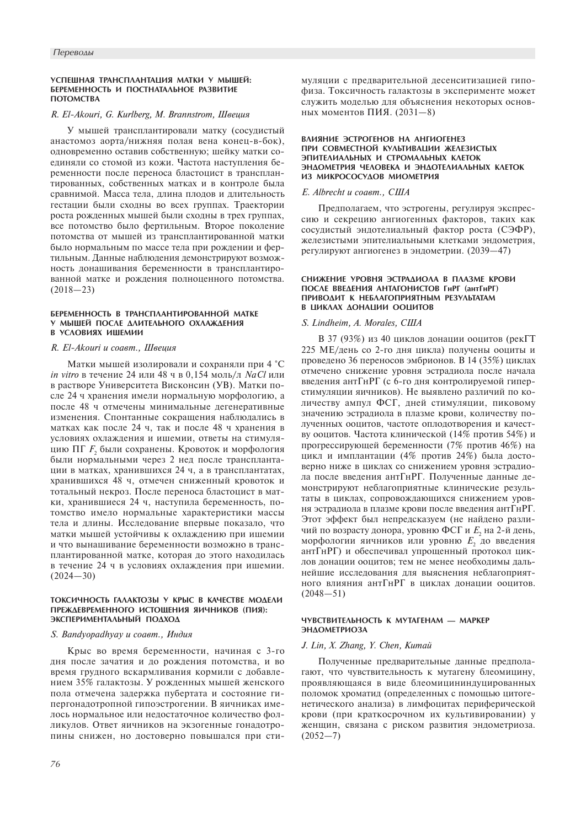## УСПЕШНАЯ ТРАНСПЛАНТАЦИЯ МАТКИ У МЫШЕЙ: БЕРЕМЕННОСТЬ И ПОСТНАТАЛЬНОЕ РАЗВИТИЕ ПОТОМСТВА

# R. El-Akouri, G. Kurlberg, M. Brannstrom, Швеция

У мышей трансплантировали матку (сосудистый анастомоз аорта/нижняя полая вена конец-в-бок), одновременно оставив собственную: шейку матки соединяли со стомой из кожи. Частота наступления беременности после переноса бластоцист в трансплантированных, собственных матках и в контроле была сравнимой. Масса тела, длина плодов и длительность гестации были сходны во всех группах. Траектории роста рожденных мышей были сходны в трех группах, все потомство было фертильным. Второе поколение потомства от мышей из трансплантированной матки было нормальным по массе тела при рождении и фертильным. Данные наблюдения демонстрируют возможность донашивания беременности в трансплантированной матке и рождения полноценного потомства.  $(2018 - 23)$ 

#### БЕРЕМЕННОСТЬ В ТРАНСПЛАНТИРОВАННОЙ МАТКЕ У МЫШЕЙ ПОСЛЕ ДЛИТЕЛЬНОГО ОХЛАЖДЕНИЯ В УСЛОВИЯХ ИШЕМИИ

## R. El-Akouri и соавт., Швеция

Матки мышей изолировали и сохраняли при 4 °С *in vitro* в течение 24 или 48 ч в 0,154 моль/л NaCl или в растворе Университета Висконсин (УВ). Матки после 24 ч хранения имели нормальную морфологию, а после 48 ч отмечены минимальные дегенеративные изменения. Спонтанные сокращения наблюдались в матках как после 24 ч, так и после 48 ч хранения в условиях охлаждения и ишемии, ответы на стимуляцию ПГ *F*, были сохранены. Кровоток и морфология были нормальными через 2 нед после трансплантации в матках, хранившихся 24 ч, а в трансплантатах, хранившихся 48 ч, отмечен сниженный кровоток и тотальный некроз. После переноса бластоцист в матки, хранившиеся 24 ч, наступила беременность, потомство имело нормальные характеристики массы тела и длины. Исследование впервые показало, что матки мышей устойчивы к охлаждению при ишемии и что вынашивание беременности возможно в трансплантированной матке, которая до этого находилась в течение 24 ч в условиях охлаждения при ишемии.  $(2024 - 30)$ 

### ТОКСИЧНОСТЬ ГАЛАКТОЗЫ У КРЫС В КАЧЕСТВЕ МОДЕЛИ ПРЕЖДЕВРЕМЕННОГО ИСТОШЕНИЯ ЯИЧНИКОВ (ПИЯ): ЭКСПЕРИМЕНТАЛЬНЫЙ ПОДХОД

## S. Bandyopadhyay и соавт., Индия

Крыс во время беременности, начиная с 3-го дня после зачатия и до рождения потомства, и во время грудного вскармливания кормили с добавлением 35% галактозы. У рожденных мышей женского пола отмечена задержка пубертата и состояние гипергонадотропной гипоэстрогении. В яичниках имелось нормальное или недостаточное количество фолликулов. Ответ яичников на экзогенные гонадотропины снижен, но достоверно повышался при сти-

76

муляции с предварительной десенситизацией гипофиза. Токсичность галактозы в эксперименте может служить моделью для объяснения некоторых основных моментов ПИЯ. (2031-8)

#### **RAMSHME SCTPOFFHOR HA AHFMOFFHER** ПРИ СОВМЕСТНОЙ КУЛЬТИВАЦИИ ЖЕЛЕЗИСТЫХ ЭПИТЕЛИАЛЬНЫХ И СТРОМАЛЬНЫХ КЛЕТОК ЭНДОМЕТРИЯ ЧЕЛОВЕКА И ЭНДОТЕЛИАЛЬНЫХ КЛЕТОК ИЗ МИКРОСОСУДОВ МИОМЕТРИЯ

# E. Albrecht u coaem., CIIIA

Предполагаем, что эстрогены, регулируя экспрессию и секрецию ангиогенных факторов, таких как сосудистый эндотелиальный фактор роста (СЭФР), железистыми эпителиальными клетками эндометрия, регулируют ангиогенез в эндометрии. (2039-47)

#### СНИЖЕНИЕ УРОВНЯ ЭСТРАДИОЛА В ПЛАЗМЕ КРОВИ ПОСЛЕ ВВЕДЕНИЯ АНТАГОНИСТОВ ГНРГ (АНТГНРГ) ПРИВОДИТ К НЕБЛАГОПРИЯТНЫМ РЕЗУЛЬТАТАМ В ПИКЛАХ ЛОНАПИИ ООПИТОВ

# S. Lindheim, A. Morales, CIIIA

В 37 (93%) из 40 циклов донации ооцитов (рекГТ 225 МЕ/день со 2-го дня цикла) получены ооциты и проведено 36 переносов эмбрионов. В 14 (35%) циклах отмечено снижение уровня эстрадиола после начала введения антГнРГ (с 6-го дня контролируемой гиперстимуляции яичников). Не выявлено различий по количеству ампул ФСГ, дней стимуляции, пиковому значению эстрадиола в плазме крови, количеству полученных ооцитов, частоте оплодотворения и качеству ооцитов. Частота клинической (14% против 54%) и прогрессирующей беременности (7% против 46%) на цикл и имплантации (4% против 24%) была достоверно ниже в циклах со снижением уровня эстрадиола после введения антГнРГ. Полученные данные демонстрируют неблагоприятные клинические результаты в циклах, сопровождающихся снижением уровня эстрадиола в плазме крови после введения антГнРГ. Этот эффект был непредсказуем (не найдено различий по возрасту донора, уровню ФСГ и Е, на 2-й день, морфологии яичников или уровню  $E_2$  до введения антГнРГ) и обеспечивал упрощенный протокол циклов донации ооцитов; тем не менее необходимы дальнейшие исследования для выяснения неблагоприятного влияния антГнРГ в циклах донации ооцитов.  $(2048 - 51)$ 

# ЧУВСТВИТЕЛЬНОСТЬ К МУТАГЕНАМ - МАРКЕР **ЭНДОМЕТРИОЗА**

# J. Lin, X. Zhang, Y. Chen, Kumaŭ

Полученные предварительные данные предполагают, что чувствительность к мутагену блеомицину, проявляющаяся в виде блеомицининдуцированных поломок хроматид (определенных с помощью цитогенетического анализа) в лимфоцитах периферической крови (при краткосрочном их культивировании) у женщин, связана с риском развития эндометриоза.  $(2052 - 7)$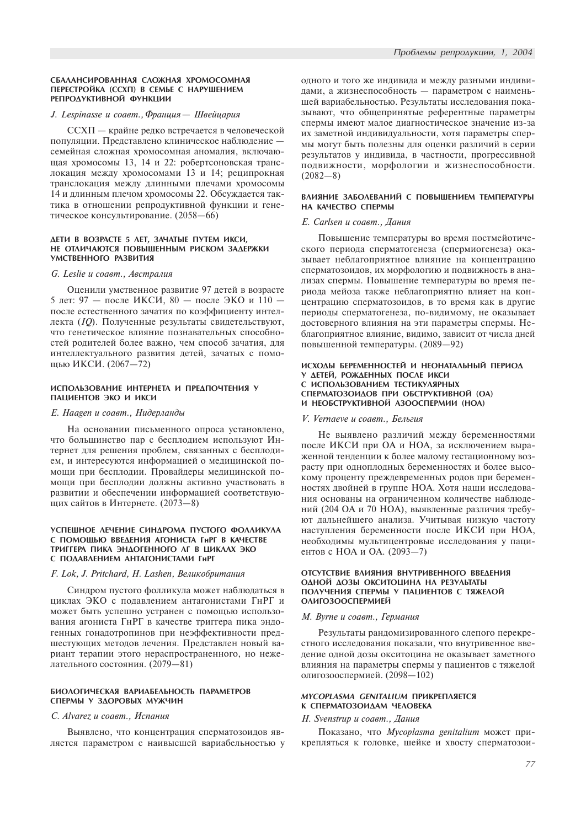## J. Lespinasse и соавт., Франция - Швейцария

ССХП - крайне редко встречается в человеческой популяции. Представлено клиническое наблюдение семейная сложная хромосомная аномалия, включающая хромосомы 13, 14 и 22: робертсоновская транслокация между хромосомами 13 и 14; реципрокная транслокация между длинными плечами хромосомы 14 и длинным плечом хромосомы 22. Обсуждается тактика в отношении репродуктивной функции и генетическое консультирование. (2058-66)

#### ДЕТИ В ВОЗРАСТЕ 5 ЛЕТ, ЗАЧАТЫЕ ПУТЕМ ИКСИ, НЕ ОТЛИЧАЮТСЯ ПОВЫШЕННЫМ РИСКОМ ЗАДЕРЖКИ УМСТВЕННОГО РАЗВИТИЯ

# G. Leslie и соавт., Австралия

Оценили умственное развитие 97 детей в возрасте 5 лет: 97 - после ИКСИ, 80 - после ЭКО и 110 после естественного зачатия по коэффициенту интеллекта (IQ). Полученные результаты свидетельствуют, что генетическое влияние познавательных способностей родителей более важно, чем способ зачатия, для интеллектуального развития детей, зачатых с помощью ИКСИ. (2067-72)

#### ИСПОЛЬЗОВАНИЕ ИНТЕРНЕТА И ПРЕДПОЧТЕНИЯ У ПАЦИЕНТОВ ЭКО И ИКСИ

## Е. Наадеп и соавт., Нидерланды

На основании письменного опроса установлено, что большинство пар с бесплодием используют Интернет для решения проблем, связанных с бесплодием, и интересуются информацией о медицинской помощи при бесплодии. Провайдеры медицинской помощи при бесплодии должны активно участвовать в развитии и обеспечении информацией соответствующих сайтов в Интернете. (2073-8)

# УСПЕШНОЕ ЛЕЧЕНИЕ СИНДРОМА ПУСТОГО ФОЛЛИКУЛА С ПОМОЩЬЮ ВВЕДЕНИЯ АГОНИСТА ГНРГ В КАЧЕСТВЕ ТРИГГЕРА ПИКА ЭНДОГЕННОГО ЛГ В ЦИКЛАХ ЭКО С ПОДАВЛЕНИЕМ АНТАГОНИСТАМИ ГНРГ

## F. Lok, J. Pritchard, H. Lashen, Великобритания

Синдром пустого фолликула может наблюдаться в циклах ЭКО с подавлением антагонистами ГнРГ и может быть успешно устранен с помощью использования агониста ГнРГ в качестве триггера пика эндогенных гонадотропинов при неэффективности предшестующих методов лечения. Представлен новый вариант терапии этого нераспространенного, но нежелательного состояния. (2079-81)

# БИОЛОГИЧЕСКАЯ ВАРИАБЕЛЬНОСТЬ ПАРАМЕТРОВ СПЕРМЫ У ЗДОРОВЫХ МУЖЧИН

### С. Alvarez и соавт., Испания

Выявлено, что концентрация сперматозоидов является параметром с наивысшей вариабельностью у одного и того же индивида и между разными индивидами, а жизнеспособность - параметром с наименьшей вариабельностью. Результаты исследования показывают, что общепринятые референтные параметры спермы имеют малое диагностическое значение из-за их заметной индивидуальности, хотя параметры спермы могут быть полезны для оценки различий в серии результатов у индивида, в частности, прогрессивной подвижности, морфологии и жизнеспособности.  $(2082 - 8)$ 

# ВЛИЯНИЕ ЗАБОЛЕВАНИЙ С ПОВЫШЕНИЕМ ТЕМПЕРАТУРЫ НА КАЧЕСТВО СПЕРМЫ

#### E. Carlsen и соавт., Дания

Повышение температуры во время постмейотического периода сперматогенеза (спермиогенеза) оказывает неблагоприятное влияние на концентрацию сперматозоидов, их морфологию и подвижность в анализах спермы. Повышение температуры во время периода мейоза также неблагоприятно влияет на концентрацию сперматозоидов, в то время как в другие периоды сперматогенеза, по-видимому, не оказывает достоверного влияния на эти параметры спермы. Неблагоприятное влияние, видимо, зависит от числа дней повышенной температуры. (2089-92)

# ИСХОДЫ БЕРЕМЕННОСТЕЙ И НЕОНАТАЛЬНЫЙ ПЕРИОД У ДЕТЕЙ, РОЖДЕННЫХ ПОСЛЕ ИКСИ С ИСПОЛЬЗОВАНИЕМ ТЕСТИКУЛЯРНЫХ СПЕРМАТОЗОИДОВ ПРИ ОБСТРУКТИВНОЙ (ОА) И НЕОБСТРУКТИВНОЙ АЗООСПЕРМИИ (НОА)

#### V. Vernaeve и соавт., Бельгия

Не выявлено различий между беременностями после ИКСИ при ОА и НОА, за исключением выраженной тенденции к более малому гестационному возрасту при одноплодных беременностях и более высокому проценту преждевременных родов при беременностях двойней в группе НОА. Хотя наши исследования основаны на ограниченном количестве наблюдений (204 ОА и 70 НОА), выявленные различия требуют дальнейшего анализа. Учитывая низкую частоту наступления беременности после ИКСИ при НОА, необходимы мультицентровые исследования у пациентов с НОА и ОА. (2093-7)

## ОТСУТСТВИЕ ВЛИЯНИЯ ВНУТРИВЕННОГО ВВЕДЕНИЯ ОДНОЙ ДОЗЫ ОКСИТОЦИНА НА РЕЗУЛЬТАТЫ ПОЛУЧЕНИЯ СПЕРМЫ У ПАЦИЕНТОВ С ТЯЖЕЛОЙ **ОЛИГОЗООСПЕРМИЕЙ**

# М. Вугпе и соавт., Германия

Результаты рандомизированного слепого перекрестного исследования показали, что внутривенное введение одной дозы окситоцина не оказывает заметного влияния на параметры спермы у пациентов с тяжелой олигозооспермией. (2098-102)

# MYCOPLASMA GENITALIUM ПРИКРЕПЛЯЕТСЯ К СПЕРМАТОЗОИДАМ ЧЕЛОВЕКА

# Н. Svenstrup и соавт., Дания

Показано, что Mycoplasma genitalium может прикрепляться к головке, шейке и хвосту сперматозои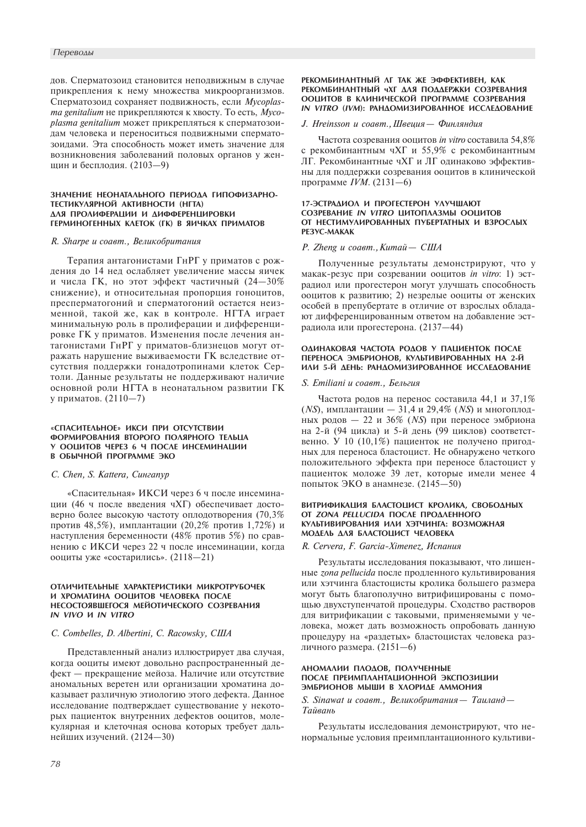дов. Сперматозоид становится неподвижным в случае прикрепления к нему множества микроорганизмов. Сперматозоид сохраняет подвижность, если Mycoplasma genitalium не прикрепляются к хвосту. То есть, Mycoplasma genitalium может прикрепляться к сперматозоидам человека и переноситься подвижными сперматозоидами. Эта способность может иметь значение для возникновения заболеваний половых органов у женщин и бесплодия. (2103-9)

#### ЗНАЧЕНИЕ НЕОНАТАЛЬНОГО ПЕРИОДА ГИПОФИЗАРНО-ТЕСТИКУЛЯРНОЙ АКТИВНОСТИ (НГТА) ДЛЯ ПРОЛИФЕРАЦИИ И ДИФФЕРЕНЦИРОВКИ ГЕРМИНОГЕННЫХ КЛЕТОК (ГК) В ЯИЧКАХ ПРИМАТОВ

#### R. Sharpe и соавт., Великобритания

Терапия антагонистами ГнРГ у приматов с рождения до 14 нед ослабляет увеличение массы яичек и числа ГК, но этот эффект частичный (24-30% снижение), и относительная пропорция гоноцитов. пресперматогоний и сперматогоний остается неизменной, такой же, как в контроле. НГТА играет минимальную роль в пролиферации и дифференцировке ГК у приматов. Изменения после лечения антагонистами ГнРГ у приматов-близнецов могут отражать нарушение выживаемости ГК вследствие отсутствия поддержки гонадотропинами клеток Сертоли. Данные результаты не поддерживают наличие основной роли НГТА в неонатальном развитии ГК у приматов. (2110-7)

# «СПАСИТЕЛЬНОЕ» ИКСИ ПРИ ОТСУТСТВИИ ФОРМИРОВАНИЯ ВТОРОГО ПОЛЯРНОГО ТЕЛЬЦА У ООЦИТОВ ЧЕРЕЗ 6 Ч ПОСЛЕ ИНСЕМИНАЦИИ В ОБЫЧНОЙ ПРОГРАММЕ ЭКО

#### C. Chen, S. Kattera, Сингапур

«Спасительная» ИКСИ через 6 ч после инсеминации (46 ч после введения чХГ) обеспечивает достоверно более высокую частоту оплодотворения (70,3% против 48,5%), имплантации (20,2% против 1,72%) и наступления беременности (48% против 5%) по сравнению с ИКСИ через 22 ч после инсеминации, когда ооциты уже «состарились». (2118-21)

## ОТЛИЧИТЕЛЬНЫЕ ХАРАКТЕРИСТИКИ МИКРОТРУБОЧЕК И ХРОМАТИНА ООЦИТОВ ЧЕЛОВЕКА ПОСЛЕ НЕСОСТОЯВШЕГОСЯ МЕЙОТИЧЕСКОГО СОЗРЕВАНИЯ IN VIVO И IN VITRO

## C. Combelles, D. Albertini, C. Racowsky, CIIIA

Представленный анализ иллюстрирует два случая, когда ооциты имеют довольно распространенный дефект — прекращение мейоза. Наличие или отсутствие аномальных веретен или организации хроматина доказывает различную этиологию этого лефекта. Данное исследование подтверждает существование у некоторых пациенток внутренних дефектов ооцитов, молекулярная и клеточная основа которых требует дальнейших изучений. (2124-30)

#### РЕКОМБИНАНТНЫЙ ЛГ ТАК ЖЕ ЭФФЕКТИВЕН, КАК РЕКОМБИНАНТНЫЙ ЧХГ ДЛЯ ПОДДЕРЖКИ СОЗРЕВАНИЯ ООЦИТОВ В КЛИНИЧЕСКОЙ ПРОГРАММЕ СОЗРЕВАНИЯ **IN VITRO (IVM): РАНДОМИЗИРОВАННОЕ ИССЛЕДОВАНИЕ**

# J. Hreinsson и соавт., Швеция - Финляндия

Частота созревания ооцитов in vitro составила 54,8% с рекомбинантным чХГ и 55,9% с рекомбинантным ЛГ. Рекомбинантные чХГ и ЛГ одинаково эффективны для поддержки созревания ооцитов в клинической программе IVM.  $(2131-6)$ 

#### 17-ЭСТРАДИОЛ И ПРОГЕСТЕРОН УЛУЧШАЮТ CO3PEBAHUE IN VITRO HUTOΠΛΑ3ΜΗ OOHUTOB ОТ НЕСТИМУЛИРОВАННЫХ ПУБЕРТАТНЫХ И ВЗРОСЛЫХ PE3YC-MAKAK

#### Р. Zheng и соавт., Китай - США

Полученные результаты демонстрируют, что у макак-резус при созревании ооцитов in vitro: 1) эстрадиол или прогестерон могут улучшать способность ооцитов к развитию; 2) незрелые ооциты от женских особей в препубертате в отличие от взрослых обладают дифференцированным ответом на добавление эстрадиола или прогестерона. (2137-44)

# ОДИНАКОВАЯ ЧАСТОТА РОДОВ У ПАЦИЕНТОК ПОСЛЕ ПЕРЕНОСА ЭМБРИОНОВ, КУЛЬТИВИРОВАННЫХ НА 2-Й ИЛИ 5-Й ДЕНЬ: РАНДОМИЗИРОВАННОЕ ИССЛЕДОВАНИЕ

# S. Emiliani и соавт., Бельгия

Частота родов на перенос составила 44,1 и 37,1% (NS), имплантации - 31,4 и 29,4% (NS) и многоплодных родов - 22 и 36% (NS) при переносе эмбриона на 2-й (94 цикла) и 5-й день (99 циклов) соответственно. У 10 (10,1%) пациенток не получено пригодных для переноса бластоцист. Не обнаружено четкого положительного эффекта при переносе бластоцист у пациенток моложе 39 лет, которые имели менее 4 попыток ЭКО в анамнезе. (2145-50)

## ВИТРИФИКАЦИЯ БЛАСТОЦИСТ КРОЛИКА, СВОБОДНЫХ ΟΤ ΖΟΝΑ ΡΕLLUCIDA ΠΟCΛΕ ΠΡΟΔΛΕΗΗΟΓΟ КУЛЬТИВИРОВАНИЯ ИЛИ ХЭТЧИНГА: ВОЗМОЖНАЯ МОДЕЛЬ ДЛЯ БЛАСТОЦИСТ ЧЕЛОВЕКА

R. Cervera, F. Garcia-Ximenez, Испания

Результаты исследования показывают, что лишенные *zona pellucida* после продленного культивирования или хэтчинга бластоцисты кролика большего размера могут быть благополучно витрифицированы с помощью двухступенчатой процедуры. Сходство растворов для витрификации с таковыми, применяемыми у человека, может дать возможность опробовать данную процедуру на «раздетых» бластоцистах человека различного размера. (2151-6)

# АНОМАЛИИ ПЛОДОВ, ПОЛУЧЕННЫЕ ПОСЛЕ ПРЕИМПЛАНТАЦИОННОЙ ЭКСПОЗИЦИИ ЭМБРИОНОВ МЫШИ В ХЛОРИДЕ АММОНИЯ

S. Sinawat и соавт., Великобритания - Таиланд -Тайвань

Результаты исследования демонстрируют, что ненормальные условия преимплантационного культиви-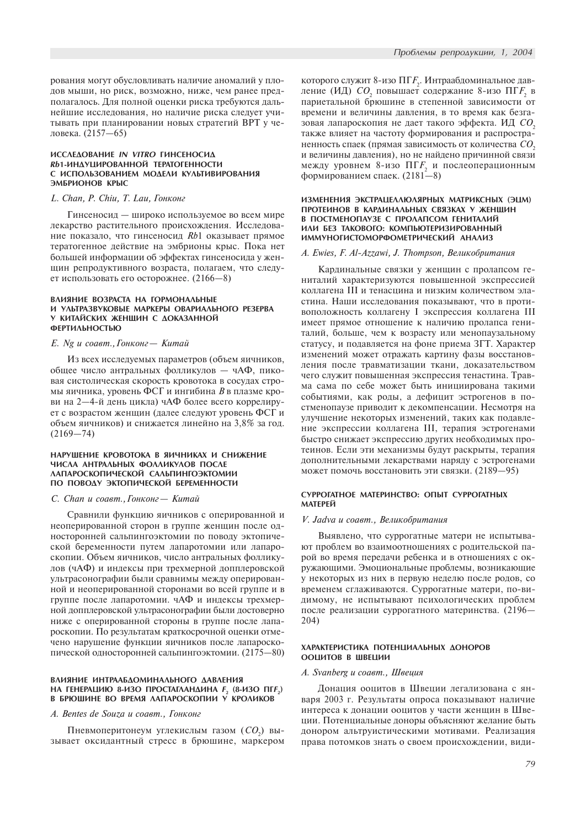рования могут обусловливать наличие аномалий у плодов мыши, но риск, возможно, ниже, чем ранее предполагалось. Для полной оценки риска требуются дальнейшие исследования, но наличие риска следует учитывать при планировании новых стратегий ВРТ у человека. (2157-65)

# **ИССЛЕДОВАНИЕ IN VITRO ГИНСЕНОСИД Rb1-ИНДУЦИРОВАННОЙ ТЕРАТОГЕННОСТИ** С ИСПОЛЬЗОВАНИЕМ МОДЕЛИ КУЛЬТИВИРОВАНИЯ ЭМБРИОНОВ КРЫС

# L. Chan, P. Chiu, T. Lau, Гонконг

Гинсеносид — широко используемое во всем мире лекарство растительного происхождения. Исследование показало, что гинсеносид Rb1 оказывает прямое тератогенное действие на эмбрионы крыс. Пока нет большей информации об эффектах гинсеносида у женщин репродуктивного возраста, полагаем, что следует использовать его осторожнее.  $(2166-8)$ 

#### BAИЯНИЕ ВОЗРАСТА НА ГОРМОНАЛЬНЫЕ И УЛЬТРАЗВУКОВЫЕ МАРКЕРЫ ОВАРИАЛЬНОГО РЕЗЕРВА У КИТАЙСКИХ ЖЕНШИН С ДОКАЗАННОЙ **ФЕРТИЛЬНОСТЬЮ**

#### E. Ng и соавт., Гонконг — Китай

Из всех исследуемых параметров (объем яичников, общее число антральных фолликулов - чАФ, пиковая систолическая скорость кровотока в сосудах стромы яичника, уровень ФСГ и ингибина  $B$  в плазме крови на 2—4-й день цикла) чАФ более всего коррелирует с возрастом женщин (далее следуют уровень ФСГ и объем яичников) и снижается линейно на 3,8% за год.  $(2169 - 74)$ 

#### НАРУШЕНИЕ КРОВОТОКА В ЯИЧНИКАХ И СНИЖЕНИЕ ЧИСЛА АНТРАЛЬНЫХ ФОЛЛИКУЛОВ ПОСЛЕ ААПАРОСКОПИЧЕСКОЙ САЛЬПИНГОЭКТОМИИ ПО ПОВОДУ ЭКТОПИЧЕСКОЙ БЕРЕМЕННОСТИ

#### C. Chan и соавт., Гонконг - Китай

Сравнили функцию яичников с оперированной и неоперированной сторон в группе женщин после односторонней сальпингоэктомии по поводу эктопической беременности путем лапаротомии или лапароскопии. Объем яичников, число антральных фолликулов (чАФ) и индексы при трехмерной допплеровской ультрасонографии были сравнимы между оперированной и неоперированной сторонами во всей группе и в группе после лапаротомии. чАФ и индексы трехмерной допплеровской ультрасонографии были достоверно ниже с оперированной стороны в группе после лапароскопии. По результатам краткосрочной оценки отмечено нарушение функции яичников после лапароскопической односторонней сальпингоэктомии. (2175-80)

# ВЛИЯНИЕ ИНТРААБДОМИНАЛЬНОГО ДАВЛЕНИЯ НА ГЕНЕРАЦИЮ 8-ИЗО ПРОСТАГЛАНДИНА F<sub>2</sub> (8-ИЗО ПГF<sub>2</sub>)<br>В БРЮШИНЕ ВО ВРЕМЯ ЛАПАРОСКОПИИ У КРОЛИКОВ

## A. Bentes de Souza *u* coaem., Гонконг

Пневмоперитонеум углекислым газом  $(CO_2)$  вызывает оксидантный стресс в брюшине, маркером

которого служит 8-изо ПГ $\mathit{F}_2$ . Интраабдоминальное давление (ИД)  $CO_{_2}$  повышает содержание 8-изо ПГ $F_{_2}$  в париетальной брюшине в степенной зависимости от времени и величины давления, в то время как безгазовая лапароскопия не дает такого эффекта. ИД  $CO$ , также влияет на частоту формирования и распространенность спаек (прямая зависимость от количества  $CO$ , и величины давления), но не найдено причинной связи между уровнем 8-изо ПГ $F_{\overline{2}}$  и послеоперационным формированием спаек.  $(2181-8)$ 

## ИЗМЕНЕНИЯ ЭКСТРАЦЕЛЛЮЛЯРНЫХ МАТРИКСНЫХ (ЭЦМ) ПРОТЕИНОВ В КАРДИНАЛЬНЫХ СВЯЗКАХ У ЖЕНЩИН В ПОСТМЕНОПАУЗЕ С ПРОЛАПСОМ ГЕНИТАЛИЙ ИЛИ БЕЗ ТАКОВОГО: КОМПЬЮТЕРИЗИРОВАННЫЙ ИММУНОГИСТОМОРФОМЕТРИЧЕСКИЙ АНАЛИЗ

# A. Ewies, F. Al-Azzawi, J. Thompson, Великобритания

Кардинальные связки у женщин с пролапсом гениталий характеризуются повышенной экспрессией коллагена III и тенасцина и низким количеством эластина. Наши исследования показывают, что в противоположность коллагену I экспрессия коллагена III имеет прямое отношение к наличию пролапса гениталий, больше, чем к возрасту или менопаузальному статусу, и подавляется на фоне приема ЗГТ. Характер изменений может отражать картину фазы восстановления после травматизации ткани, доказательством чего служит повышенная экспрессия тенастина. Травма сама по себе может быть инициирована такими событиями, как роды, а дефицит эстрогенов в постменопаузе приводит к декомпенсации. Несмотря на улучшение некоторых изменений, таких как подавление экспрессии коллагена III, терапия эстрогенами быстро снижает экспрессию других необходимых протеинов. Если эти механизмы будут раскрыты, терапия лополнительными лекарствами наряду с эстрогенами йожет помочь восстановить эти связки. (2189-95)

# СУРРОГАТНОЕ МАТЕРИНСТВО: ОПЫТ СУРРОГАТНЫХ МАТЕРЕЙ

#### V. Jadva и соавт., Великобритания

Выявлено, что суррогатные матери не испытывают проблем во взаимоотношениях с родительской парой во время передачи ребенка и в отношениях с окружающими. Эмоциональные проблемы, возникающие у некоторых из них в первую неделю после родов, со временем сглаживаются. Суррогатные матери, по-видимому, не испытывают психологических проблем после реализации суррогатного материнства. (2196-204)

#### ХАРАКТЕРИСТИКА ПОТЕНЦИАЛЬНЫХ ДОНОРОВ ООЦИТОВ В ШВЕЦИИ

# A. Svanberg u coaem., Швеция

Донация ооцитов в Швеции легализована с января 2003 г. Результаты опроса показывают наличие интереса к донации ооцитов у части женщин в Швеции. Потенциальные доноры объясняют желание быть донором альтруистическими мотивами. Реализация права потомков знать о своем происхождении, види